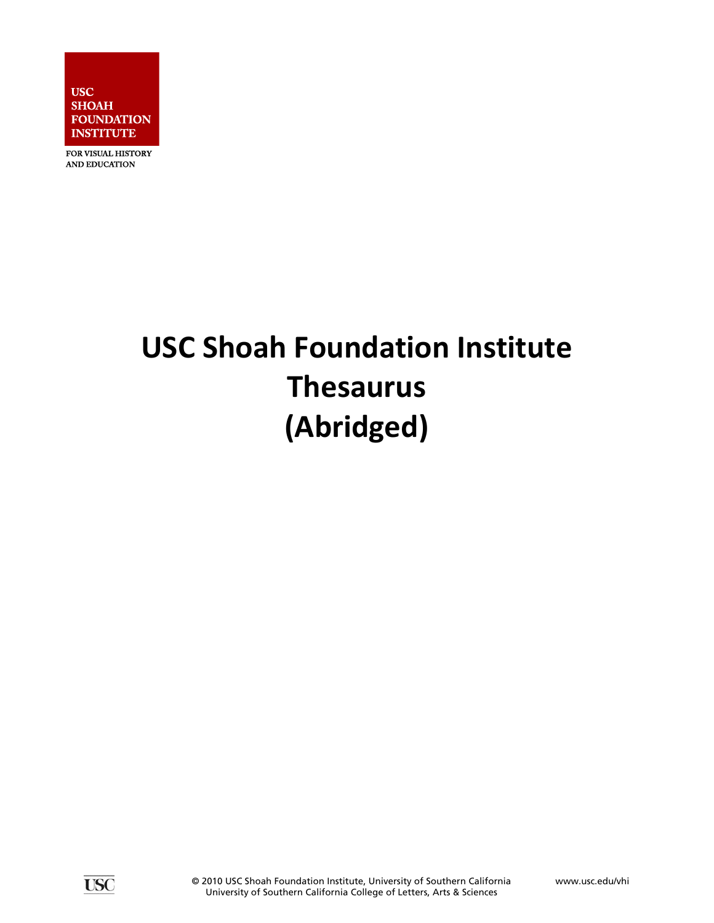

FOR VISUAL HISTORY AND EDUCATION

# **USC Shoah Foundation Institute Thesaurus (Abridged)**

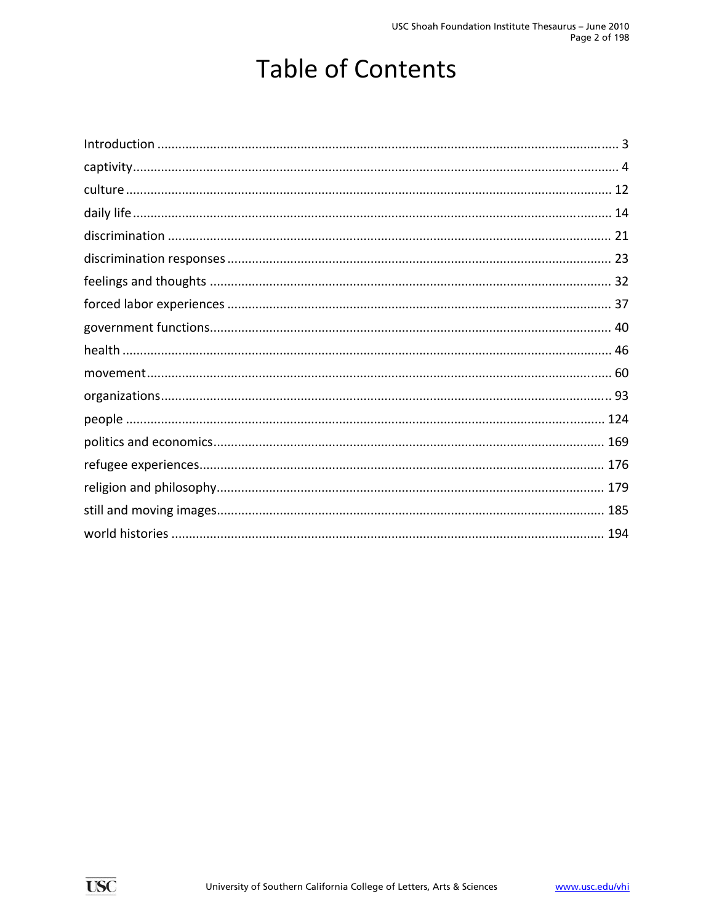# **Table of Contents**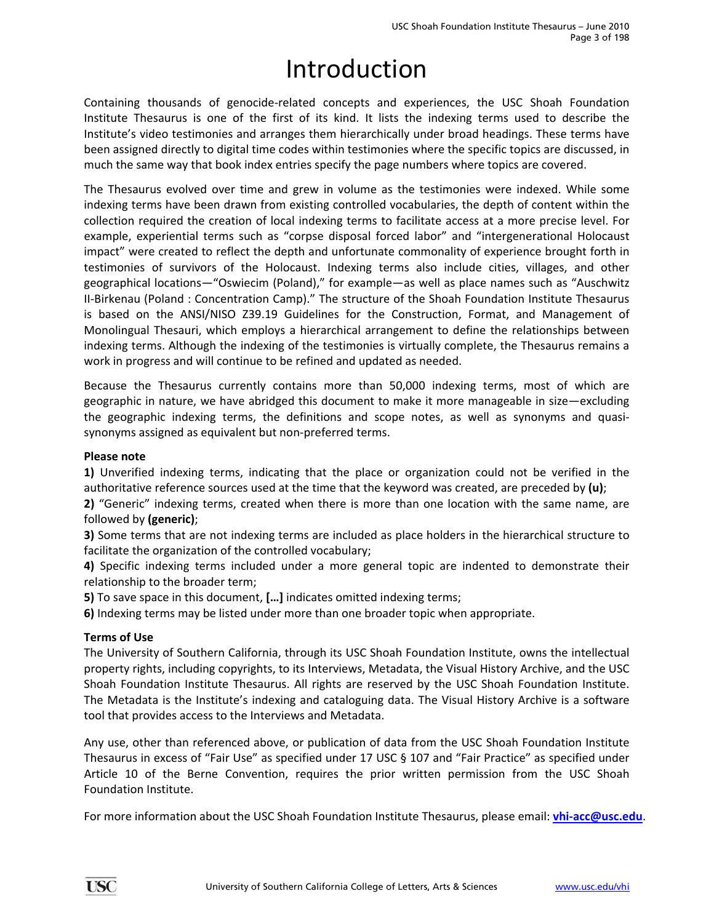# Introduction

<span id="page-2-0"></span>Containing thousands of genocide‐related concepts and experiences, the USC Shoah Foundation Institute Thesaurus is one of the first of its kind. It lists the indexing terms used to describe the Institute's video testimonies and arranges them hierarchically under broad headings. These terms have been assigned directly to digital time codes within testimonies where the specific topics are discussed, in much the same way that book index entries specify the page numbers where topics are covered.

The Thesaurus evolved over time and grew in volume as the testimonies were indexed. While some indexing terms have been drawn from existing controlled vocabularies, the depth of content within the collection required the creation of local indexing terms to facilitate access at a more precise level. For example, experiential terms such as "corpse disposal forced labor" and "intergenerational Holocaust impact" were created to reflect the depth and unfortunate commonality of experience brought forth in testimonies of survivors of the Holocaust. Indexing terms also include cities, villages, and other geographical locations—"Oswiecim (Poland)," for example—as well as place names such as "Auschwitz II‐Birkenau (Poland : Concentration Camp)." The structure of the Shoah Foundation Institute Thesaurus is based on the ANSI/NISO Z39.19 Guidelines for the Construction, Format, and Management of Monolingual Thesauri, which employs a hierarchical arrangement to define the relationships between indexing terms. Although the indexing of the testimonies is virtually complete, the Thesaurus remains a work in progress and will continue to be refined and updated as needed.

Because the Thesaurus currently contains more than 50,000 indexing terms, most of which are geographic in nature, we have abridged this document to make it more manageable in size—excluding the geographic indexing terms, the definitions and scope notes, as well as synonyms and quasi‐ synonyms assigned as equivalent but non‐preferred terms.

#### **Please note**

**1)** Unverified indexing terms, indicating that the place or organization could not be verified in the authoritative reference sources used at the time that the keyword was created, are preceded by **(u)**;

**2)** "Generic" indexing terms, created when there is more than one location with the same name, are followed by **(generic)**;

**3)** Some terms that are not indexing terms are included as place holders in the hierarchical structure to facilitate the organization of the controlled vocabulary;

**4)** Specific indexing terms included under a more general topic are indented to demonstrate their relationship to the broader term;

**5)** To save space in this document, **[…]** indicates omitted indexing terms;

**6)** Indexing terms may be listed under more than one broader topic when appropriate.

### **Terms of Use**

The University of Southern California, through its USC Shoah Foundation Institute, owns the intellectual property rights, including copyrights, to its Interviews, Metadata, the Visual History Archive, and the USC Shoah Foundation Institute Thesaurus. All rights are reserved by the USC Shoah Foundation Institute. The Metadata is the Institute's indexing and cataloguing data. The Visual History Archive is a software tool that provides access to the Interviews and Metadata.

Any use, other than referenced above, or publication of data from the USC Shoah Foundation Institute Thesaurus in excess of "Fair Use" as specified under 17 USC § 107 and "Fair Practice" as specified under Article 10 of the Berne Convention, requires the prior written permission from the USC Shoah Foundation Institute.

For more information about the USC Shoah Foundation Institute Thesaurus, please email: **vhi‐acc@usc.edu**.

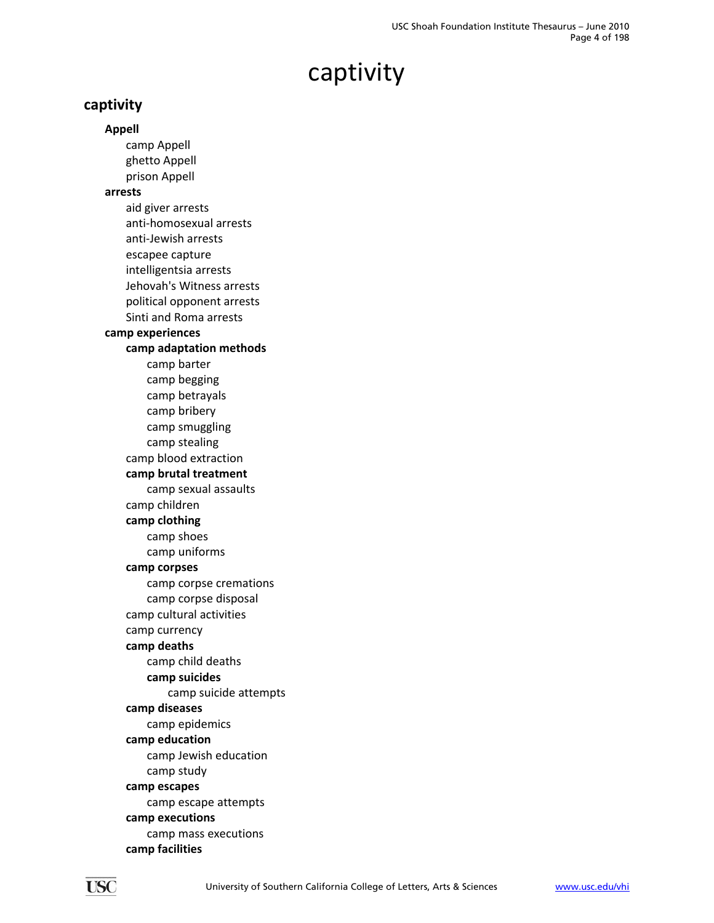### <span id="page-3-0"></span>**captivity**

**Appell** camp Appell ghetto Appell prison Appell **arrests** aid giver arrests anti‐homosexual arrests anti‐Jewish arrests escapee capture intelligentsia arrests Jehovah's Witness arrests political opponent arrests Sinti and Roma arrests **camp experiences camp adaptation methods** camp barter camp begging camp betrayals camp bribery camp smuggling camp stealing camp blood extraction **camp brutal treatment** camp sexual assaults camp children **camp clothing** camp shoes camp uniforms **camp corpses** camp corpse cremations camp corpse disposal camp cultural activities camp currency **camp deaths** camp child deaths **camp suicides** camp suicide attempts **camp diseases** camp epidemics **camp education** camp Jewish education camp study **camp escapes** camp escape attempts **camp executions** camp mass executions

**camp facilities**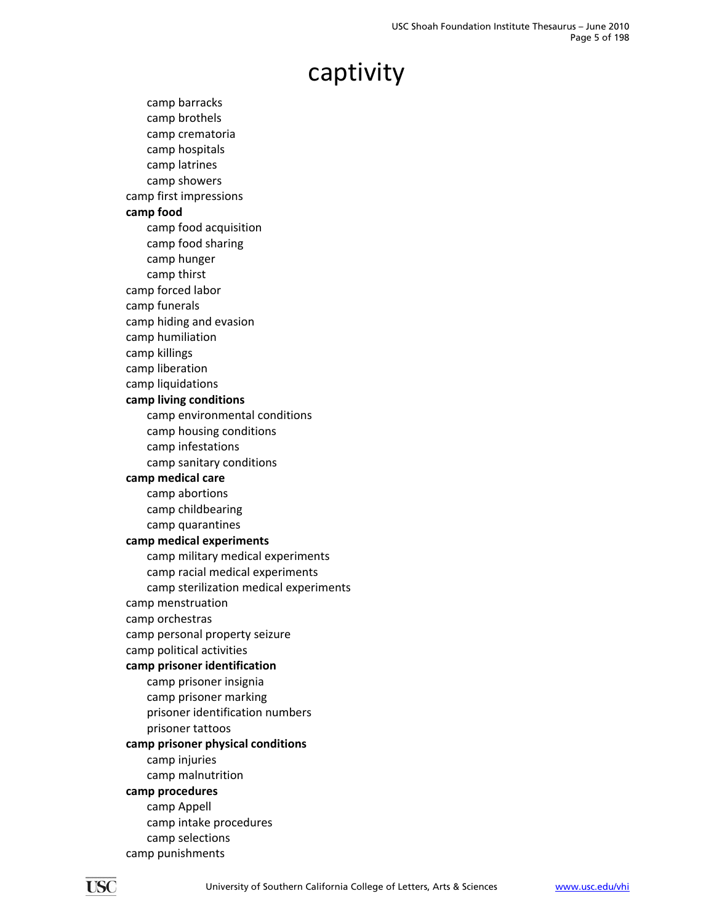camp barracks camp brothels camp crematoria camp hospitals camp latrines camp showers camp first impressions **camp food** camp food acquisition camp food sharing camp hunger camp thirst camp forced labor camp funerals camp hiding and evasion camp humiliation camp killings camp liberation camp liquidations **camp living conditions** camp environmental conditions camp housing conditions camp infestations camp sanitary conditions **camp medical care** camp abortions camp childbearing camp quarantines **camp medical experiments** camp military medical experiments camp racial medical experiments camp sterilization medical experiments camp menstruation camp orchestras camp personal property seizure camp political activities **camp prisoner identification** camp prisoner insignia camp prisoner marking prisoner identification numbers prisoner tattoos **camp prisoner physical conditions** camp injuries camp malnutrition **camp procedures** camp Appell camp intake procedures camp selections camp punishments

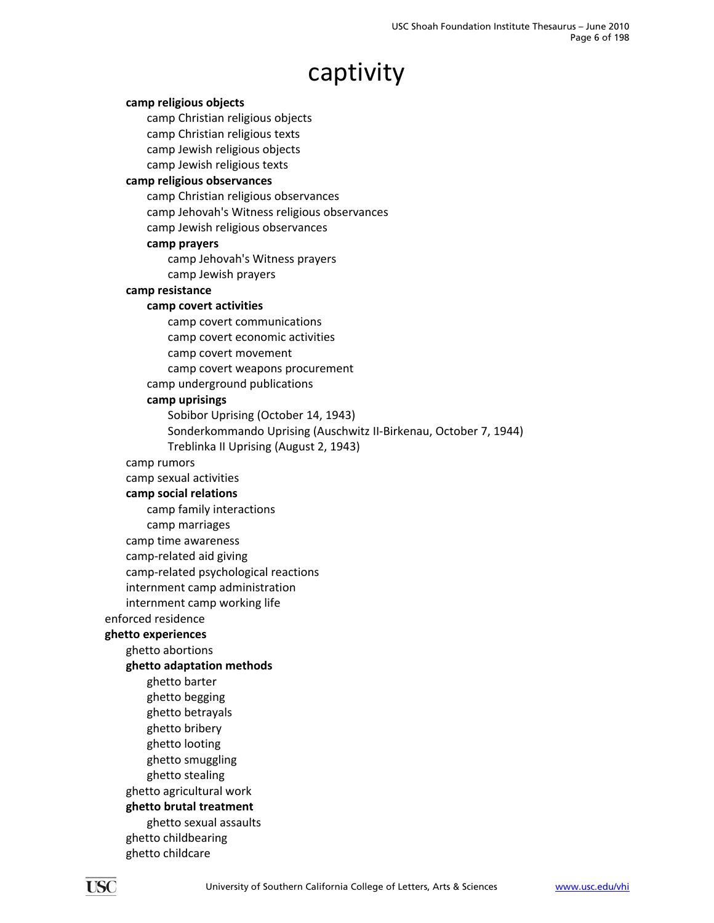#### **camp religious objects**

camp Christian religious objects

camp Christian religious texts

camp Jewish religious objects

camp Jewish religious texts

### **camp religious observances**

camp Christian religious observances

camp Jehovah's Witness religious observances

camp Jewish religious observances

#### **camp prayers**

camp Jehovah's Witness prayers

camp Jewish prayers

#### **camp resistance**

#### **camp covert activities**

camp covert communications

camp covert economic activities

camp covert movement

camp covert weapons procurement

camp underground publications

#### **camp uprisings**

Sobibor Uprising (October 14, 1943)

Sonderkommando Uprising (Auschwitz II‐Birkenau, October 7, 1944)

Treblinka II Uprising (August 2, 1943)

camp rumors

#### camp sexual activities

**camp social relations**

camp family interactions

camp marriages

camp time awareness

camp‐related aid giving

camp‐related psychological reactions

internment camp administration

internment camp working life

enforced residence

#### **ghetto experiences**

ghetto abortions

**ghetto adaptation methods**

ghetto barter ghetto begging ghetto betrayals ghetto bribery

ghetto looting

ghetto smuggling

ghetto stealing

ghetto agricultural work

### **ghetto brutal treatment**

ghetto sexual assaults

ghetto childbearing ghetto childcare

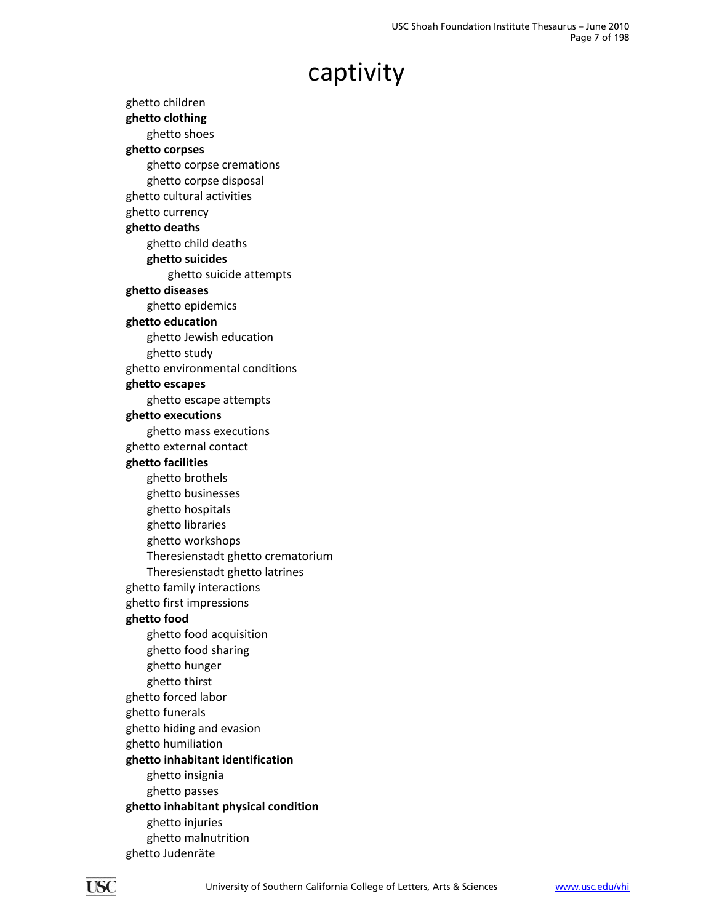ghetto children **ghetto clothing** ghetto shoes **ghetto corpses** ghetto corpse cremations ghetto corpse disposal ghetto cultural activities ghetto currency **ghetto deaths** ghetto child deaths **ghetto suicides** ghetto suicide attempts **ghetto diseases** ghetto epidemics **ghetto education** ghetto Jewish education ghetto study ghetto environmental conditions **ghetto escapes** ghetto escape attempts **ghetto executions** ghetto mass executions ghetto external contact **ghetto facilities** ghetto brothels ghetto businesses ghetto hospitals ghetto libraries ghetto workshops Theresienstadt ghetto crematorium Theresienstadt ghetto latrines ghetto family interactions ghetto first impressions **ghetto food** ghetto food acquisition ghetto food sharing ghetto hunger ghetto thirst ghetto forced labor ghetto funerals ghetto hiding and evasion ghetto humiliation **ghetto inhabitant identification** ghetto insignia ghetto passes **ghetto inhabitant physical condition** ghetto injuries ghetto malnutrition ghetto Judenräte

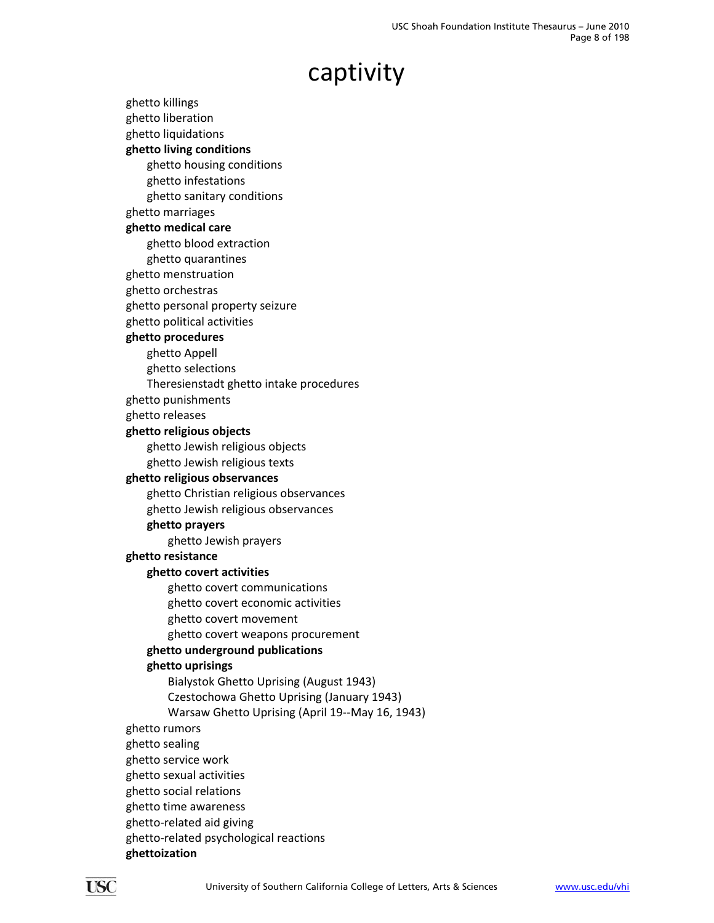ghetto killings ghetto liberation ghetto liquidations **ghetto living conditions** ghetto housing conditions ghetto infestations ghetto sanitary conditions ghetto marriages **ghetto medical care** ghetto blood extraction ghetto quarantines ghetto menstruation ghetto orchestras ghetto personal property seizure ghetto political activities **ghetto procedures** ghetto Appell ghetto selections Theresienstadt ghetto intake procedures ghetto punishments ghetto releases **ghetto religious objects** ghetto Jewish religious objects ghetto Jewish religious texts **ghetto religious observances** ghetto Christian religious observances ghetto Jewish religious observances **ghetto prayers** ghetto Jewish prayers **ghetto resistance ghetto covert activities** ghetto covert communications ghetto covert economic activities ghetto covert movement ghetto covert weapons procurement **ghetto underground publications ghetto uprisings** Bialystok Ghetto Uprising (August 1943) Czestochowa Ghetto Uprising (January 1943) Warsaw Ghetto Uprising (April 19‐‐May 16, 1943) ghetto rumors ghetto sealing ghetto service work ghetto sexual activities ghetto social relations ghetto time awareness ghetto‐related aid giving ghetto‐related psychological reactions **ghettoization**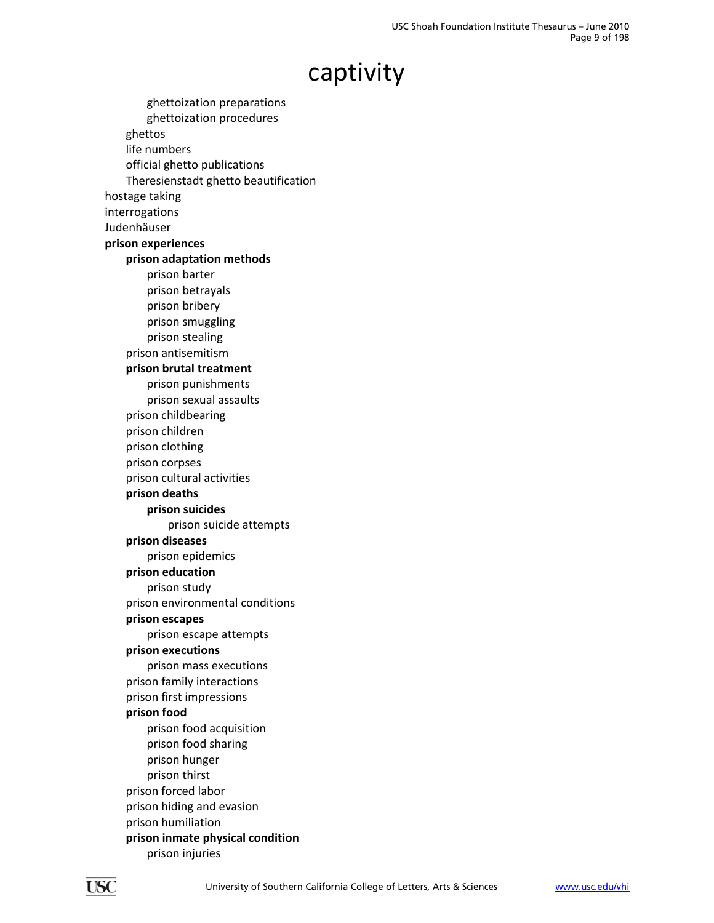ghettoization preparations ghettoization procedures ghettos life numbers official ghetto publications Theresienstadt ghetto beautification hostage taking interrogations Judenhäuser **prison experiences prison adaptation methods** prison barter prison betrayals prison bribery prison smuggling prison stealing prison antisemitism **prison brutal treatment** prison punishments prison sexual assaults prison childbearing prison children prison clothing prison corpses prison cultural activities **prison deaths prison suicides** prison suicide attempts **prison diseases** prison epidemics **prison education** prison study prison environmental conditions **prison escapes** prison escape attempts **prison executions** prison mass executions prison family interactions prison first impressions **prison food** prison food acquisition prison food sharing prison hunger prison thirst prison forced labor prison hiding and evasion prison humiliation **prison inmate physical condition** prison injuries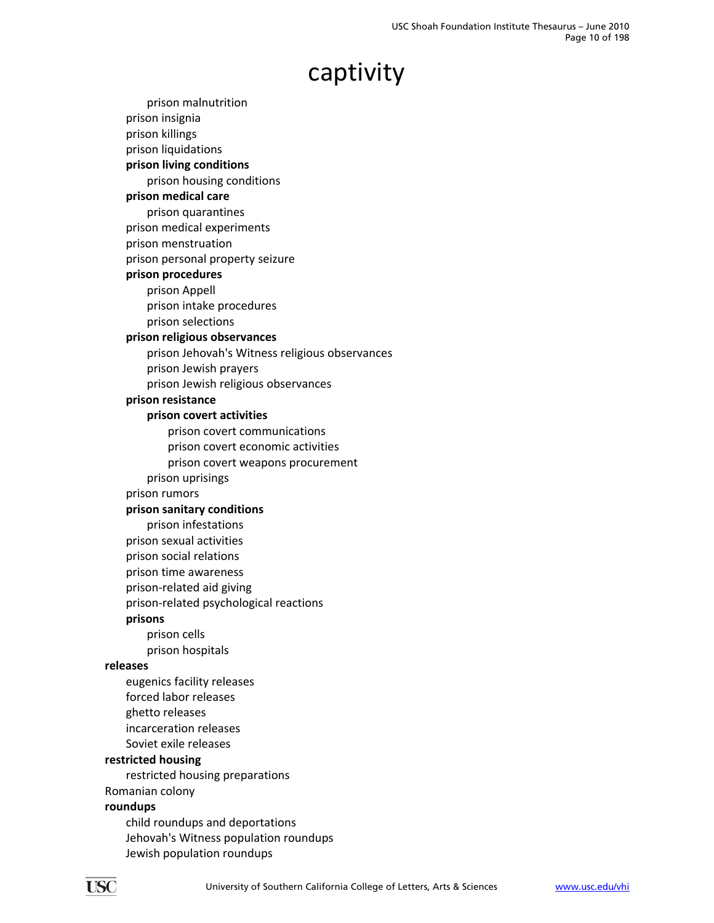prison malnutrition prison insignia prison killings prison liquidations **prison living conditions** prison housing conditions **prison medical care** prison quarantines prison medical experiments prison menstruation prison personal property seizure **prison procedures** prison Appell prison intake procedures prison selections **prison religious observances** prison Jehovah's Witness religious observances prison Jewish prayers prison Jewish religious observances **prison resistance prison covert activities** prison covert communications prison covert economic activities prison covert weapons procurement prison uprisings prison rumors **prison sanitary conditions** prison infestations prison sexual activities prison social relations prison time awareness prison‐related aid giving prison‐related psychological reactions **prisons** prison cells prison hospitals **releases** eugenics facility releases forced labor releases ghetto releases incarceration releases Soviet exile releases **restricted housing** restricted housing preparations Romanian colony **roundups** child roundups and deportations Jehovah's Witness population roundups Jewish population roundups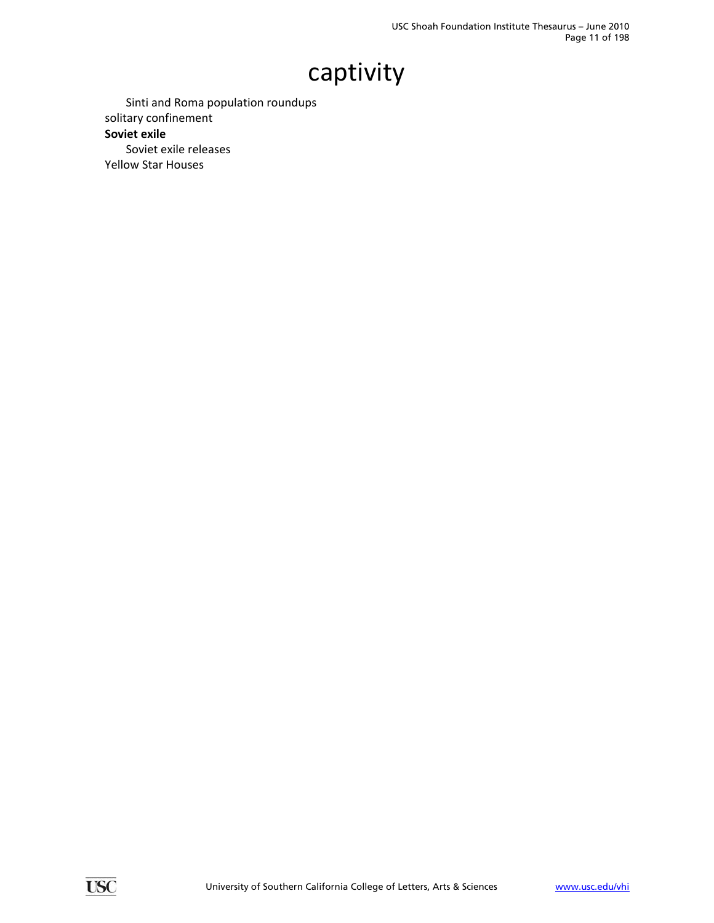Sinti and Roma population roundups solitary confinement **Soviet exile** Soviet exile releases Yellow Star Houses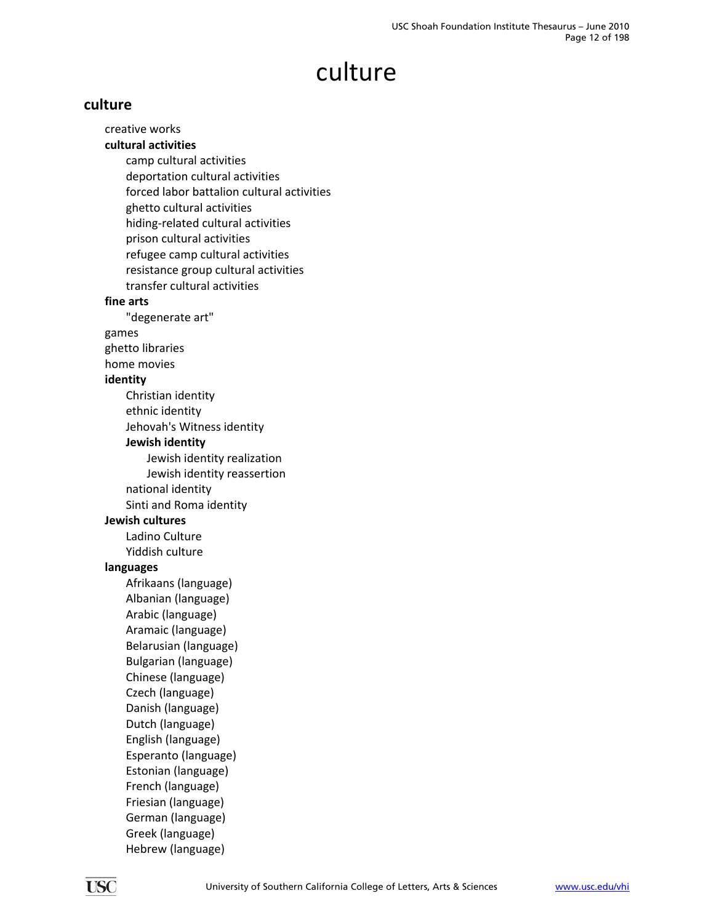## culture

### <span id="page-11-0"></span>**culture**

creative works **cultural activities** camp cultural activities deportation cultural activities forced labor battalion cultural activities ghetto cultural activities hiding‐related cultural activities prison cultural activities refugee camp cultural activities resistance group cultural activities transfer cultural activities **fine arts** "degenerate art" games ghetto libraries home movies **identity** Christian identity ethnic identity Jehovah's Witness identity **Jewish identity** Jewish identity realization Jewish identity reassertion national identity Sinti and Roma identity **Jewish cultures** Ladino Culture Yiddish culture **languages** Afrikaans (language) Albanian (language) Arabic (language) Aramaic (language) Belarusian (language) Bulgarian (language) Chinese (language) Czech (language) Danish (language) Dutch (language) English (language) Esperanto (language) Estonian (language) French (language) Friesian (language) German (language) Greek (language) Hebrew (language)

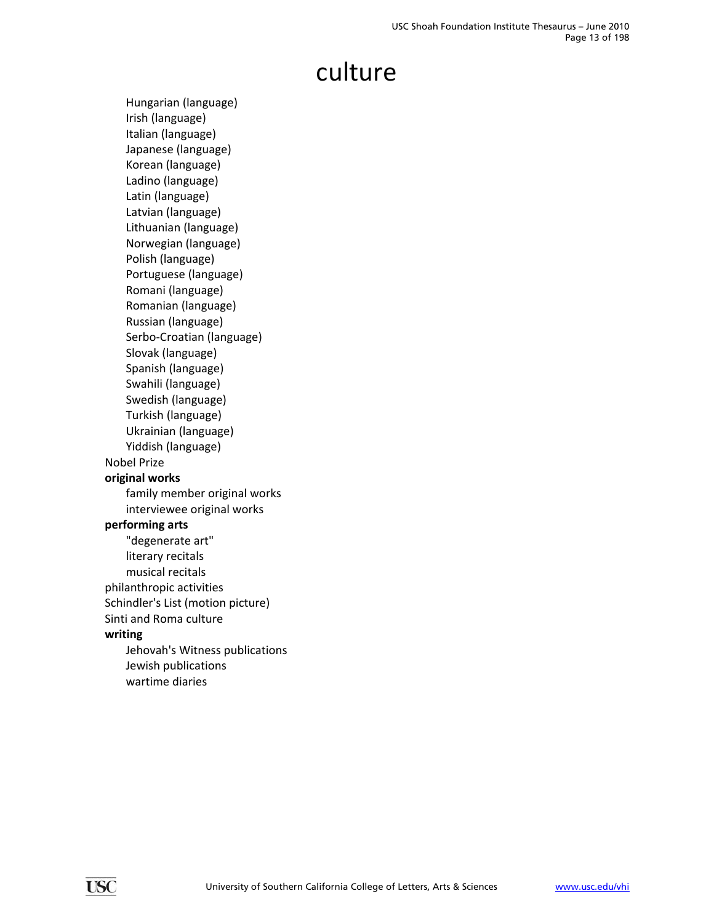### culture

Hungarian (language) Irish (language) Italian (language) Japanese (language) Korean (language) Ladino (language) Latin (language) Latvian (language) Lithuanian (language) Norwegian (language) Polish (language) Portuguese (language) Romani (language) Romanian (language) Russian (language) Serbo‐Croatian (language) Slovak (language) Spanish (language) Swahili (language) Swedish (language) Turkish (language) Ukrainian (language) Yiddish (language) Nobel Prize **original works** family member original works interviewee original works **performing arts** "degenerate art" literary recitals musical recitals philanthropic activities Schindler's List (motion picture) Sinti and Roma culture **writing** Jehovah's Witness publications Jewish publications wartime diaries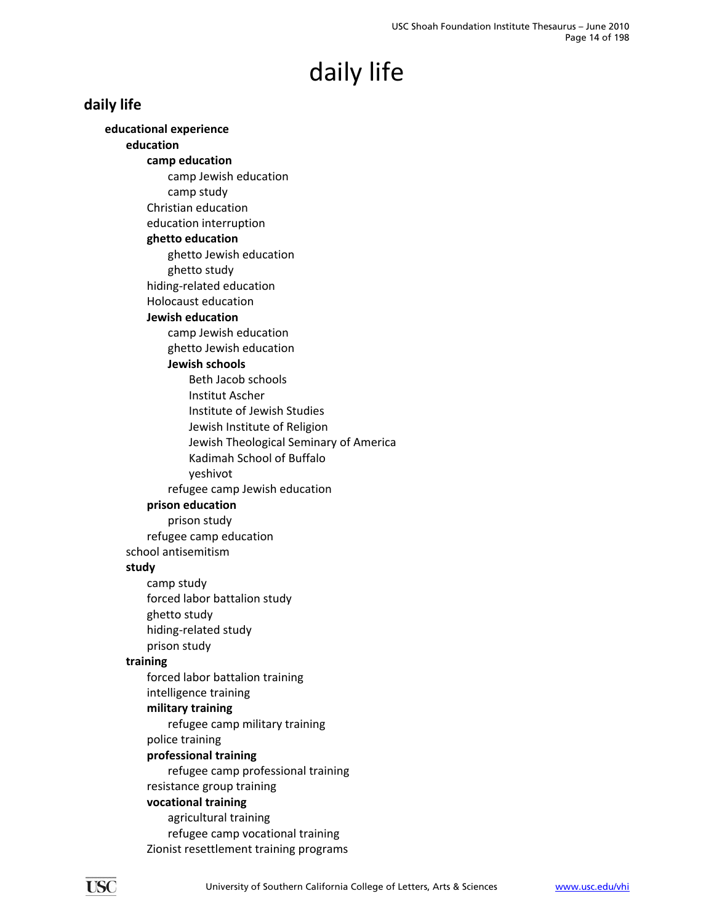### <span id="page-13-0"></span>**daily life**

**educational experience education camp education** camp Jewish education camp study Christian education education interruption **ghetto education** ghetto Jewish education ghetto study hiding‐related education Holocaust education **Jewish education** camp Jewish education ghetto Jewish education **Jewish schools** Beth Jacob schools Institut Ascher Institute of Jewish Studies Jewish Institute of Religion Jewish Theological Seminary of America Kadimah School of Buffalo yeshivot refugee camp Jewish education **prison education** prison study refugee camp education school antisemitism **study** camp study forced labor battalion study ghetto study hiding‐related study prison study **training** forced labor battalion training intelligence training **military training** refugee camp military training police training **professional training** refugee camp professional training resistance group training **vocational training** agricultural training refugee camp vocational training Zionist resettlement training programs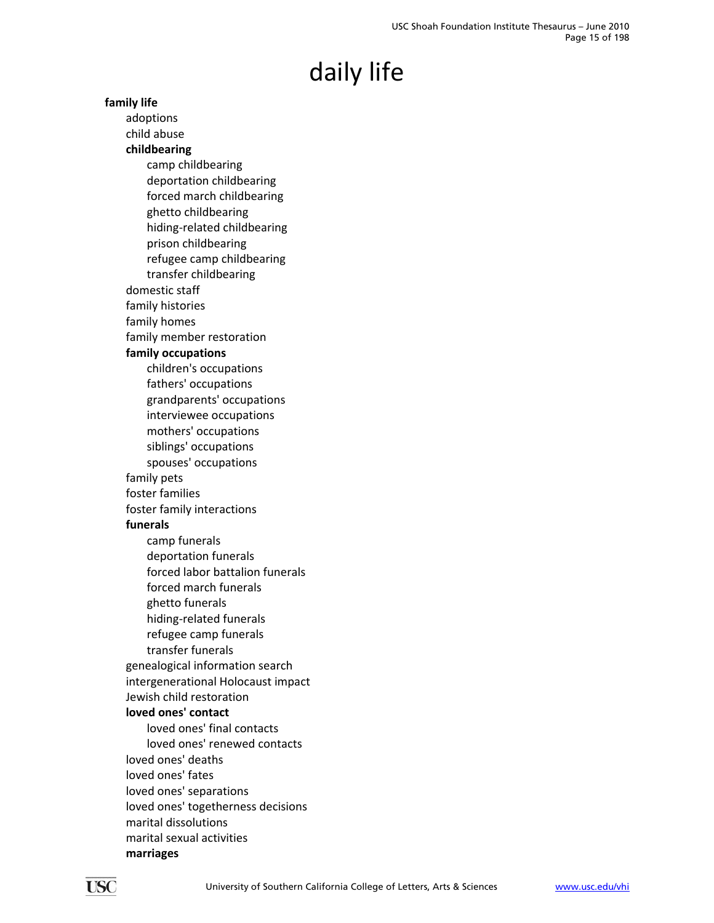**family life** adoptions child abuse **childbearing** camp childbearing deportation childbearing forced march childbearing ghetto childbearing hiding‐related childbearing prison childbearing refugee camp childbearing transfer childbearing domestic staff family histories family homes family member restoration **family occupations** children's occupations fathers' occupations grandparents' occupations interviewee occupations mothers' occupations siblings' occupations spouses' occupations family pets foster families foster family interactions **funerals** camp funerals deportation funerals forced labor battalion funerals forced march funerals ghetto funerals hiding‐related funerals refugee camp funerals transfer funerals genealogical information search intergenerational Holocaust impact Jewish child restoration **loved ones' contact** loved ones' final contacts loved ones' renewed contacts loved ones' deaths loved ones' fates loved ones' separations loved ones' togetherness decisions marital dissolutions marital sexual activities **marriages**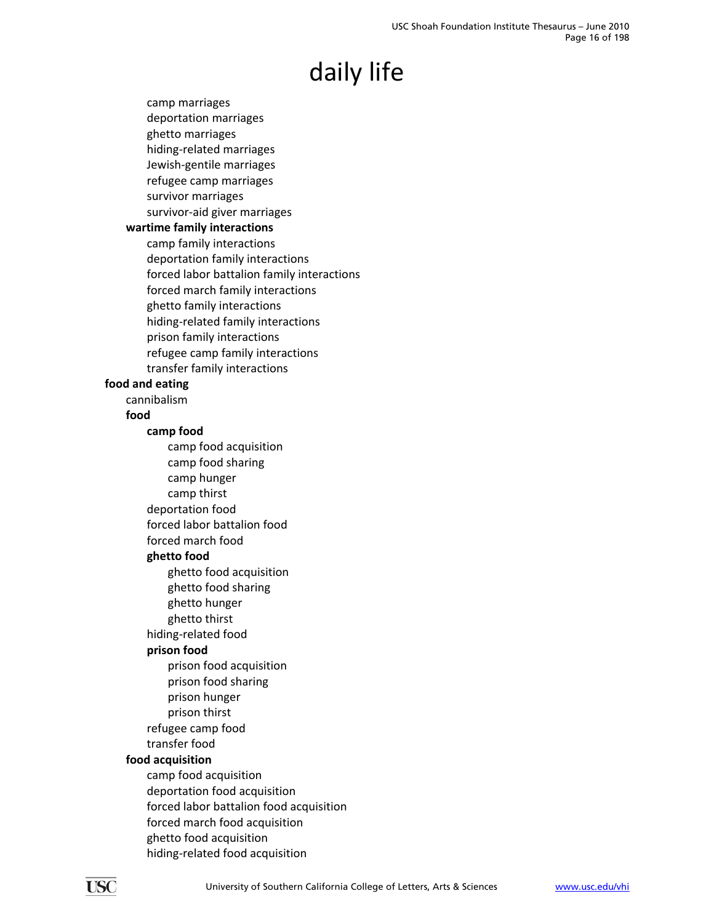camp marriages deportation marriages ghetto marriages hiding‐related marriages Jewish‐gentile marriages refugee camp marriages survivor marriages survivor‐aid giver marriages **wartime family interactions** camp family interactions deportation family interactions forced labor battalion family interactions forced march family interactions ghetto family interactions hiding‐related family interactions prison family interactions refugee camp family interactions transfer family interactions **food and eating** cannibalism **food camp food** camp food acquisition camp food sharing camp hunger camp thirst deportation food forced labor battalion food forced march food **ghetto food** ghetto food acquisition ghetto food sharing ghetto hunger ghetto thirst hiding‐related food **prison food** prison food acquisition prison food sharing prison hunger prison thirst refugee camp food transfer food **food acquisition** camp food acquisition deportation food acquisition forced labor battalion food acquisition forced march food acquisition ghetto food acquisition hiding‐related food acquisition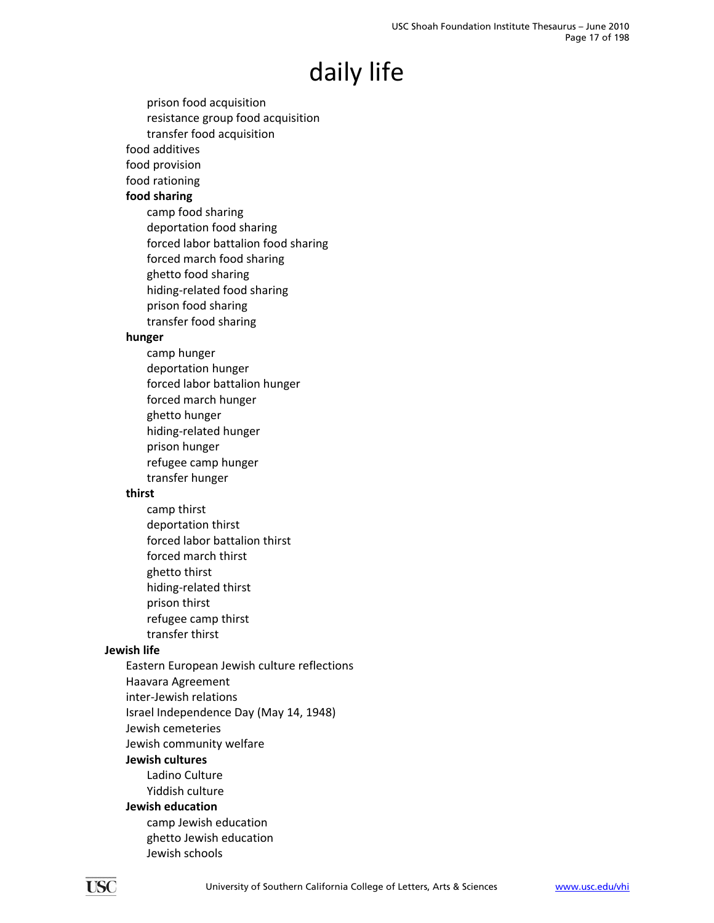- prison food acquisition resistance group food acquisition transfer food acquisition
- food additives
- food provision
- food rationing

### **food sharing**

camp food sharing deportation food sharing forced labor battalion food sharing forced march food sharing ghetto food sharing hiding‐related food sharing prison food sharing transfer food sharing

### **hunger**

camp hunger deportation hunger forced labor battalion hunger forced march hunger ghetto hunger hiding‐related hunger prison hunger refugee camp hunger transfer hunger

#### **thirst**

camp thirst deportation thirst forced labor battalion thirst forced march thirst ghetto thirst hiding‐related thirst prison thirst refugee camp thirst transfer thirst

### **Jewish life**

- Eastern European Jewish culture reflections
- Haavara Agreement
- inter‐Jewish relations
- Israel Independence Day (May 14, 1948)
- Jewish cemeteries
- Jewish community welfare

#### **Jewish cultures**

Ladino Culture Yiddish culture

### **Jewish education**

camp Jewish education ghetto Jewish education Jewish schools

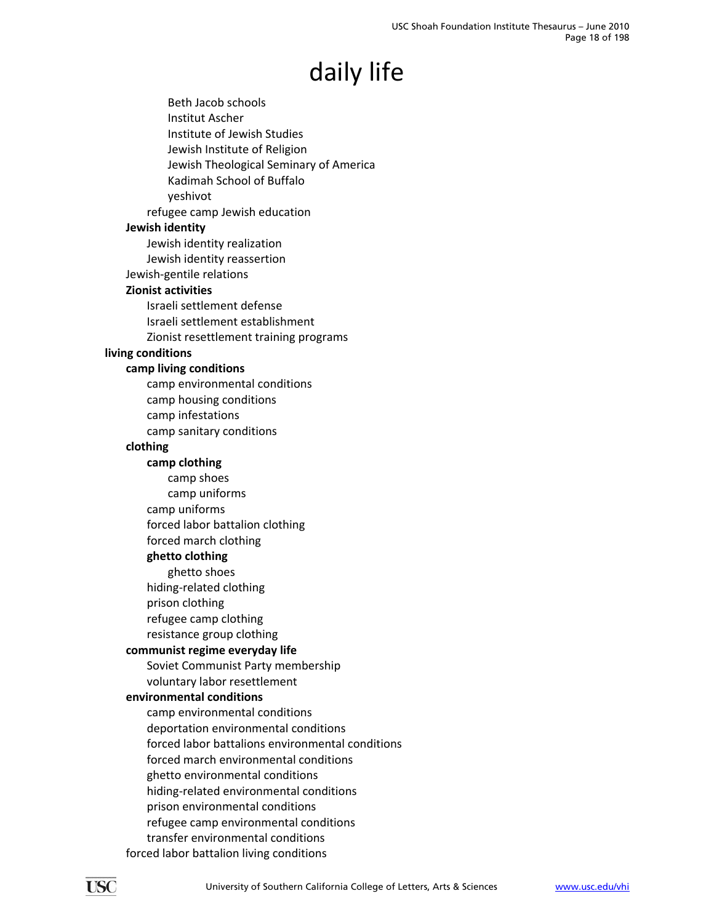Beth Jacob schools Institut Ascher Institute of Jewish Studies Jewish Institute of Religion Jewish Theological Seminary of America Kadimah School of Buffalo yeshivot refugee camp Jewish education **Jewish identity** Jewish identity realization Jewish identity reassertion Jewish‐gentile relations **Zionist activities** Israeli settlement defense Israeli settlement establishment Zionist resettlement training programs **living conditions camp living conditions** camp environmental conditions camp housing conditions camp infestations camp sanitary conditions **clothing camp clothing** camp shoes camp uniforms camp uniforms forced labor battalion clothing forced march clothing **ghetto clothing** ghetto shoes hiding‐related clothing prison clothing refugee camp clothing resistance group clothing **communist regime everyday life** Soviet Communist Party membership voluntary labor resettlement **environmental conditions** camp environmental conditions deportation environmental conditions forced labor battalions environmental conditions forced march environmental conditions ghetto environmental conditions hiding‐related environmental conditions prison environmental conditions refugee camp environmental conditions transfer environmental conditions forced labor battalion living conditions

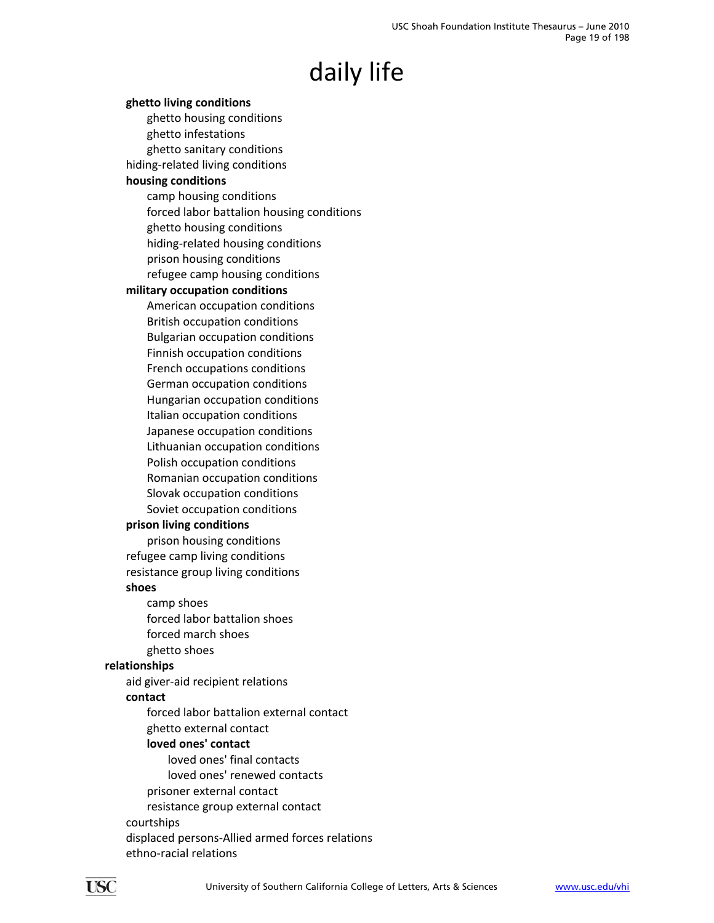### **ghetto living conditions** ghetto housing conditions ghetto infestations ghetto sanitary conditions hiding‐related living conditions **housing conditions** camp housing conditions forced labor battalion housing conditions ghetto housing conditions

hiding‐related housing conditions

prison housing conditions

refugee camp housing conditions

#### **military occupation conditions**

American occupation conditions British occupation conditions Bulgarian occupation conditions Finnish occupation conditions French occupations conditions German occupation conditions Hungarian occupation conditions Italian occupation conditions Japanese occupation conditions Lithuanian occupation conditions Polish occupation conditions Romanian occupation conditions Slovak occupation conditions Soviet occupation conditions

#### **prison living conditions**

prison housing conditions refugee camp living conditions resistance group living conditions

#### **shoes**

camp shoes forced labor battalion shoes forced march shoes ghetto shoes

### **relationships**

aid giver‐aid recipient relations

#### **contact**

forced labor battalion external contact ghetto external contact

### **loved ones' contact**

loved ones' final contacts loved ones' renewed contacts prisoner external contact resistance group external contact courtships displaced persons‐Allied armed forces relations ethno‐racial relations

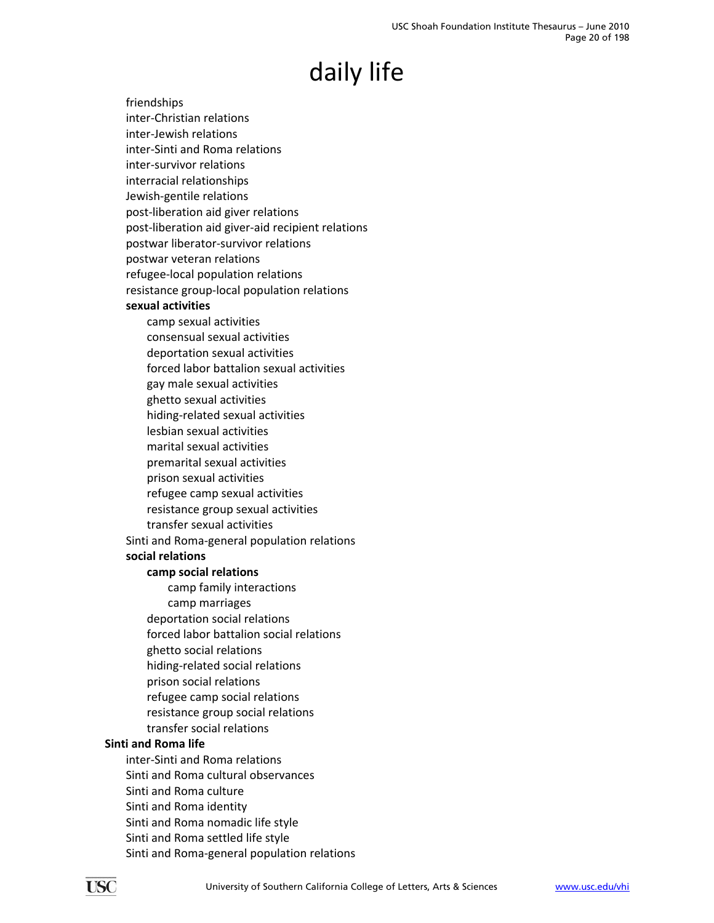friendships inter‐Christian relations inter‐Jewish relations inter‐Sinti and Roma relations inter‐survivor relations interracial relationships Jewish‐gentile relations post‐liberation aid giver relations post‐liberation aid giver‐aid recipient relations postwar liberator‐survivor relations postwar veteran relations refugee‐local population relations resistance group‐local population relations **sexual activities** camp sexual activities consensual sexual activities deportation sexual activities forced labor battalion sexual activities gay male sexual activities ghetto sexual activities hiding‐related sexual activities lesbian sexual activities marital sexual activities premarital sexual activities prison sexual activities refugee camp sexual activities resistance group sexual activities transfer sexual activities Sinti and Roma‐general population relations **social relations camp social relations** camp family interactions camp marriages deportation social relations forced labor battalion social relations ghetto social relations hiding‐related social relations prison social relations refugee camp social relations resistance group social relations transfer social relations **Sinti and Roma life** inter‐Sinti and Roma relations

Sinti and Roma cultural observances Sinti and Roma culture Sinti and Roma identity Sinti and Roma nomadic life style Sinti and Roma settled life style Sinti and Roma‐general population relations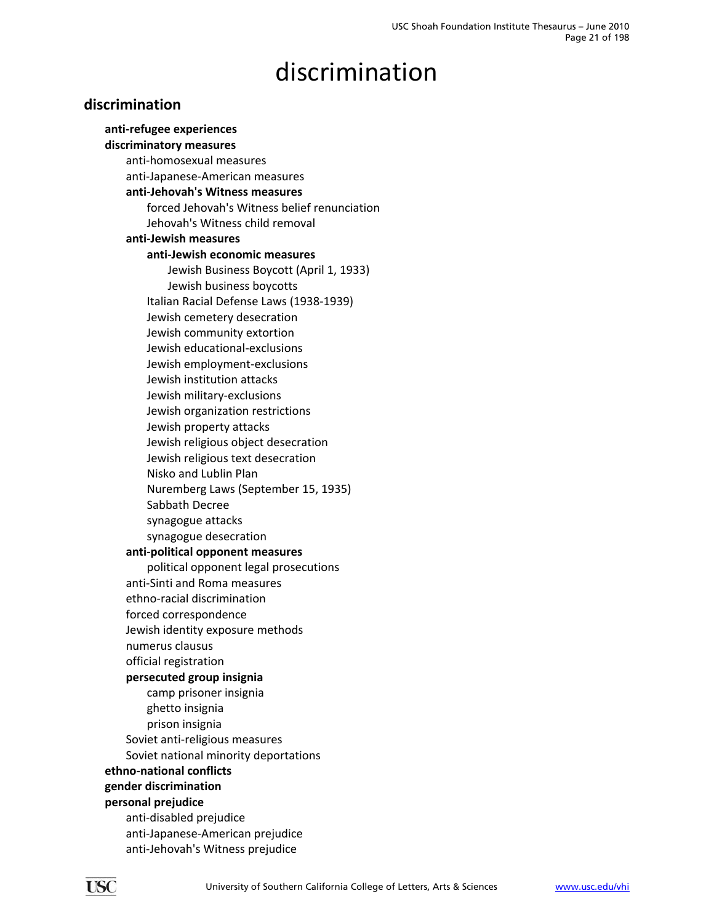### discrimination

### <span id="page-20-0"></span>**discrimination**

**anti‐refugee experiences discriminatory measures** anti‐homosexual measures anti‐Japanese‐American measures **anti‐Jehovah's Witness measures** forced Jehovah's Witness belief renunciation Jehovah's Witness child removal **anti‐Jewish measures anti‐Jewish economic measures** Jewish Business Boycott (April 1, 1933) Jewish business boycotts Italian Racial Defense Laws (1938‐1939) Jewish cemetery desecration Jewish community extortion Jewish educational‐exclusions Jewish employment‐exclusions Jewish institution attacks Jewish military‐exclusions Jewish organization restrictions Jewish property attacks Jewish religious object desecration Jewish religious text desecration Nisko and Lublin Plan Nuremberg Laws (September 15, 1935) Sabbath Decree synagogue attacks synagogue desecration **anti‐political opponent measures** political opponent legal prosecutions anti‐Sinti and Roma measures ethno‐racial discrimination forced correspondence Jewish identity exposure methods numerus clausus official registration **persecuted group insignia** camp prisoner insignia ghetto insignia prison insignia Soviet anti‐religious measures Soviet national minority deportations **ethno‐national conflicts gender discrimination personal prejudice** anti‐disabled prejudice anti‐Japanese‐American prejudice anti‐Jehovah's Witness prejudice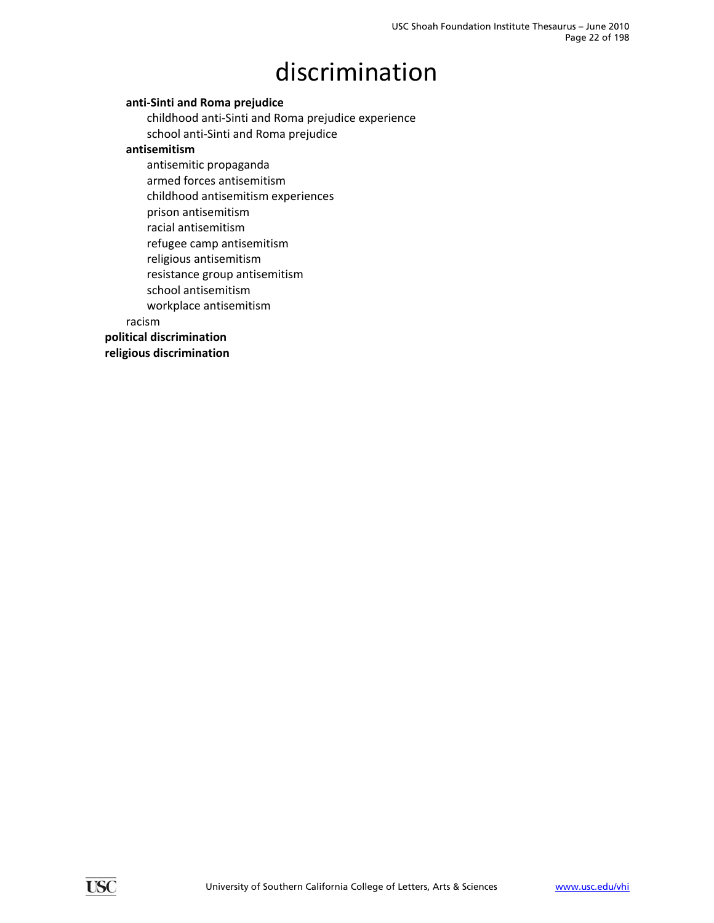# discrimination

### **anti‐Sinti and Roma prejudice**

childhood anti‐Sinti and Roma prejudice experience school anti‐Sinti and Roma prejudice

#### **antisemitism**

antisemitic propaganda armed forces antisemitism childhood antisemitism experiences prison antisemitism racial antisemitism refugee camp antisemitism religious antisemitism resistance group antisemitism school antisemitism workplace antisemitism

racism

**political discrimination**

**religious discrimination**

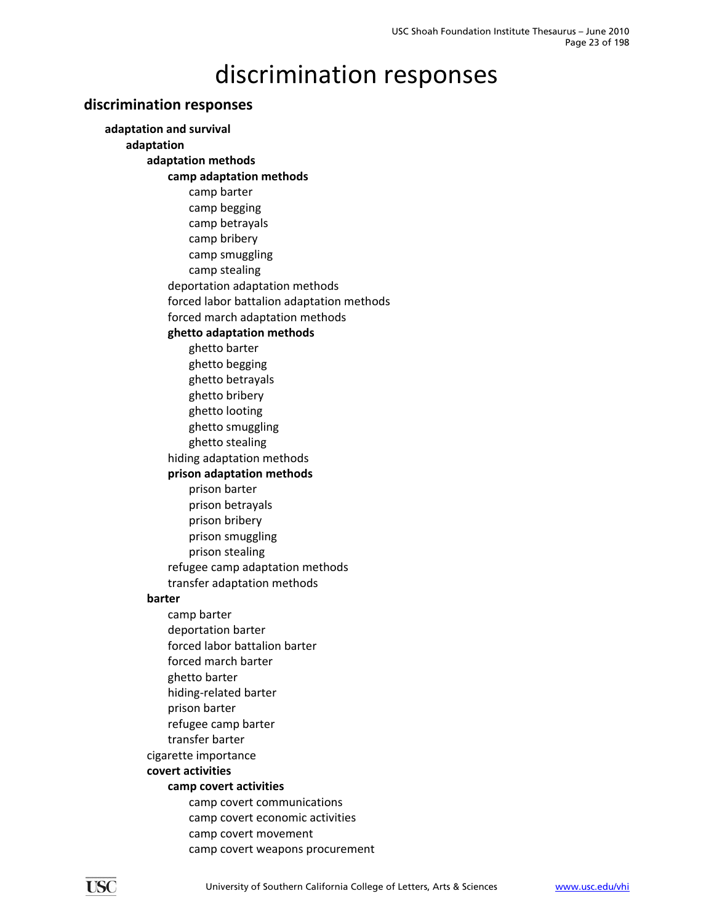### <span id="page-22-0"></span>**discrimination responses**

**adaptation and survival adaptation adaptation methods camp adaptation methods** camp barter camp begging camp betrayals camp bribery camp smuggling camp stealing deportation adaptation methods forced labor battalion adaptation methods forced march adaptation methods **ghetto adaptation methods** ghetto barter ghetto begging ghetto betrayals ghetto bribery ghetto looting ghetto smuggling ghetto stealing hiding adaptation methods **prison adaptation methods** prison barter prison betrayals prison bribery prison smuggling prison stealing refugee camp adaptation methods transfer adaptation methods **barter** camp barter deportation barter forced labor battalion barter forced march barter ghetto barter hiding‐related barter prison barter refugee camp barter transfer barter cigarette importance **covert activities camp covert activities** camp covert communications camp covert economic activities camp covert movement camp covert weapons procurement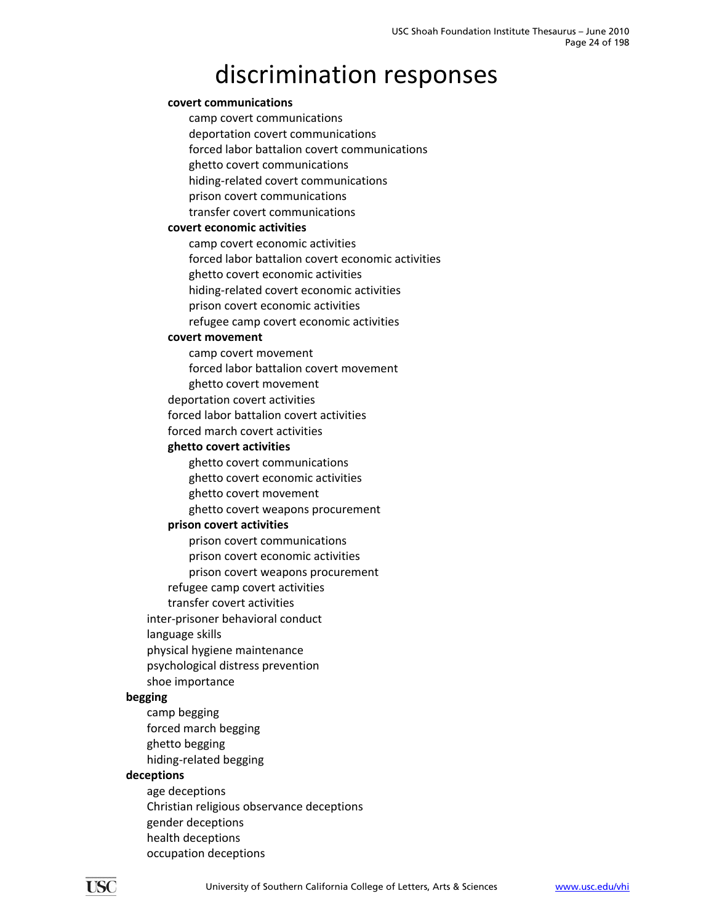#### **covert communications**

camp covert communications deportation covert communications forced labor battalion covert communications ghetto covert communications hiding‐related covert communications prison covert communications transfer covert communications

#### **covert economic activities**

camp covert economic activities forced labor battalion covert economic activities ghetto covert economic activities hiding‐related covert economic activities prison covert economic activities refugee camp covert economic activities

#### **covert movement**

camp covert movement forced labor battalion covert movement

ghetto covert movement

deportation covert activities

forced labor battalion covert activities

forced march covert activities

#### **ghetto covert activities**

ghetto covert communications

ghetto covert economic activities

ghetto covert movement

ghetto covert weapons procurement

#### **prison covert activities**

prison covert communications

prison covert economic activities

prison covert weapons procurement

refugee camp covert activities

transfer covert activities

inter‐prisoner behavioral conduct

language skills

physical hygiene maintenance

psychological distress prevention

shoe importance

#### **begging**

camp begging forced march begging ghetto begging hiding‐related begging

#### **deceptions**

age deceptions Christian religious observance deceptions gender deceptions health deceptions occupation deceptions

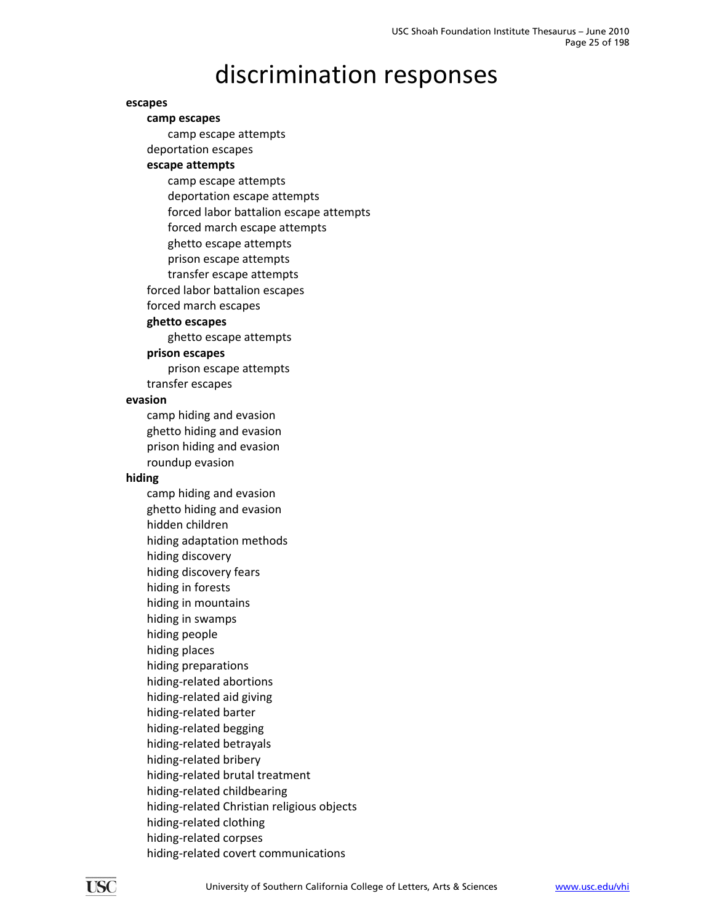#### **escapes**

**camp escapes** camp escape attempts deportation escapes **escape attempts** camp escape attempts deportation escape attempts

forced labor battalion escape attempts

forced march escape attempts

ghetto escape attempts

prison escape attempts

transfer escape attempts

forced labor battalion escapes

forced march escapes

#### **ghetto escapes**

ghetto escape attempts

#### **prison escapes**

prison escape attempts

transfer escapes

#### **evasion**

camp hiding and evasion ghetto hiding and evasion prison hiding and evasion roundup evasion

#### **hiding**

camp hiding and evasion ghetto hiding and evasion hidden children hiding adaptation methods hiding discovery hiding discovery fears hiding in forests hiding in mountains hiding in swamps hiding people hiding places hiding preparations hiding‐related abortions hiding‐related aid giving hiding‐related barter hiding‐related begging hiding‐related betrayals hiding‐related bribery hiding‐related brutal treatment hiding‐related childbearing hiding‐related Christian religious objects hiding‐related clothing hiding‐related corpses hiding‐related covert communications

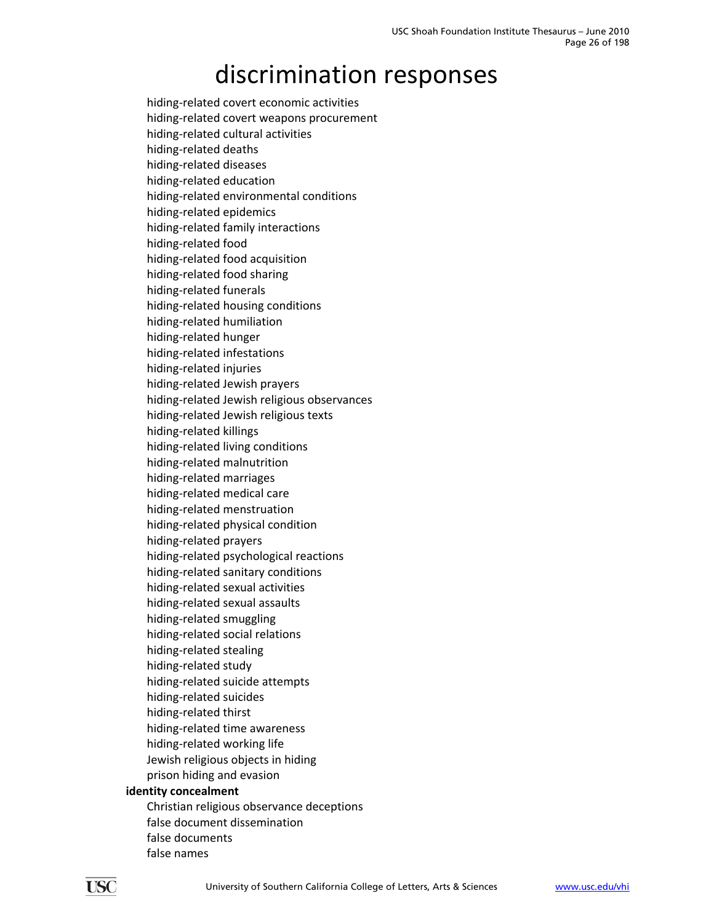hiding‐related covert economic activities hiding‐related covert weapons procurement hiding‐related cultural activities hiding‐related deaths hiding‐related diseases hiding‐related education hiding‐related environmental conditions hiding‐related epidemics hiding‐related family interactions hiding‐related food hiding‐related food acquisition hiding‐related food sharing hiding‐related funerals hiding‐related housing conditions hiding‐related humiliation hiding‐related hunger hiding‐related infestations hiding‐related injuries hiding‐related Jewish prayers hiding‐related Jewish religious observances hiding‐related Jewish religious texts hiding‐related killings hiding‐related living conditions hiding‐related malnutrition hiding‐related marriages hiding‐related medical care hiding‐related menstruation hiding‐related physical condition hiding‐related prayers hiding‐related psychological reactions hiding‐related sanitary conditions hiding‐related sexual activities hiding‐related sexual assaults hiding‐related smuggling hiding‐related social relations hiding‐related stealing hiding‐related study hiding‐related suicide attempts hiding‐related suicides hiding‐related thirst hiding‐related time awareness hiding‐related working life Jewish religious objects in hiding prison hiding and evasion **identity concealment**

Christian religious observance deceptions false document dissemination false documents false names

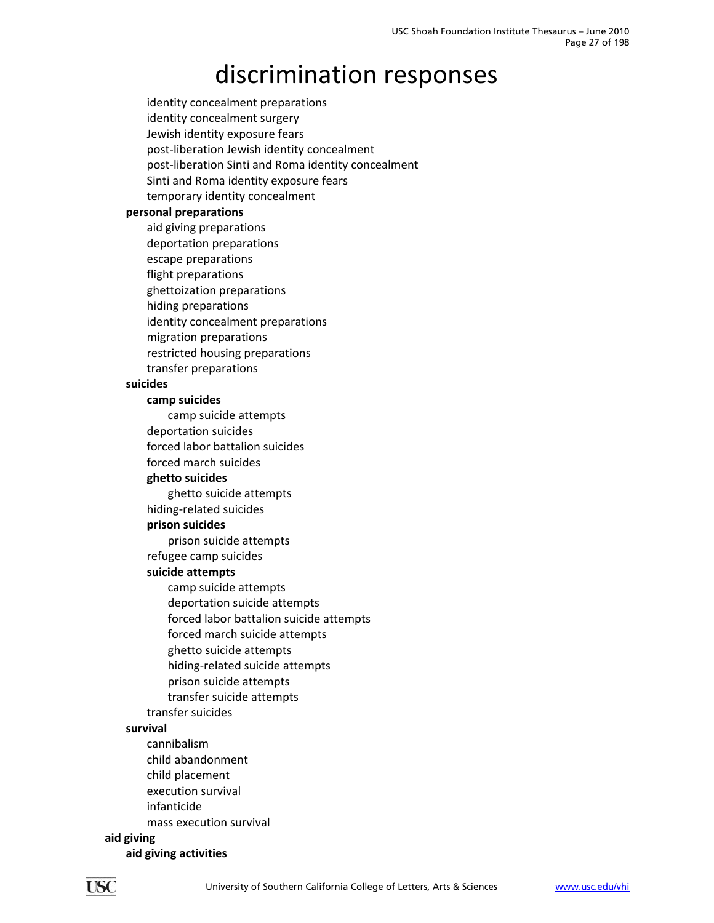identity concealment preparations identity concealment surgery Jewish identity exposure fears post‐liberation Jewish identity concealment post‐liberation Sinti and Roma identity concealment Sinti and Roma identity exposure fears temporary identity concealment **personal preparations** aid giving preparations deportation preparations escape preparations flight preparations ghettoization preparations hiding preparations identity concealment preparations migration preparations restricted housing preparations transfer preparations **suicides camp suicides** camp suicide attempts deportation suicides forced labor battalion suicides forced march suicides **ghetto suicides** ghetto suicide attempts hiding‐related suicides **prison suicides** prison suicide attempts refugee camp suicides **suicide attempts** camp suicide attempts deportation suicide attempts forced labor battalion suicide attempts forced march suicide attempts ghetto suicide attempts hiding‐related suicide attempts prison suicide attempts transfer suicide attempts transfer suicides **survival** cannibalism child abandonment child placement execution survival infanticide mass execution survival

#### **aid giving**

**aid giving activities**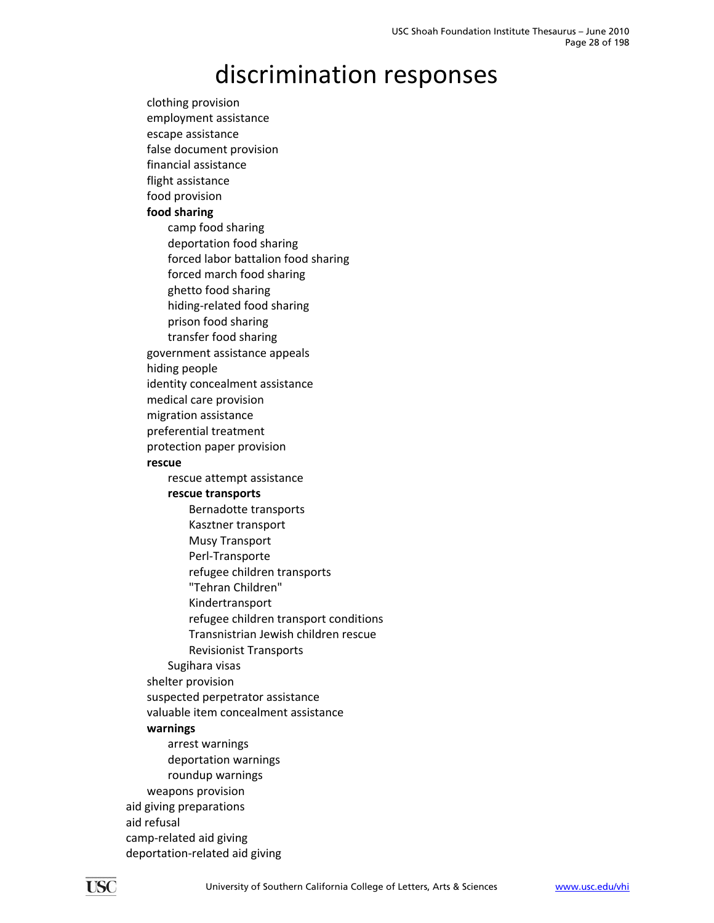clothing provision employment assistance escape assistance false document provision financial assistance flight assistance food provision **food sharing** camp food sharing deportation food sharing forced labor battalion food sharing forced march food sharing ghetto food sharing hiding‐related food sharing prison food sharing transfer food sharing government assistance appeals hiding people identity concealment assistance medical care provision migration assistance preferential treatment protection paper provision **rescue** rescue attempt assistance **rescue transports** Bernadotte transports Kasztner transport Musy Transport Perl‐Transporte refugee children transports "Tehran Children" Kindertransport refugee children transport conditions Transnistrian Jewish children rescue Revisionist Transports Sugihara visas shelter provision suspected perpetrator assistance valuable item concealment assistance **warnings** arrest warnings deportation warnings roundup warnings weapons provision aid giving preparations aid refusal camp‐related aid giving deportation‐related aid giving

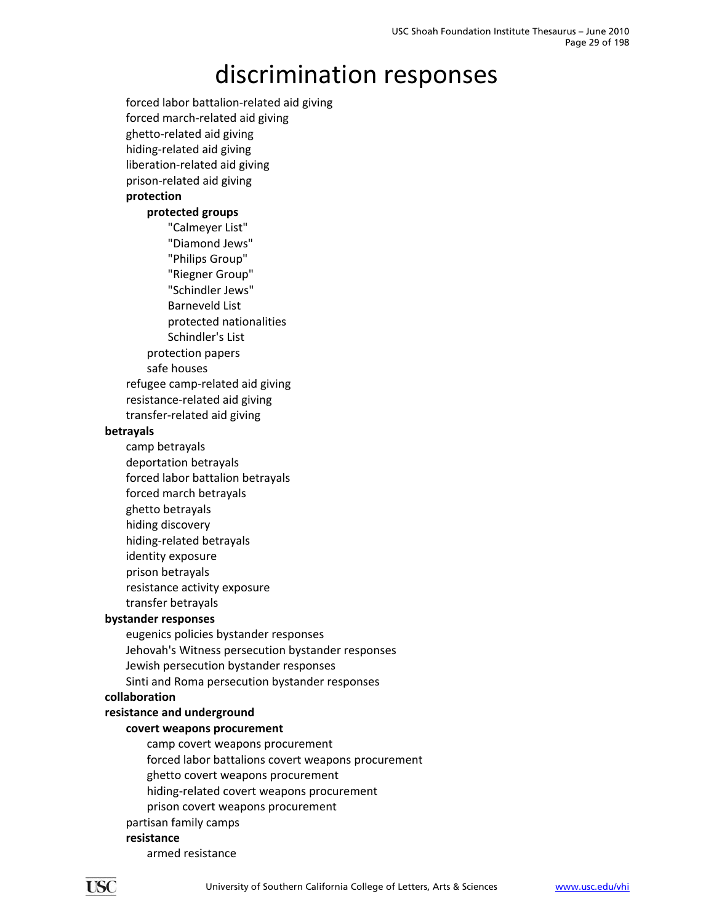forced labor battalion‐related aid giving forced march‐related aid giving ghetto‐related aid giving hiding‐related aid giving liberation‐related aid giving prison‐related aid giving **protection**

### **protected groups**

"Calmeyer List" "Diamond Jews" "Philips Group" "Riegner Group" "Schindler Jews" Barneveld List protected nationalities Schindler's List protection papers safe houses refugee camp‐related aid giving

transfer‐related aid giving

#### **betrayals**

camp betrayals deportation betrayals forced labor battalion betrayals

resistance‐related aid giving

- forced march betrayals
- ghetto betrayals
- hiding discovery
- hiding‐related betrayals
- identity exposure
- prison betrayals resistance activity exposure
- transfer betrayals

### **bystander responses**

eugenics policies bystander responses Jehovah's Witness persecution bystander responses Jewish persecution bystander responses Sinti and Roma persecution bystander responses

#### **collaboration**

### **resistance and underground**

### **covert weapons procurement**

- camp covert weapons procurement
- forced labor battalions covert weapons procurement
- ghetto covert weapons procurement
- hiding‐related covert weapons procurement
- prison covert weapons procurement

### partisan family camps

### **resistance**

armed resistance

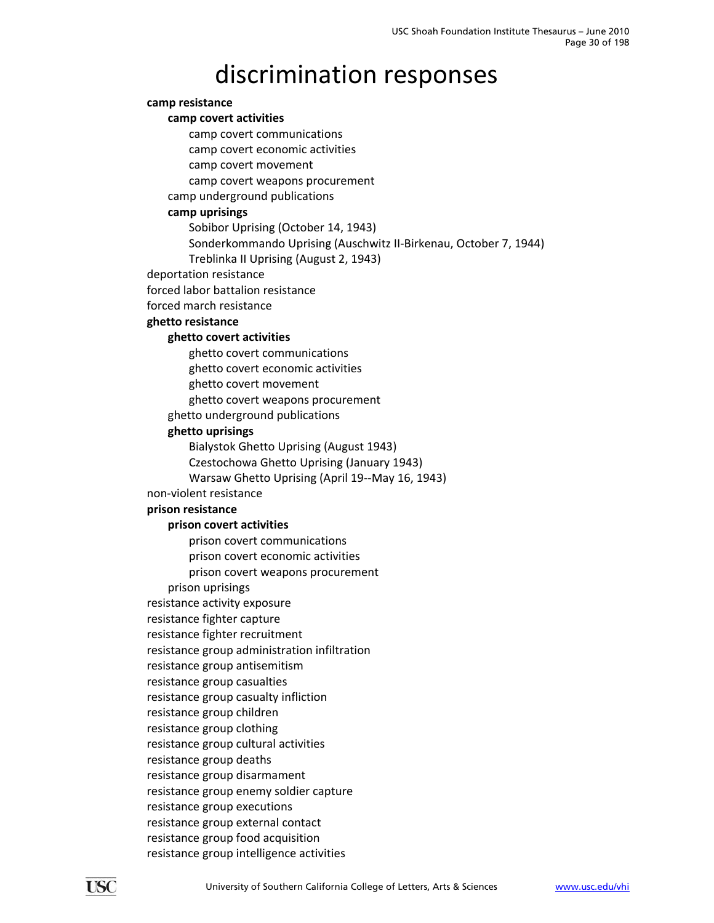#### **camp resistance**

#### **camp covert activities**

camp covert communications

camp covert economic activities

camp covert movement

camp covert weapons procurement

camp underground publications

### **camp uprisings**

Sobibor Uprising (October 14, 1943)

Sonderkommando Uprising (Auschwitz II‐Birkenau, October 7, 1944)

Treblinka II Uprising (August 2, 1943)

deportation resistance

forced labor battalion resistance

forced march resistance

#### **ghetto resistance**

#### **ghetto covert activities**

ghetto covert communications

ghetto covert economic activities

ghetto covert movement

ghetto covert weapons procurement

ghetto underground publications

#### **ghetto uprisings**

Bialystok Ghetto Uprising (August 1943)

Czestochowa Ghetto Uprising (January 1943)

Warsaw Ghetto Uprising (April 19‐‐May 16, 1943)

non‐violent resistance

#### **prison resistance**

#### **prison covert activities**

prison covert communications prison covert economic activities

prison covert weapons procurement

prison uprisings

resistance activity exposure

resistance fighter capture

resistance fighter recruitment

resistance group administration infiltration

resistance group antisemitism

resistance group casualties

resistance group casualty infliction

resistance group children

resistance group clothing

resistance group cultural activities

resistance group deaths

resistance group disarmament

resistance group enemy soldier capture

resistance group executions

resistance group external contact

resistance group food acquisition resistance group intelligence activities

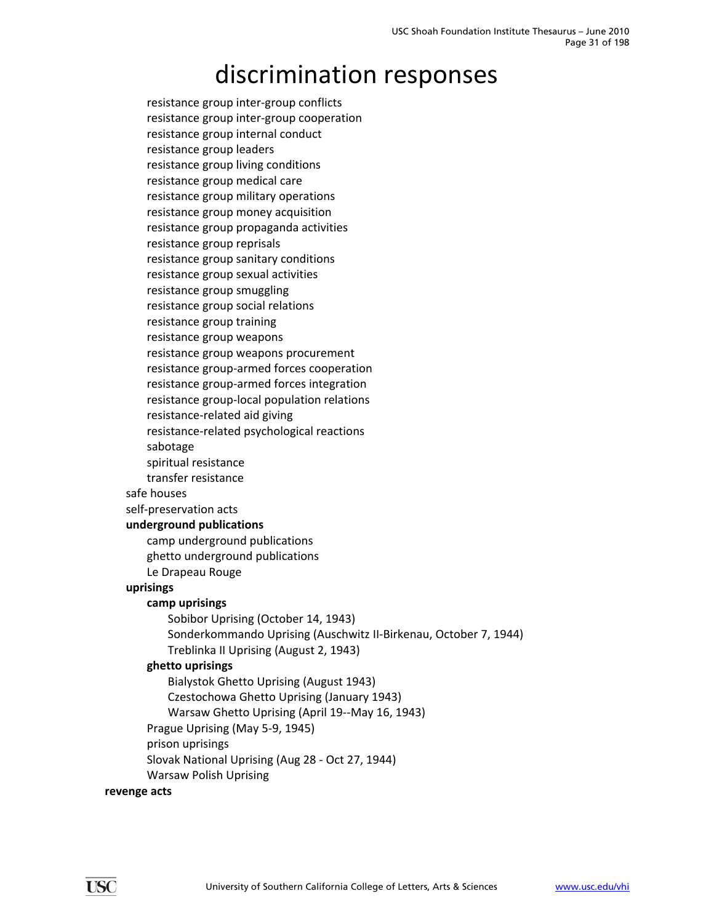resistance group inter‐group conflicts resistance group inter‐group cooperation resistance group internal conduct resistance group leaders resistance group living conditions resistance group medical care resistance group military operations resistance group money acquisition resistance group propaganda activities resistance group reprisals resistance group sanitary conditions resistance group sexual activities resistance group smuggling resistance group social relations resistance group training resistance group weapons resistance group weapons procurement resistance group‐armed forces cooperation resistance group‐armed forces integration resistance group‐local population relations resistance‐related aid giving resistance‐related psychological reactions sabotage spiritual resistance transfer resistance safe houses self‐preservation acts **underground publications** camp underground publications ghetto underground publications Le Drapeau Rouge **uprisings camp uprisings** Sobibor Uprising (October 14, 1943) Sonderkommando Uprising (Auschwitz II‐Birkenau, October 7, 1944) Treblinka II Uprising (August 2, 1943) **ghetto uprisings** Bialystok Ghetto Uprising (August 1943) Czestochowa Ghetto Uprising (January 1943) Warsaw Ghetto Uprising (April 19--May 16, 1943) Prague Uprising (May 5‐9, 1945) prison uprisings Slovak National Uprising (Aug 28 ‐ Oct 27, 1944) Warsaw Polish Uprising

#### **revenge acts**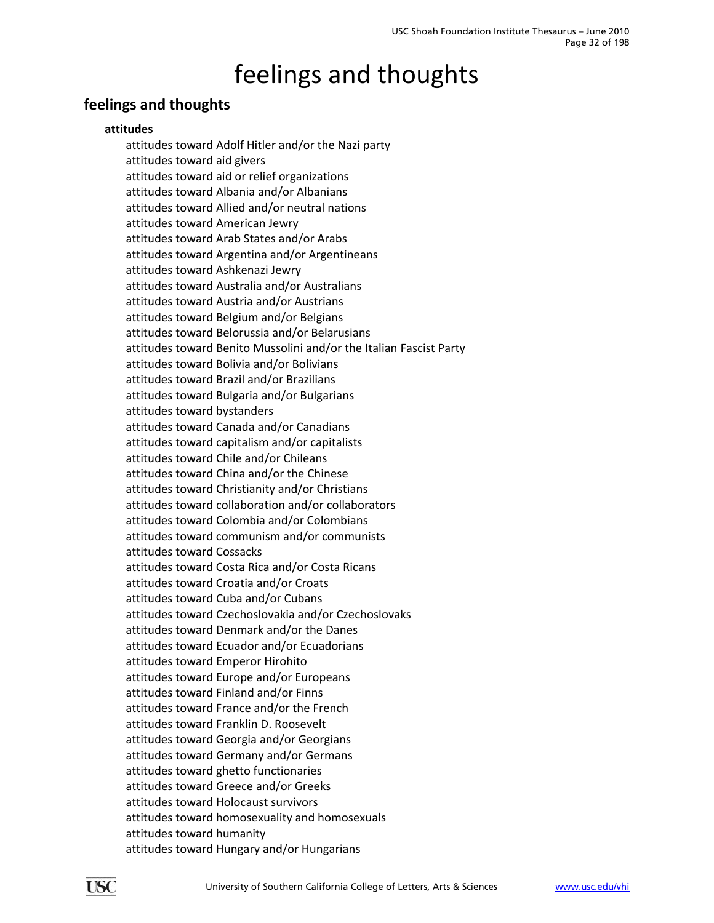### <span id="page-31-0"></span>**feelings and thoughts**

### **attitudes**

attitudes toward Adolf Hitler and/or the Nazi party attitudes toward aid givers attitudes toward aid or relief organizations attitudes toward Albania and/or Albanians attitudes toward Allied and/or neutral nations attitudes toward American Jewry attitudes toward Arab States and/or Arabs attitudes toward Argentina and/or Argentineans attitudes toward Ashkenazi Jewry attitudes toward Australia and/or Australians attitudes toward Austria and/or Austrians attitudes toward Belgium and/or Belgians attitudes toward Belorussia and/or Belarusians attitudes toward Benito Mussolini and/or the Italian Fascist Party attitudes toward Bolivia and/or Bolivians attitudes toward Brazil and/or Brazilians attitudes toward Bulgaria and/or Bulgarians attitudes toward bystanders attitudes toward Canada and/or Canadians attitudes toward capitalism and/or capitalists attitudes toward Chile and/or Chileans attitudes toward China and/or the Chinese attitudes toward Christianity and/or Christians attitudes toward collaboration and/or collaborators attitudes toward Colombia and/or Colombians attitudes toward communism and/or communists attitudes toward Cossacks attitudes toward Costa Rica and/or Costa Ricans attitudes toward Croatia and/or Croats attitudes toward Cuba and/or Cubans attitudes toward Czechoslovakia and/or Czechoslovaks attitudes toward Denmark and/or the Danes attitudes toward Ecuador and/or Ecuadorians attitudes toward Emperor Hirohito attitudes toward Europe and/or Europeans attitudes toward Finland and/or Finns attitudes toward France and/or the French attitudes toward Franklin D. Roosevelt attitudes toward Georgia and/or Georgians attitudes toward Germany and/or Germans attitudes toward ghetto functionaries attitudes toward Greece and/or Greeks attitudes toward Holocaust survivors attitudes toward homosexuality and homosexuals attitudes toward humanity attitudes toward Hungary and/or Hungarians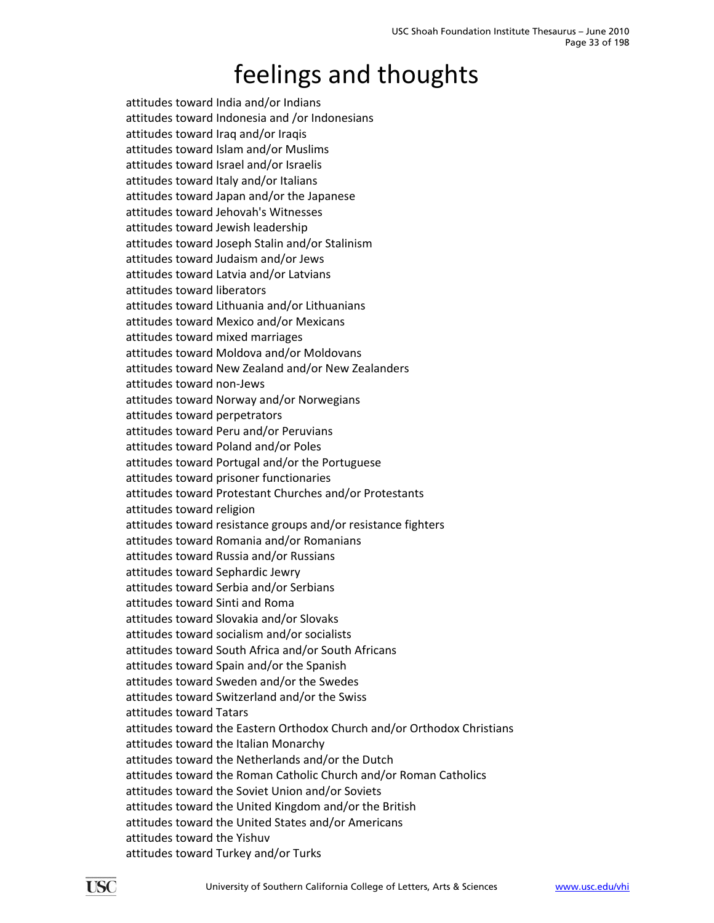attitudes toward India and/or Indians attitudes toward Indonesia and /or Indonesians attitudes toward Iraq and/or Iraqis attitudes toward Islam and/or Muslims attitudes toward Israel and/or Israelis attitudes toward Italy and/or Italians attitudes toward Japan and/or the Japanese attitudes toward Jehovah's Witnesses attitudes toward Jewish leadership attitudes toward Joseph Stalin and/or Stalinism attitudes toward Judaism and/or Jews attitudes toward Latvia and/or Latvians attitudes toward liberators attitudes toward Lithuania and/or Lithuanians attitudes toward Mexico and/or Mexicans attitudes toward mixed marriages attitudes toward Moldova and/or Moldovans attitudes toward New Zealand and/or New Zealanders attitudes toward non‐Jews attitudes toward Norway and/or Norwegians attitudes toward perpetrators attitudes toward Peru and/or Peruvians attitudes toward Poland and/or Poles attitudes toward Portugal and/or the Portuguese attitudes toward prisoner functionaries attitudes toward Protestant Churches and/or Protestants attitudes toward religion attitudes toward resistance groups and/or resistance fighters attitudes toward Romania and/or Romanians attitudes toward Russia and/or Russians attitudes toward Sephardic Jewry attitudes toward Serbia and/or Serbians attitudes toward Sinti and Roma attitudes toward Slovakia and/or Slovaks attitudes toward socialism and/or socialists attitudes toward South Africa and/or South Africans attitudes toward Spain and/or the Spanish attitudes toward Sweden and/or the Swedes attitudes toward Switzerland and/or the Swiss attitudes toward Tatars attitudes toward the Eastern Orthodox Church and/or Orthodox Christians attitudes toward the Italian Monarchy attitudes toward the Netherlands and/or the Dutch attitudes toward the Roman Catholic Church and/or Roman Catholics attitudes toward the Soviet Union and/or Soviets attitudes toward the United Kingdom and/or the British attitudes toward the United States and/or Americans attitudes toward the Yishuv attitudes toward Turkey and/or Turks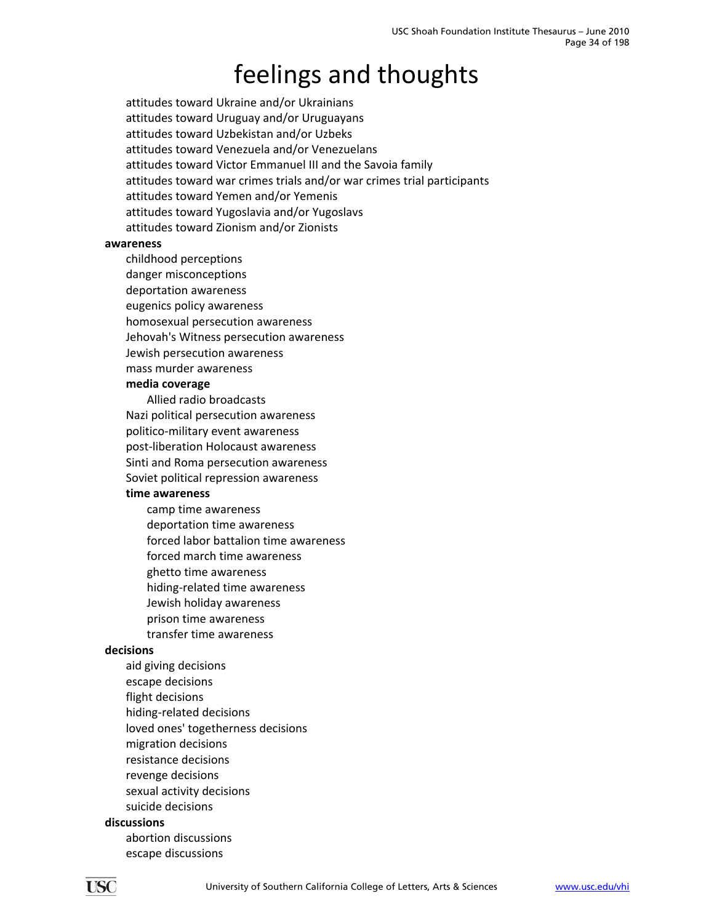attitudes toward Ukraine and/or Ukrainians attitudes toward Uruguay and/or Uruguayans attitudes toward Uzbekistan and/or Uzbeks attitudes toward Venezuela and/or Venezuelans attitudes toward Victor Emmanuel III and the Savoia family attitudes toward war crimes trials and/or war crimes trial participants attitudes toward Yemen and/or Yemenis attitudes toward Yugoslavia and/or Yugoslavs attitudes toward Zionism and/or Zionists

#### **awareness**

childhood perceptions danger misconceptions deportation awareness eugenics policy awareness homosexual persecution awareness Jehovah's Witness persecution awareness Jewish persecution awareness mass murder awareness

#### **media coverage**

Allied radio broadcasts Nazi political persecution awareness politico‐military event awareness post‐liberation Holocaust awareness Sinti and Roma persecution awareness Soviet political repression awareness

### **time awareness**

camp time awareness deportation time awareness forced labor battalion time awareness forced march time awareness ghetto time awareness hiding‐related time awareness Jewish holiday awareness prison time awareness transfer time awareness

#### **decisions**

aid giving decisions escape decisions flight decisions hiding‐related decisions loved ones' togetherness decisions migration decisions resistance decisions revenge decisions sexual activity decisions suicide decisions

#### **discussions**

abortion discussions escape discussions

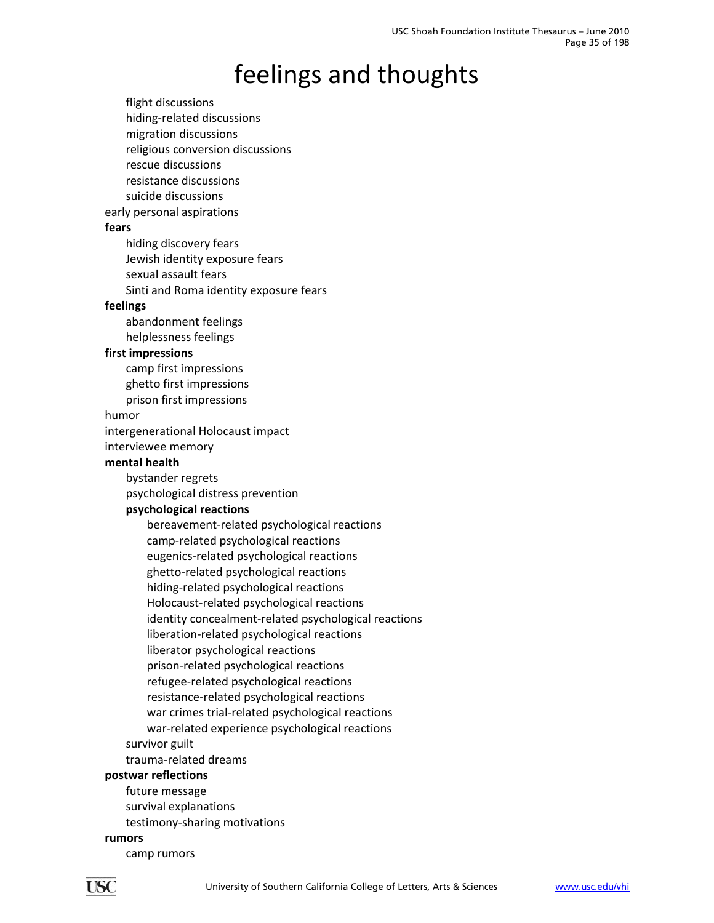flight discussions hiding‐related discussions migration discussions religious conversion discussions rescue discussions resistance discussions suicide discussions early personal aspirations **fears** hiding discovery fears Jewish identity exposure fears sexual assault fears Sinti and Roma identity exposure fears **feelings** abandonment feelings helplessness feelings **first impressions** camp first impressions ghetto first impressions prison first impressions humor intergenerational Holocaust impact interviewee memory **mental health** bystander regrets psychological distress prevention **psychological reactions** bereavement‐related psychological reactions camp‐related psychological reactions eugenics‐related psychological reactions ghetto‐related psychological reactions hiding‐related psychological reactions Holocaust‐related psychological reactions identity concealment‐related psychological reactions liberation‐related psychological reactions liberator psychological reactions prison‐related psychological reactions refugee‐related psychological reactions resistance‐related psychological reactions war crimes trial‐related psychological reactions war-related experience psychological reactions survivor guilt trauma‐related dreams **postwar reflections** future message survival explanations testimony‐sharing motivations

#### **rumors**

camp rumors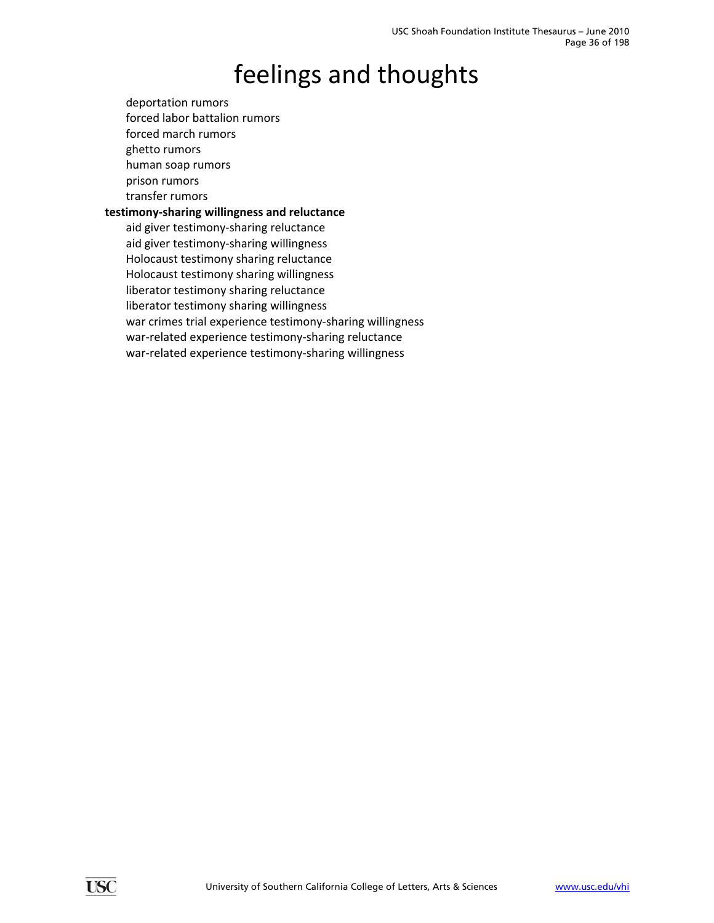deportation rumors forced labor battalion rumors forced march rumors ghetto rumors human soap rumors prison rumors transfer rumors

### **testimony‐sharing willingness and reluctance**

aid giver testimony‐sharing reluctance aid giver testimony‐sharing willingness Holocaust testimony sharing reluctance Holocaust testimony sharing willingness liberator testimony sharing reluctance liberator testimony sharing willingness war crimes trial experience testimony-sharing willingness war-related experience testimony-sharing reluctance war-related experience testimony-sharing willingness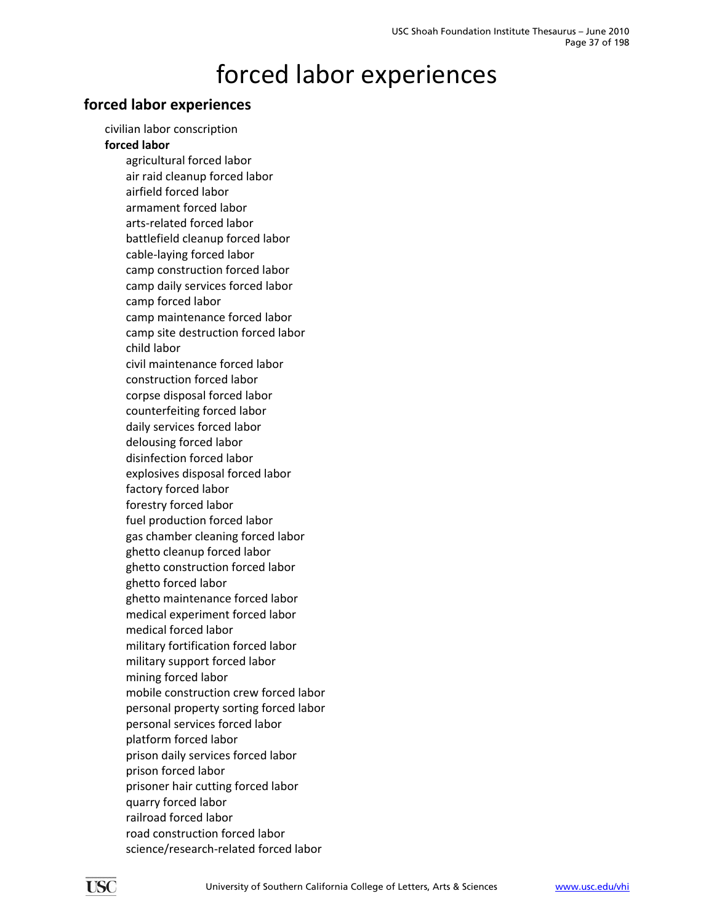# forced labor experiences

### **forced labor experiences**

civilian labor conscription

#### **forced labor**

agricultural forced labor air raid cleanup forced labor airfield forced labor armament forced labor arts‐related forced labor battlefield cleanup forced labor cable‐laying forced labor camp construction forced labor camp daily services forced labor camp forced labor camp maintenance forced labor camp site destruction forced labor child labor civil maintenance forced labor construction forced labor corpse disposal forced labor counterfeiting forced labor daily services forced labor delousing forced labor disinfection forced labor explosives disposal forced labor factory forced labor forestry forced labor fuel production forced labor gas chamber cleaning forced labor ghetto cleanup forced labor ghetto construction forced labor ghetto forced labor ghetto maintenance forced labor medical experiment forced labor medical forced labor military fortification forced labor military support forced labor mining forced labor mobile construction crew forced labor personal property sorting forced labor personal services forced labor platform forced labor prison daily services forced labor prison forced labor prisoner hair cutting forced labor quarry forced labor railroad forced labor road construction forced labor science/research‐related forced labor

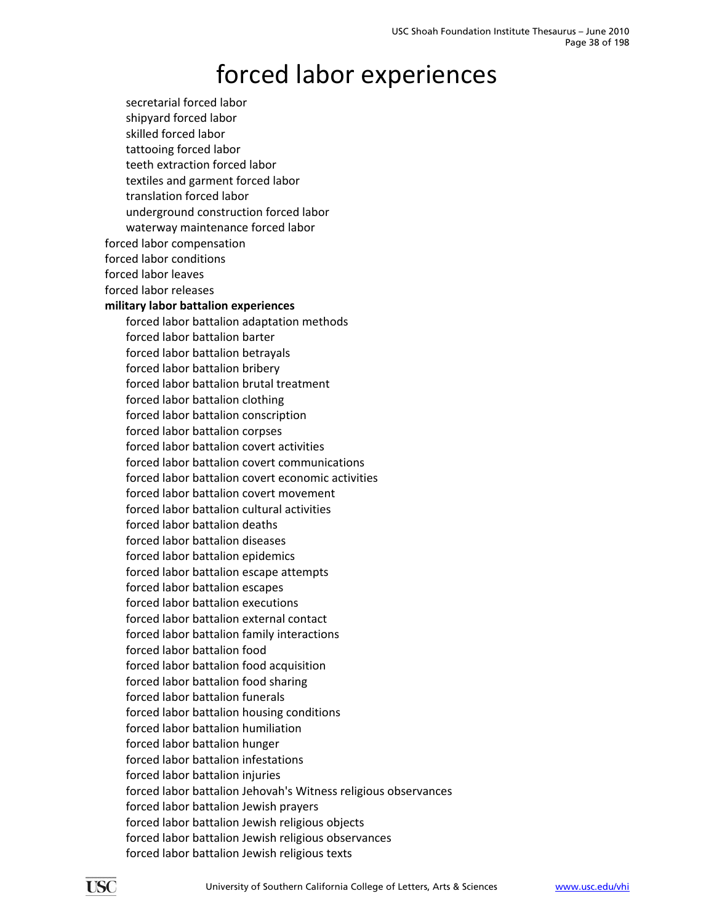# forced labor experiences

secretarial forced labor shipyard forced labor skilled forced labor tattooing forced labor teeth extraction forced labor textiles and garment forced labor translation forced labor underground construction forced labor waterway maintenance forced labor forced labor compensation forced labor conditions forced labor leaves forced labor releases **military labor battalion experiences** forced labor battalion adaptation methods forced labor battalion barter forced labor battalion betrayals forced labor battalion bribery forced labor battalion brutal treatment forced labor battalion clothing forced labor battalion conscription forced labor battalion corpses forced labor battalion covert activities forced labor battalion covert communications forced labor battalion covert economic activities forced labor battalion covert movement forced labor battalion cultural activities forced labor battalion deaths forced labor battalion diseases forced labor battalion epidemics forced labor battalion escape attempts forced labor battalion escapes forced labor battalion executions forced labor battalion external contact forced labor battalion family interactions forced labor battalion food forced labor battalion food acquisition forced labor battalion food sharing forced labor battalion funerals forced labor battalion housing conditions forced labor battalion humiliation forced labor battalion hunger forced labor battalion infestations forced labor battalion injuries forced labor battalion Jehovah's Witness religious observances forced labor battalion Jewish prayers forced labor battalion Jewish religious objects forced labor battalion Jewish religious observances forced labor battalion Jewish religious texts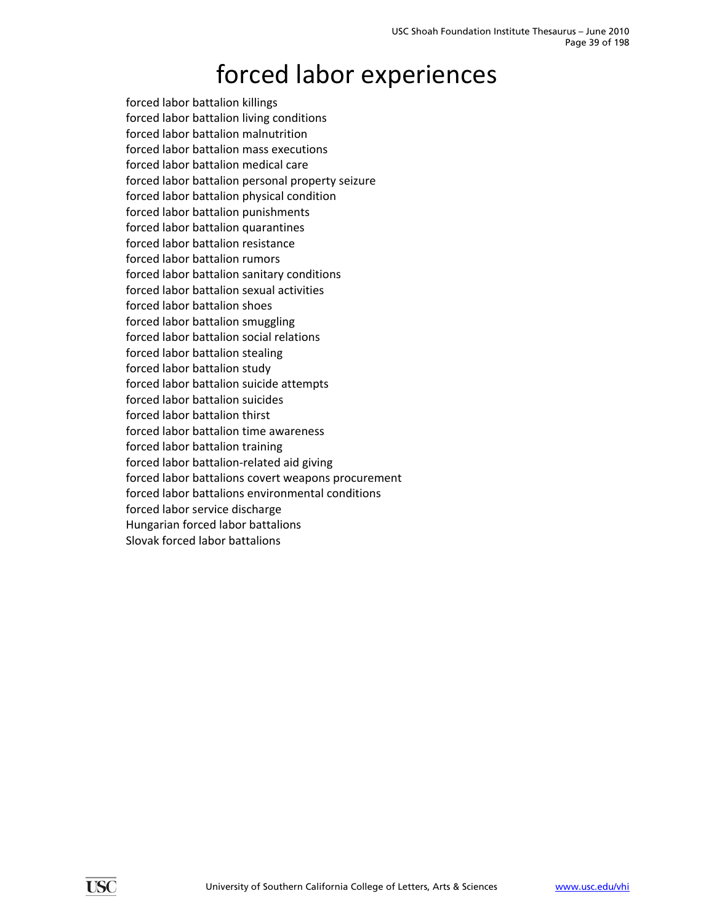# forced labor experiences

forced labor battalion killings forced labor battalion living conditions forced labor battalion malnutrition forced labor battalion mass executions forced labor battalion medical care forced labor battalion personal property seizure forced labor battalion physical condition forced labor battalion punishments forced labor battalion quarantines forced labor battalion resistance forced labor battalion rumors forced labor battalion sanitary conditions forced labor battalion sexual activities forced labor battalion shoes forced labor battalion smuggling forced labor battalion social relations forced labor battalion stealing forced labor battalion study forced labor battalion suicide attempts forced labor battalion suicides forced labor battalion thirst forced labor battalion time awareness forced labor battalion training forced labor battalion‐related aid giving forced labor battalions covert weapons procurement forced labor battalions environmental conditions forced labor service discharge Hungarian forced labor battalions Slovak forced labor battalions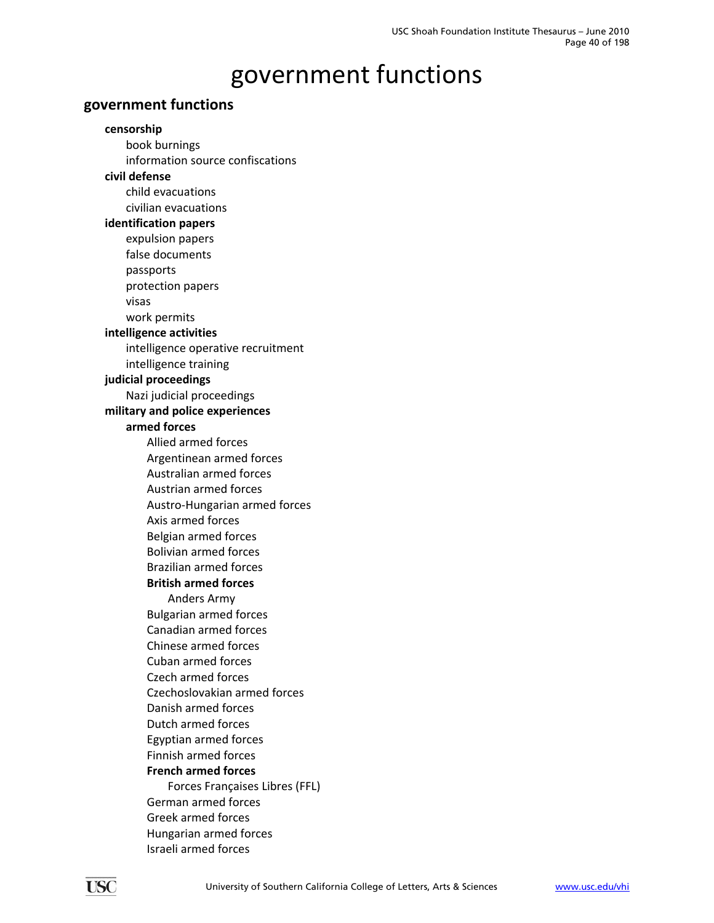### **government functions**

**censorship** book burnings information source confiscations **civil defense** child evacuations civilian evacuations **identification papers** expulsion papers false documents passports protection papers visas work permits **intelligence activities** intelligence operative recruitment intelligence training **judicial proceedings** Nazi judicial proceedings **military and police experiences armed forces** Allied armed forces Argentinean armed forces Australian armed forces Austrian armed forces Austro‐Hungarian armed forces Axis armed forces Belgian armed forces Bolivian armed forces Brazilian armed forces **British armed forces** Anders Army Bulgarian armed forces Canadian armed forces Chinese armed forces Cuban armed forces Czech armed forces Czechoslovakian armed forces Danish armed forces Dutch armed forces Egyptian armed forces Finnish armed forces **French armed forces** Forces Françaises Libres (FFL) German armed forces Greek armed forces Hungarian armed forces Israeli armed forces

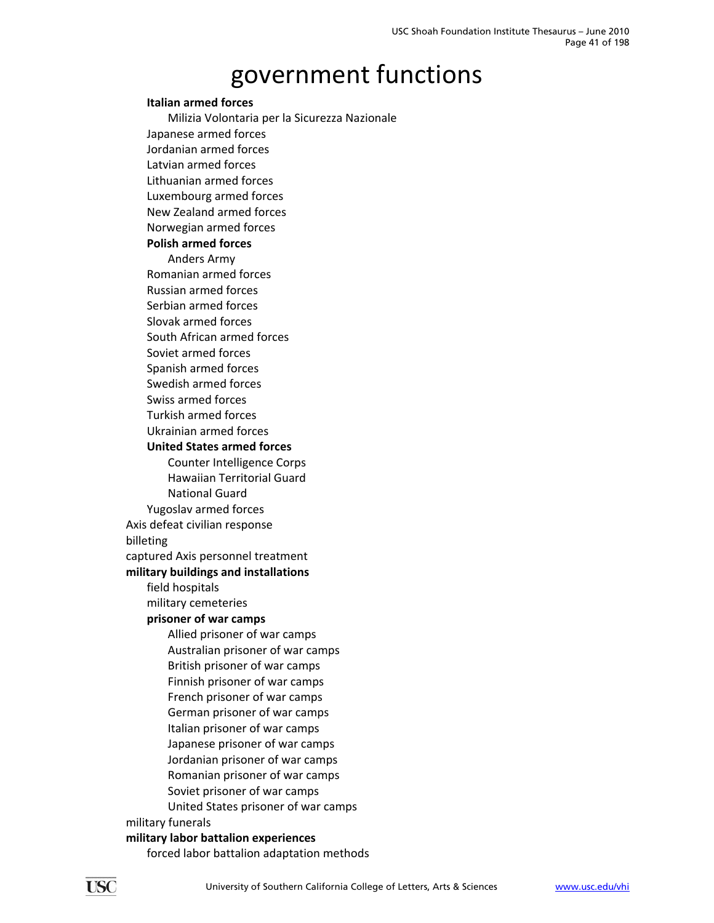#### **Italian armed forces**

Milizia Volontaria per la Sicurezza Nazionale Japanese armed forces Jordanian armed forces Latvian armed forces Lithuanian armed forces Luxembourg armed forces New Zealand armed forces Norwegian armed forces **Polish armed forces** Anders Army Romanian armed forces Russian armed forces Serbian armed forces Slovak armed forces South African armed forces Soviet armed forces Spanish armed forces Swedish armed forces Swiss armed forces Turkish armed forces Ukrainian armed forces **United States armed forces** Counter Intelligence Corps Hawaiian Territorial Guard National Guard Yugoslav armed forces Axis defeat civilian response billeting captured Axis personnel treatment **military buildings and installations** field hospitals military cemeteries **prisoner of war camps** Allied prisoner of war camps Australian prisoner of war camps British prisoner of war camps Finnish prisoner of war camps French prisoner of war camps German prisoner of war camps Italian prisoner of war camps Japanese prisoner of war camps Jordanian prisoner of war camps Romanian prisoner of war camps Soviet prisoner of war camps United States prisoner of war camps military funerals

#### **military labor battalion experiences**

forced labor battalion adaptation methods

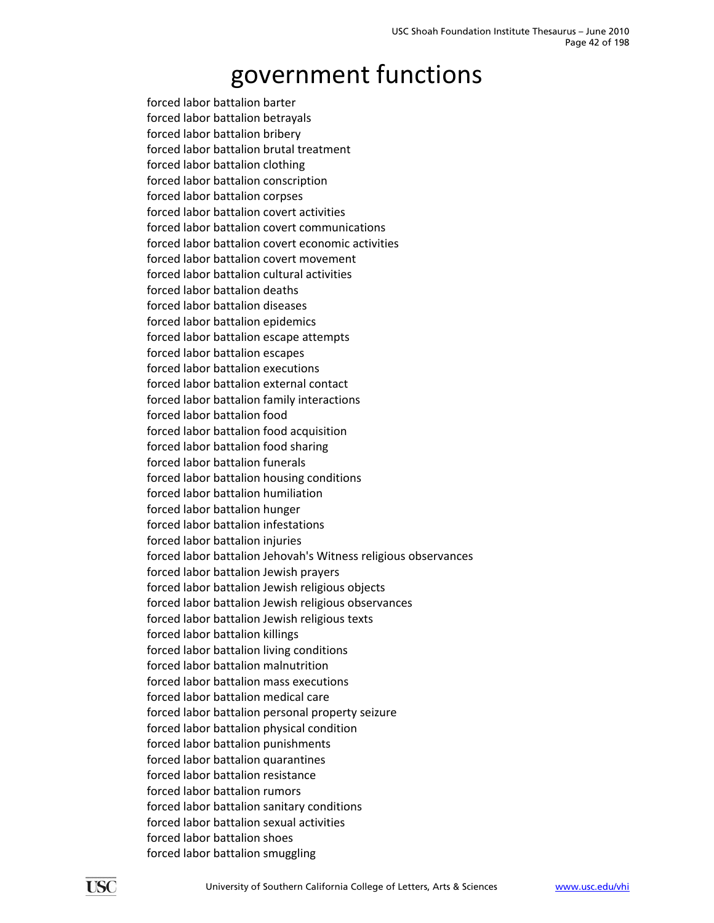forced labor battalion barter forced labor battalion betrayals forced labor battalion bribery forced labor battalion brutal treatment forced labor battalion clothing forced labor battalion conscription forced labor battalion corpses forced labor battalion covert activities forced labor battalion covert communications forced labor battalion covert economic activities forced labor battalion covert movement forced labor battalion cultural activities forced labor battalion deaths forced labor battalion diseases forced labor battalion epidemics forced labor battalion escape attempts forced labor battalion escapes forced labor battalion executions forced labor battalion external contact forced labor battalion family interactions forced labor battalion food forced labor battalion food acquisition forced labor battalion food sharing forced labor battalion funerals forced labor battalion housing conditions forced labor battalion humiliation forced labor battalion hunger forced labor battalion infestations forced labor battalion injuries forced labor battalion Jehovah's Witness religious observances forced labor battalion Jewish prayers forced labor battalion Jewish religious objects forced labor battalion Jewish religious observances forced labor battalion Jewish religious texts forced labor battalion killings forced labor battalion living conditions forced labor battalion malnutrition forced labor battalion mass executions forced labor battalion medical care forced labor battalion personal property seizure forced labor battalion physical condition forced labor battalion punishments forced labor battalion quarantines forced labor battalion resistance forced labor battalion rumors forced labor battalion sanitary conditions forced labor battalion sexual activities forced labor battalion shoes forced labor battalion smuggling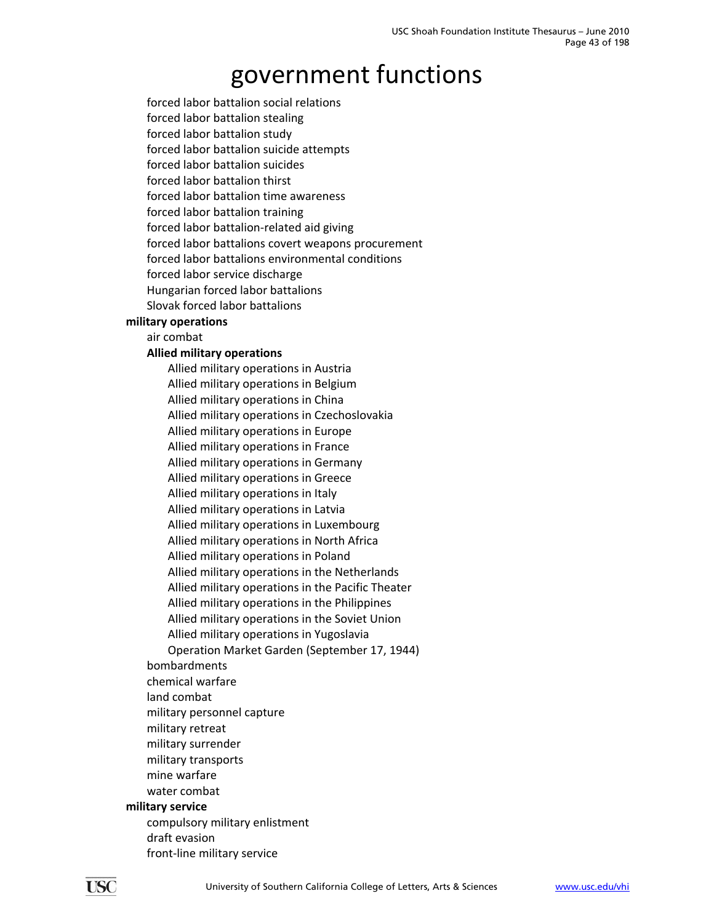forced labor battalion social relations

forced labor battalion stealing

forced labor battalion study

forced labor battalion suicide attempts

forced labor battalion suicides forced labor battalion thirst

forced labor battalion time awareness

forced labor battalion training

forced labor battalion‐related aid giving

forced labor battalions covert weapons procurement

forced labor battalions environmental conditions

forced labor service discharge

Hungarian forced labor battalions

Slovak forced labor battalions

**military operations**

### air combat

### **Allied military operations**

Allied military operations in Austria Allied military operations in Belgium Allied military operations in China Allied military operations in Czechoslovakia Allied military operations in Europe Allied military operations in France Allied military operations in Germany Allied military operations in Greece Allied military operations in Italy Allied military operations in Latvia Allied military operations in Luxembourg Allied military operations in North Africa Allied military operations in Poland Allied military operations in the Netherlands Allied military operations in the Pacific Theater Allied military operations in the Philippines Allied military operations in the Soviet Union Allied military operations in Yugoslavia

Operation Market Garden (September 17, 1944)

### bombardments

- chemical warfare
- land combat
- military personnel capture
- military retreat
- military surrender
- military transports
- mine warfare
- water combat

### **military service**

- compulsory military enlistment draft evasion
- 
- front‐line military service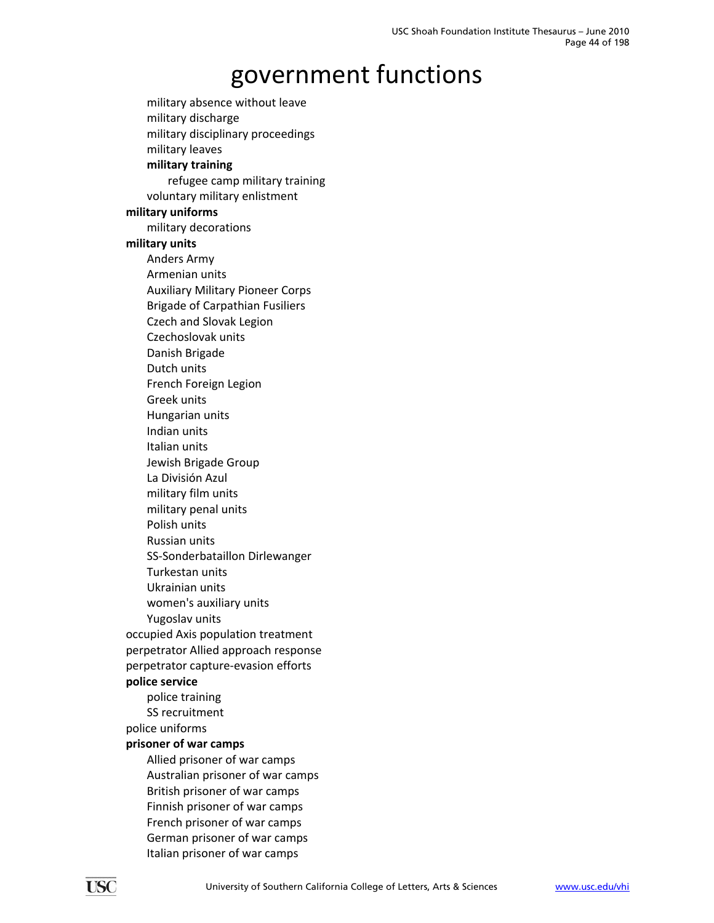military absence without leave military discharge military disciplinary proceedings military leaves **military training** refugee camp military training voluntary military enlistment **military uniforms** military decorations **military units** Anders Army Armenian units Auxiliary Military Pioneer Corps Brigade of Carpathian Fusiliers Czech and Slovak Legion Czechoslovak units Danish Brigade Dutch units French Foreign Legion Greek units Hungarian units Indian units Italian units Jewish Brigade Group La División Azul military film units military penal units Polish units Russian units SS‐Sonderbataillon Dirlewanger Turkestan units Ukrainian units women's auxiliary units Yugoslav units occupied Axis population treatment perpetrator Allied approach response perpetrator capture‐evasion efforts **police service** police training SS recruitment police uniforms **prisoner of war camps** Allied prisoner of war camps Australian prisoner of war camps British prisoner of war camps Finnish prisoner of war camps French prisoner of war camps German prisoner of war camps Italian prisoner of war camps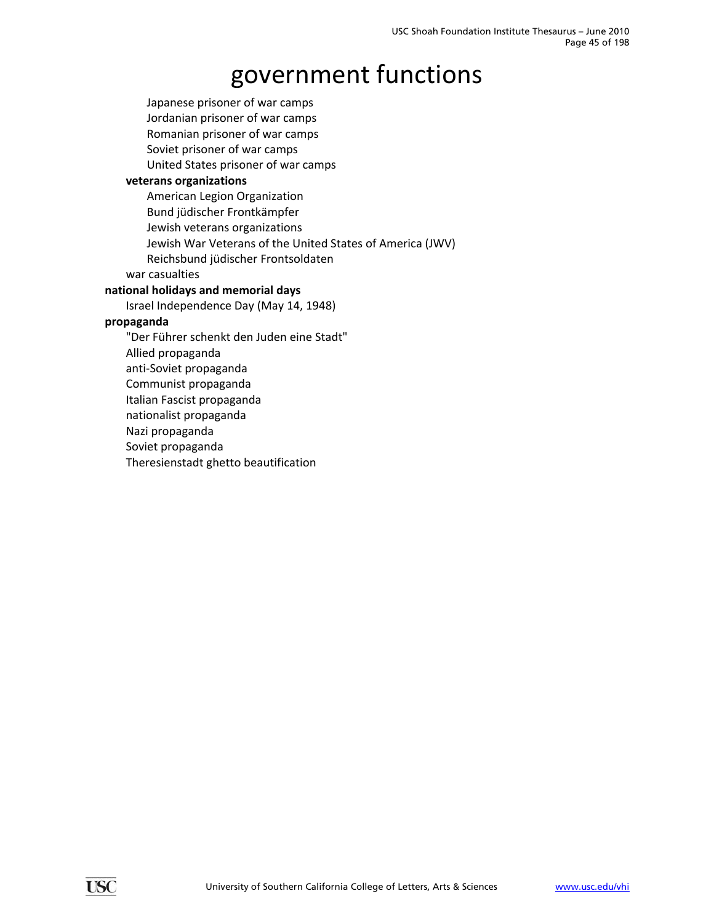Japanese prisoner of war camps Jordanian prisoner of war camps Romanian prisoner of war camps Soviet prisoner of war camps United States prisoner of war camps **veterans organizations** American Legion Organization Bund jüdischer Frontkämpfer Jewish veterans organizations Jewish War Veterans of the United States of America (JWV) Reichsbund jüdischer Frontsoldaten war casualties **national holidays and memorial days** Israel Independence Day (May 14, 1948) **propaganda** "Der Führer schenkt den Juden eine Stadt" Allied propaganda anti‐Soviet propaganda Communist propaganda Italian Fascist propaganda nationalist propaganda Nazi propaganda Soviet propaganda Theresienstadt ghetto beautification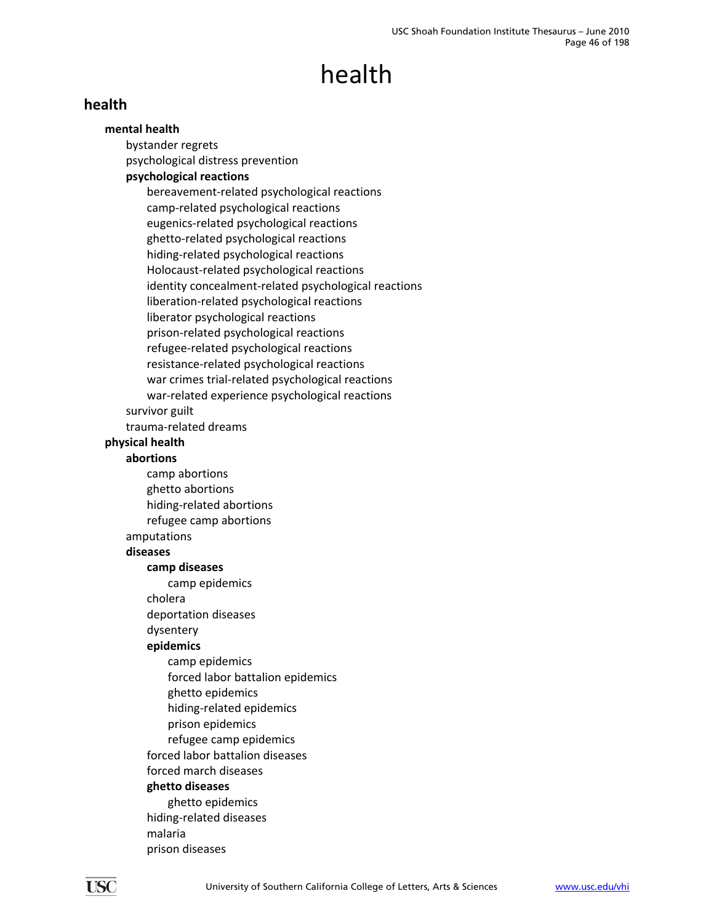### **health**

### **mental health**

bystander regrets psychological distress prevention

### **psychological reactions**

bereavement‐related psychological reactions camp‐related psychological reactions eugenics‐related psychological reactions ghetto‐related psychological reactions hiding‐related psychological reactions Holocaust‐related psychological reactions identity concealment‐related psychological reactions liberation‐related psychological reactions liberator psychological reactions prison‐related psychological reactions refugee‐related psychological reactions resistance‐related psychological reactions war crimes trial‐related psychological reactions war-related experience psychological reactions

#### survivor guilt

trauma‐related dreams

### **physical health**

#### **abortions**

camp abortions ghetto abortions hiding‐related abortions refugee camp abortions amputations

#### **diseases**

#### **camp diseases**

camp epidemics

cholera

deportation diseases

### dysentery

#### **epidemics**

- camp epidemics forced labor battalion epidemics ghetto epidemics hiding‐related epidemics prison epidemics refugee camp epidemics forced labor battalion diseases forced march diseases **ghetto diseases** ghetto epidemics
- hiding‐related diseases malaria

prison diseases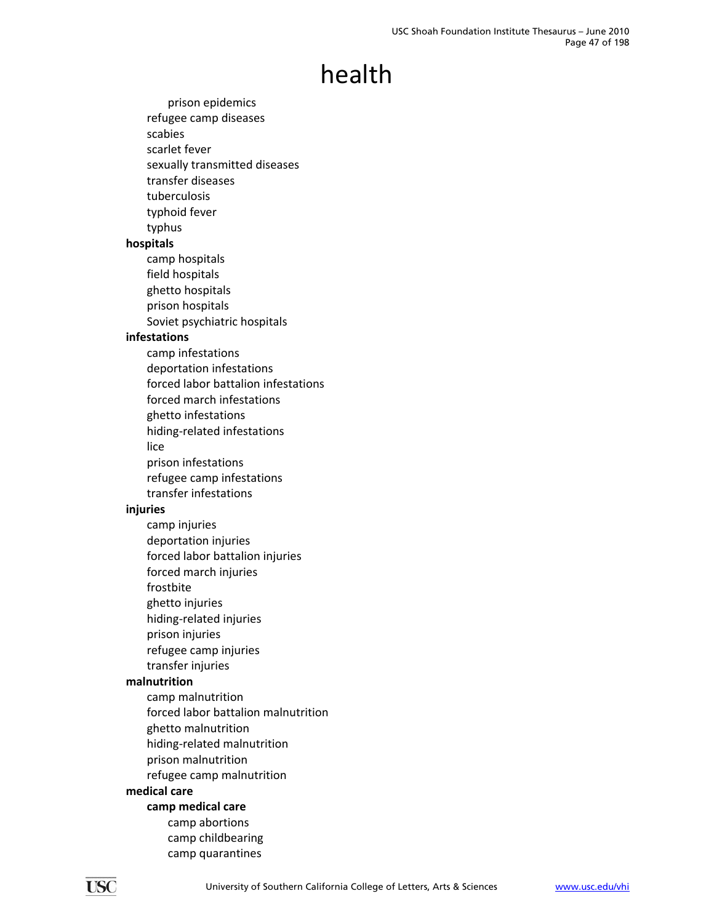prison epidemics refugee camp diseases scabies scarlet fever sexually transmitted diseases transfer diseases tuberculosis typhoid fever typhus **hospitals** camp hospitals field hospitals ghetto hospitals prison hospitals Soviet psychiatric hospitals **infestations** camp infestations deportation infestations forced labor battalion infestations forced march infestations ghetto infestations hiding‐related infestations lice prison infestations refugee camp infestations transfer infestations **injuries** camp injuries deportation injuries forced labor battalion injuries forced march injuries frostbite ghetto injuries hiding‐related injuries prison injuries refugee camp injuries transfer injuries **malnutrition** camp malnutrition forced labor battalion malnutrition ghetto malnutrition hiding‐related malnutrition prison malnutrition refugee camp malnutrition **medical care camp medical care** camp abortions camp childbearing camp quarantines

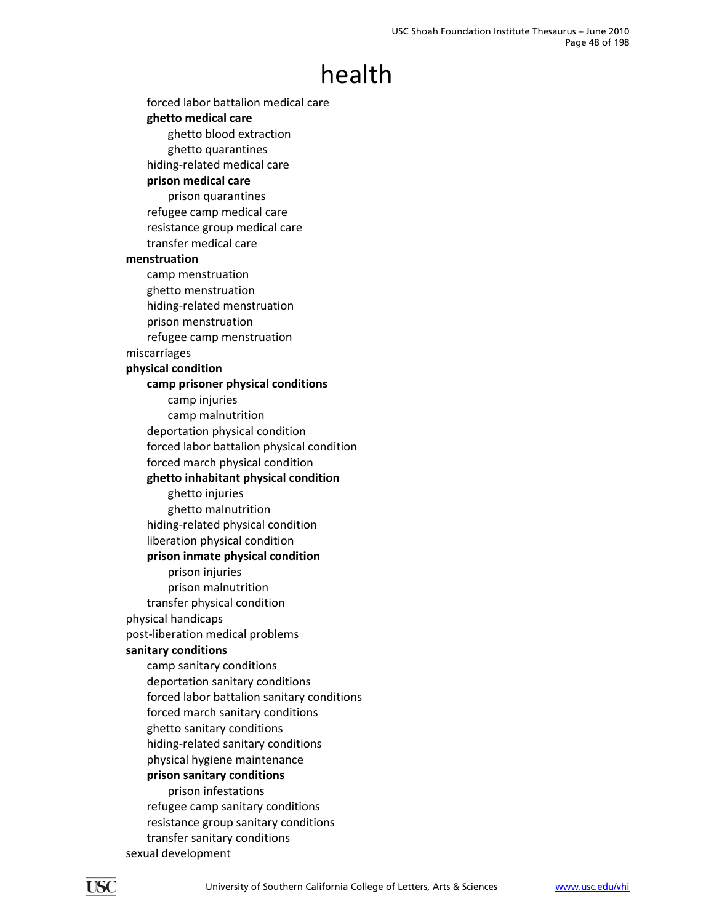forced labor battalion medical care **ghetto medical care** ghetto blood extraction ghetto quarantines hiding‐related medical care **prison medical care** prison quarantines refugee camp medical care resistance group medical care transfer medical care **menstruation** camp menstruation ghetto menstruation hiding‐related menstruation prison menstruation refugee camp menstruation miscarriages **physical condition camp prisoner physical conditions** camp injuries camp malnutrition deportation physical condition forced labor battalion physical condition forced march physical condition **ghetto inhabitant physical condition** ghetto injuries ghetto malnutrition hiding‐related physical condition liberation physical condition **prison inmate physical condition** prison injuries prison malnutrition transfer physical condition physical handicaps post‐liberation medical problems **sanitary conditions** camp sanitary conditions deportation sanitary conditions forced labor battalion sanitary conditions forced march sanitary conditions ghetto sanitary conditions hiding‐related sanitary conditions physical hygiene maintenance **prison sanitary conditions** prison infestations refugee camp sanitary conditions resistance group sanitary conditions transfer sanitary conditions sexual development

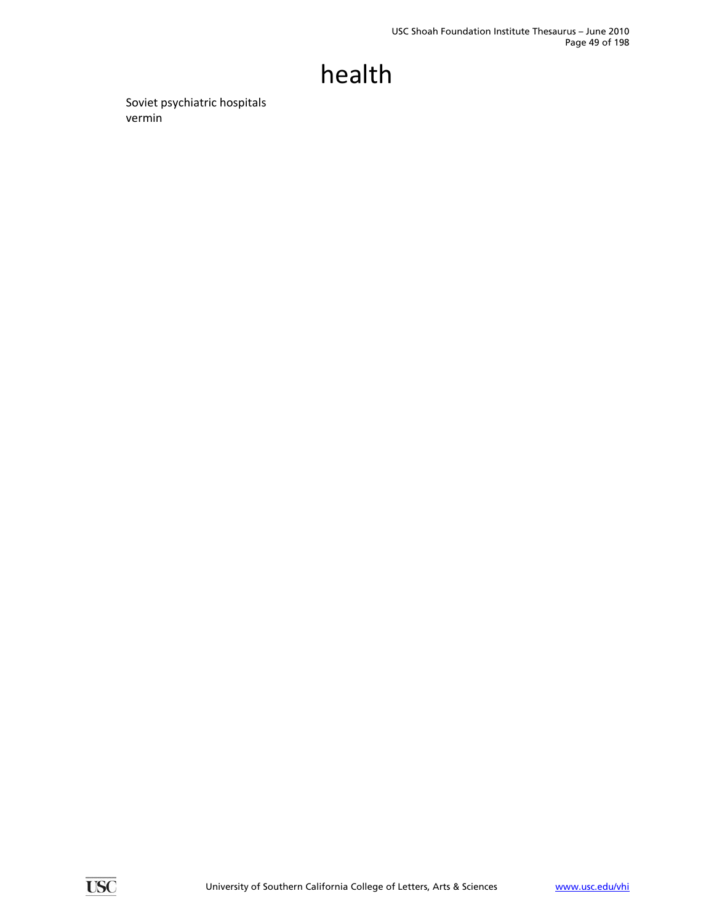Soviet psychiatric hospitals vermin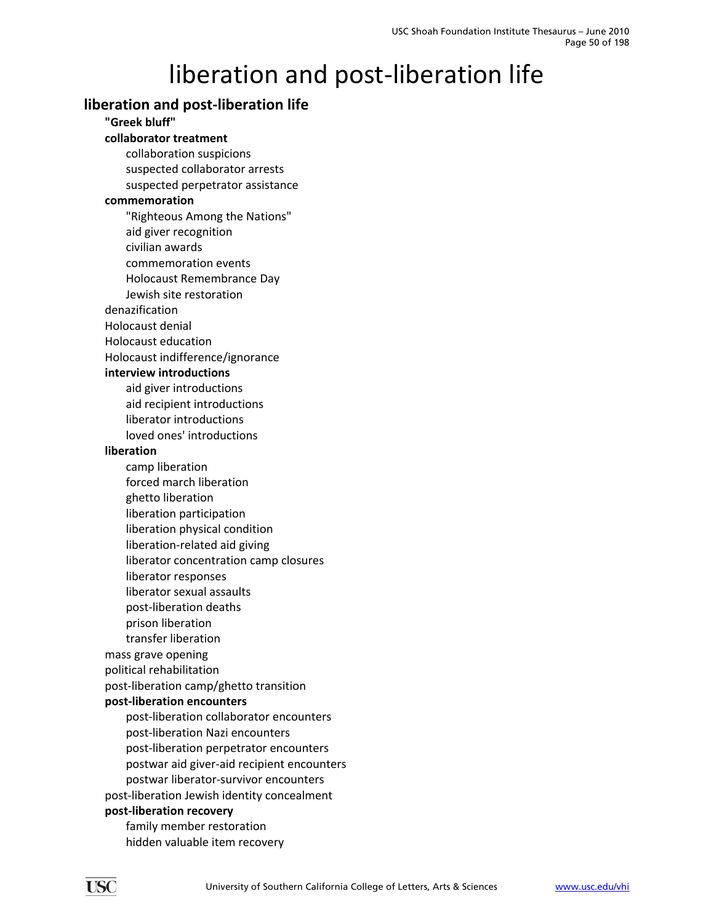### **liberation and post‐liberation life**

**"Greek bluff" collaborator treatment** collaboration suspicions suspected collaborator arrests suspected perpetrator assistance **commemoration** "Righteous Among the Nations" aid giver recognition civilian awards commemoration events Holocaust Remembrance Day Jewish site restoration denazification Holocaust denial Holocaust education Holocaust indifference/ignorance **interview introductions** aid giver introductions aid recipient introductions liberator introductions loved ones' introductions **liberation** camp liberation forced march liberation ghetto liberation liberation participation liberation physical condition liberation‐related aid giving liberator concentration camp closures liberator responses liberator sexual assaults post‐liberation deaths prison liberation transfer liberation mass grave opening political rehabilitation post‐liberation camp/ghetto transition **post‐liberation encounters** post‐liberation collaborator encounters post‐liberation Nazi encounters post‐liberation perpetrator encounters postwar aid giver‐aid recipient encounters postwar liberator‐survivor encounters post‐liberation Jewish identity concealment **post‐liberation recovery** family member restoration hidden valuable item recovery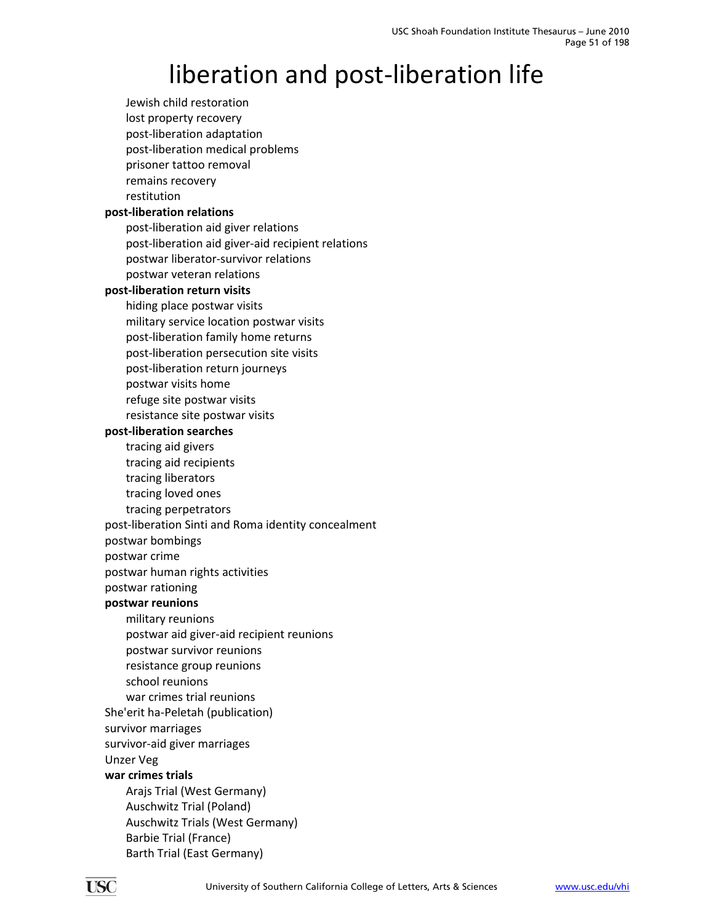Jewish child restoration lost property recovery post‐liberation adaptation post‐liberation medical problems prisoner tattoo removal remains recovery restitution **post‐liberation relations** post‐liberation aid giver relations post‐liberation aid giver‐aid recipient relations postwar liberator‐survivor relations postwar veteran relations **post‐liberation return visits** hiding place postwar visits military service location postwar visits post‐liberation family home returns post‐liberation persecution site visits post‐liberation return journeys postwar visits home refuge site postwar visits resistance site postwar visits **post‐liberation searches** tracing aid givers tracing aid recipients tracing liberators tracing loved ones tracing perpetrators post‐liberation Sinti and Roma identity concealment postwar bombings postwar crime postwar human rights activities postwar rationing **postwar reunions** military reunions postwar aid giver‐aid recipient reunions postwar survivor reunions resistance group reunions school reunions war crimes trial reunions She'erit ha‐Peletah (publication) survivor marriages survivor‐aid giver marriages Unzer Veg **war crimes trials** Arajs Trial (West Germany) Auschwitz Trial (Poland) Auschwitz Trials (West Germany) Barbie Trial (France) Barth Trial (East Germany)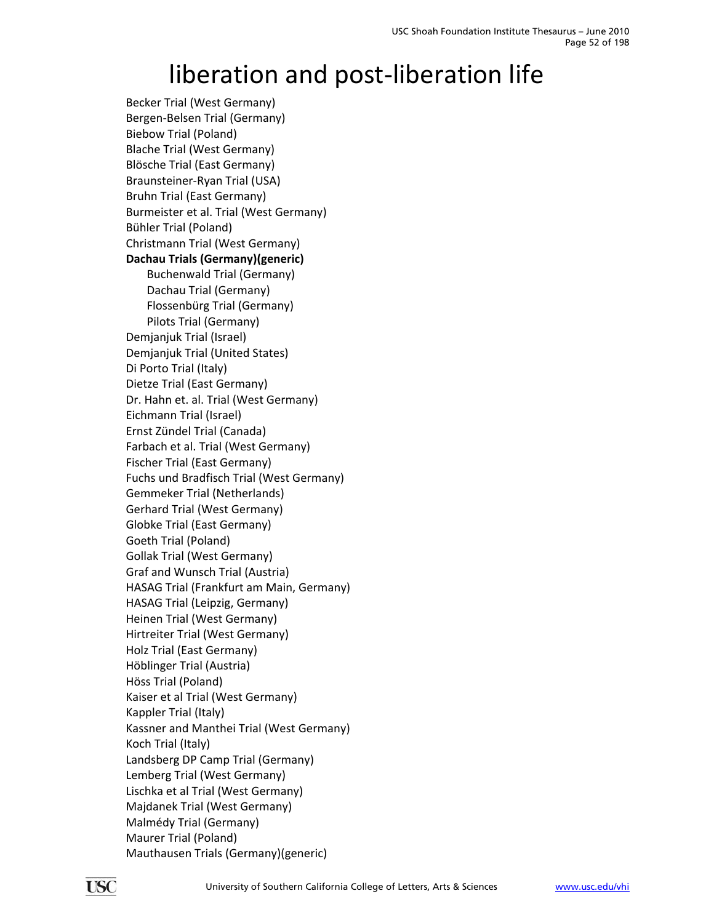Becker Trial (West Germany) Bergen‐Belsen Trial (Germany) Biebow Trial (Poland) Blache Trial (West Germany) Blösche Trial (East Germany) Braunsteiner‐Ryan Trial (USA) Bruhn Trial (East Germany) Burmeister et al. Trial (West Germany) Bühler Trial (Poland) Christmann Trial (West Germany) **Dachau Trials (Germany)(generic)** Buchenwald Trial (Germany) Dachau Trial (Germany) Flossenbürg Trial (Germany) Pilots Trial (Germany) Demjanjuk Trial (Israel) Demjanjuk Trial (United States) Di Porto Trial (Italy) Dietze Trial (East Germany) Dr. Hahn et. al. Trial (West Germany) Eichmann Trial (Israel) Ernst Zündel Trial (Canada) Farbach et al. Trial (West Germany) Fischer Trial (East Germany) Fuchs und Bradfisch Trial (West Germany) Gemmeker Trial (Netherlands) Gerhard Trial (West Germany) Globke Trial (East Germany) Goeth Trial (Poland) Gollak Trial (West Germany) Graf and Wunsch Trial (Austria) HASAG Trial (Frankfurt am Main, Germany) HASAG Trial (Leipzig, Germany) Heinen Trial (West Germany) Hirtreiter Trial (West Germany) Holz Trial (East Germany) Höblinger Trial (Austria) Höss Trial (Poland) Kaiser et al Trial (West Germany) Kappler Trial (Italy) Kassner and Manthei Trial (West Germany) Koch Trial (Italy) Landsberg DP Camp Trial (Germany) Lemberg Trial (West Germany) Lischka et al Trial (West Germany) Majdanek Trial (West Germany) Malmédy Trial (Germany) Maurer Trial (Poland) Mauthausen Trials (Germany)(generic)

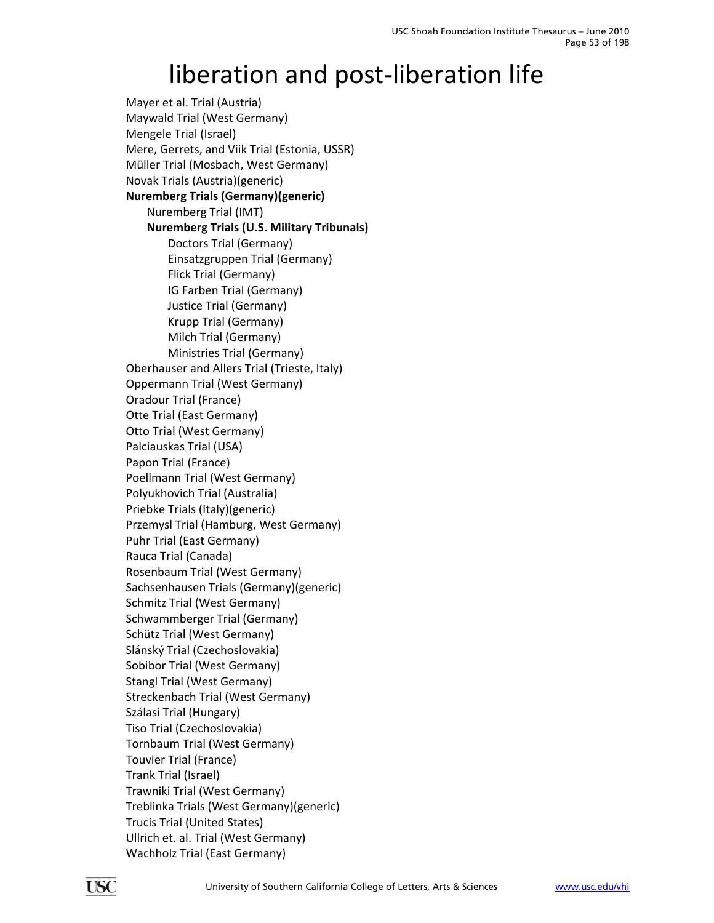Mayer et al. Trial (Austria) Maywald Trial (West Germany) Mengele Trial (Israel) Mere, Gerrets, and Viik Trial (Estonia, USSR) Müller Trial (Mosbach, West Germany) Novak Trials (Austria)(generic) **Nuremberg Trials (Germany)(generic)** Nuremberg Trial (IMT) **Nuremberg Trials (U.S. Military Tribunals)** Doctors Trial (Germany) Einsatzgruppen Trial (Germany) Flick Trial (Germany) IG Farben Trial (Germany) Justice Trial (Germany) Krupp Trial (Germany) Milch Trial (Germany) Ministries Trial (Germany) Oberhauser and Allers Trial (Trieste, Italy) Oppermann Trial (West Germany) Oradour Trial (France) Otte Trial (East Germany) Otto Trial (West Germany) Palciauskas Trial (USA) Papon Trial (France) Poellmann Trial (West Germany) Polyukhovich Trial (Australia) Priebke Trials (Italy)(generic) Przemysl Trial (Hamburg, West Germany) Puhr Trial (East Germany) Rauca Trial (Canada) Rosenbaum Trial (West Germany) Sachsenhausen Trials (Germany)(generic) Schmitz Trial (West Germany) Schwammberger Trial (Germany) Schütz Trial (West Germany) Slánský Trial (Czechoslovakia) Sobibor Trial (West Germany) Stangl Trial (West Germany) Streckenbach Trial (West Germany) Szálasi Trial (Hungary) Tiso Trial (Czechoslovakia) Tornbaum Trial (West Germany) Touvier Trial (France) Trank Trial (Israel) Trawniki Trial (West Germany) Treblinka Trials (West Germany)(generic) Trucis Trial (United States) Ullrich et. al. Trial (West Germany) Wachholz Trial (East Germany)

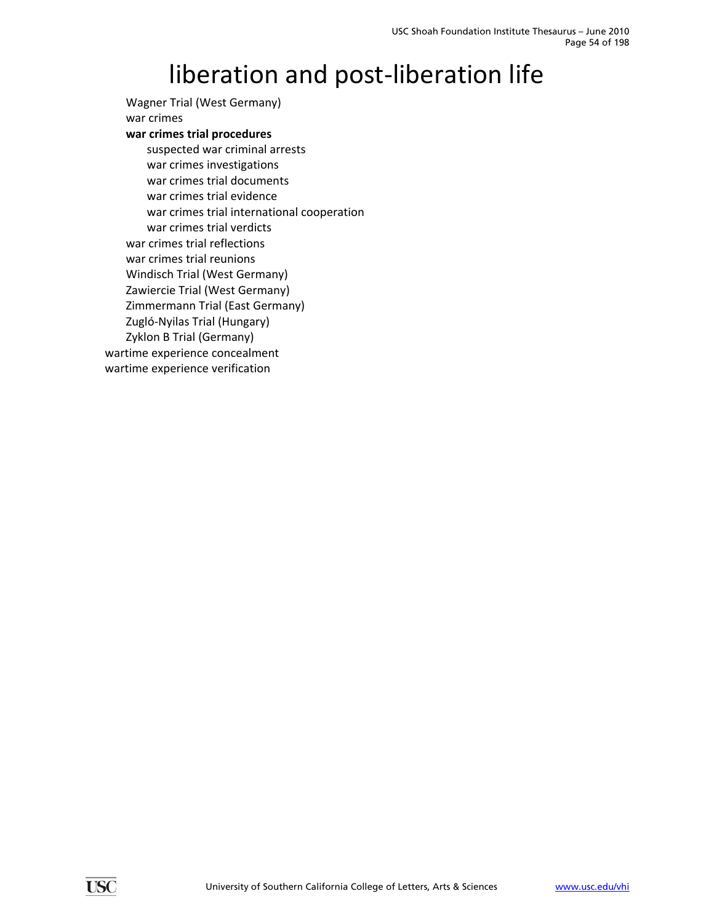Wagner Trial (West Germany) war crimes **war crimes trial procedures** suspected war criminal arrests war crimes investigations war crimes trial documents war crimes trial evidence war crimes trial international cooperation war crimes trial verdicts war crimes trial reflections war crimes trial reunions Windisch Trial (West Germany) Zawiercie Trial (West Germany) Zimmermann Trial (East Germany) Zugló‐Nyilas Trial (Hungary) Zyklon B Trial (Germany) wartime experience concealment wartime experience verification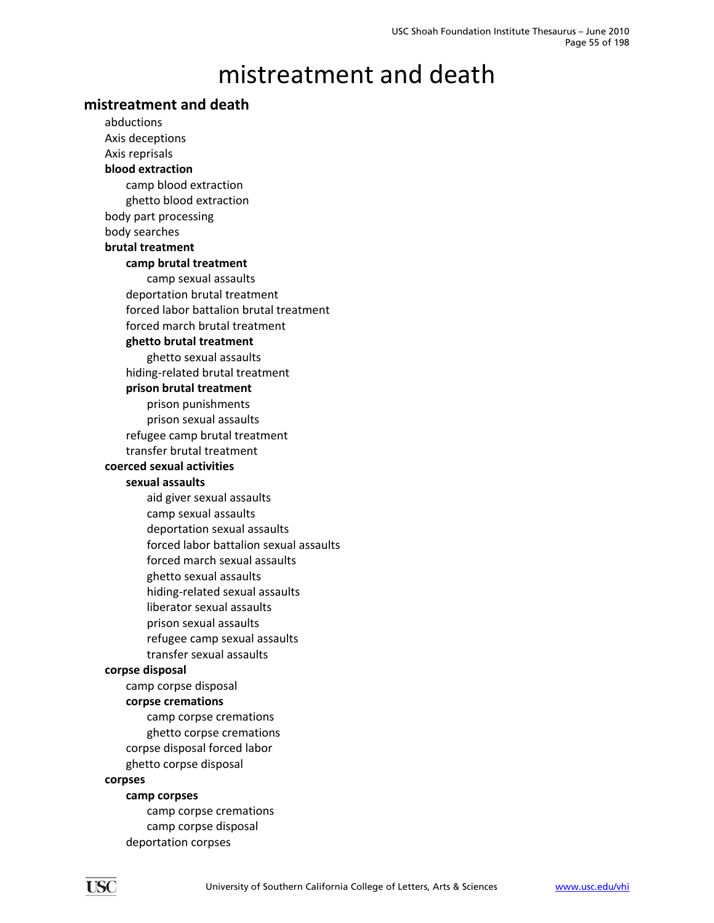### **mistreatment and death**

abductions Axis deceptions Axis reprisals **blood extraction** camp blood extraction ghetto blood extraction body part processing body searches **brutal treatment camp brutal treatment** camp sexual assaults deportation brutal treatment forced labor battalion brutal treatment forced march brutal treatment **ghetto brutal treatment** ghetto sexual assaults hiding‐related brutal treatment **prison brutal treatment** prison punishments prison sexual assaults refugee camp brutal treatment transfer brutal treatment **coerced sexual activities sexual assaults** aid giver sexual assaults camp sexual assaults deportation sexual assaults forced labor battalion sexual assaults forced march sexual assaults ghetto sexual assaults hiding‐related sexual assaults liberator sexual assaults prison sexual assaults refugee camp sexual assaults transfer sexual assaults **corpse disposal** camp corpse disposal **corpse cremations** camp corpse cremations ghetto corpse cremations corpse disposal forced labor ghetto corpse disposal **corpses camp corpses** camp corpse cremations camp corpse disposal deportation corpses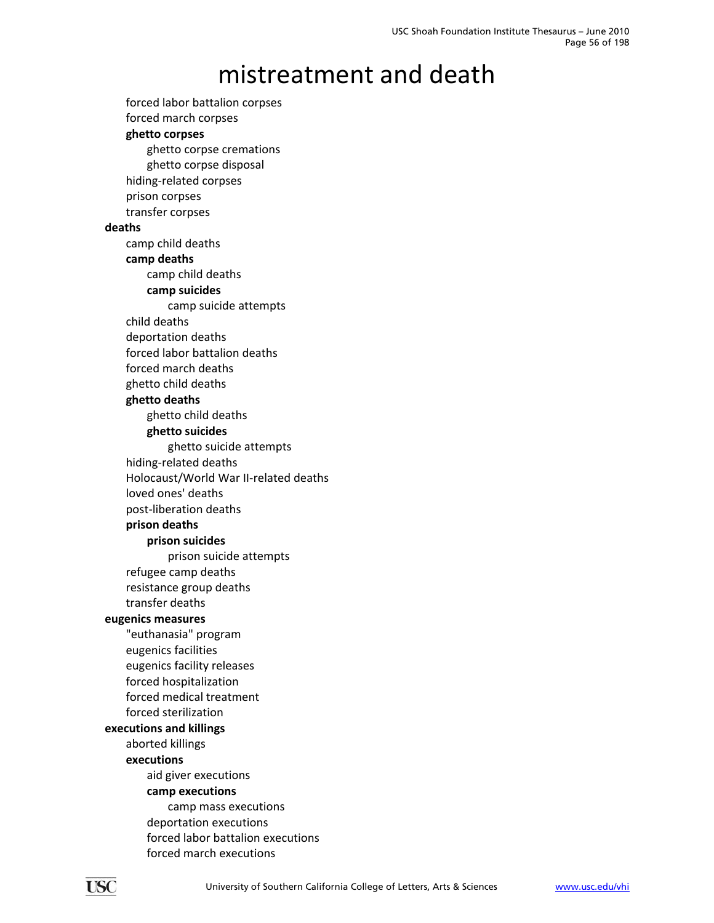forced labor battalion corpses forced march corpses **ghetto corpses** ghetto corpse cremations ghetto corpse disposal hiding‐related corpses prison corpses transfer corpses **deaths** camp child deaths **camp deaths** camp child deaths **camp suicides** camp suicide attempts child deaths deportation deaths forced labor battalion deaths forced march deaths ghetto child deaths **ghetto deaths** ghetto child deaths **ghetto suicides** ghetto suicide attempts hiding‐related deaths Holocaust/World War II‐related deaths loved ones' deaths post‐liberation deaths **prison deaths prison suicides** prison suicide attempts refugee camp deaths resistance group deaths transfer deaths **eugenics measures** "euthanasia" program eugenics facilities eugenics facility releases forced hospitalization forced medical treatment forced sterilization **executions and killings** aborted killings **executions** aid giver executions **camp executions** camp mass executions deportation executions forced labor battalion executions forced march executions

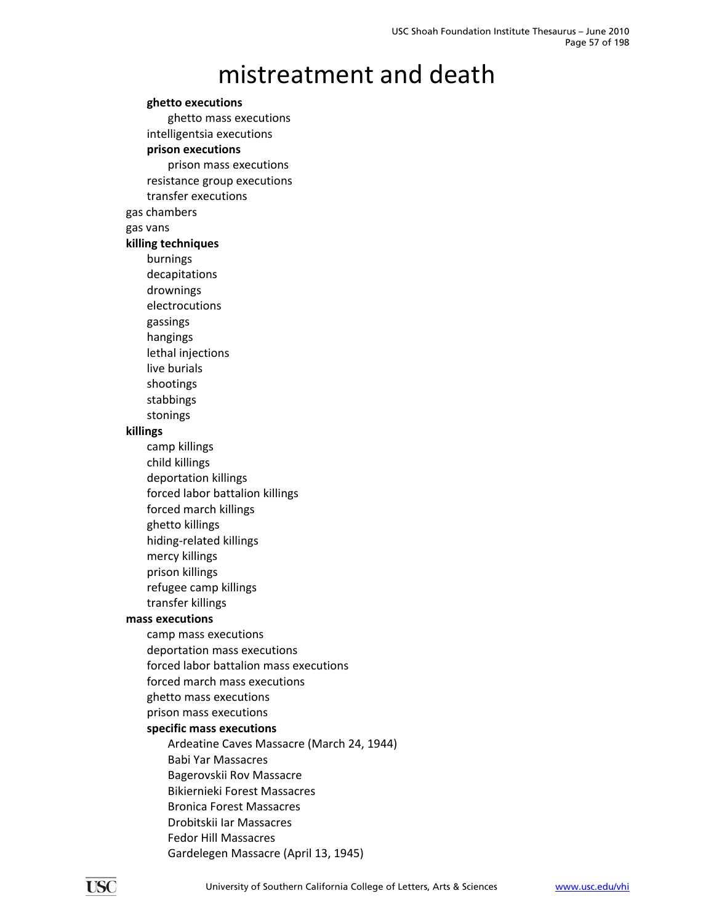### **ghetto executions** ghetto mass executions intelligentsia executions **prison executions** prison mass executions resistance group executions transfer executions gas chambers gas vans **killing techniques** burnings decapitations drownings electrocutions gassings hangings lethal injections live burials shootings stabbings stonings **killings** camp killings child killings deportation killings forced labor battalion killings forced march killings ghetto killings hiding‐related killings mercy killings prison killings refugee camp killings transfer killings **mass executions** camp mass executions deportation mass executions forced labor battalion mass executions forced march mass executions ghetto mass executions prison mass executions **specific mass executions** Ardeatine Caves Massacre (March 24, 1944) Babi Yar Massacres Bagerovskii Rov Massacre Bikiernieki Forest Massacres Bronica Forest Massacres Drobitskii Iar Massacres Fedor Hill Massacres Gardelegen Massacre (April 13, 1945)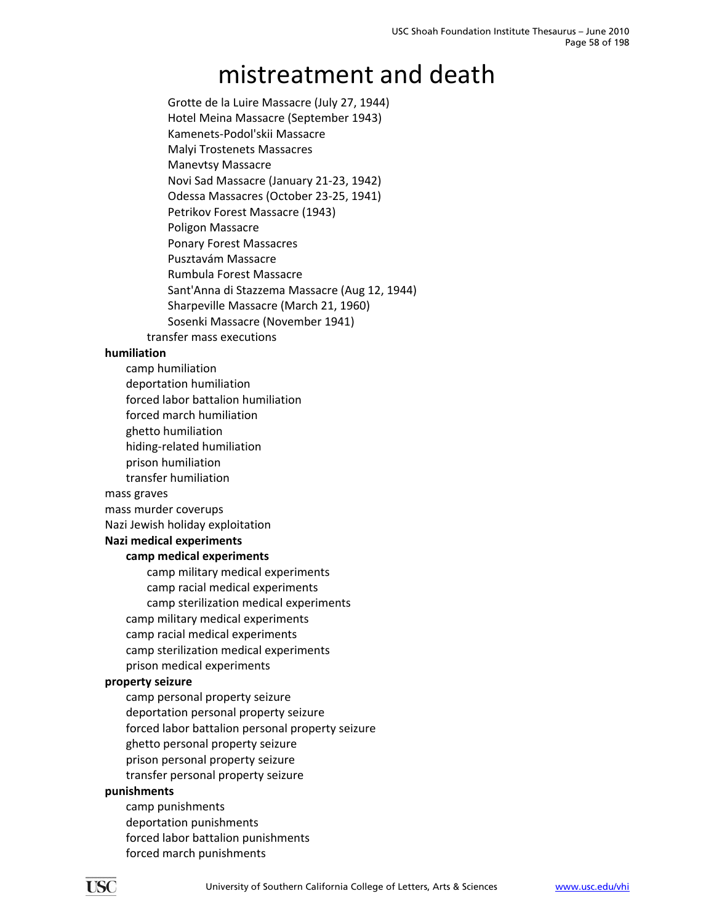Grotte de la Luire Massacre (July 27, 1944) Hotel Meina Massacre (September 1943) Kamenets‐Podol'skii Massacre Malyi Trostenets Massacres Manevtsy Massacre Novi Sad Massacre (January 21‐23, 1942) Odessa Massacres (October 23‐25, 1941) Petrikov Forest Massacre (1943) Poligon Massacre Ponary Forest Massacres Pusztavám Massacre Rumbula Forest Massacre Sant'Anna di Stazzema Massacre (Aug 12, 1944) Sharpeville Massacre (March 21, 1960) Sosenki Massacre (November 1941) transfer mass executions

#### **humiliation**

- camp humiliation
- deportation humiliation
- forced labor battalion humiliation
- forced march humiliation
- ghetto humiliation
- hiding‐related humiliation
- prison humiliation
- transfer humiliation

mass graves

- mass murder coverups
- Nazi Jewish holiday exploitation

### **Nazi medical experiments**

### **camp medical experiments**

camp military medical experiments camp racial medical experiments camp sterilization medical experiments camp military medical experiments camp racial medical experiments camp sterilization medical experiments prison medical experiments

#### **property seizure**

camp personal property seizure deportation personal property seizure forced labor battalion personal property seizure ghetto personal property seizure prison personal property seizure transfer personal property seizure

### **punishments**

camp punishments deportation punishments forced labor battalion punishments forced march punishments

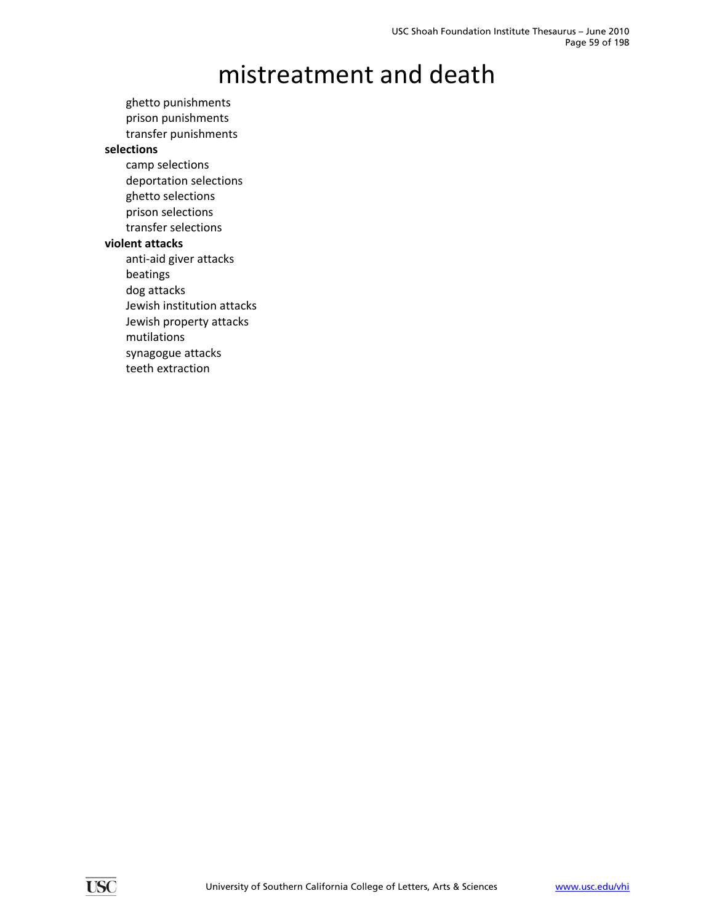ghetto punishments prison punishments transfer punishments **selections** camp selections deportation selections ghetto selections prison selections transfer selections **violent attacks** anti‐aid giver attacks beatings dog attacks

Jewish institution attacks

Jewish property attacks

mutilations

synagogue attacks

teeth extraction

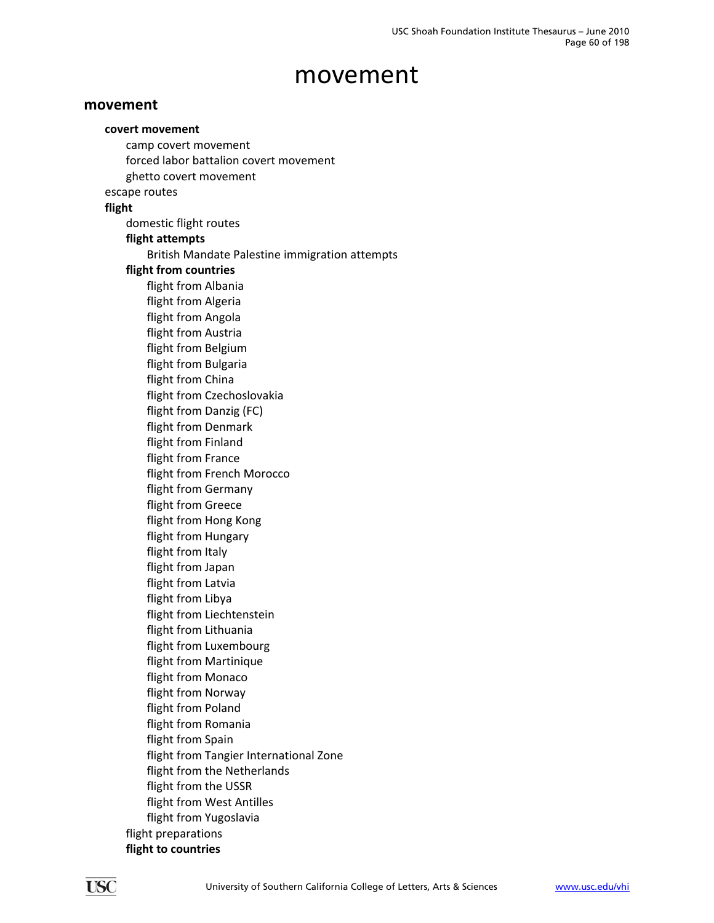### **movement**

**covert movement** camp covert movement forced labor battalion covert movement ghetto covert movement escape routes **flight** domestic flight routes **flight attempts** British Mandate Palestine immigration attempts **flight from countries** flight from Albania flight from Algeria flight from Angola flight from Austria flight from Belgium flight from Bulgaria flight from China flight from Czechoslovakia flight from Danzig (FC) flight from Denmark flight from Finland flight from France flight from French Morocco flight from Germany flight from Greece flight from Hong Kong flight from Hungary flight from Italy flight from Japan flight from Latvia flight from Libya flight from Liechtenstein flight from Lithuania flight from Luxembourg flight from Martinique flight from Monaco flight from Norway flight from Poland flight from Romania flight from Spain flight from Tangier International Zone flight from the Netherlands flight from the USSR flight from West Antilles flight from Yugoslavia flight preparations **flight to countries**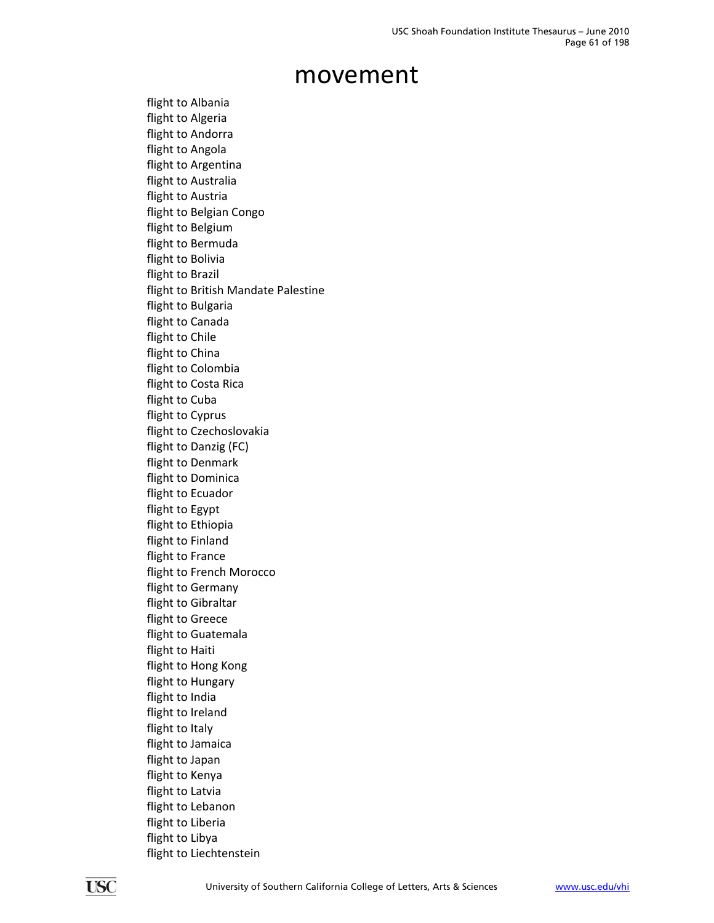flight to Albania flight to Algeria flight to Andorra flight to Angola flight to Argentina flight to Australia flight to Austria flight to Belgian Congo flight to Belgium flight to Bermuda flight to Bolivia flight to Brazil flight to British Mandate Palestine flight to Bulgaria flight to Canada flight to Chile flight to China flight to Colombia flight to Costa Rica flight to Cuba flight to Cyprus flight to Czechoslovakia flight to Danzig (FC) flight to Denmark flight to Dominica flight to Ecuador flight to Egypt flight to Ethiopia flight to Finland flight to France flight to French Morocco flight to Germany flight to Gibraltar flight to Greece flight to Guatemala flight to Haiti flight to Hong Kong flight to Hungary flight to India flight to Ireland flight to Italy flight to Jamaica flight to Japan flight to Kenya flight to Latvia flight to Lebanon flight to Liberia flight to Libya flight to Liechtenstein

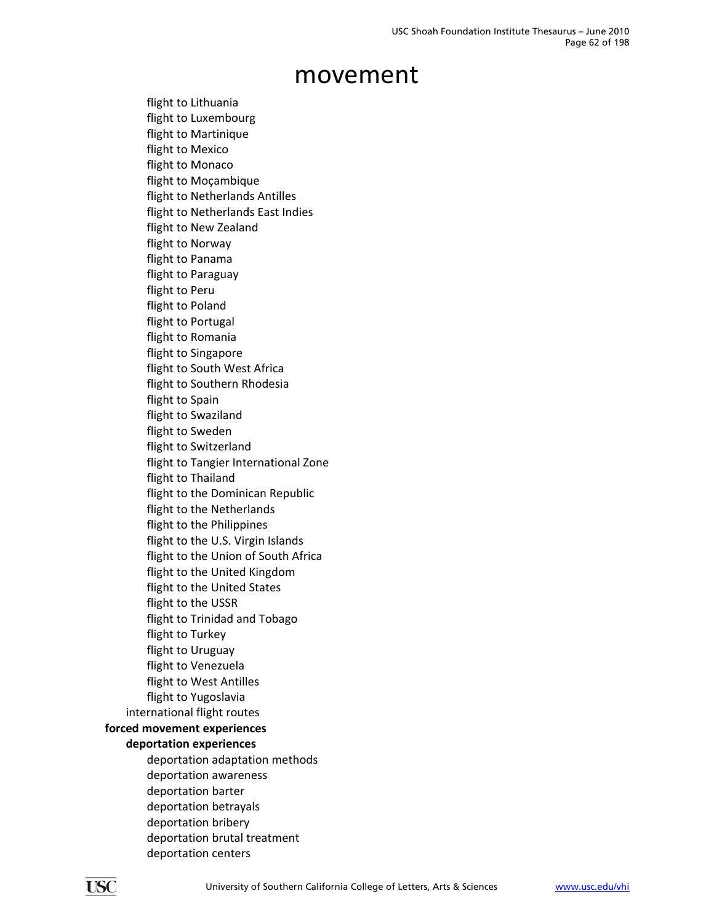flight to Lithuania flight to Luxembourg flight to Martinique flight to Mexico flight to Monaco flight to Moçambique flight to Netherlands Antilles flight to Netherlands East Indies flight to New Zealand flight to Norway flight to Panama flight to Paraguay flight to Peru flight to Poland flight to Portugal flight to Romania flight to Singapore flight to South West Africa flight to Southern Rhodesia flight to Spain flight to Swaziland flight to Sweden flight to Switzerland flight to Tangier International Zone flight to Thailand flight to the Dominican Republic flight to the Netherlands flight to the Philippines flight to the U.S. Virgin Islands flight to the Union of South Africa flight to the United Kingdom flight to the United States flight to the USSR flight to Trinidad and Tobago flight to Turkey flight to Uruguay flight to Venezuela flight to West Antilles flight to Yugoslavia international flight routes **forced movement experiences deportation experiences** deportation adaptation methods deportation awareness deportation barter deportation betrayals deportation bribery deportation brutal treatment

deportation centers

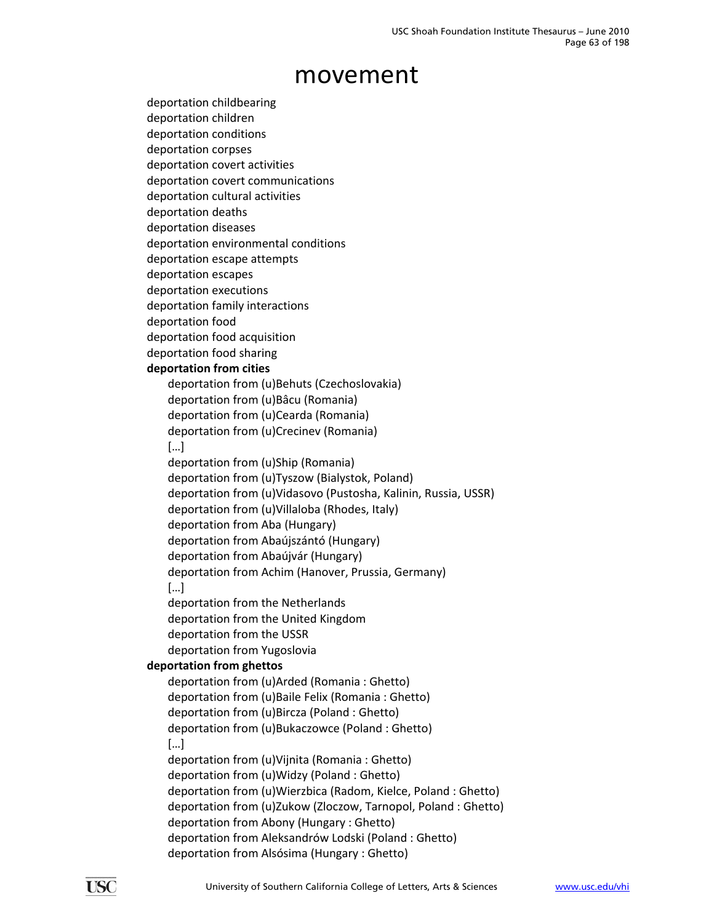- deportation childbearing
- deportation children
- deportation conditions
- deportation corpses
- deportation covert activities deportation covert communications
- deportation cultural activities
- deportation deaths
- deportation diseases
- deportation environmental conditions
- deportation escape attempts
- deportation escapes
- deportation executions
- deportation family interactions
- deportation food
- deportation food acquisition
- deportation food sharing

### **deportation from cities**

deportation from (u)Behuts (Czechoslovakia) deportation from (u)Bâcu (Romania) deportation from (u)Cearda (Romania)

- deportation from (u)Crecinev (Romania)
- […]

deportation from (u)Ship (Romania)

- deportation from (u)Tyszow (Bialystok, Poland)
- deportation from (u)Vidasovo (Pustosha, Kalinin, Russia, USSR)
- deportation from (u)Villaloba (Rhodes, Italy)
- deportation from Aba (Hungary)
- deportation from Abaújszántó (Hungary)
- deportation from Abaújvár (Hungary)
- deportation from Achim (Hanover, Prussia, Germany)

### […]

deportation from the Netherlands deportation from the United Kingdom deportation from the USSR

deportation from Yugoslovia

### **deportation from ghettos**

```
deportation from (u)Arded (Romania : Ghetto)
deportation from (u)Baile Felix (Romania : Ghetto)
deportation from (u)Bircza (Poland : Ghetto)
deportation from (u)Bukaczowce (Poland : Ghetto)
     […]
deportation from (u)Vijnita (Romania : Ghetto)
deportation from (u)Widzy (Poland : Ghetto)
deportation from (u)Wierzbica (Radom, Kielce, Poland : Ghetto)
deportation from (u)Zukow (Zloczow, Tarnopol, Poland : Ghetto)
deportation from Abony (Hungary : Ghetto)
deportation from Aleksandrów Lodski (Poland : Ghetto)
deportation from Alsósima (Hungary : Ghetto)
```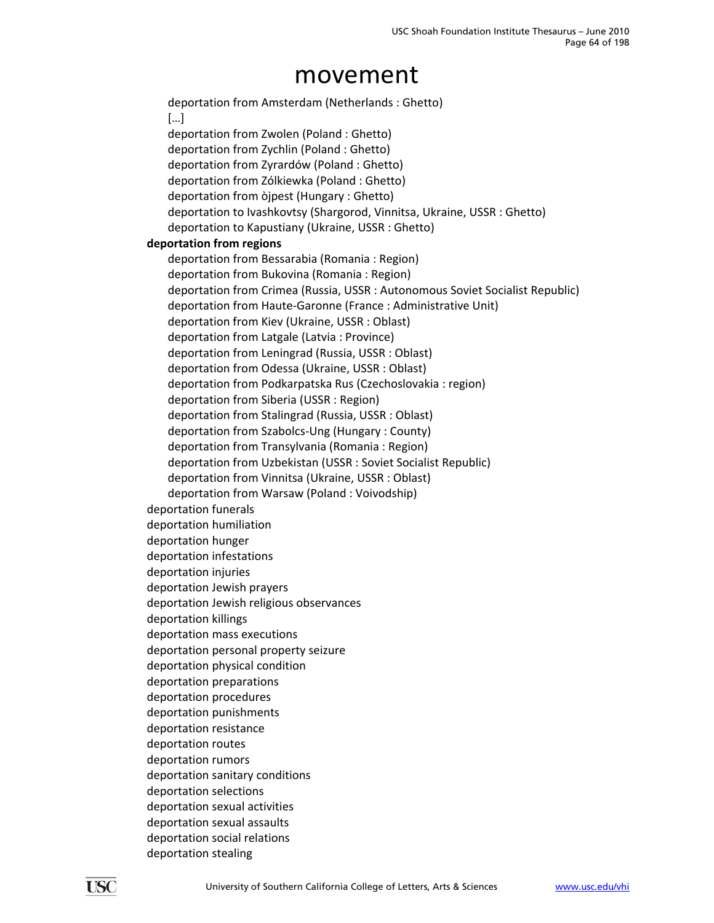deportation from Amsterdam (Netherlands : Ghetto) […] deportation from Zwolen (Poland : Ghetto) deportation from Zychlin (Poland : Ghetto) deportation from Zyrardów (Poland : Ghetto) deportation from Zólkiewka (Poland : Ghetto) deportation from òjpest (Hungary : Ghetto) deportation to Ivashkovtsy (Shargorod, Vinnitsa, Ukraine, USSR : Ghetto) deportation to Kapustiany (Ukraine, USSR : Ghetto) **deportation from regions** deportation from Bessarabia (Romania : Region) deportation from Bukovina (Romania : Region) deportation from Crimea (Russia, USSR : Autonomous Soviet Socialist Republic) deportation from Haute‐Garonne (France : Administrative Unit) deportation from Kiev (Ukraine, USSR : Oblast) deportation from Latgale (Latvia : Province) deportation from Leningrad (Russia, USSR : Oblast) deportation from Odessa (Ukraine, USSR : Oblast) deportation from Podkarpatska Rus (Czechoslovakia : region) deportation from Siberia (USSR : Region) deportation from Stalingrad (Russia, USSR : Oblast) deportation from Szabolcs‐Ung (Hungary : County) deportation from Transylvania (Romania : Region) deportation from Uzbekistan (USSR : Soviet Socialist Republic) deportation from Vinnitsa (Ukraine, USSR : Oblast) deportation from Warsaw (Poland : Voivodship) deportation funerals deportation humiliation deportation hunger deportation infestations deportation injuries deportation Jewish prayers deportation Jewish religious observances deportation killings deportation mass executions deportation personal property seizure deportation physical condition deportation preparations deportation procedures deportation punishments deportation resistance deportation routes deportation rumors deportation sanitary conditions deportation selections deportation sexual activities deportation sexual assaults deportation social relations deportation stealing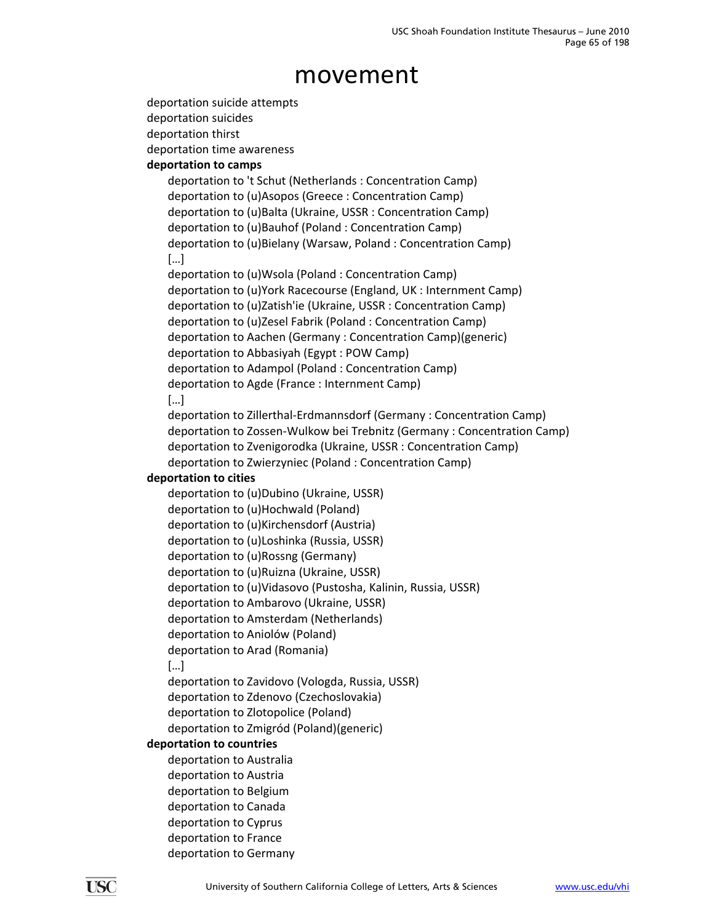```
deportation suicide attempts
deportation suicides
deportation thirst
deportation time awareness
deportation to camps
   deportation to 't Schut (Netherlands : Concentration Camp)
   deportation to (u)Asopos (Greece : Concentration Camp)
   deportation to (u)Balta (Ukraine, USSR : Concentration Camp)
   deportation to (u)Bauhof (Poland : Concentration Camp)
   deportation to (u)Bielany (Warsaw, Poland : Concentration Camp)
        […]
   deportation to (u)Wsola (Poland : Concentration Camp)
   deportation to (u)York Racecourse (England, UK : Internment Camp)
   deportation to (u)Zatish'ie (Ukraine, USSR : Concentration Camp)
   deportation to (u)Zesel Fabrik (Poland : Concentration Camp)
   deportation to Aachen (Germany : Concentration Camp)(generic)
   deportation to Abbasiyah (Egypt : POW Camp)
   deportation to Adampol (Poland : Concentration Camp)
   deportation to Agde (France : Internment Camp)
        […]
   deportation to Zillerthal‐Erdmannsdorf (Germany : Concentration Camp)
   deportation to Zossen‐Wulkow bei Trebnitz (Germany : Concentration Camp)
   deportation to Zvenigorodka (Ukraine, USSR : Concentration Camp)
   deportation to Zwierzyniec (Poland : Concentration Camp)
deportation to cities
   deportation to (u)Dubino (Ukraine, USSR)
   deportation to (u)Hochwald (Poland)
   deportation to (u)Kirchensdorf (Austria)
   deportation to (u)Loshinka (Russia, USSR)
   deportation to (u)Rossng (Germany)
   deportation to (u)Ruizna (Ukraine, USSR)
   deportation to (u)Vidasovo (Pustosha, Kalinin, Russia, USSR)
   deportation to Ambarovo (Ukraine, USSR)
   deportation to Amsterdam (Netherlands)
   deportation to Aniolów (Poland)
   deportation to Arad (Romania)
        […]
   deportation to Zavidovo (Vologda, Russia, USSR)
   deportation to Zdenovo (Czechoslovakia)
   deportation to Zlotopolice (Poland)
   deportation to Zmigród (Poland)(generic)
deportation to countries
   deportation to Australia
   deportation to Austria
   deportation to Belgium
   deportation to Canada
   deportation to Cyprus
   deportation to France
   deportation to Germany
```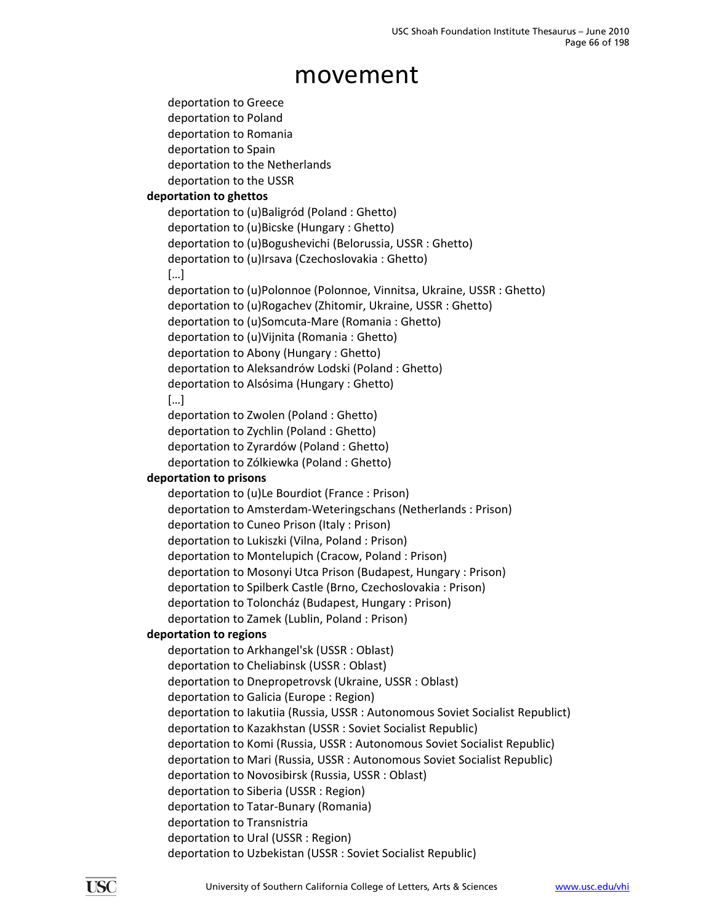deportation to Greece deportation to Poland deportation to Romania deportation to Spain deportation to the Netherlands deportation to the USSR **deportation to ghettos** deportation to (u)Baligród (Poland : Ghetto) deportation to (u)Bicske (Hungary : Ghetto) deportation to (u)Bogushevichi (Belorussia, USSR : Ghetto) deportation to (u)Irsava (Czechoslovakia : Ghetto) […] deportation to (u)Polonnoe (Polonnoe, Vinnitsa, Ukraine, USSR : Ghetto) deportation to (u)Rogachev (Zhitomir, Ukraine, USSR : Ghetto) deportation to (u)Somcuta‐Mare (Romania : Ghetto) deportation to (u)Vijnita (Romania : Ghetto) deportation to Abony (Hungary : Ghetto) deportation to Aleksandrów Lodski (Poland : Ghetto) deportation to Alsósima (Hungary : Ghetto) […] deportation to Zwolen (Poland : Ghetto) deportation to Zychlin (Poland : Ghetto) deportation to Zyrardów (Poland : Ghetto) deportation to Zólkiewka (Poland : Ghetto) **deportation to prisons** deportation to (u)Le Bourdiot (France : Prison) deportation to Amsterdam‐Weteringschans (Netherlands : Prison) deportation to Cuneo Prison (Italy : Prison) deportation to Lukiszki (Vilna, Poland : Prison) deportation to Montelupich (Cracow, Poland : Prison) deportation to Mosonyi Utca Prison (Budapest, Hungary : Prison) deportation to Spilberk Castle (Brno, Czechoslovakia : Prison) deportation to Toloncház (Budapest, Hungary : Prison) deportation to Zamek (Lublin, Poland : Prison) **deportation to regions** deportation to Arkhangel'sk (USSR : Oblast) deportation to Cheliabinsk (USSR : Oblast) deportation to Dnepropetrovsk (Ukraine, USSR : Oblast) deportation to Galicia (Europe : Region) deportation to Iakutiia (Russia, USSR : Autonomous Soviet Socialist Republict) deportation to Kazakhstan (USSR : Soviet Socialist Republic) deportation to Komi (Russia, USSR : Autonomous Soviet Socialist Republic) deportation to Mari (Russia, USSR : Autonomous Soviet Socialist Republic) deportation to Novosibirsk (Russia, USSR : Oblast) deportation to Siberia (USSR : Region) deportation to Tatar‐Bunary (Romania) deportation to Transnistria deportation to Ural (USSR : Region) deportation to Uzbekistan (USSR : Soviet Socialist Republic)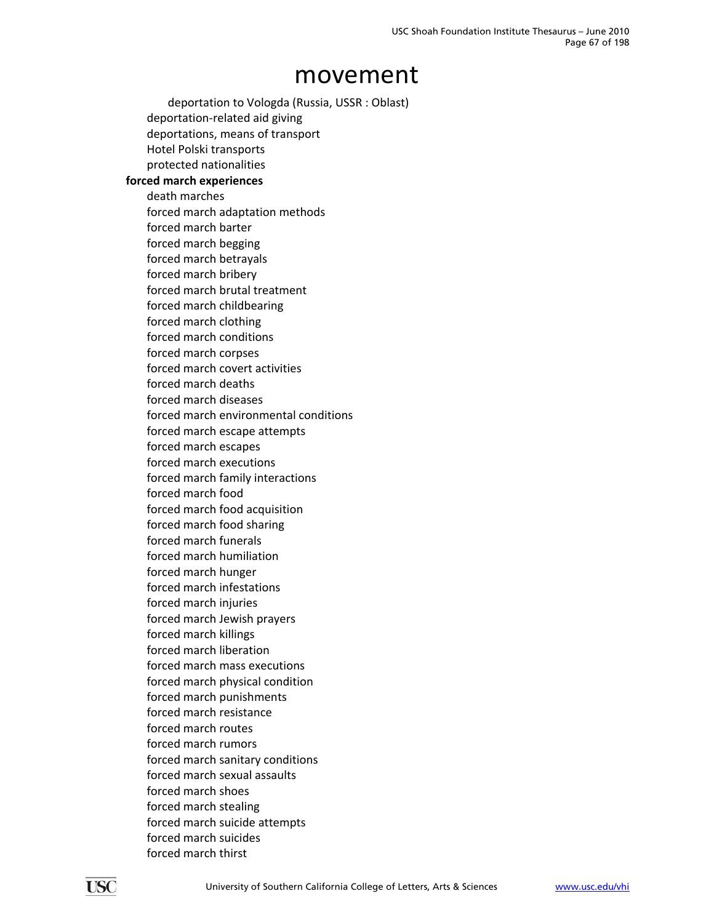deportation to Vologda (Russia, USSR : Oblast) deportation‐related aid giving deportations, means of transport Hotel Polski transports protected nationalities **forced march experiences** death marches forced march adaptation methods forced march barter forced march begging forced march betrayals forced march bribery forced march brutal treatment forced march childbearing forced march clothing forced march conditions forced march corpses forced march covert activities forced march deaths forced march diseases forced march environmental conditions forced march escape attempts forced march escapes forced march executions forced march family interactions forced march food forced march food acquisition forced march food sharing forced march funerals forced march humiliation forced march hunger forced march infestations forced march injuries forced march Jewish prayers forced march killings forced march liberation forced march mass executions forced march physical condition forced march punishments forced march resistance forced march routes forced march rumors forced march sanitary conditions forced march sexual assaults forced march shoes forced march stealing forced march suicide attempts forced march suicides forced march thirst

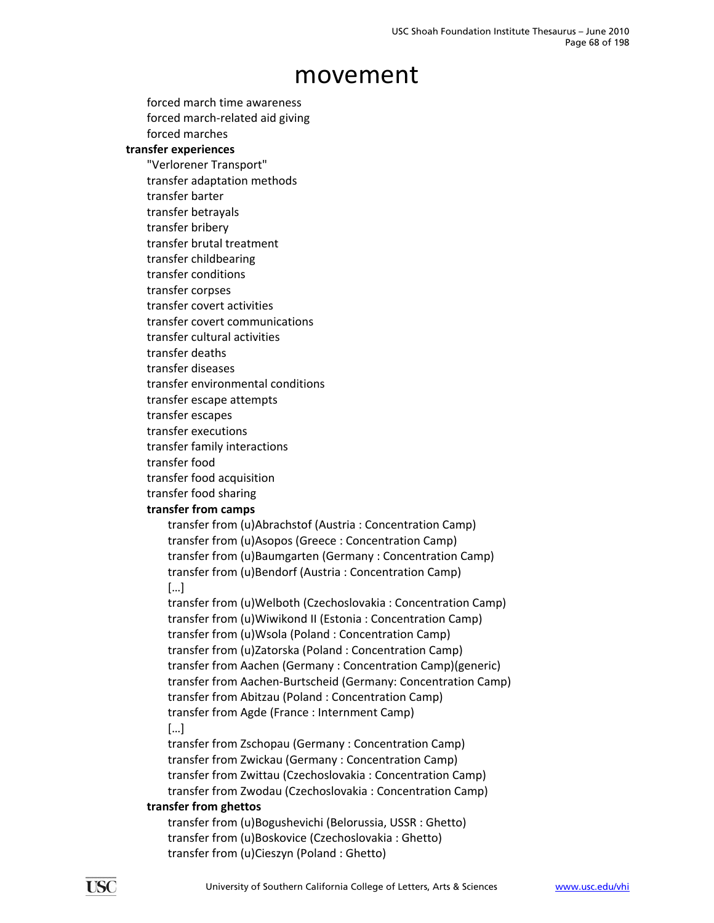forced march time awareness forced march‐related aid giving forced marches

### **transfer experiences**

"Verlorener Transport"

transfer adaptation methods

transfer barter

transfer betrayals

transfer bribery transfer brutal treatment

transfer childbearing

transfer conditions

transfer corpses

transfer covert activities

transfer covert communications

- transfer cultural activities
- transfer deaths
- transfer diseases
- transfer environmental conditions
- transfer escape attempts
- transfer escapes
- transfer executions
- transfer family interactions
- transfer food
- transfer food acquisition
- transfer food sharing

### **transfer from camps**

transfer from (u)Abrachstof (Austria : Concentration Camp) transfer from (u)Asopos (Greece : Concentration Camp) transfer from (u)Baumgarten (Germany : Concentration Camp) transfer from (u)Bendorf (Austria : Concentration Camp) […]

transfer from (u)Welboth (Czechoslovakia : Concentration Camp) transfer from (u)Wiwikond II (Estonia : Concentration Camp) transfer from (u)Wsola (Poland : Concentration Camp) transfer from (u)Zatorska (Poland : Concentration Camp) transfer from Aachen (Germany : Concentration Camp)(generic) transfer from Aachen‐Burtscheid (Germany: Concentration Camp) transfer from Abitzau (Poland : Concentration Camp) transfer from Agde (France : Internment Camp) […]

transfer from Zschopau (Germany : Concentration Camp) transfer from Zwickau (Germany : Concentration Camp) transfer from Zwittau (Czechoslovakia : Concentration Camp) transfer from Zwodau (Czechoslovakia : Concentration Camp)

#### **transfer from ghettos**

transfer from (u)Bogushevichi (Belorussia, USSR : Ghetto) transfer from (u)Boskovice (Czechoslovakia : Ghetto) transfer from (u)Cieszyn (Poland : Ghetto)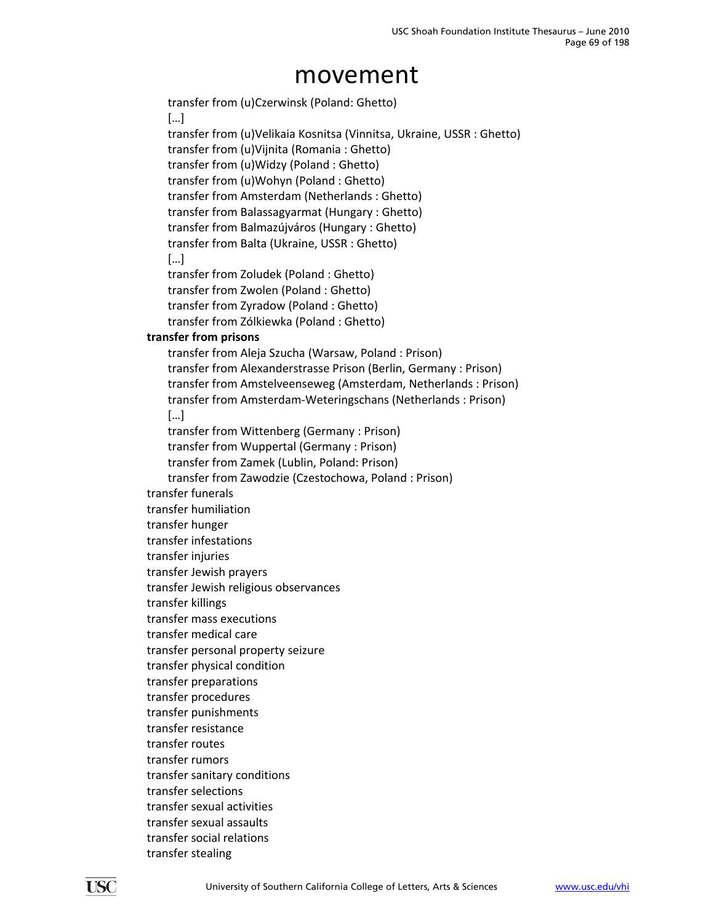transfer from (u)Czerwinsk (Poland: Ghetto) […] transfer from (u)Velikaia Kosnitsa (Vinnitsa, Ukraine, USSR : Ghetto) transfer from (u)Vijnita (Romania : Ghetto) transfer from (u)Widzy (Poland : Ghetto) transfer from (u)Wohyn (Poland : Ghetto) transfer from Amsterdam (Netherlands : Ghetto) transfer from Balassagyarmat (Hungary : Ghetto) transfer from Balmazújváros (Hungary : Ghetto) transfer from Balta (Ukraine, USSR : Ghetto) […] transfer from Zoludek (Poland : Ghetto) transfer from Zwolen (Poland : Ghetto) transfer from Zyradow (Poland : Ghetto) transfer from Zólkiewka (Poland : Ghetto) **transfer from prisons** transfer from Aleja Szucha (Warsaw, Poland : Prison) transfer from Alexanderstrasse Prison (Berlin, Germany : Prison) transfer from Amstelveenseweg (Amsterdam, Netherlands : Prison) transfer from Amsterdam‐Weteringschans (Netherlands : Prison) […] transfer from Wittenberg (Germany : Prison) transfer from Wuppertal (Germany : Prison) transfer from Zamek (Lublin, Poland: Prison) transfer from Zawodzie (Czestochowa, Poland : Prison) transfer funerals transfer humiliation transfer hunger transfer infestations transfer injuries transfer Jewish prayers transfer Jewish religious observances transfer killings transfer mass executions transfer medical care transfer personal property seizure transfer physical condition transfer preparations transfer procedures transfer punishments transfer resistance transfer routes transfer rumors transfer sanitary conditions transfer selections transfer sexual activities transfer sexual assaults transfer social relations transfer stealing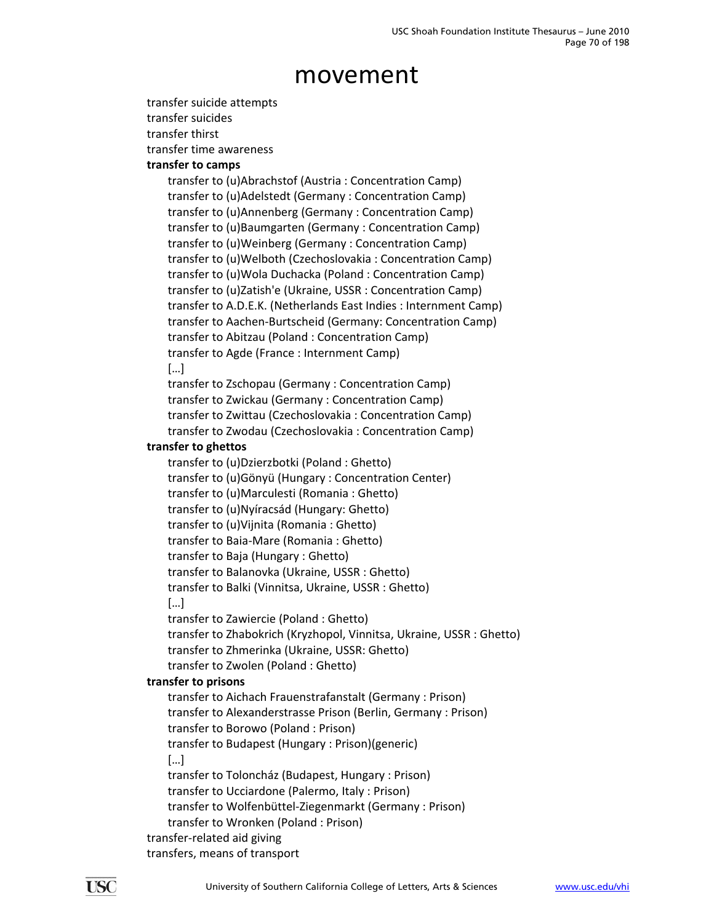transfer suicide attempts

transfer suicides

transfer thirst

transfer time awareness

### **transfer to camps**

transfer to (u)Abrachstof (Austria : Concentration Camp) transfer to (u)Adelstedt (Germany : Concentration Camp) transfer to (u)Annenberg (Germany : Concentration Camp) transfer to (u)Baumgarten (Germany : Concentration Camp) transfer to (u)Weinberg (Germany : Concentration Camp) transfer to (u)Welboth (Czechoslovakia : Concentration Camp) transfer to (u)Wola Duchacka (Poland : Concentration Camp) transfer to (u)Zatish'e (Ukraine, USSR : Concentration Camp) transfer to A.D.E.K. (Netherlands East Indies : Internment Camp) transfer to Aachen‐Burtscheid (Germany: Concentration Camp) transfer to Abitzau (Poland : Concentration Camp) transfer to Agde (France : Internment Camp) […]

transfer to Zschopau (Germany : Concentration Camp) transfer to Zwickau (Germany : Concentration Camp) transfer to Zwittau (Czechoslovakia : Concentration Camp) transfer to Zwodau (Czechoslovakia : Concentration Camp)

### **transfer to ghettos**

transfer to (u)Dzierzbotki (Poland : Ghetto) transfer to (u)Gönyü (Hungary : Concentration Center) transfer to (u)Marculesti (Romania : Ghetto) transfer to (u)Nyíracsád (Hungary: Ghetto) transfer to (u)Vijnita (Romania : Ghetto) transfer to Baia‐Mare (Romania : Ghetto) transfer to Baja (Hungary : Ghetto) transfer to Balanovka (Ukraine, USSR : Ghetto) transfer to Balki (Vinnitsa, Ukraine, USSR : Ghetto) […]

transfer to Zawiercie (Poland : Ghetto)

transfer to Zhabokrich (Kryzhopol, Vinnitsa, Ukraine, USSR : Ghetto) transfer to Zhmerinka (Ukraine, USSR: Ghetto) transfer to Zwolen (Poland : Ghetto)

### **transfer to prisons**

transfer to Aichach Frauenstrafanstalt (Germany : Prison) transfer to Alexanderstrasse Prison (Berlin, Germany : Prison) transfer to Borowo (Poland : Prison) transfer to Budapest (Hungary : Prison)(generic) […] transfer to Toloncház (Budapest, Hungary : Prison) transfer to Ucciardone (Palermo, Italy : Prison) transfer to Wolfenbüttel‐Ziegenmarkt (Germany : Prison) transfer to Wronken (Poland : Prison) transfer‐related aid giving

transfers, means of transport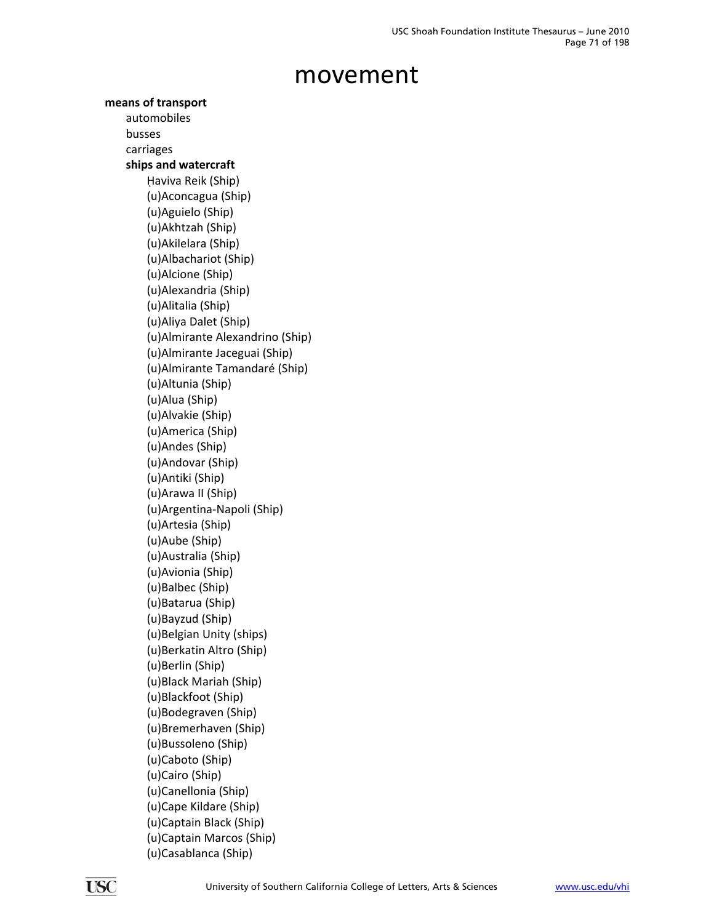**means of transport** automobiles busses carriages **ships and watercraft** Haviva Reik (Ship) (u)Aconcagua (Ship) (u)Aguielo (Ship) (u)Akhtzah (Ship) (u)Akilelara (Ship) (u)Albachariot (Ship) (u)Alcione (Ship) (u)Alexandria (Ship) (u)Alitalia (Ship) (u)Aliya Dalet (Ship) (u)Almirante Alexandrino (Ship) (u)Almirante Jaceguai (Ship) (u)Almirante Tamandaré (Ship) (u)Altunia (Ship) (u)Alua (Ship) (u)Alvakie (Ship) (u)America (Ship) (u)Andes (Ship) (u)Andovar (Ship) (u)Antiki (Ship) (u)Arawa II (Ship) (u)Argentina‐Napoli (Ship) (u)Artesia (Ship) (u)Aube (Ship) (u)Australia (Ship) (u)Avionia (Ship) (u)Balbec (Ship) (u)Batarua (Ship) (u)Bayzud (Ship) (u)Belgian Unity (ships) (u)Berkatin Altro (Ship) (u)Berlin (Ship) (u)Black Mariah (Ship) (u)Blackfoot (Ship) (u)Bodegraven (Ship) (u)Bremerhaven (Ship) (u)Bussoleno (Ship) (u)Caboto (Ship) (u)Cairo (Ship) (u)Canellonia (Ship) (u)Cape Kildare (Ship) (u)Captain Black (Ship) (u)Captain Marcos (Ship) (u)Casablanca (Ship)

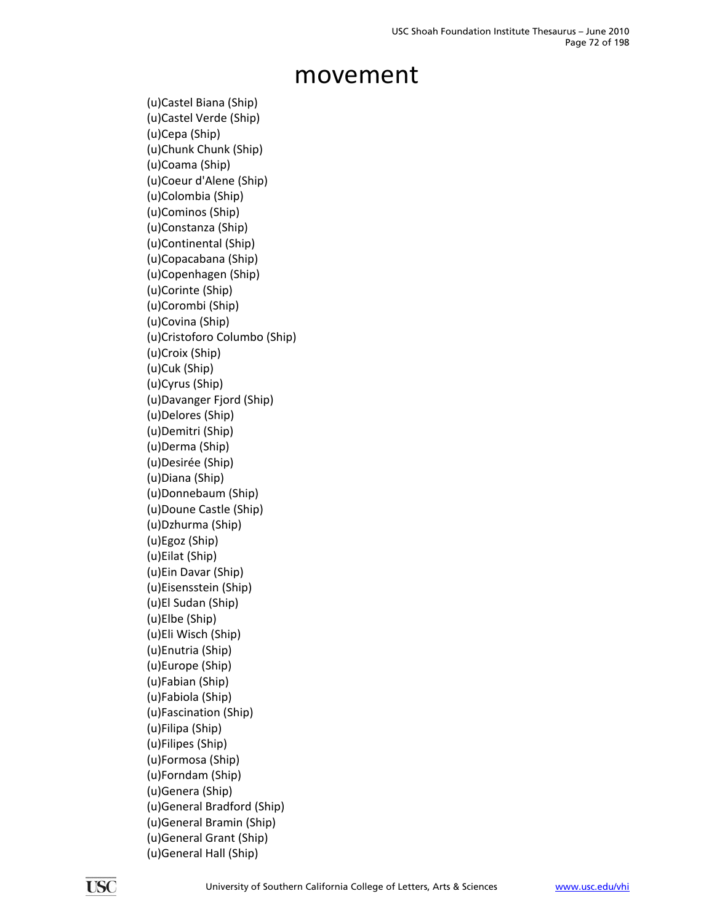(u)Castel Biana (Ship) (u)Castel Verde (Ship) (u)Cepa (Ship) (u)Chunk Chunk (Ship) (u)Coama (Ship) (u)Coeur d'Alene (Ship) (u)Colombia (Ship) (u)Cominos (Ship) (u)Constanza (Ship) (u)Continental (Ship) (u)Copacabana (Ship) (u)Copenhagen (Ship) (u)Corinte (Ship) (u)Corombi (Ship) (u)Covina (Ship) (u)Cristoforo Columbo (Ship) (u)Croix (Ship) (u)Cuk (Ship) (u)Cyrus (Ship) (u)Davanger Fjord (Ship) (u)Delores (Ship) (u)Demitri (Ship) (u)Derma (Ship) (u)Desirée (Ship) (u)Diana (Ship) (u)Donnebaum (Ship) (u)Doune Castle (Ship) (u)Dzhurma (Ship) (u)Egoz (Ship) (u)Eilat (Ship) (u)Ein Davar (Ship) (u)Eisensstein (Ship) (u)El Sudan (Ship) (u)Elbe (Ship) (u)Eli Wisch (Ship) (u)Enutria (Ship) (u)Europe (Ship) (u)Fabian (Ship) (u)Fabiola (Ship) (u)Fascination (Ship) (u)Filipa (Ship) (u)Filipes (Ship) (u)Formosa (Ship) (u)Forndam (Ship) (u)Genera (Ship) (u)General Bradford (Ship) (u)General Bramin (Ship) (u)General Grant (Ship) (u)General Hall (Ship)

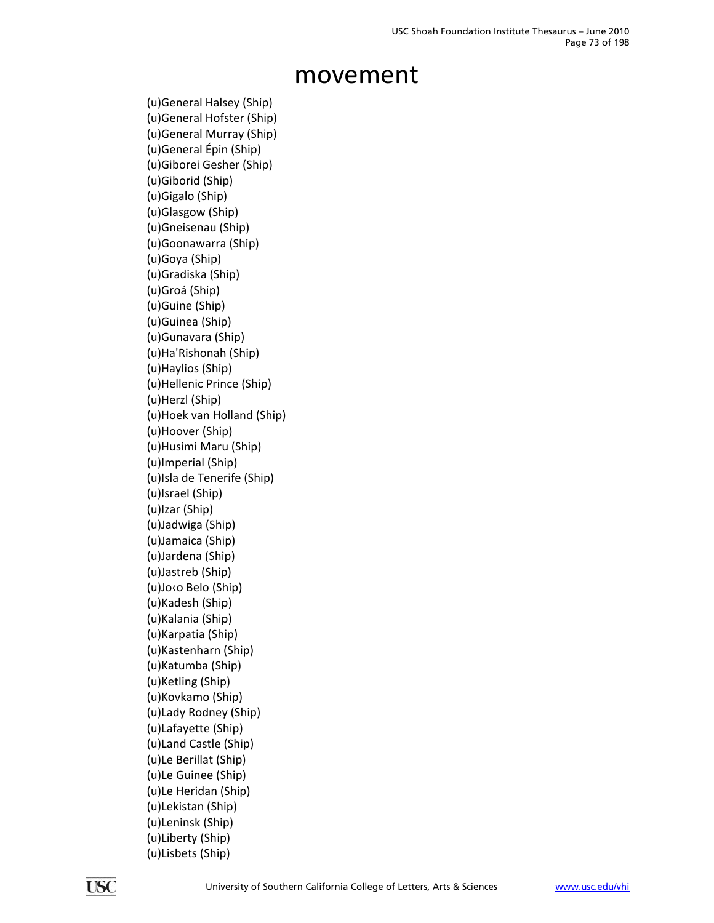(u)General Halsey (Ship) (u)General Hofster (Ship) (u)General Murray (Ship) (u)General Épin (Ship) (u)Giborei Gesher (Ship) (u)Giborid (Ship) (u)Gigalo (Ship) (u)Glasgow (Ship) (u)Gneisenau (Ship) (u)Goonawarra (Ship) (u)Goya (Ship) (u)Gradiska (Ship) (u)Groá (Ship) (u)Guine (Ship) (u)Guinea (Ship) (u)Gunavara (Ship) (u)Ha'Rishonah (Ship) (u)Haylios (Ship) (u)Hellenic Prince (Ship) (u)Herzl (Ship) (u)Hoek van Holland (Ship) (u)Hoover (Ship) (u)Husimi Maru (Ship) (u)Imperial (Ship) (u)Isla de Tenerife (Ship) (u)Israel (Ship) (u)Izar (Ship) (u)Jadwiga (Ship) (u)Jamaica (Ship) (u)Jardena (Ship) (u)Jastreb (Ship) (u)Jo‹o Belo (Ship) (u)Kadesh (Ship) (u)Kalania (Ship) (u)Karpatia (Ship) (u)Kastenharn (Ship) (u)Katumba (Ship) (u)Ketling (Ship) (u)Kovkamo (Ship) (u)Lady Rodney (Ship) (u)Lafayette (Ship) (u)Land Castle (Ship) (u)Le Berillat (Ship) (u)Le Guinee (Ship) (u)Le Heridan (Ship) (u)Lekistan (Ship) (u)Leninsk (Ship) (u)Liberty (Ship) (u)Lisbets (Ship)

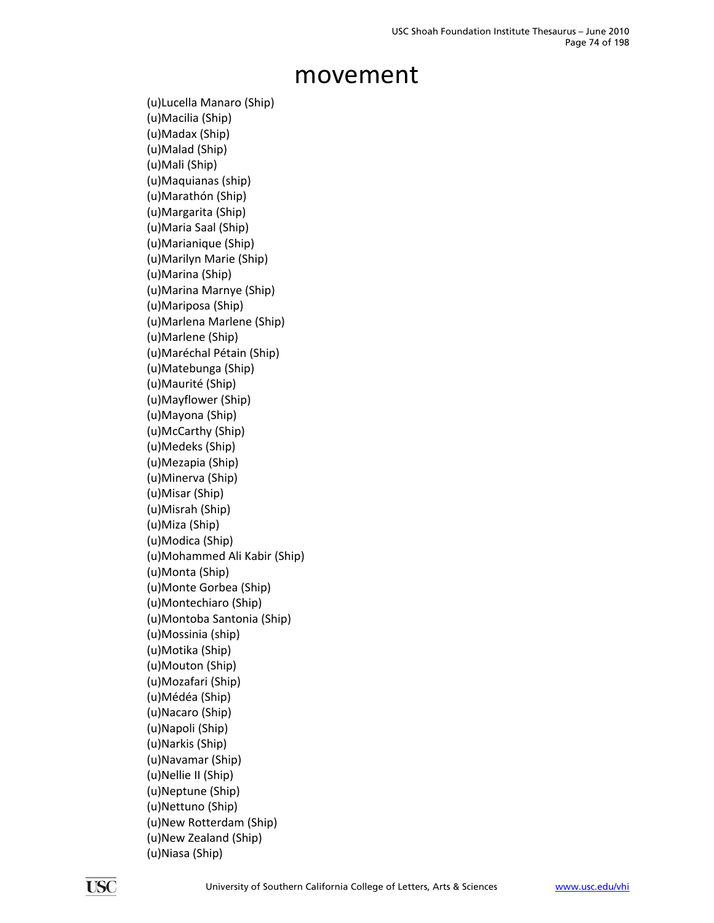(u)Lucella Manaro (Ship) (u)Macilia (Ship) (u)Madax (Ship) (u)Malad (Ship) (u)Mali (Ship) (u)Maquianas (ship) (u)Marathón (Ship) (u)Margarita (Ship) (u)Maria Saal (Ship) (u)Marianique (Ship) (u)Marilyn Marie (Ship) (u)Marina (Ship) (u)Marina Marnye (Ship) (u)Mariposa (Ship) (u)Marlena Marlene (Ship) (u)Marlene (Ship) (u)Maréchal Pétain (Ship) (u)Matebunga (Ship) (u)Maurité (Ship) (u)Mayflower (Ship) (u)Mayona (Ship) (u)McCarthy (Ship) (u)Medeks (Ship) (u)Mezapia (Ship) (u)Minerva (Ship) (u)Misar (Ship) (u)Misrah (Ship) (u)Miza (Ship) (u)Modica (Ship) (u)Mohammed Ali Kabir (Ship) (u)Monta (Ship) (u)Monte Gorbea (Ship) (u)Montechiaro (Ship) (u)Montoba Santonia (Ship) (u)Mossinia (ship) (u)Motika (Ship) (u)Mouton (Ship) (u)Mozafari (Ship) (u)Médéa (Ship) (u)Nacaro (Ship) (u)Napoli (Ship) (u)Narkis (Ship) (u)Navamar (Ship) (u)Nellie II (Ship) (u)Neptune (Ship) (u)Nettuno (Ship) (u)New Rotterdam (Ship) (u)New Zealand (Ship) (u)Niasa (Ship)

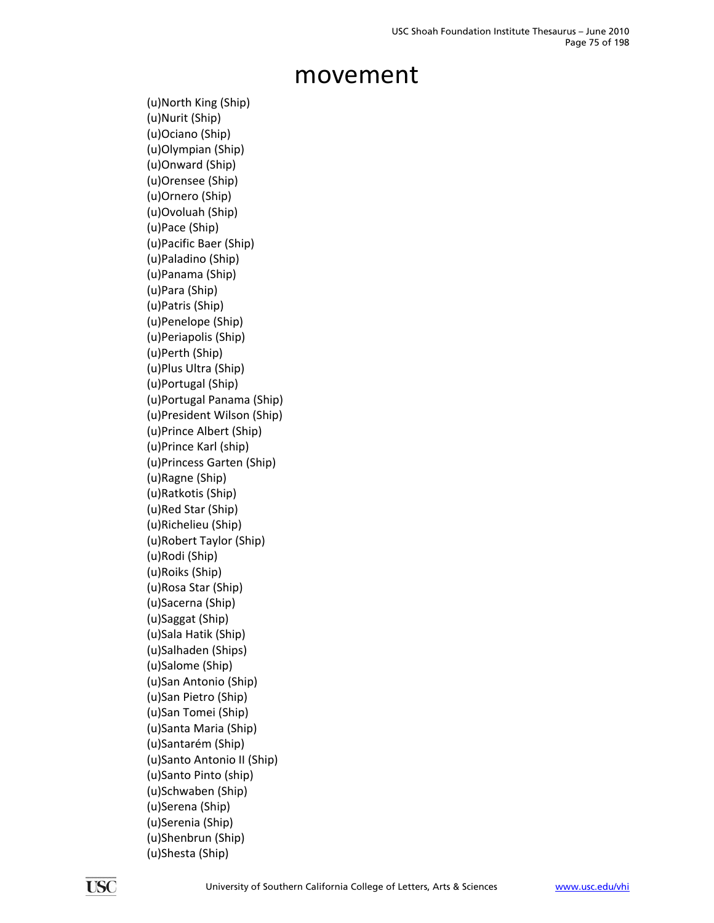(u)North King (Ship) (u)Nurit (Ship) (u)Ociano (Ship) (u)Olympian (Ship) (u)Onward (Ship) (u)Orensee (Ship) (u)Ornero (Ship) (u)Ovoluah (Ship) (u)Pace (Ship) (u)Pacific Baer (Ship) (u)Paladino (Ship) (u)Panama (Ship) (u)Para (Ship) (u)Patris (Ship) (u)Penelope (Ship) (u)Periapolis (Ship) (u)Perth (Ship) (u)Plus Ultra (Ship) (u)Portugal (Ship) (u)Portugal Panama (Ship) (u)President Wilson (Ship) (u)Prince Albert (Ship) (u)Prince Karl (ship) (u)Princess Garten (Ship) (u)Ragne (Ship) (u)Ratkotis (Ship) (u)Red Star (Ship) (u)Richelieu (Ship) (u)Robert Taylor (Ship) (u)Rodi (Ship) (u)Roiks (Ship) (u)Rosa Star (Ship) (u)Sacerna (Ship) (u)Saggat (Ship) (u)Sala Hatik (Ship) (u)Salhaden (Ships) (u)Salome (Ship) (u)San Antonio (Ship) (u)San Pietro (Ship) (u)San Tomei (Ship) (u)Santa Maria (Ship) (u)Santarém (Ship) (u)Santo Antonio II (Ship) (u)Santo Pinto (ship) (u)Schwaben (Ship) (u)Serena (Ship) (u)Serenia (Ship) (u)Shenbrun (Ship) (u)Shesta (Ship)

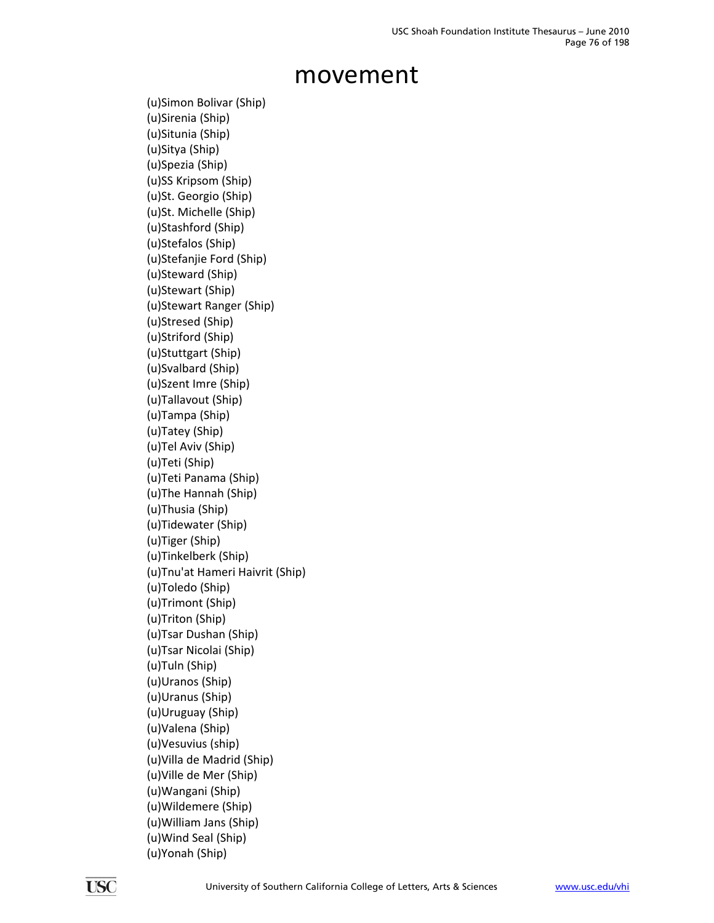(u)Simon Bolivar (Ship) (u)Sirenia (Ship) (u)Situnia (Ship) (u)Sitya (Ship) (u)Spezia (Ship) (u)SS Kripsom (Ship) (u)St. Georgio (Ship) (u)St. Michelle (Ship) (u)Stashford (Ship) (u)Stefalos (Ship) (u)Stefanjie Ford (Ship) (u)Steward (Ship) (u)Stewart (Ship) (u)Stewart Ranger (Ship) (u)Stresed (Ship) (u)Striford (Ship) (u)Stuttgart (Ship) (u)Svalbard (Ship) (u)Szent Imre (Ship) (u)Tallavout (Ship) (u)Tampa (Ship) (u)Tatey (Ship) (u)Tel Aviv (Ship) (u)Teti (Ship) (u)Teti Panama (Ship) (u)The Hannah (Ship) (u)Thusia (Ship) (u)Tidewater (Ship) (u)Tiger (Ship) (u)Tinkelberk (Ship) (u)Tnu'at Hameri Haivrit (Ship) (u)Toledo (Ship) (u)Trimont (Ship) (u)Triton (Ship) (u)Tsar Dushan (Ship) (u)Tsar Nicolai (Ship) (u)Tuln (Ship) (u)Uranos (Ship) (u)Uranus (Ship) (u)Uruguay (Ship) (u)Valena (Ship) (u)Vesuvius (ship) (u)Villa de Madrid (Ship) (u)Ville de Mer (Ship) (u)Wangani (Ship) (u)Wildemere (Ship) (u)William Jans (Ship) (u)Wind Seal (Ship) (u)Yonah (Ship)

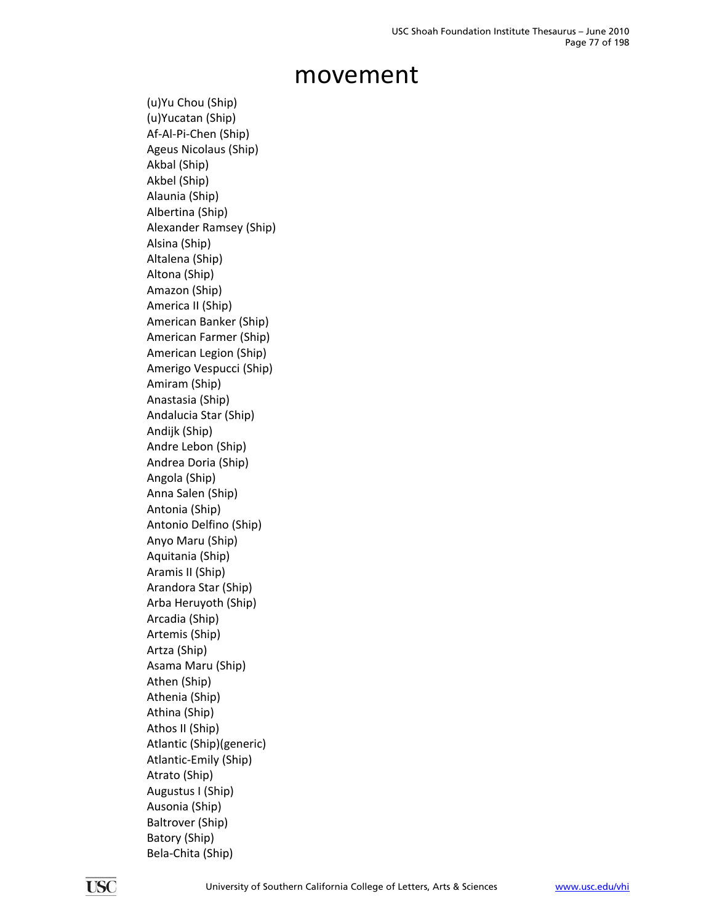(u)Yu Chou (Ship) (u)Yucatan (Ship) Af‐Al‐Pi‐Chen (Ship) Ageus Nicolaus (Ship) Akbal (Ship) Akbel (Ship) Alaunia (Ship) Albertina (Ship) Alexander Ramsey (Ship) Alsina (Ship) Altalena (Ship) Altona (Ship) Amazon (Ship) America II (Ship) American Banker (Ship) American Farmer (Ship) American Legion (Ship) Amerigo Vespucci (Ship) Amiram (Ship) Anastasia (Ship) Andalucia Star (Ship) Andijk (Ship) Andre Lebon (Ship) Andrea Doria (Ship) Angola (Ship) Anna Salen (Ship) Antonia (Ship) Antonio Delfino (Ship) Anyo Maru (Ship) Aquitania (Ship) Aramis II (Ship) Arandora Star (Ship) Arba Heruyoth (Ship) Arcadia (Ship) Artemis (Ship) Artza (Ship) Asama Maru (Ship) Athen (Ship) Athenia (Ship) Athina (Ship) Athos II (Ship) Atlantic (Ship)(generic) Atlantic‐Emily (Ship) Atrato (Ship) Augustus I (Ship) Ausonia (Ship) Baltrover (Ship) Batory (Ship) Bela‐Chita (Ship)

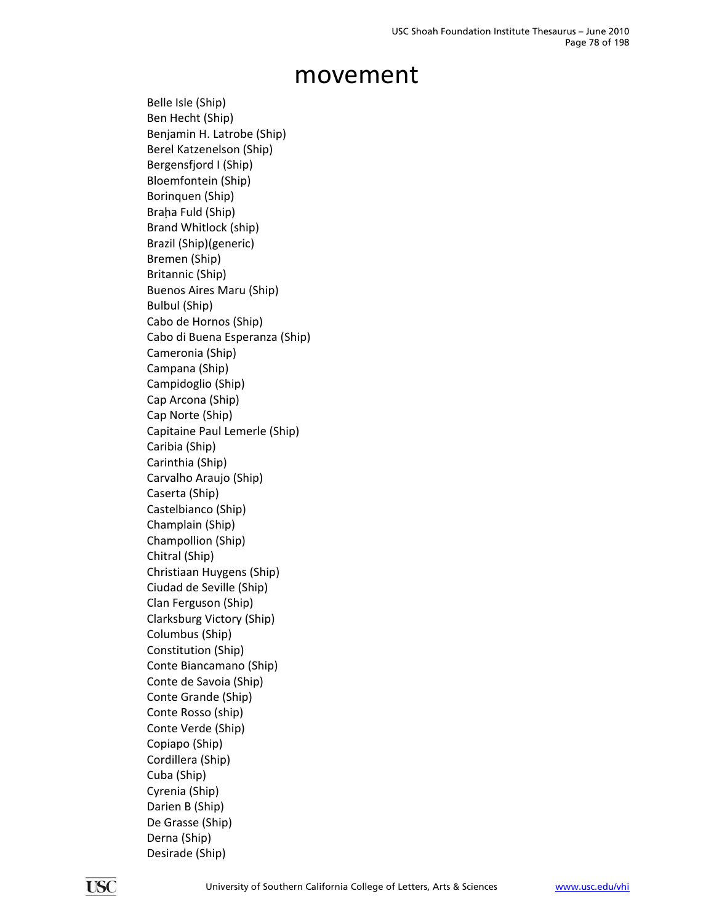Belle Isle (Ship) Ben Hecht (Ship) Benjamin H. Latrobe (Ship) Berel Katzenelson (Ship) Bergensfjord I (Ship) Bloemfontein (Ship) Borinquen (Ship) Braha Fuld (Ship) Brand Whitlock (ship) Brazil (Ship)(generic) Bremen (Ship) Britannic (Ship) Buenos Aires Maru (Ship) Bulbul (Ship) Cabo de Hornos (Ship) Cabo di Buena Esperanza (Ship) Cameronia (Ship) Campana (Ship) Campidoglio (Ship) Cap Arcona (Ship) Cap Norte (Ship) Capitaine Paul Lemerle (Ship) Caribia (Ship) Carinthia (Ship) Carvalho Araujo (Ship) Caserta (Ship) Castelbianco (Ship) Champlain (Ship) Champollion (Ship) Chitral (Ship) Christiaan Huygens (Ship) Ciudad de Seville (Ship) Clan Ferguson (Ship) Clarksburg Victory (Ship) Columbus (Ship) Constitution (Ship) Conte Biancamano (Ship) Conte de Savoia (Ship) Conte Grande (Ship) Conte Rosso (ship) Conte Verde (Ship) Copiapo (Ship) Cordillera (Ship) Cuba (Ship) Cyrenia (Ship) Darien B (Ship) De Grasse (Ship) Derna (Ship) Desirade (Ship)

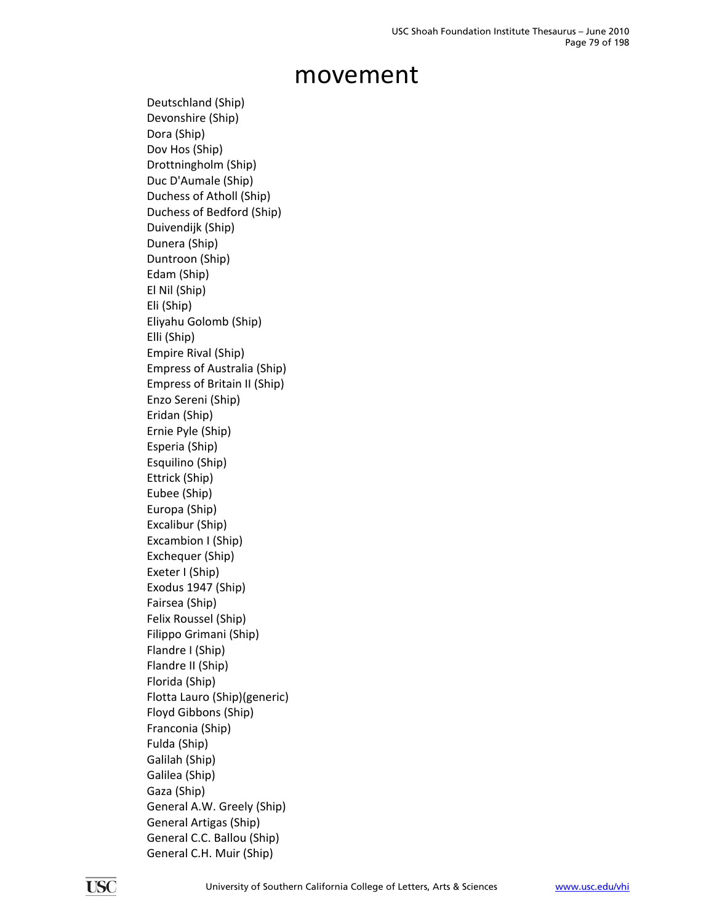Deutschland (Ship) Devonshire (Ship) Dora (Ship) Dov Hos (Ship) Drottningholm (Ship) Duc D'Aumale (Ship) Duchess of Atholl (Ship) Duchess of Bedford (Ship) Duivendijk (Ship) Dunera (Ship) Duntroon (Ship) Edam (Ship) El Nil (Ship) Eli (Ship) Eliyahu Golomb (Ship) Elli (Ship) Empire Rival (Ship) Empress of Australia (Ship) Empress of Britain II (Ship) Enzo Sereni (Ship) Eridan (Ship) Ernie Pyle (Ship) Esperia (Ship) Esquilino (Ship) Ettrick (Ship) Eubee (Ship) Europa (Ship) Excalibur (Ship) Excambion I (Ship) Exchequer (Ship) Exeter I (Ship) Exodus 1947 (Ship) Fairsea (Ship) Felix Roussel (Ship) Filippo Grimani (Ship) Flandre I (Ship) Flandre II (Ship) Florida (Ship) Flotta Lauro (Ship)(generic) Floyd Gibbons (Ship) Franconia (Ship) Fulda (Ship) Galilah (Ship) Galilea (Ship) Gaza (Ship) General A.W. Greely (Ship) General Artigas (Ship) General C.C. Ballou (Ship) General C.H. Muir (Ship)

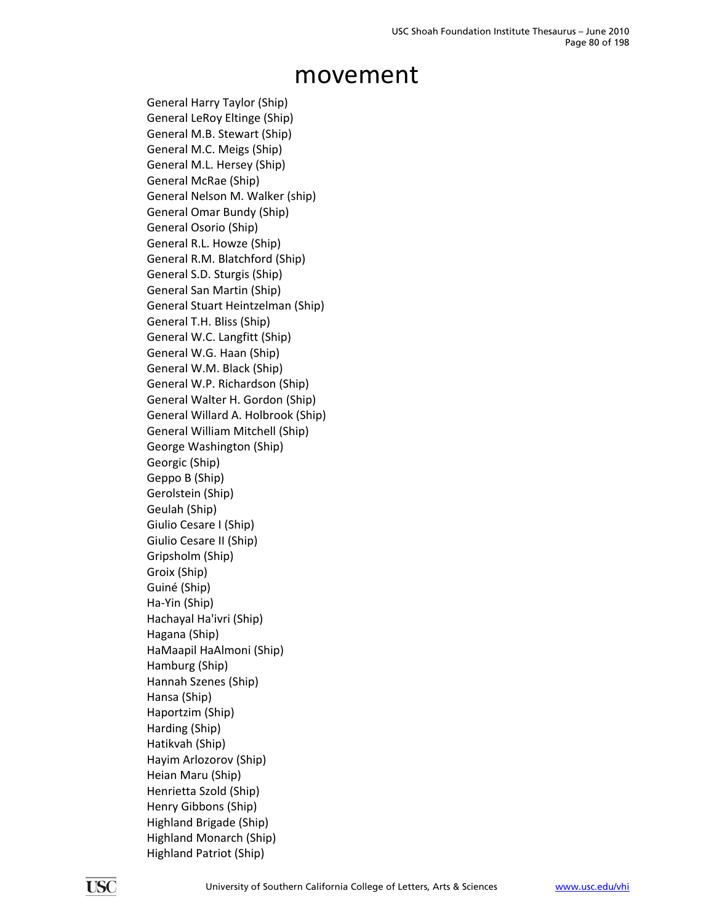General Harry Taylor (Ship) General LeRoy Eltinge (Ship) General M.B. Stewart (Ship) General M.C. Meigs (Ship) General M.L. Hersey (Ship) General McRae (Ship) General Nelson M. Walker (ship) General Omar Bundy (Ship) General Osorio (Ship) General R.L. Howze (Ship) General R.M. Blatchford (Ship) General S.D. Sturgis (Ship) General San Martin (Ship) General Stuart Heintzelman (Ship) General T.H. Bliss (Ship) General W.C. Langfitt (Ship) General W.G. Haan (Ship) General W.M. Black (Ship) General W.P. Richardson (Ship) General Walter H. Gordon (Ship) General Willard A. Holbrook (Ship) General William Mitchell (Ship) George Washington (Ship) Georgic (Ship) Geppo B (Ship) Gerolstein (Ship) Geulah (Ship) Giulio Cesare I (Ship) Giulio Cesare II (Ship) Gripsholm (Ship) Groix (Ship) Guiné (Ship) Ha‐Yin (Ship) Hachayal Ha'ivri (Ship) Hagana (Ship) HaMaapil HaAlmoni (Ship) Hamburg (Ship) Hannah Szenes (Ship) Hansa (Ship) Haportzim (Ship) Harding (Ship) Hatikvah (Ship) Hayim Arlozorov (Ship) Heian Maru (Ship) Henrietta Szold (Ship) Henry Gibbons (Ship) Highland Brigade (Ship) Highland Monarch (Ship) Highland Patriot (Ship)

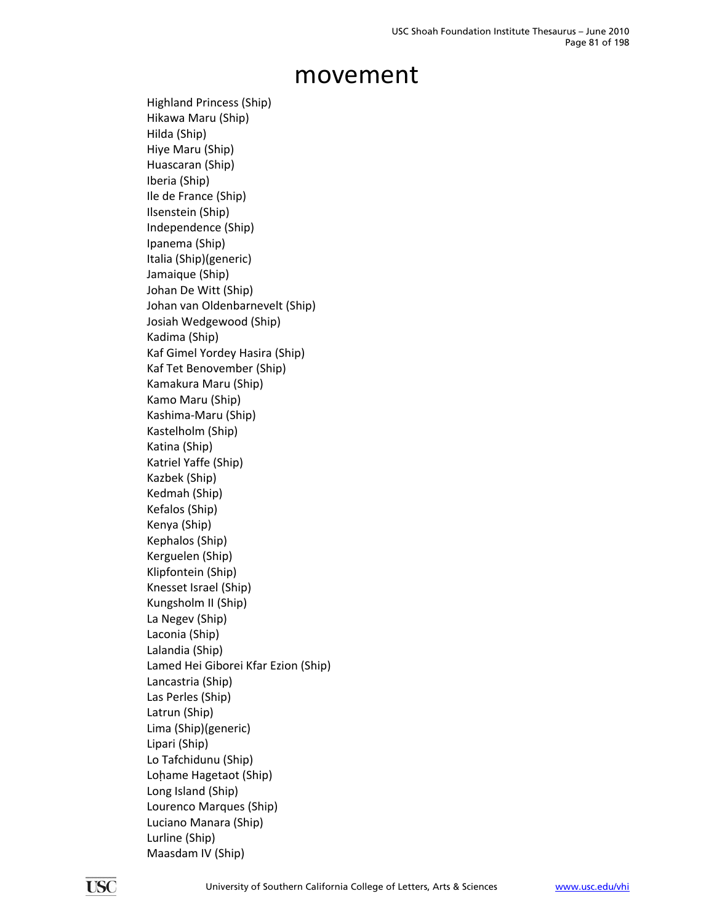Highland Princess (Ship) Hikawa Maru (Ship) Hilda (Ship) Hiye Maru (Ship) Huascaran (Ship) Iberia (Ship) Ile de France (Ship) Ilsenstein (Ship) Independence (Ship) Ipanema (Ship) Italia (Ship)(generic) Jamaique (Ship) Johan De Witt (Ship) Johan van Oldenbarnevelt (Ship) Josiah Wedgewood (Ship) Kadima (Ship) Kaf Gimel Yordey Hasira (Ship) Kaf Tet Benovember (Ship) Kamakura Maru (Ship) Kamo Maru (Ship) Kashima‐Maru (Ship) Kastelholm (Ship) Katina (Ship) Katriel Yaffe (Ship) Kazbek (Ship) Kedmah (Ship) Kefalos (Ship) Kenya (Ship) Kephalos (Ship) Kerguelen (Ship) Klipfontein (Ship) Knesset Israel (Ship) Kungsholm II (Ship) La Negev (Ship) Laconia (Ship) Lalandia (Ship) Lamed Hei Giborei Kfar Ezion (Ship) Lancastria (Ship) Las Perles (Ship) Latrun (Ship) Lima (Ship)(generic) Lipari (Ship) Lo Tafchidunu (Ship) Lohame Hagetaot (Ship) Long Island (Ship) Lourenco Marques (Ship) Luciano Manara (Ship) Lurline (Ship) Maasdam IV (Ship)

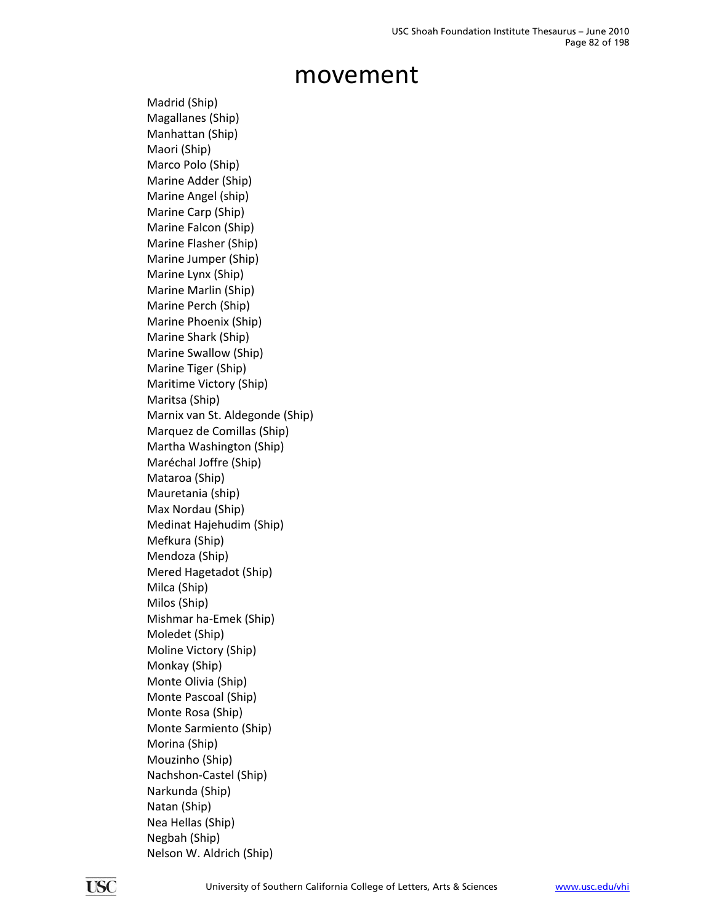Madrid (Ship) Magallanes (Ship) Manhattan (Ship) Maori (Ship) Marco Polo (Ship) Marine Adder (Ship) Marine Angel (ship) Marine Carp (Ship) Marine Falcon (Ship) Marine Flasher (Ship) Marine Jumper (Ship) Marine Lynx (Ship) Marine Marlin (Ship) Marine Perch (Ship) Marine Phoenix (Ship) Marine Shark (Ship) Marine Swallow (Ship) Marine Tiger (Ship) Maritime Victory (Ship) Maritsa (Ship) Marnix van St. Aldegonde (Ship) Marquez de Comillas (Ship) Martha Washington (Ship) Maréchal Joffre (Ship) Mataroa (Ship) Mauretania (ship) Max Nordau (Ship) Medinat Hajehudim (Ship) Mefkura (Ship) Mendoza (Ship) Mered Hagetadot (Ship) Milca (Ship) Milos (Ship) Mishmar ha‐Emek (Ship) Moledet (Ship) Moline Victory (Ship) Monkay (Ship) Monte Olivia (Ship) Monte Pascoal (Ship) Monte Rosa (Ship) Monte Sarmiento (Ship) Morina (Ship) Mouzinho (Ship) Nachshon‐Castel (Ship) Narkunda (Ship) Natan (Ship) Nea Hellas (Ship) Negbah (Ship) Nelson W. Aldrich (Ship)

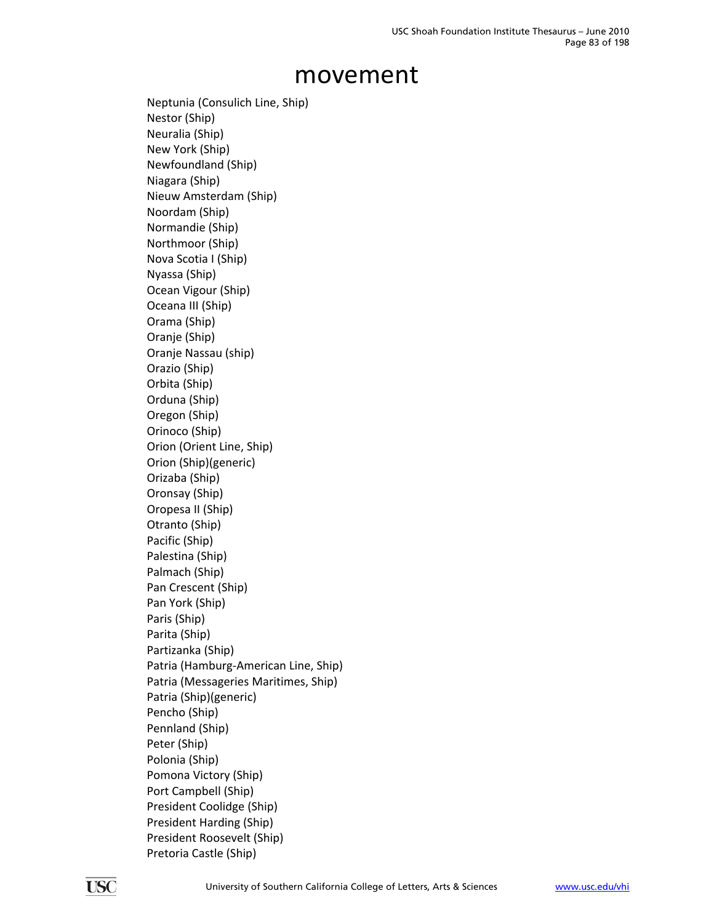Neptunia (Consulich Line, Ship) Nestor (Ship) Neuralia (Ship) New York (Ship) Newfoundland (Ship) Niagara (Ship) Nieuw Amsterdam (Ship) Noordam (Ship) Normandie (Ship) Northmoor (Ship) Nova Scotia I (Ship) Nyassa (Ship) Ocean Vigour (Ship) Oceana III (Ship) Orama (Ship) Oranje (Ship) Oranje Nassau (ship) Orazio (Ship) Orbita (Ship) Orduna (Ship) Oregon (Ship) Orinoco (Ship) Orion (Orient Line, Ship) Orion (Ship)(generic) Orizaba (Ship) Oronsay (Ship) Oropesa II (Ship) Otranto (Ship) Pacific (Ship) Palestina (Ship) Palmach (Ship) Pan Crescent (Ship) Pan York (Ship) Paris (Ship) Parita (Ship) Partizanka (Ship) Patria (Hamburg‐American Line, Ship) Patria (Messageries Maritimes, Ship) Patria (Ship)(generic) Pencho (Ship) Pennland (Ship) Peter (Ship) Polonia (Ship) Pomona Victory (Ship) Port Campbell (Ship) President Coolidge (Ship) President Harding (Ship) President Roosevelt (Ship) Pretoria Castle (Ship)

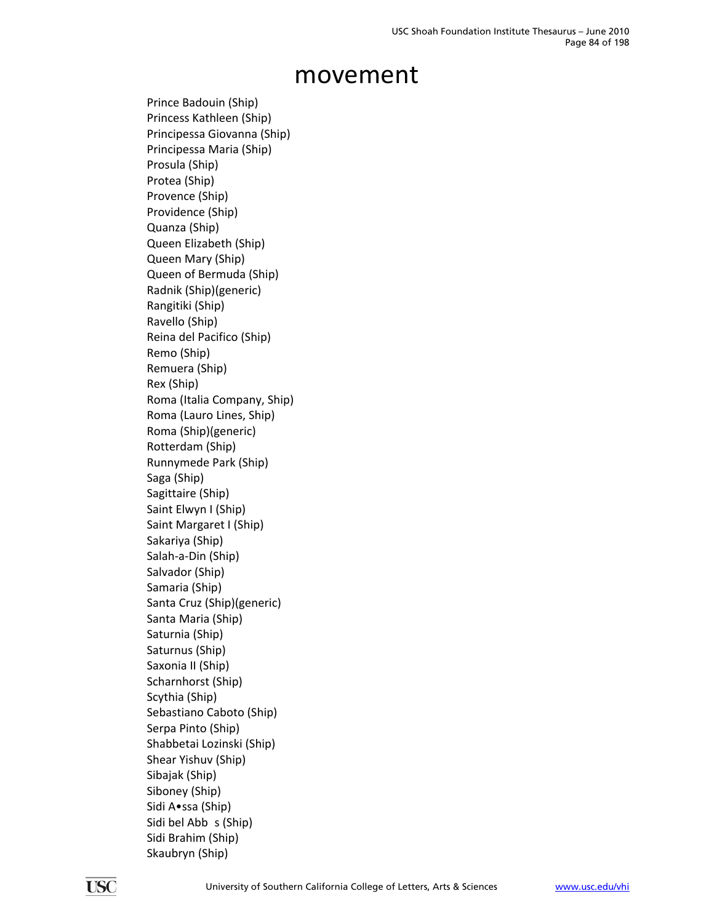Prince Badouin (Ship) Princess Kathleen (Ship) Principessa Giovanna (Ship) Principessa Maria (Ship) Prosula (Ship) Protea (Ship) Provence (Ship) Providence (Ship) Quanza (Ship) Queen Elizabeth (Ship) Queen Mary (Ship) Queen of Bermuda (Ship) Radnik (Ship)(generic) Rangitiki (Ship) Ravello (Ship) Reina del Pacifico (Ship) Remo (Ship) Remuera (Ship) Rex (Ship) Roma (Italia Company, Ship) Roma (Lauro Lines, Ship) Roma (Ship)(generic) Rotterdam (Ship) Runnymede Park (Ship) Saga (Ship) Sagittaire (Ship) Saint Elwyn I (Ship) Saint Margaret I (Ship) Sakariya (Ship) Salah‐a‐Din (Ship) Salvador (Ship) Samaria (Ship) Santa Cruz (Ship)(generic) Santa Maria (Ship) Saturnia (Ship) Saturnus (Ship) Saxonia II (Ship) Scharnhorst (Ship) Scythia (Ship) Sebastiano Caboto (Ship) Serpa Pinto (Ship) Shabbetai Lozinski (Ship) Shear Yishuv (Ship) Sibajak (Ship) Siboney (Ship) Sidi A•ssa (Ship) Sidi bel Abb s (Ship) Sidi Brahim (Ship) Skaubryn (Ship)

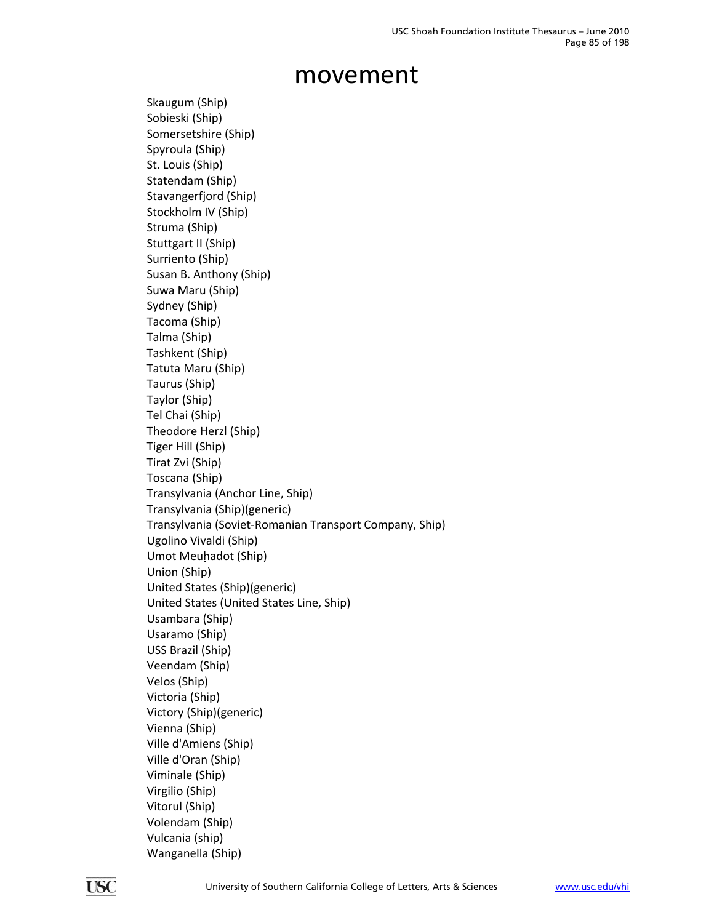Skaugum (Ship) Sobieski (Ship) Somersetshire (Ship) Spyroula (Ship) St. Louis (Ship) Statendam (Ship) Stavangerfjord (Ship) Stockholm IV (Ship) Struma (Ship) Stuttgart II (Ship) Surriento (Ship) Susan B. Anthony (Ship) Suwa Maru (Ship) Sydney (Ship) Tacoma (Ship) Talma (Ship) Tashkent (Ship) Tatuta Maru (Ship) Taurus (Ship) Taylor (Ship) Tel Chai (Ship) Theodore Herzl (Ship) Tiger Hill (Ship) Tirat Zvi (Ship) Toscana (Ship) Transylvania (Anchor Line, Ship) Transylvania (Ship)(generic) Transylvania (Soviet‐Romanian Transport Company, Ship) Ugolino Vivaldi (Ship) Umot Meuhadot (Ship) Union (Ship) United States (Ship)(generic) United States (United States Line, Ship) Usambara (Ship) Usaramo (Ship) USS Brazil (Ship) Veendam (Ship) Velos (Ship) Victoria (Ship) Victory (Ship)(generic) Vienna (Ship) Ville d'Amiens (Ship) Ville d'Oran (Ship) Viminale (Ship) Virgilio (Ship) Vitorul (Ship) Volendam (Ship) Vulcania (ship) Wanganella (Ship)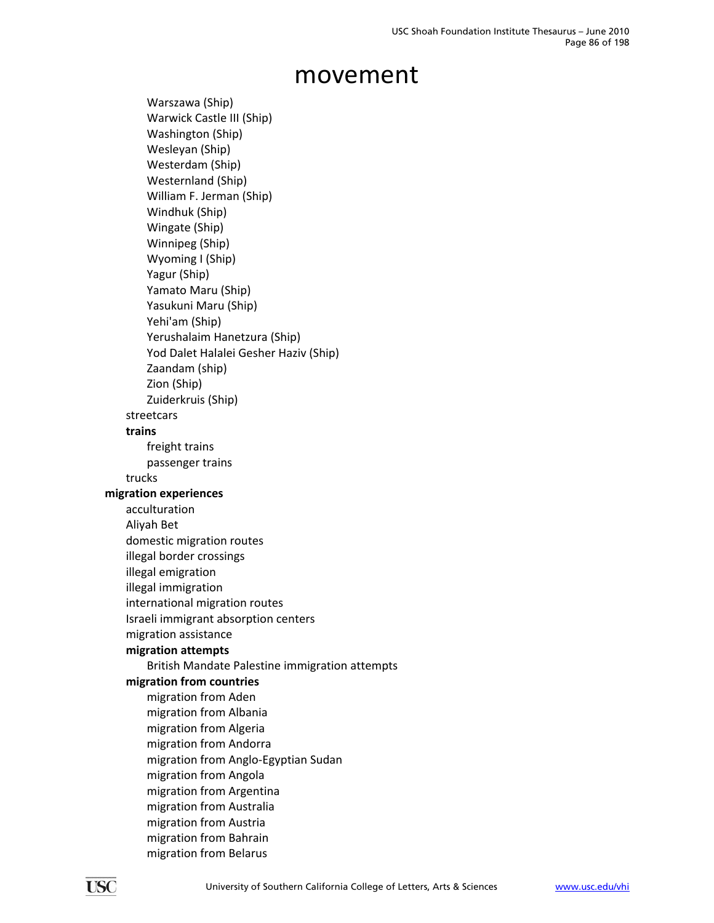Warszawa (Ship) Warwick Castle III (Ship) Washington (Ship) Wesleyan (Ship) Westerdam (Ship) Westernland (Ship) William F. Jerman (Ship) Windhuk (Ship) Wingate (Ship) Winnipeg (Ship) Wyoming I (Ship) Yagur (Ship) Yamato Maru (Ship) Yasukuni Maru (Ship) Yehi'am (Ship) Yerushalaim Hanetzura (Ship) Yod Dalet Halalei Gesher Haziv (Ship) Zaandam (ship) Zion (Ship) Zuiderkruis (Ship) streetcars **trains** freight trains passenger trains trucks **migration experiences** acculturation Aliyah Bet domestic migration routes illegal border crossings illegal emigration illegal immigration international migration routes Israeli immigrant absorption centers migration assistance **migration attempts** British Mandate Palestine immigration attempts **migration from countries** migration from Aden migration from Albania migration from Algeria migration from Andorra migration from Anglo‐Egyptian Sudan migration from Angola migration from Argentina migration from Australia migration from Austria migration from Bahrain migration from Belarus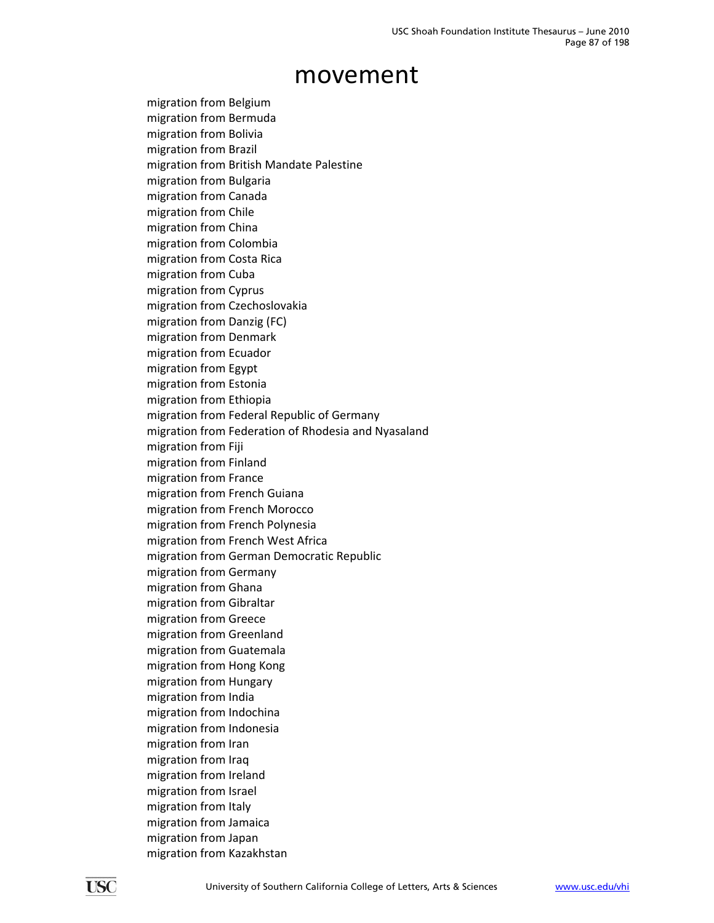migration from Belgium migration from Bermuda migration from Bolivia migration from Brazil migration from British Mandate Palestine migration from Bulgaria migration from Canada migration from Chile migration from China migration from Colombia migration from Costa Rica migration from Cuba migration from Cyprus migration from Czechoslovakia migration from Danzig (FC) migration from Denmark migration from Ecuador migration from Egypt migration from Estonia migration from Ethiopia migration from Federal Republic of Germany migration from Federation of Rhodesia and Nyasaland migration from Fiji migration from Finland migration from France migration from French Guiana migration from French Morocco migration from French Polynesia migration from French West Africa migration from German Democratic Republic migration from Germany migration from Ghana migration from Gibraltar migration from Greece migration from Greenland migration from Guatemala migration from Hong Kong migration from Hungary migration from India migration from Indochina migration from Indonesia migration from Iran migration from Iraq migration from Ireland migration from Israel migration from Italy migration from Jamaica migration from Japan migration from Kazakhstan

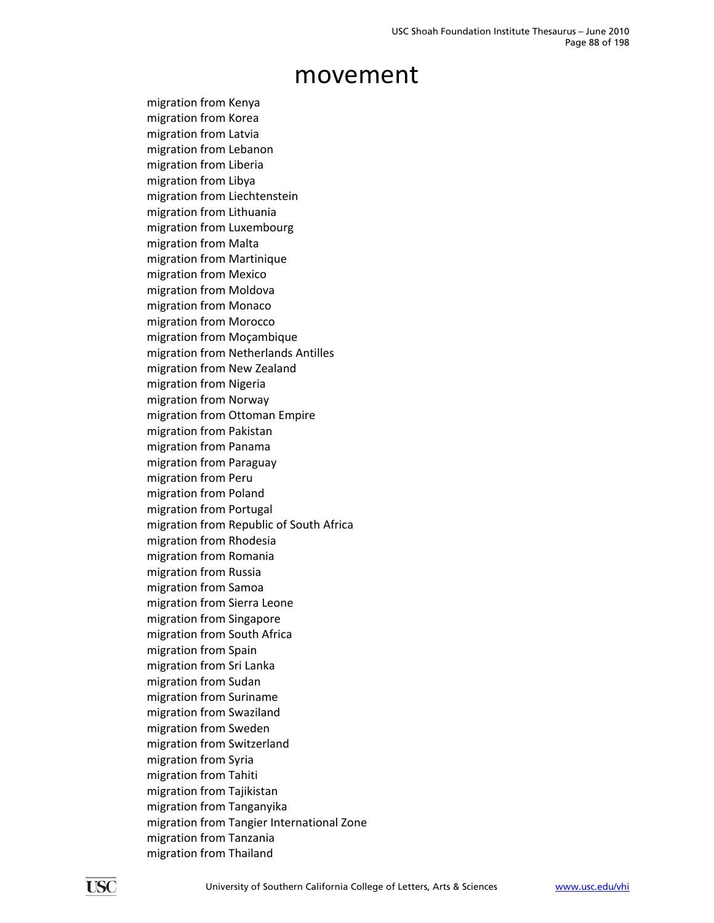migration from Kenya migration from Korea migration from Latvia migration from Lebanon migration from Liberia migration from Libya migration from Liechtenstein migration from Lithuania migration from Luxembourg migration from Malta migration from Martinique migration from Mexico migration from Moldova migration from Monaco migration from Morocco migration from Moçambique migration from Netherlands Antilles migration from New Zealand migration from Nigeria migration from Norway migration from Ottoman Empire migration from Pakistan migration from Panama migration from Paraguay migration from Peru migration from Poland migration from Portugal migration from Republic of South Africa migration from Rhodesia migration from Romania migration from Russia migration from Samoa migration from Sierra Leone migration from Singapore migration from South Africa migration from Spain migration from Sri Lanka migration from Sudan migration from Suriname migration from Swaziland migration from Sweden migration from Switzerland migration from Syria migration from Tahiti migration from Tajikistan migration from Tanganyika migration from Tangier International Zone migration from Tanzania migration from Thailand

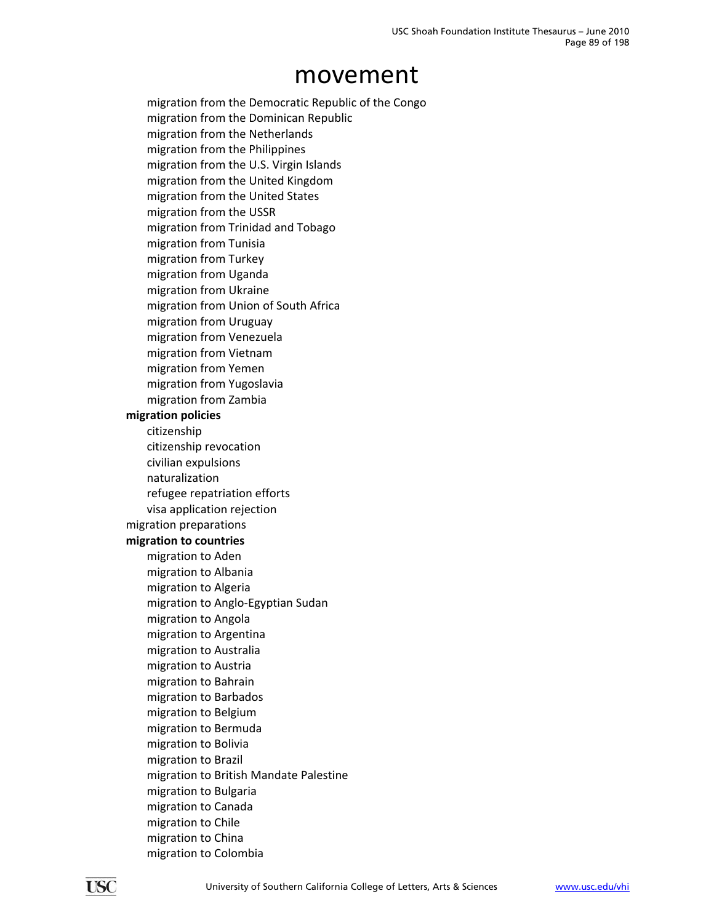migration from the Democratic Republic of the Congo migration from the Dominican Republic migration from the Netherlands migration from the Philippines migration from the U.S. Virgin Islands migration from the United Kingdom migration from the United States migration from the USSR migration from Trinidad and Tobago migration from Tunisia migration from Turkey migration from Uganda migration from Ukraine migration from Union of South Africa migration from Uruguay migration from Venezuela migration from Vietnam migration from Yemen migration from Yugoslavia migration from Zambia **migration policies** citizenship citizenship revocation civilian expulsions naturalization refugee repatriation efforts visa application rejection migration preparations **migration to countries** migration to Aden migration to Albania migration to Algeria migration to Anglo‐Egyptian Sudan migration to Angola migration to Argentina migration to Australia migration to Austria migration to Bahrain migration to Barbados migration to Belgium migration to Bermuda migration to Bolivia migration to Brazil migration to British Mandate Palestine migration to Bulgaria migration to Canada migration to Chile migration to China migration to Colombia

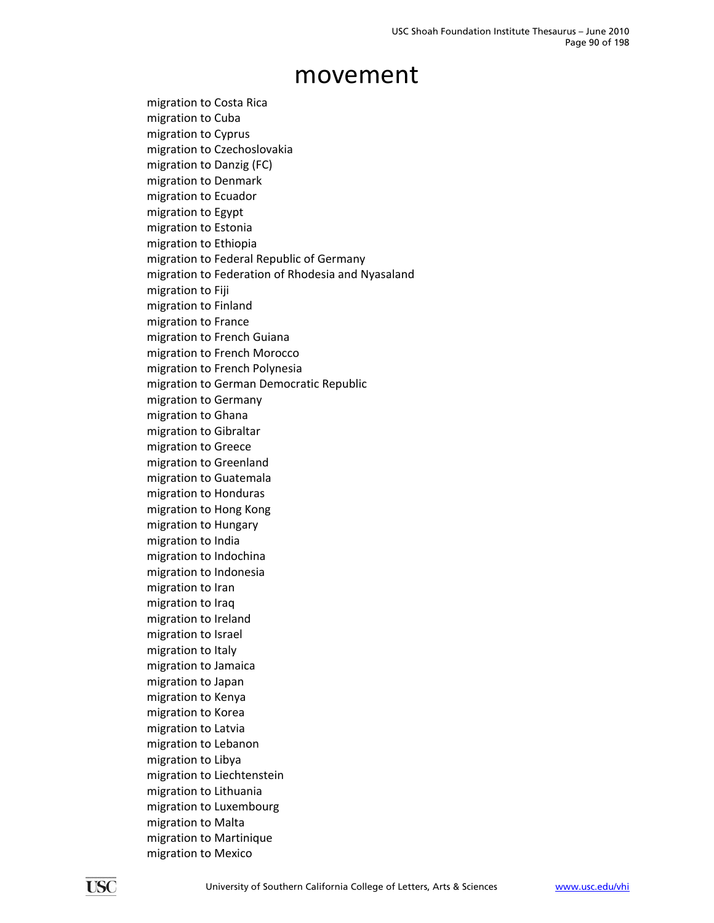migration to Costa Rica migration to Cuba migration to Cyprus migration to Czechoslovakia migration to Danzig (FC) migration to Denmark migration to Ecuador migration to Egypt migration to Estonia migration to Ethiopia migration to Federal Republic of Germany migration to Federation of Rhodesia and Nyasaland migration to Fiji migration to Finland migration to France migration to French Guiana migration to French Morocco migration to French Polynesia migration to German Democratic Republic migration to Germany migration to Ghana migration to Gibraltar migration to Greece migration to Greenland migration to Guatemala migration to Honduras migration to Hong Kong migration to Hungary migration to India migration to Indochina migration to Indonesia migration to Iran migration to Iraq migration to Ireland migration to Israel migration to Italy migration to Jamaica migration to Japan migration to Kenya migration to Korea migration to Latvia migration to Lebanon migration to Libya migration to Liechtenstein migration to Lithuania migration to Luxembourg migration to Malta migration to Martinique migration to Mexico

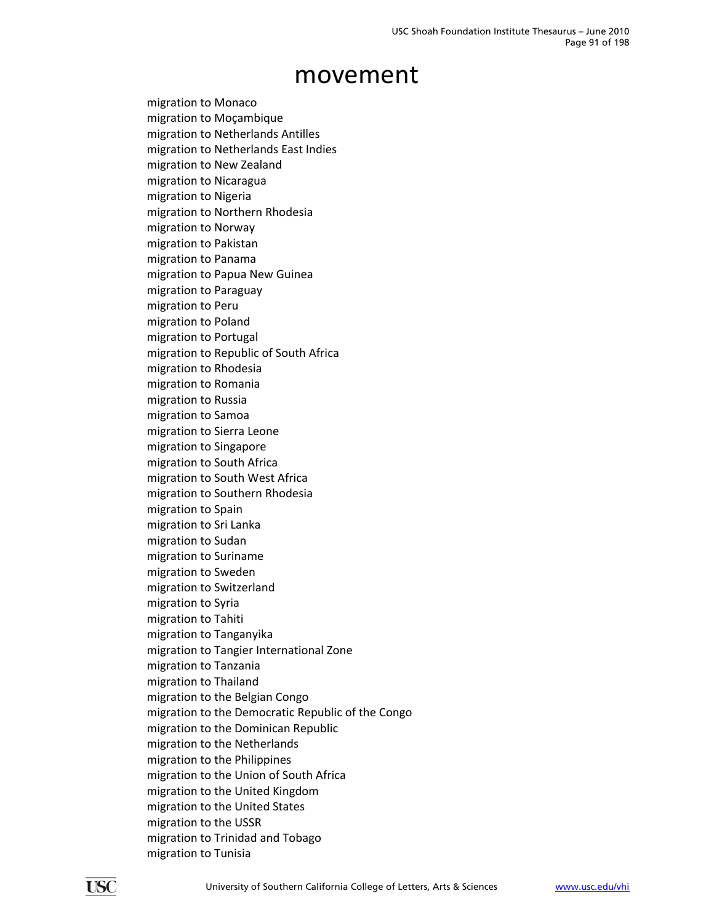migration to Monaco migration to Moçambique migration to Netherlands Antilles migration to Netherlands East Indies migration to New Zealand migration to Nicaragua migration to Nigeria migration to Northern Rhodesia migration to Norway migration to Pakistan migration to Panama migration to Papua New Guinea migration to Paraguay migration to Peru migration to Poland migration to Portugal migration to Republic of South Africa migration to Rhodesia migration to Romania migration to Russia migration to Samoa migration to Sierra Leone migration to Singapore migration to South Africa migration to South West Africa migration to Southern Rhodesia migration to Spain migration to Sri Lanka migration to Sudan migration to Suriname migration to Sweden migration to Switzerland migration to Syria migration to Tahiti migration to Tanganyika migration to Tangier International Zone migration to Tanzania migration to Thailand migration to the Belgian Congo migration to the Democratic Republic of the Congo migration to the Dominican Republic migration to the Netherlands migration to the Philippines migration to the Union of South Africa migration to the United Kingdom migration to the United States migration to the USSR migration to Trinidad and Tobago migration to Tunisia

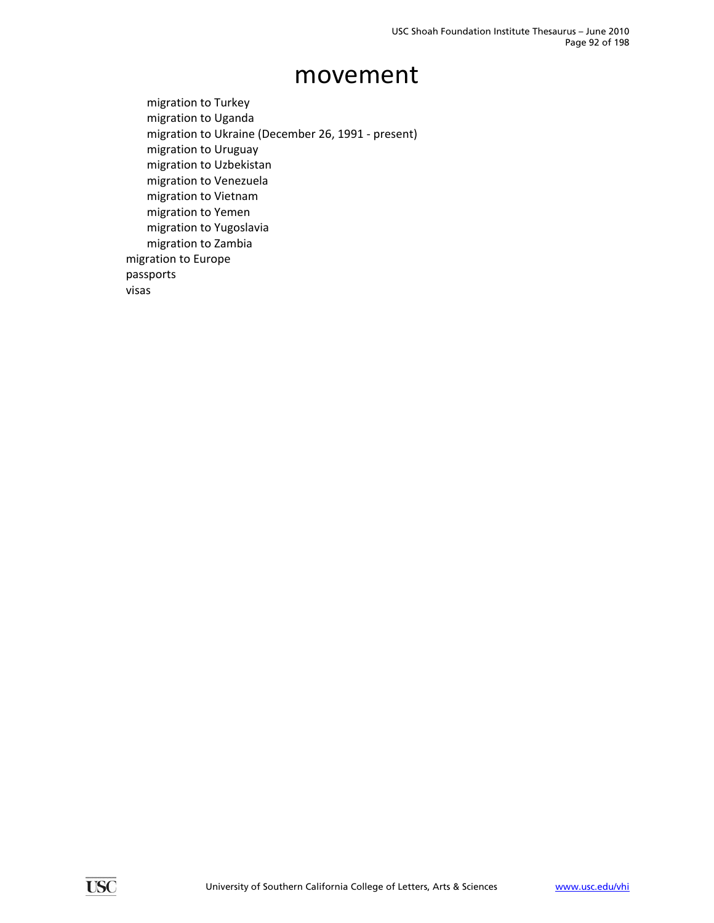migration to Turkey migration to Uganda migration to Ukraine (December 26, 1991 ‐ present) migration to Uruguay migration to Uzbekistan migration to Venezuela migration to Vietnam migration to Yemen migration to Yugoslavia migration to Zambia migration to Europe passports visas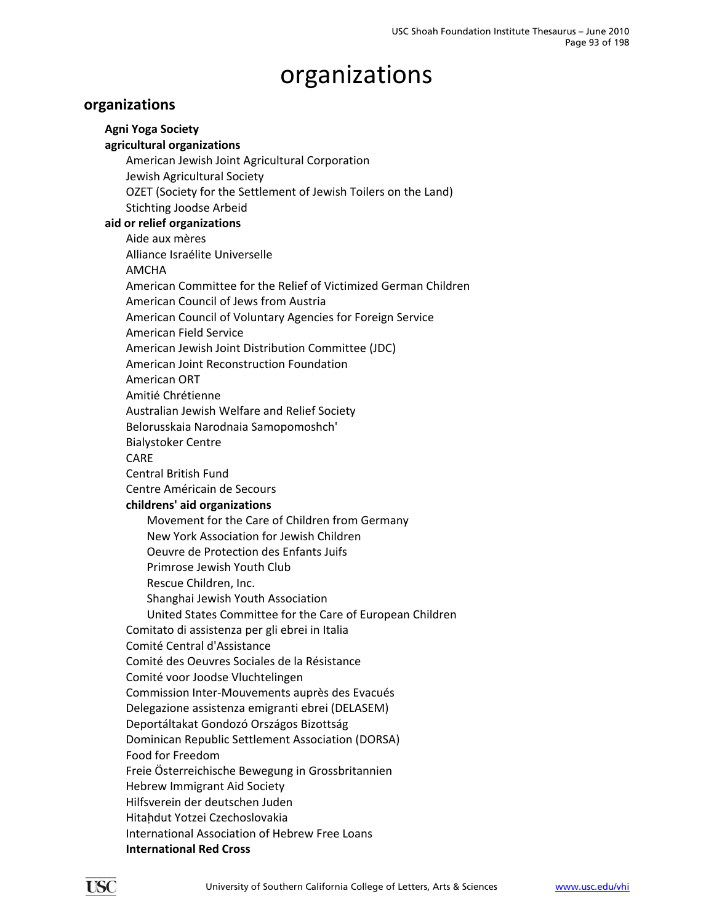### **organizations**

**Agni Yoga Society agricultural organizations** American Jewish Joint Agricultural Corporation Jewish Agricultural Society OZET (Society for the Settlement of Jewish Toilers on the Land) Stichting Joodse Arbeid **aid or relief organizations** Aide aux mères Alliance Israélite Universelle AMCHA American Committee for the Relief of Victimized German Children American Council of Jews from Austria American Council of Voluntary Agencies for Foreign Service American Field Service American Jewish Joint Distribution Committee (JDC) American Joint Reconstruction Foundation American ORT Amitié Chrétienne Australian Jewish Welfare and Relief Society Belorusskaia Narodnaia Samopomoshch' Bialystoker Centre CARE Central British Fund Centre Américain de Secours **childrens' aid organizations** Movement for the Care of Children from Germany New York Association for Jewish Children Oeuvre de Protection des Enfants Juifs Primrose Jewish Youth Club Rescue Children, Inc. Shanghai Jewish Youth Association United States Committee for the Care of European Children Comitato di assistenza per gli ebrei in Italia Comité Central d'Assistance Comité des Oeuvres Sociales de la Résistance Comité voor Joodse Vluchtelingen Commission Inter‐Mouvements auprès des Evacués Delegazione assistenza emigranti ebrei (DELASEM) Deportáltakat Gondozó Országos Bizottság Dominican Republic Settlement Association (DORSA) Food for Freedom Freie Österreichische Bewegung in Grossbritannien Hebrew Immigrant Aid Society Hilfsverein der deutschen Juden Hitaḥdut Yotzei Czechoslovakia International Association of Hebrew Free Loans **International Red Cross**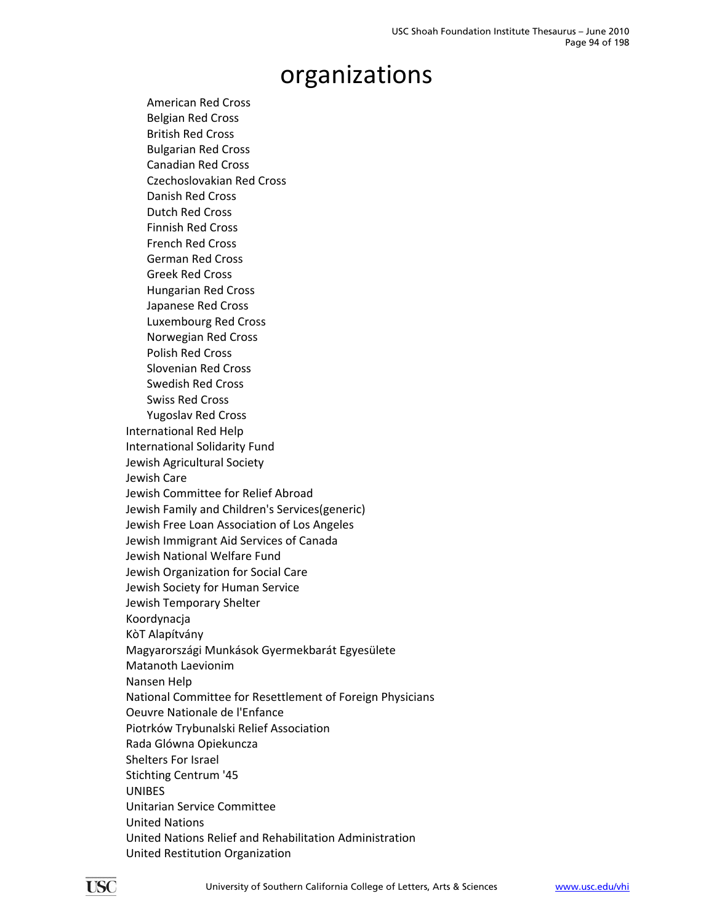American Red Cross Belgian Red Cross British Red Cross Bulgarian Red Cross Canadian Red Cross Czechoslovakian Red Cross Danish Red Cross Dutch Red Cross Finnish Red Cross French Red Cross German Red Cross Greek Red Cross Hungarian Red Cross Japanese Red Cross Luxembourg Red Cross Norwegian Red Cross Polish Red Cross Slovenian Red Cross Swedish Red Cross Swiss Red Cross Yugoslav Red Cross International Red Help International Solidarity Fund Jewish Agricultural Society Jewish Care Jewish Committee for Relief Abroad Jewish Family and Children's Services(generic) Jewish Free Loan Association of Los Angeles Jewish Immigrant Aid Services of Canada Jewish National Welfare Fund Jewish Organization for Social Care Jewish Society for Human Service Jewish Temporary Shelter Koordynacja KòT Alapítvány Magyarországi Munkások Gyermekbarát Egyesülete Matanoth Laevionim Nansen Help National Committee for Resettlement of Foreign Physicians Oeuvre Nationale de l'Enfance Piotrków Trybunalski Relief Association Rada Glówna Opiekuncza Shelters For Israel Stichting Centrum '45 UNIBES Unitarian Service Committee United Nations United Nations Relief and Rehabilitation Administration United Restitution Organization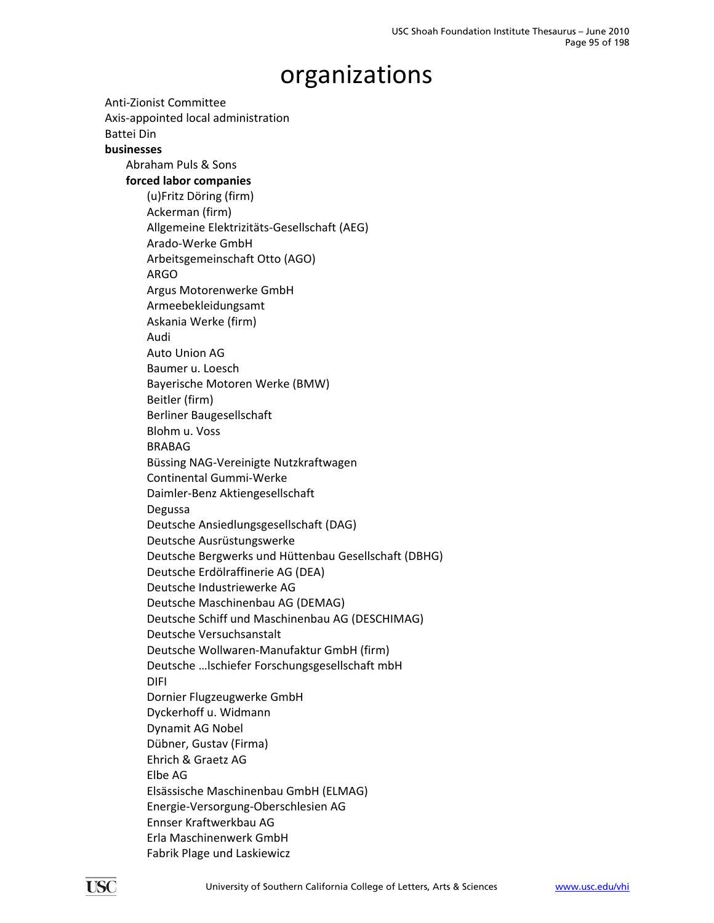Anti‐Zionist Committee Axis‐appointed local administration Battei Din **businesses** Abraham Puls & Sons **forced labor companies** (u)Fritz Döring (firm) Ackerman (firm) Allgemeine Elektrizitäts‐Gesellschaft (AEG) Arado‐Werke GmbH Arbeitsgemeinschaft Otto (AGO) ARGO Argus Motorenwerke GmbH Armeebekleidungsamt Askania Werke (firm) Audi Auto Union AG Baumer u. Loesch Bayerische Motoren Werke (BMW) Beitler (firm) Berliner Baugesellschaft Blohm u. Voss BRABAG Büssing NAG‐Vereinigte Nutzkraftwagen Continental Gummi‐Werke Daimler‐Benz Aktiengesellschaft Degussa Deutsche Ansiedlungsgesellschaft (DAG) Deutsche Ausrüstungswerke Deutsche Bergwerks und Hüttenbau Gesellschaft (DBHG) Deutsche Erdölraffinerie AG (DEA) Deutsche Industriewerke AG Deutsche Maschinenbau AG (DEMAG) Deutsche Schiff und Maschinenbau AG (DESCHIMAG) Deutsche Versuchsanstalt Deutsche Wollwaren‐Manufaktur GmbH (firm) Deutsche …lschiefer Forschungsgesellschaft mbH DIFI Dornier Flugzeugwerke GmbH Dyckerhoff u. Widmann Dynamit AG Nobel Dübner, Gustav (Firma) Ehrich & Graetz AG Elbe AG Elsässische Maschinenbau GmbH (ELMAG) Energie‐Versorgung‐Oberschlesien AG Ennser Kraftwerkbau AG Erla Maschinenwerk GmbH Fabrik Plage und Laskiewicz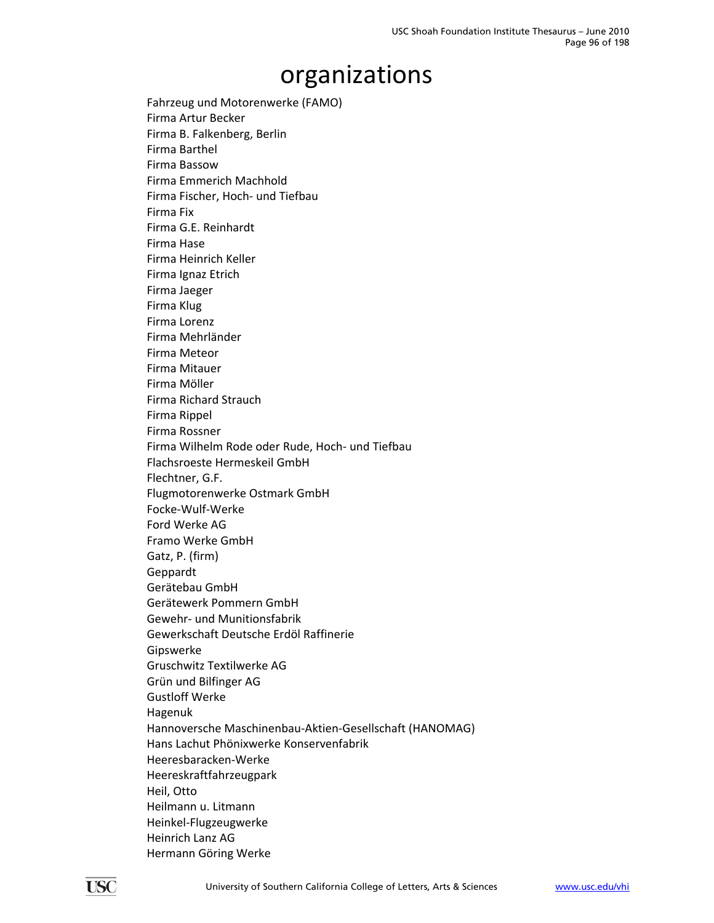Fahrzeug und Motorenwerke (FAMO) Firma Artur Becker Firma B. Falkenberg, Berlin Firma Barthel Firma Bassow Firma Emmerich Machhold Firma Fischer, Hoch‐ und Tiefbau Firma Fix Firma G.E. Reinhardt Firma Hase Firma Heinrich Keller Firma Ignaz Etrich Firma Jaeger Firma Klug Firma Lorenz Firma Mehrländer Firma Meteor Firma Mitauer Firma Möller Firma Richard Strauch Firma Rippel Firma Rossner Firma Wilhelm Rode oder Rude, Hoch‐ und Tiefbau Flachsroeste Hermeskeil GmbH Flechtner, G.F. Flugmotorenwerke Ostmark GmbH Focke‐Wulf‐Werke Ford Werke AG Framo Werke GmbH Gatz, P. (firm) Geppardt Gerätebau GmbH Gerätewerk Pommern GmbH Gewehr‐ und Munitionsfabrik Gewerkschaft Deutsche Erdöl Raffinerie Gipswerke Gruschwitz Textilwerke AG Grün und Bilfinger AG Gustloff Werke Hagenuk Hannoversche Maschinenbau‐Aktien‐Gesellschaft (HANOMAG) Hans Lachut Phönixwerke Konservenfabrik Heeresbaracken‐Werke Heereskraftfahrzeugpark Heil, Otto Heilmann u. Litmann Heinkel‐Flugzeugwerke Heinrich Lanz AG Hermann Göring Werke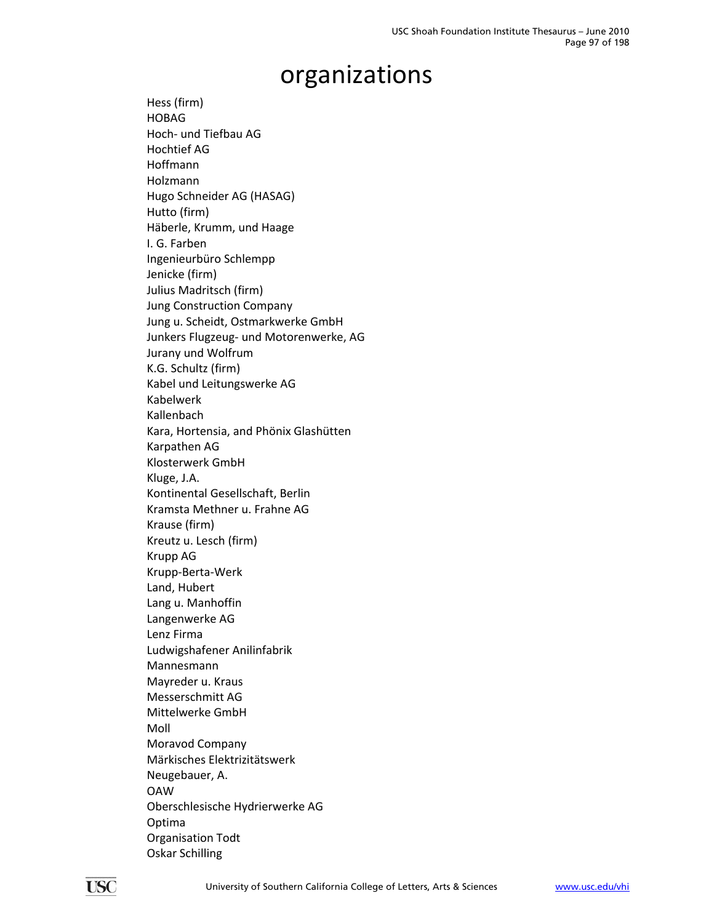Hess (firm) HOBAG Hoch‐ und Tiefbau AG Hochtief AG Hoffmann Holzmann Hugo Schneider AG (HASAG) Hutto (firm) Häberle, Krumm, und Haage I. G. Farben Ingenieurbüro Schlempp Jenicke (firm) Julius Madritsch (firm) Jung Construction Company Jung u. Scheidt, Ostmarkwerke GmbH Junkers Flugzeug‐ und Motorenwerke, AG Jurany und Wolfrum K.G. Schultz (firm) Kabel und Leitungswerke AG Kabelwerk Kallenbach Kara, Hortensia, and Phönix Glashütten Karpathen AG Klosterwerk GmbH Kluge, J.A. Kontinental Gesellschaft, Berlin Kramsta Methner u. Frahne AG Krause (firm) Kreutz u. Lesch (firm) Krupp AG Krupp‐Berta‐Werk Land, Hubert Lang u. Manhoffin Langenwerke AG Lenz Firma Ludwigshafener Anilinfabrik Mannesmann Mayreder u. Kraus Messerschmitt AG Mittelwerke GmbH Moll Moravod Company Märkisches Elektrizitätswerk Neugebauer, A. OAW Oberschlesische Hydrierwerke AG Optima Organisation Todt Oskar Schilling

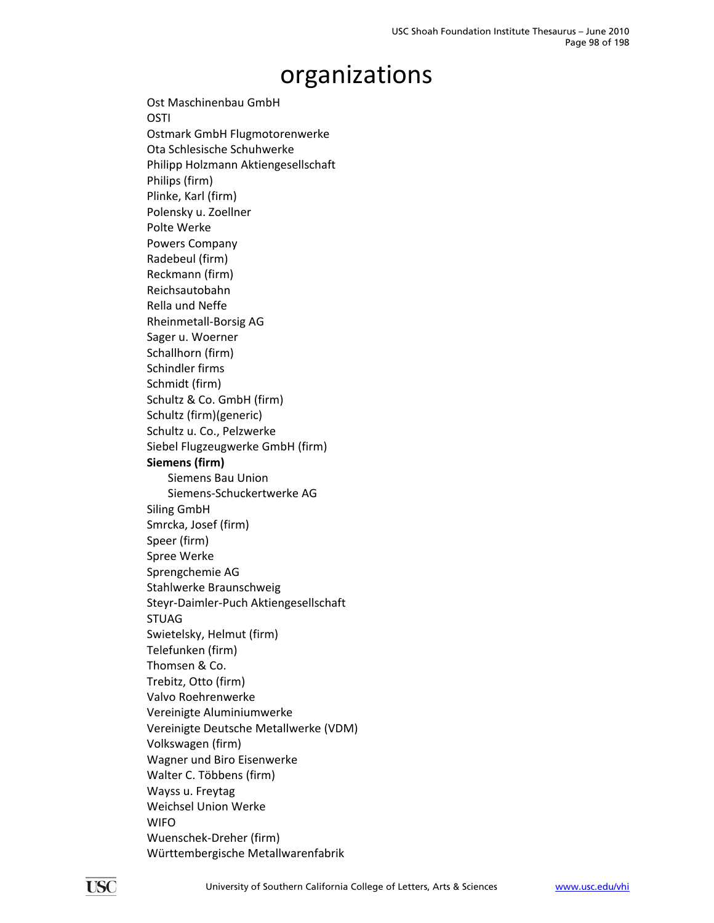Ost Maschinenbau GmbH **OSTI** Ostmark GmbH Flugmotorenwerke Ota Schlesische Schuhwerke Philipp Holzmann Aktiengesellschaft Philips (firm) Plinke, Karl (firm) Polensky u. Zoellner Polte Werke Powers Company Radebeul (firm) Reckmann (firm) Reichsautobahn Rella und Neffe Rheinmetall‐Borsig AG Sager u. Woerner Schallhorn (firm) Schindler firms Schmidt (firm) Schultz & Co. GmbH (firm) Schultz (firm)(generic) Schultz u. Co., Pelzwerke Siebel Flugzeugwerke GmbH (firm) **Siemens (firm)** Siemens Bau Union Siemens‐Schuckertwerke AG Siling GmbH Smrcka, Josef (firm) Speer (firm) Spree Werke Sprengchemie AG Stahlwerke Braunschweig Steyr‐Daimler‐Puch Aktiengesellschaft STUAG Swietelsky, Helmut (firm) Telefunken (firm) Thomsen & Co. Trebitz, Otto (firm) Valvo Roehrenwerke Vereinigte Aluminiumwerke Vereinigte Deutsche Metallwerke (VDM) Volkswagen (firm) Wagner und Biro Eisenwerke Walter C. Többens (firm) Wayss u. Freytag Weichsel Union Werke WIFO Wuenschek‐Dreher (firm) Württembergische Metallwarenfabrik

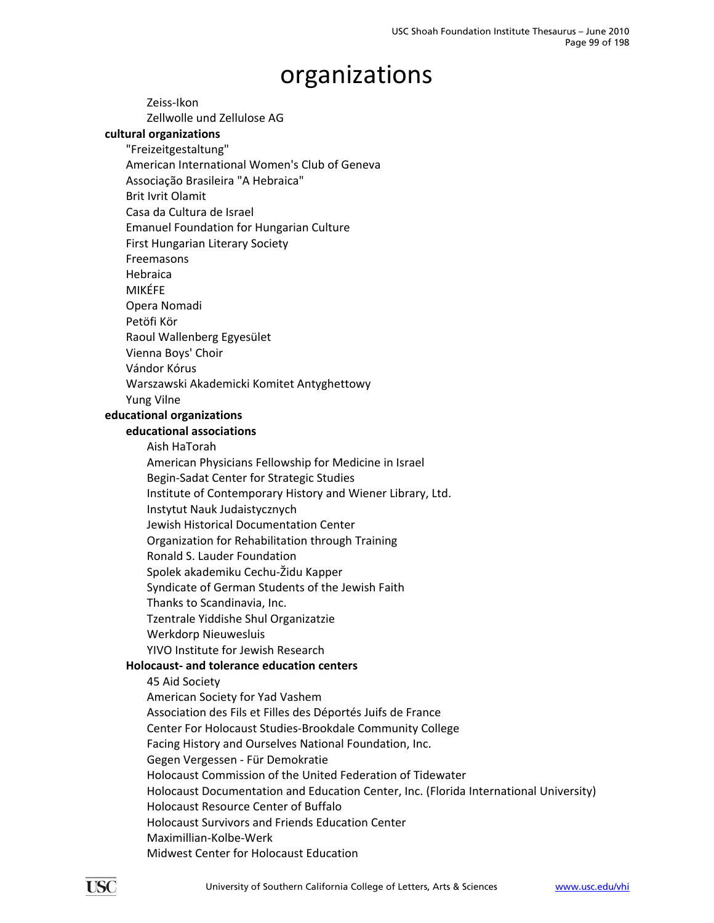organizations Zeiss‐Ikon Zellwolle und Zellulose AG **cultural organizations** "Freizeitgestaltung" American International Women's Club of Geneva Associação Brasileira "A Hebraica" Brit Ivrit Olamit Casa da Cultura de Israel Emanuel Foundation for Hungarian Culture First Hungarian Literary Society Freemasons Hebraica MIKÉFE Opera Nomadi Petöfi Kör Raoul Wallenberg Egyesület Vienna Boys' Choir Vándor Kórus Warszawski Akademicki Komitet Antyghettowy Yung Vilne **educational organizations educational associations** Aish HaTorah American Physicians Fellowship for Medicine in Israel Begin‐Sadat Center for Strategic Studies Institute of Contemporary History and Wiener Library, Ltd. Instytut Nauk Judaistycznych Jewish Historical Documentation Center Organization for Rehabilitation through Training Ronald S. Lauder Foundation Spolek akademiku Cechu‐Židu Kapper Syndicate of German Students of the Jewish Faith Thanks to Scandinavia, Inc. Tzentrale Yiddishe Shul Organizatzie Werkdorp Nieuwesluis YIVO Institute for Jewish Research **Holocaust‐ and tolerance education centers** 45 Aid Society American Society for Yad Vashem Association des Fils et Filles des Déportés Juifs de France Center For Holocaust Studies‐Brookdale Community College Facing History and Ourselves National Foundation, Inc. Gegen Vergessen ‐ Für Demokratie Holocaust Commission of the United Federation of Tidewater Holocaust Documentation and Education Center, Inc. (Florida International University) Holocaust Resource Center of Buffalo Holocaust Survivors and Friends Education Center Maximillian‐Kolbe‐Werk

Midwest Center for Holocaust Education

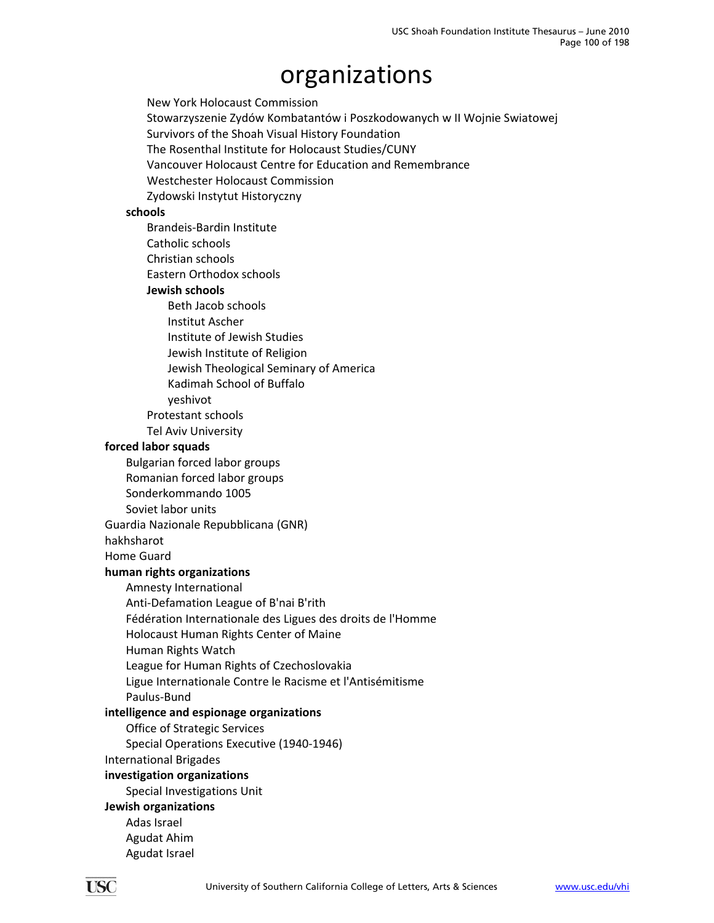New York Holocaust Commission Stowarzyszenie Zydów Kombatantów i Poszkodowanych w II Wojnie Swiatowej Survivors of the Shoah Visual History Foundation The Rosenthal Institute for Holocaust Studies/CUNY Vancouver Holocaust Centre for Education and Remembrance Westchester Holocaust Commission Zydowski Instytut Historyczny **schools** Brandeis‐Bardin Institute Catholic schools Christian schools Eastern Orthodox schools **Jewish schools** Beth Jacob schools Institut Ascher Institute of Jewish Studies Jewish Institute of Religion Jewish Theological Seminary of America Kadimah School of Buffalo yeshivot Protestant schools Tel Aviv University **forced labor squads** Bulgarian forced labor groups Romanian forced labor groups Sonderkommando 1005 Soviet labor units Guardia Nazionale Repubblicana (GNR) hakhsharot Home Guard **human rights organizations** Amnesty International Anti‐Defamation League of B'nai B'rith Fédération Internationale des Ligues des droits de l'Homme Holocaust Human Rights Center of Maine Human Rights Watch League for Human Rights of Czechoslovakia Ligue Internationale Contre le Racisme et l'Antisémitisme Paulus‐Bund **intelligence and espionage organizations** Office of Strategic Services Special Operations Executive (1940‐1946) International Brigades **investigation organizations** Special Investigations Unit **Jewish organizations** Adas Israel Agudat Ahim Agudat Israel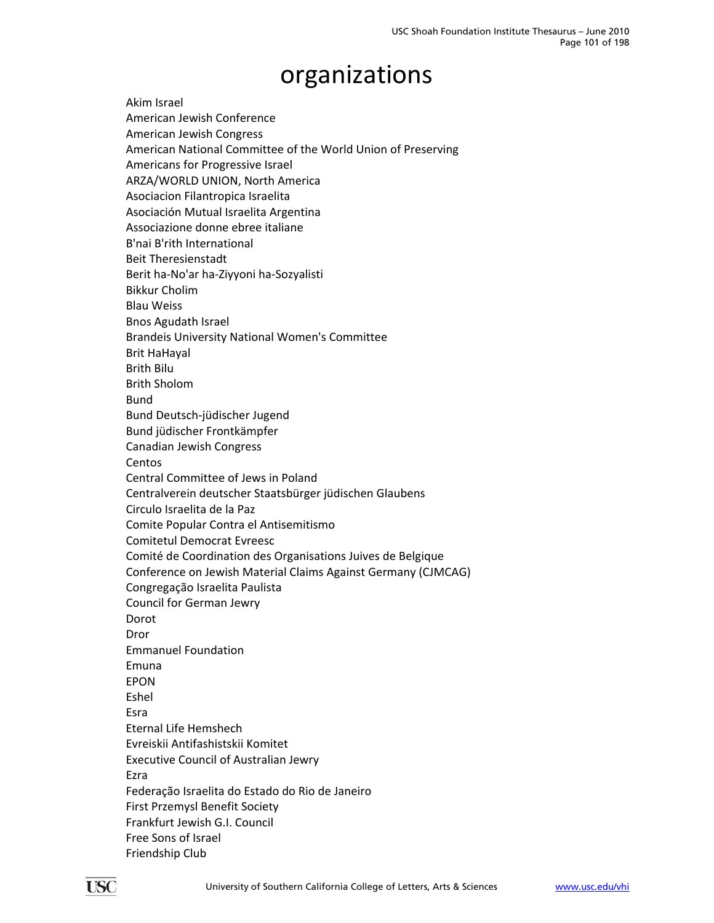Akim Israel American Jewish Conference American Jewish Congress American National Committee of the World Union of Preserving Americans for Progressive Israel ARZA/WORLD UNION, North America Asociacion Filantropica Israelita Asociación Mutual Israelita Argentina Associazione donne ebree italiane B'nai B'rith International Beit Theresienstadt Berit ha‐No'ar ha‐Ziyyoni ha‐Sozyalisti Bikkur Cholim Blau Weiss Bnos Agudath Israel Brandeis University National Women's Committee Brit HaHayal Brith Bilu Brith Sholom Bund Bund Deutsch‐jüdischer Jugend Bund jüdischer Frontkämpfer Canadian Jewish Congress **Centos** Central Committee of Jews in Poland Centralverein deutscher Staatsbürger jüdischen Glaubens Circulo Israelita de la Paz Comite Popular Contra el Antisemitismo Comitetul Democrat Evreesc Comité de Coordination des Organisations Juives de Belgique Conference on Jewish Material Claims Against Germany (CJMCAG) Congregação Israelita Paulista Council for German Jewry Dorot Dror Emmanuel Foundation Emuna EPON Eshel Esra Eternal Life Hemshech Evreiskii Antifashistskii Komitet Executive Council of Australian Jewry Ezra Federação Israelita do Estado do Rio de Janeiro First Przemysl Benefit Society Frankfurt Jewish G.I. Council Free Sons of Israel Friendship Club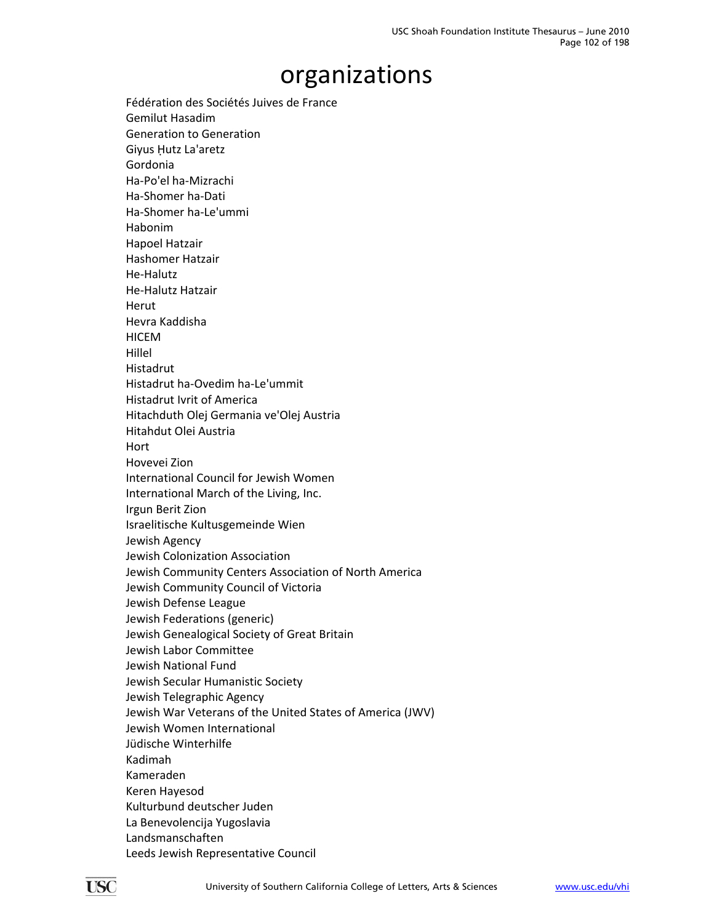Fédération des Sociétés Juives de France Gemilut Hasadim Generation to Generation Giyus Ḥutz La'aretz Gordonia Ha‐Po'el ha‐Mizrachi Ha‐Shomer ha‐Dati Ha‐Shomer ha‐Le'ummi Habonim Hapoel Hatzair Hashomer Hatzair He‐Halutz He‐Halutz Hatzair Herut Hevra Kaddisha **HICEM** Hillel Histadrut Histadrut ha‐Ovedim ha‐Le'ummit Histadrut Ivrit of America Hitachduth Olej Germania ve'Olej Austria Hitahdut Olei Austria Hort Hovevei Zion International Council for Jewish Women International March of the Living, Inc. Irgun Berit Zion Israelitische Kultusgemeinde Wien Jewish Agency Jewish Colonization Association Jewish Community Centers Association of North America Jewish Community Council of Victoria Jewish Defense League Jewish Federations (generic) Jewish Genealogical Society of Great Britain Jewish Labor Committee Jewish National Fund Jewish Secular Humanistic Society Jewish Telegraphic Agency Jewish War Veterans of the United States of America (JWV) Jewish Women International Jüdische Winterhilfe Kadimah Kameraden Keren Hayesod Kulturbund deutscher Juden La Benevolencija Yugoslavia Landsmanschaften Leeds Jewish Representative Council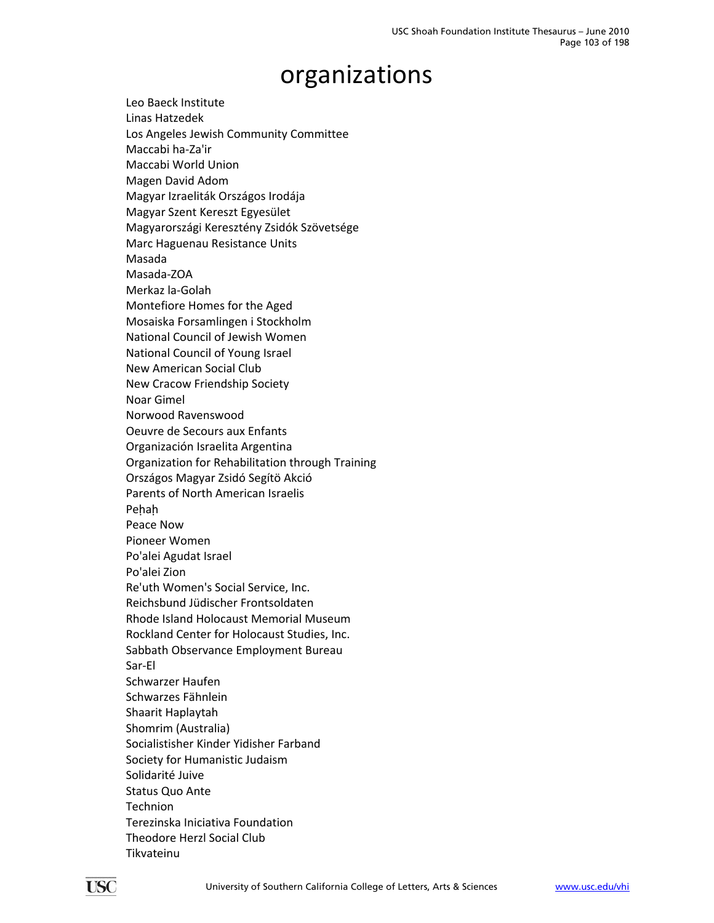Leo Baeck Institute Linas Hatzedek Los Angeles Jewish Community Committee Maccabi ha‐Za'ir Maccabi World Union Magen David Adom Magyar Izraeliták Országos Irodája Magyar Szent Kereszt Egyesület Magyarországi Keresztény Zsidók Szövetsége Marc Haguenau Resistance Units Masada Masada‐ZOA Merkaz la‐Golah Montefiore Homes for the Aged Mosaiska Forsamlingen i Stockholm National Council of Jewish Women National Council of Young Israel New American Social Club New Cracow Friendship Society Noar Gimel Norwood Ravenswood Oeuvre de Secours aux Enfants Organización Israelita Argentina Organization for Rehabilitation through Training Országos Magyar Zsidó Segítö Akció Parents of North American Israelis Pehah Peace Now Pioneer Women Po'alei Agudat Israel Po'alei Zion Re'uth Women's Social Service, Inc. Reichsbund Jüdischer Frontsoldaten Rhode Island Holocaust Memorial Museum Rockland Center for Holocaust Studies, Inc. Sabbath Observance Employment Bureau Sar‐El Schwarzer Haufen Schwarzes Fähnlein Shaarit Haplaytah Shomrim (Australia) Socialistisher Kinder Yidisher Farband Society for Humanistic Judaism Solidarité Juive Status Quo Ante Technion Terezinska Iniciativa Foundation Theodore Herzl Social Club Tikvateinu

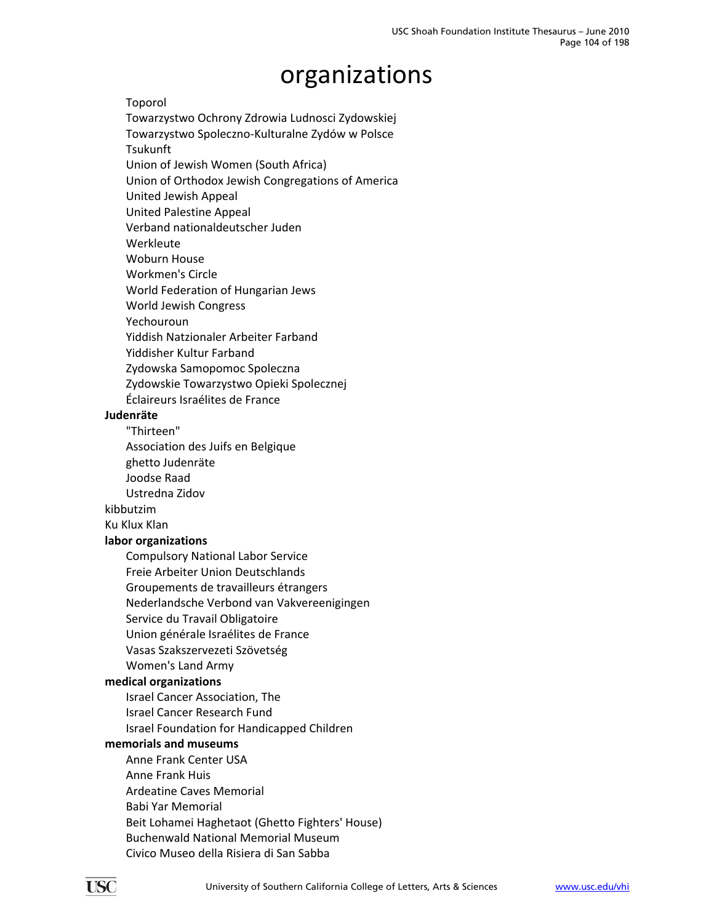Toporol

Towarzystwo Ochrony Zdrowia Ludnosci Zydowskiej

Towarzystwo Spoleczno‐Kulturalne Zydów w Polsce

Tsukunft

Union of Jewish Women (South Africa)

Union of Orthodox Jewish Congregations of America

United Jewish Appeal

United Palestine Appeal

Verband nationaldeutscher Juden

Werkleute

Woburn House

Workmen's Circle

World Federation of Hungarian Jews

World Jewish Congress

Yechouroun

Yiddish Natzionaler Arbeiter Farband

Yiddisher Kultur Farband

Zydowska Samopomoc Spoleczna

Zydowskie Towarzystwo Opieki Spolecznej

Éclaireurs Israélites de France

#### **Judenräte**

"Thirteen"

Association des Juifs en Belgique

ghetto Judenräte

Joodse Raad

Ustredna Zidov

kibbutzim

Ku Klux Klan

#### **labor organizations**

Compulsory National Labor Service Freie Arbeiter Union Deutschlands Groupements de travailleurs étrangers Nederlandsche Verbond van Vakvereenigingen Service du Travail Obligatoire Union générale Israélites de France Vasas Szakszervezeti Szövetség Women's Land Army

#### **medical organizations**

Israel Cancer Association, The Israel Cancer Research Fund

Israel Foundation for Handicapped Children

#### **memorials and museums**

Anne Frank Center USA Anne Frank Huis Ardeatine Caves Memorial Babi Yar Memorial Beit Lohamei Haghetaot (Ghetto Fighters' House) Buchenwald National Memorial Museum Civico Museo della Risiera di San Sabba

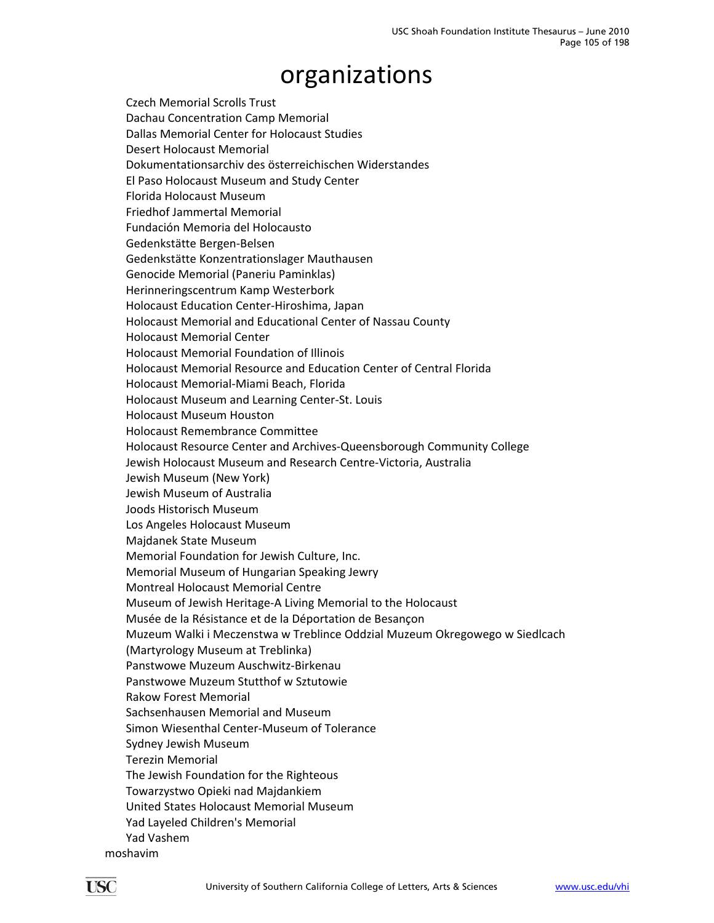Czech Memorial Scrolls Trust Dachau Concentration Camp Memorial Dallas Memorial Center for Holocaust Studies Desert Holocaust Memorial Dokumentationsarchiv des österreichischen Widerstandes El Paso Holocaust Museum and Study Center Florida Holocaust Museum Friedhof Jammertal Memorial Fundación Memoria del Holocausto Gedenkstätte Bergen‐Belsen Gedenkstätte Konzentrationslager Mauthausen Genocide Memorial (Paneriu Paminklas) Herinneringscentrum Kamp Westerbork Holocaust Education Center‐Hiroshima, Japan Holocaust Memorial and Educational Center of Nassau County Holocaust Memorial Center Holocaust Memorial Foundation of Illinois Holocaust Memorial Resource and Education Center of Central Florida Holocaust Memorial‐Miami Beach, Florida Holocaust Museum and Learning Center‐St. Louis Holocaust Museum Houston Holocaust Remembrance Committee Holocaust Resource Center and Archives‐Queensborough Community College Jewish Holocaust Museum and Research Centre‐Victoria, Australia Jewish Museum (New York) Jewish Museum of Australia Joods Historisch Museum Los Angeles Holocaust Museum Majdanek State Museum Memorial Foundation for Jewish Culture, Inc. Memorial Museum of Hungarian Speaking Jewry Montreal Holocaust Memorial Centre Museum of Jewish Heritage‐A Living Memorial to the Holocaust Musée de la Résistance et de la Déportation de Besançon Muzeum Walki i Meczenstwa w Treblince Oddzial Muzeum Okregowego w Siedlcach (Martyrology Museum at Treblinka) Panstwowe Muzeum Auschwitz‐Birkenau Panstwowe Muzeum Stutthof w Sztutowie Rakow Forest Memorial Sachsenhausen Memorial and Museum Simon Wiesenthal Center‐Museum of Tolerance Sydney Jewish Museum Terezin Memorial The Jewish Foundation for the Righteous Towarzystwo Opieki nad Majdankiem United States Holocaust Memorial Museum Yad Layeled Children's Memorial Yad Vashem moshavim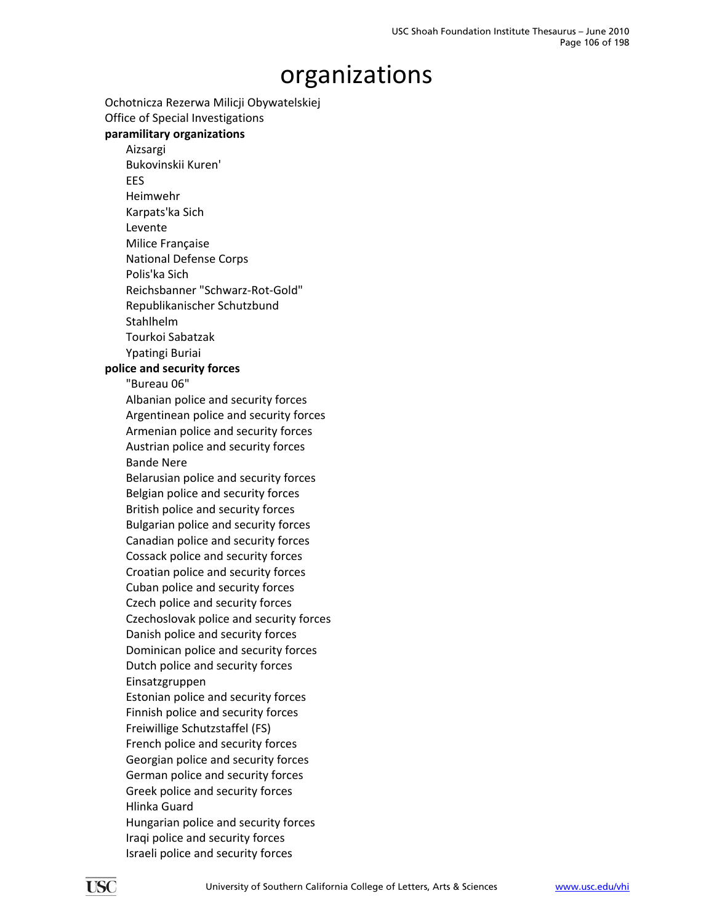Ochotnicza Rezerwa Milicji Obywatelskiej Office of Special Investigations

### **paramilitary organizations**

Aizsargi Bukovinskii Kuren' EES Heimwehr Karpats'ka Sich Levente Milice Française National Defense Corps Polis'ka Sich Reichsbanner "Schwarz‐Rot‐Gold" Republikanischer Schutzbund Stahlhelm Tourkoi Sabatzak

Ypatingi Buriai

#### **police and security forces**

"Bureau 06"

Albanian police and security forces Argentinean police and security forces Armenian police and security forces Austrian police and security forces Bande Nere

Belarusian police and security forces Belgian police and security forces British police and security forces Bulgarian police and security forces Canadian police and security forces Cossack police and security forces Croatian police and security forces Cuban police and security forces Czech police and security forces Czechoslovak police and security forces Danish police and security forces Dominican police and security forces Dutch police and security forces Einsatzgruppen

Estonian police and security forces Finnish police and security forces Freiwillige Schutzstaffel (FS) French police and security forces Georgian police and security forces German police and security forces Greek police and security forces Hlinka Guard Hungarian police and security forces Iraqi police and security forces Israeli police and security forces

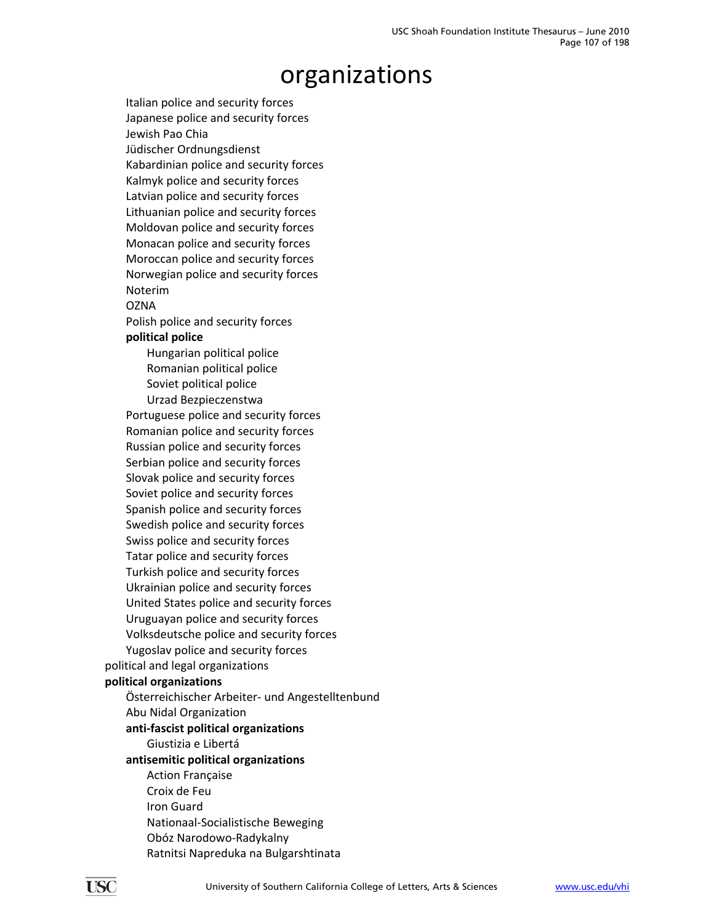Italian police and security forces Japanese police and security forces Jewish Pao Chia Jüdischer Ordnungsdienst Kabardinian police and security forces Kalmyk police and security forces Latvian police and security forces Lithuanian police and security forces Moldovan police and security forces Monacan police and security forces Moroccan police and security forces Norwegian police and security forces Noterim **OZNA** Polish police and security forces **political police** Hungarian political police Romanian political police Soviet political police Urzad Bezpieczenstwa Portuguese police and security forces Romanian police and security forces Russian police and security forces Serbian police and security forces Slovak police and security forces Soviet police and security forces Spanish police and security forces Swedish police and security forces Swiss police and security forces Tatar police and security forces Turkish police and security forces Ukrainian police and security forces United States police and security forces Uruguayan police and security forces Volksdeutsche police and security forces Yugoslav police and security forces political and legal organizations **political organizations** Österreichischer Arbeiter‐ und Angestelltenbund Abu Nidal Organization **anti‐fascist political organizations** Giustizia e Libertá **antisemitic political organizations** Action Française Croix de Feu Iron Guard Nationaal‐Socialistische Beweging Obóz Narodowo‐Radykalny Ratnitsi Napreduka na Bulgarshtinata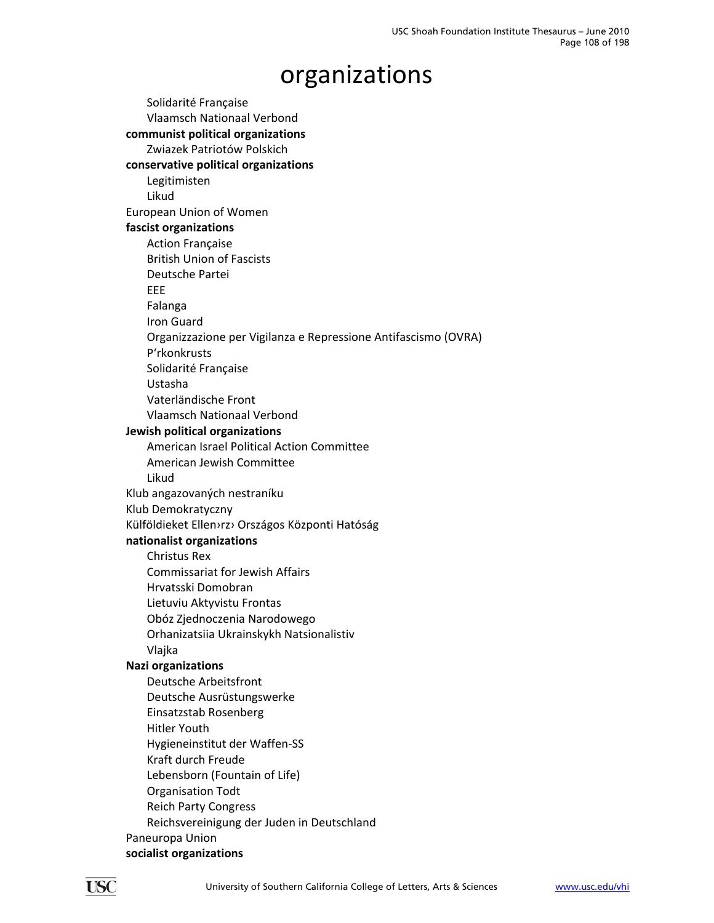Solidarité Française Vlaamsch Nationaal Verbond **communist political organizations** Zwiazek Patriotów Polskich **conservative political organizations** Legitimisten Likud European Union of Women **fascist organizations** Action Française British Union of Fascists Deutsche Partei EEE Falanga Iron Guard Organizzazione per Vigilanza e Repressione Antifascismo (OVRA) P'rkonkrusts Solidarité Française Ustasha Vaterländische Front Vlaamsch Nationaal Verbond **Jewish political organizations** American Israel Political Action Committee American Jewish Committee Likud Klub angazovaných nestraníku Klub Demokratyczny Külföldieket Ellen›rz› Országos Központi Hatóság **nationalist organizations** Christus Rex Commissariat for Jewish Affairs Hrvatsski Domobran Lietuviu Aktyvistu Frontas Obóz Zjednoczenia Narodowego Orhanizatsiia Ukrainskykh Natsionalistiv Vlajka **Nazi organizations** Deutsche Arbeitsfront Deutsche Ausrüstungswerke Einsatzstab Rosenberg Hitler Youth Hygieneinstitut der Waffen‐SS Kraft durch Freude Lebensborn (Fountain of Life) Organisation Todt Reich Party Congress Reichsvereinigung der Juden in Deutschland Paneuropa Union **socialist organizations**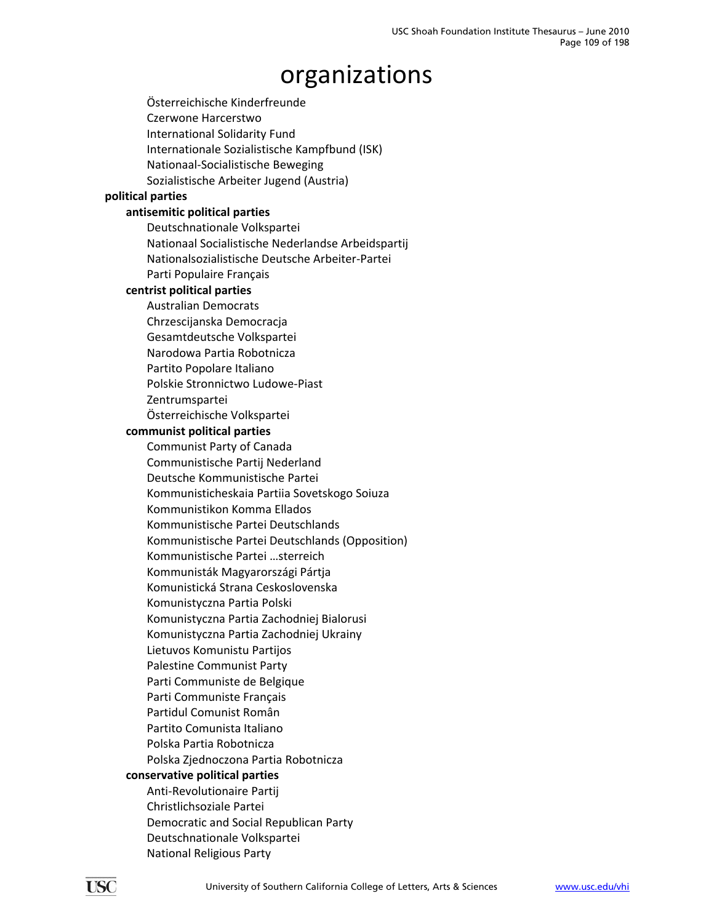Österreichische Kinderfreunde Czerwone Harcerstwo International Solidarity Fund Internationale Sozialistische Kampfbund (ISK) Nationaal‐Socialistische Beweging Sozialistische Arbeiter Jugend (Austria) **political parties antisemitic political parties** Deutschnationale Volkspartei Nationaal Socialistische Nederlandse Arbeidspartij Nationalsozialistische Deutsche Arbeiter‐Partei Parti Populaire Français **centrist political parties** Australian Democrats Chrzescijanska Democracja Gesamtdeutsche Volkspartei Narodowa Partia Robotnicza Partito Popolare Italiano Polskie Stronnictwo Ludowe‐Piast Zentrumspartei Österreichische Volkspartei **communist political parties** Communist Party of Canada Communistische Partij Nederland Deutsche Kommunistische Partei Kommunisticheskaia Partiia Sovetskogo Soiuza Kommunistikon Komma Ellados Kommunistische Partei Deutschlands Kommunistische Partei Deutschlands (Opposition) Kommunistische Partei …sterreich Kommunisták Magyarországi Pártja Komunistická Strana Ceskoslovenska Komunistyczna Partia Polski Komunistyczna Partia Zachodniej Bialorusi Komunistyczna Partia Zachodniej Ukrainy Lietuvos Komunistu Partijos Palestine Communist Party Parti Communiste de Belgique Parti Communiste Français Partidul Comunist Român Partito Comunista Italiano Polska Partia Robotnicza Polska Zjednoczona Partia Robotnicza **conservative political parties** Anti‐Revolutionaire Partij Christlichsoziale Partei Democratic and Social Republican Party Deutschnationale Volkspartei National Religious Party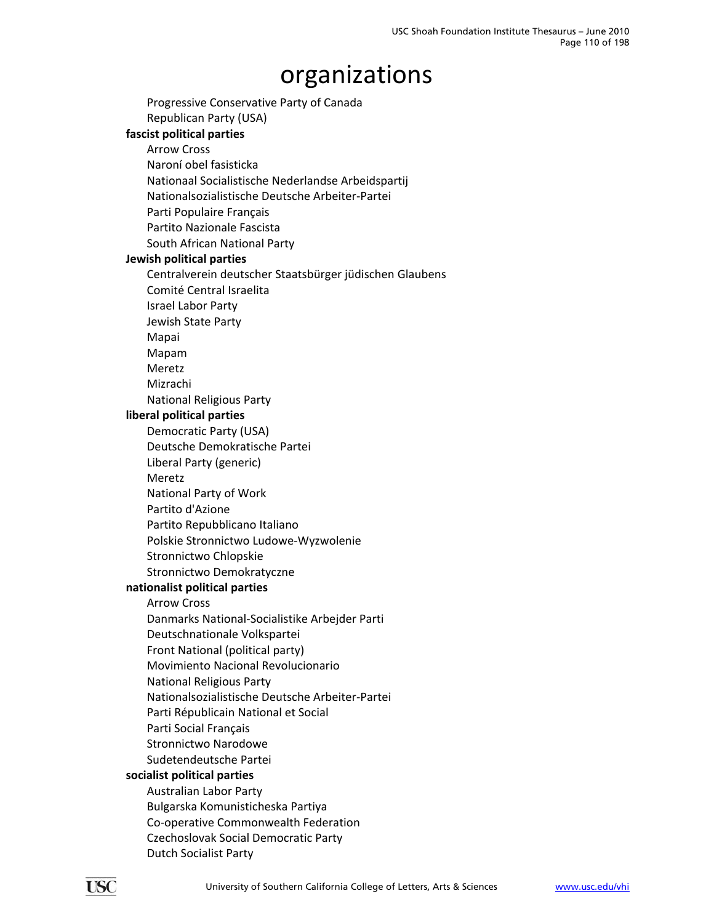Progressive Conservative Party of Canada Republican Party (USA) **fascist political parties**

#### Arrow Cross

Naroní obel fasisticka Nationaal Socialistische Nederlandse Arbeidspartij Nationalsozialistische Deutsche Arbeiter‐Partei Parti Populaire Français Partito Nazionale Fascista South African National Party

#### **Jewish political parties**

Centralverein deutscher Staatsbürger jüdischen Glaubens

- Comité Central Israelita
- Israel Labor Party

Jewish State Party

Mapai

Mapam

Meretz

Mizrachi

National Religious Party

#### **liberal political parties**

Democratic Party (USA)

Deutsche Demokratische Partei

Liberal Party (generic)

Meretz

National Party of Work

Partito d'Azione

Partito Repubblicano Italiano

Polskie Stronnictwo Ludowe‐Wyzwolenie

Stronnictwo Chlopskie

Stronnictwo Demokratyczne

#### **nationalist political parties**

Arrow Cross

Danmarks National‐Socialistike Arbejder Parti

Deutschnationale Volkspartei

Front National (political party)

Movimiento Nacional Revolucionario

National Religious Party

Nationalsozialistische Deutsche Arbeiter‐Partei

Parti Républicain National et Social

Parti Social Français

Stronnictwo Narodowe

Sudetendeutsche Partei

### **socialist political parties**

Australian Labor Party Bulgarska Komunisticheska Partiya Co‐operative Commonwealth Federation Czechoslovak Social Democratic Party Dutch Socialist Party

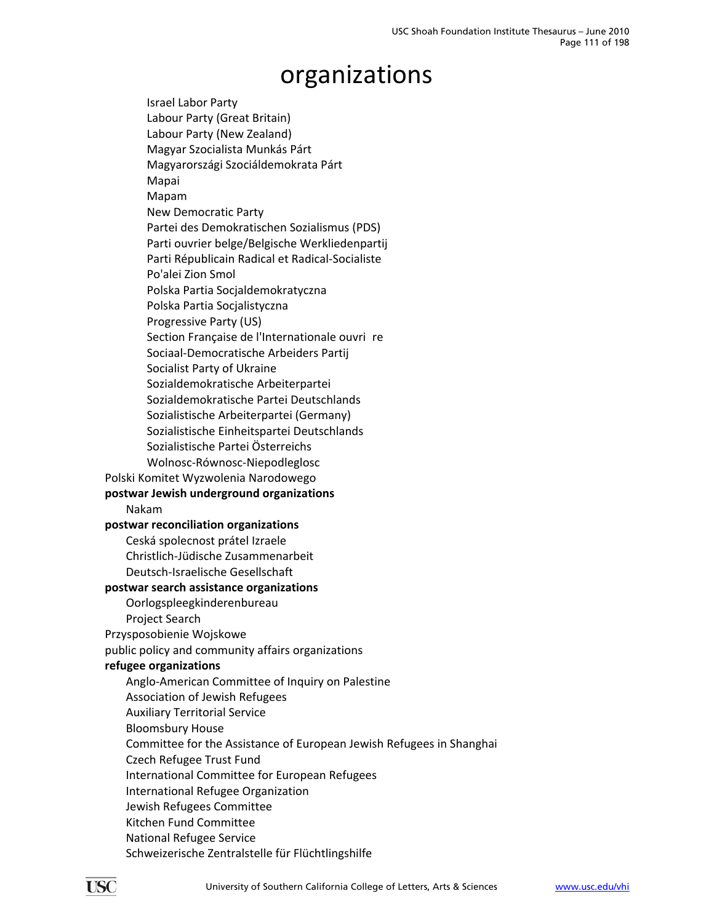Israel Labor Party Labour Party (Great Britain) Labour Party (New Zealand) Magyar Szocialista Munkás Párt Magyarországi Szociáldemokrata Párt Mapai Mapam New Democratic Party Partei des Demokratischen Sozialismus (PDS) Parti ouvrier belge/Belgische Werkliedenpartij Parti Républicain Radical et Radical‐Socialiste Po'alei Zion Smol Polska Partia Socjaldemokratyczna Polska Partia Socjalistyczna Progressive Party (US) Section Française de l'Internationale ouvrire Sociaal‐Democratische Arbeiders Partij Socialist Party of Ukraine Sozialdemokratische Arbeiterpartei Sozialdemokratische Partei Deutschlands Sozialistische Arbeiterpartei (Germany) Sozialistische Einheitspartei Deutschlands Sozialistische Partei Österreichs Wolnosc‐Równosc‐Niepodleglosc Polski Komitet Wyzwolenia Narodowego **postwar Jewish underground organizations** Nakam **postwar reconciliation organizations** Ceská spolecnost prátel Izraele Christlich‐Jüdische Zusammenarbeit Deutsch‐Israelische Gesellschaft **postwar search assistance organizations** Oorlogspleegkinderenbureau Project Search Przysposobienie Wojskowe public policy and community affairs organizations **refugee organizations** Anglo‐American Committee of Inquiry on Palestine Association of Jewish Refugees Auxiliary Territorial Service Bloomsbury House Committee for the Assistance of European Jewish Refugees in Shanghai Czech Refugee Trust Fund International Committee for European Refugees International Refugee Organization Jewish Refugees Committee Kitchen Fund Committee National Refugee Service Schweizerische Zentralstelle für Flüchtlingshilfe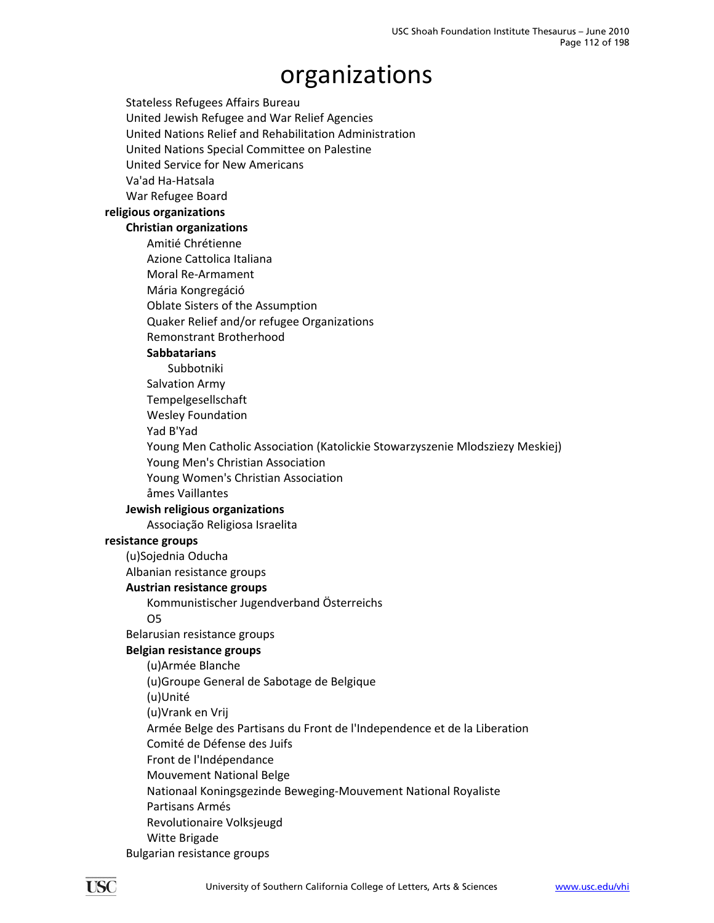Stateless Refugees Affairs Bureau United Jewish Refugee and War Relief Agencies United Nations Relief and Rehabilitation Administration United Nations Special Committee on Palestine United Service for New Americans Va'ad Ha‐Hatsala War Refugee Board **religious organizations Christian organizations** Amitié Chrétienne Azione Cattolica Italiana Moral Re‐Armament Mária Kongregáció Oblate Sisters of the Assumption Quaker Relief and/or refugee Organizations Remonstrant Brotherhood **Sabbatarians** Subbotniki Salvation Army Tempelgesellschaft Wesley Foundation Yad B'Yad Young Men Catholic Association (Katolickie Stowarzyszenie Mlodsziezy Meskiej) Young Men's Christian Association Young Women's Christian Association åmes Vaillantes **Jewish religious organizations** Associação Religiosa Israelita **resistance groups** (u)Sojednia Oducha Albanian resistance groups **Austrian resistance groups** Kommunistischer Jugendverband Österreichs O5 Belarusian resistance groups **Belgian resistance groups** (u)Armée Blanche (u)Groupe General de Sabotage de Belgique (u)Unité (u)Vrank en Vrij Armée Belge des Partisans du Front de l'Independence et de la Liberation Comité de Défense des Juifs Front de l'Indépendance Mouvement National Belge Nationaal Koningsgezinde Beweging‐Mouvement National Royaliste Partisans Armés Revolutionaire Volksjeugd Witte Brigade Bulgarian resistance groups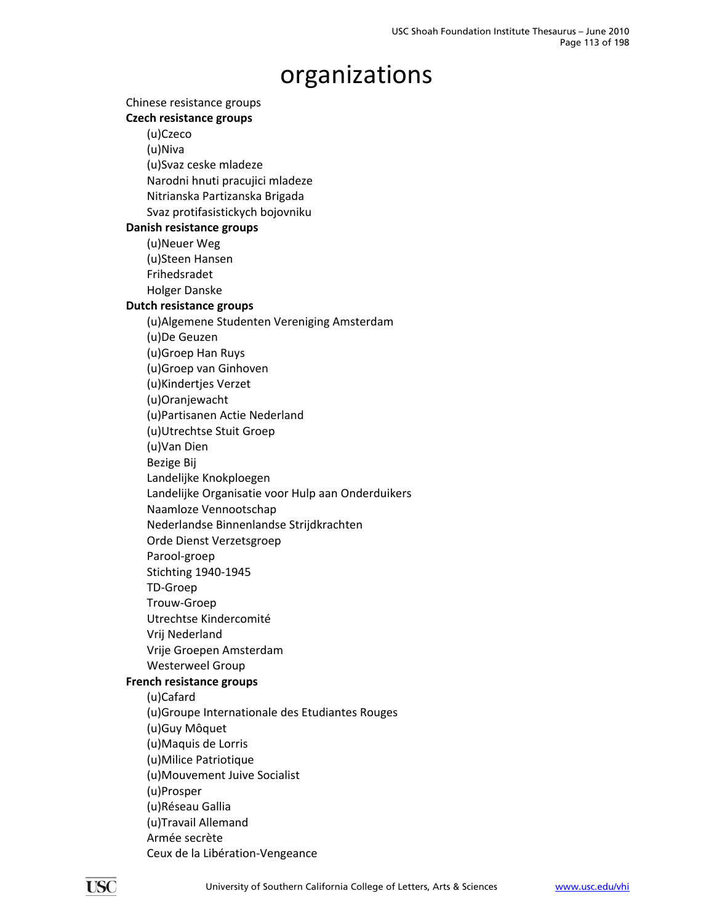Chinese resistance groups **Czech resistance groups** (u)Czeco (u)Niva (u)Svaz ceske mladeze Narodni hnuti pracujici mladeze Nitrianska Partizanska Brigada Svaz protifasistickych bojovniku **Danish resistance groups** (u)Neuer Weg (u)Steen Hansen Frihedsradet Holger Danske **Dutch resistance groups** (u)Algemene Studenten Vereniging Amsterdam (u)De Geuzen (u)Groep Han Ruys (u)Groep van Ginhoven (u)Kindertjes Verzet (u)Oranjewacht (u)Partisanen Actie Nederland (u)Utrechtse Stuit Groep (u)Van Dien Bezige Bij Landelijke Knokploegen Landelijke Organisatie voor Hulp aan Onderduikers Naamloze Vennootschap Nederlandse Binnenlandse Strijdkrachten Orde Dienst Verzetsgroep Parool‐groep Stichting 1940‐1945 TD‐Groep Trouw‐Groep Utrechtse Kindercomité Vrij Nederland Vrije Groepen Amsterdam Westerweel Group **French resistance groups** (u)Cafard (u)Groupe Internationale des Etudiantes Rouges (u)Guy Môquet (u)Maquis de Lorris (u)Milice Patriotique (u)Mouvement Juive Socialist (u)Prosper (u)Réseau Gallia (u)Travail Allemand Armée secrète Ceux de la Libération‐Vengeance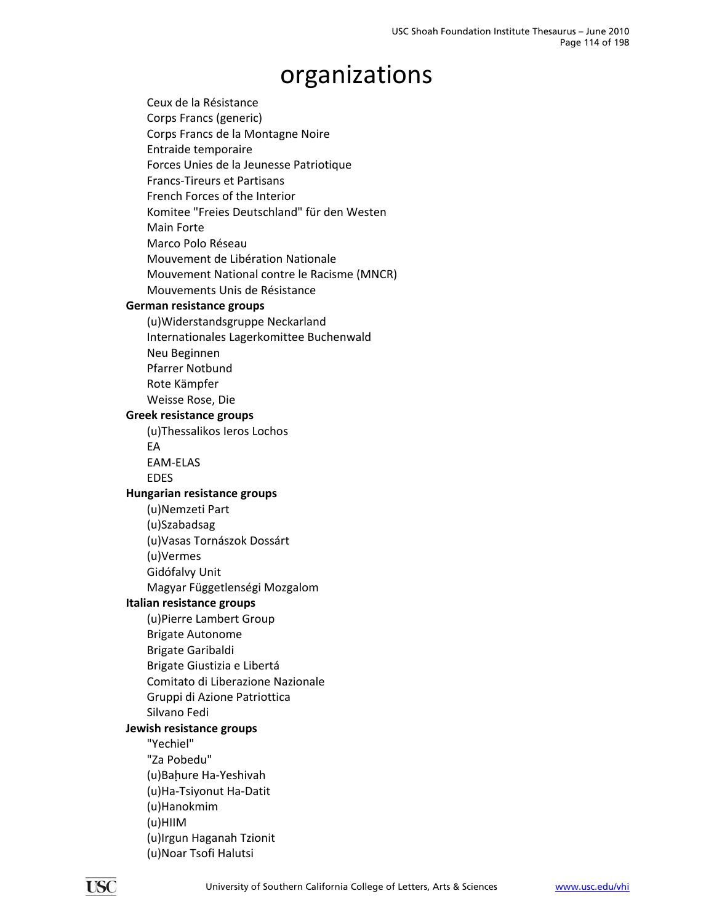Ceux de la Résistance Corps Francs (generic) Corps Francs de la Montagne Noire Entraide temporaire Forces Unies de la Jeunesse Patriotique Francs‐Tireurs et Partisans French Forces of the Interior Komitee "Freies Deutschland" für den Westen Main Forte Marco Polo Réseau Mouvement de Libération Nationale Mouvement National contre le Racisme (MNCR) Mouvements Unis de Résistance **German resistance groups** (u)Widerstandsgruppe Neckarland Internationales Lagerkomittee Buchenwald Neu Beginnen Pfarrer Notbund Rote Kämpfer Weisse Rose, Die **Greek resistance groups** (u)Thessalikos Ieros Lochos EA EAM‐ELAS EDES **Hungarian resistance groups** (u)Nemzeti Part (u)Szabadsag (u)Vasas Tornászok Dossárt (u)Vermes Gidófalvy Unit Magyar Függetlenségi Mozgalom **Italian resistance groups** (u)Pierre Lambert Group Brigate Autonome Brigate Garibaldi Brigate Giustizia e Libertá Comitato di Liberazione Nazionale Gruppi di Azione Patriottica Silvano Fedi **Jewish resistance groups** "Yechiel" "Za Pobedu" (u)Baḥure Ha‐Yeshivah (u)Ha‐Tsiyonut Ha‐Datit (u)Hanokmim (u)HIIM (u)Irgun Haganah Tzionit (u)Noar Tsofi Halutsi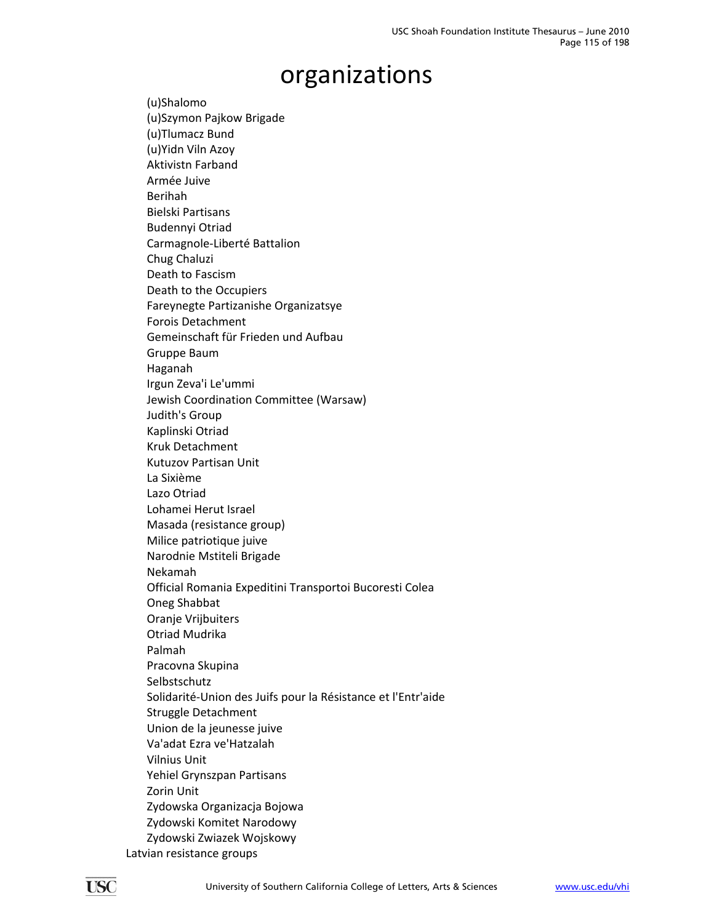(u)Shalomo (u)Szymon Pajkow Brigade (u)Tlumacz Bund (u)Yidn Viln Azoy Aktivistn Farband Armée Juive Berihah Bielski Partisans Budennyi Otriad Carmagnole‐Liberté Battalion Chug Chaluzi Death to Fascism Death to the Occupiers Fareynegte Partizanishe Organizatsye Forois Detachment Gemeinschaft für Frieden und Aufbau Gruppe Baum Haganah Irgun Zeva'i Le'ummi Jewish Coordination Committee (Warsaw) Judith's Group Kaplinski Otriad Kruk Detachment Kutuzov Partisan Unit La Sixième Lazo Otriad Lohamei Herut Israel Masada (resistance group) Milice patriotique juive Narodnie Mstiteli Brigade Nekamah Official Romania Expeditini Transportoi Bucoresti Colea Oneg Shabbat Oranje Vrijbuiters Otriad Mudrika Palmah Pracovna Skupina Selbstschutz Solidarité‐Union des Juifs pour la Résistance et l'Entr'aide Struggle Detachment Union de la jeunesse juive Va'adat Ezra ve'Hatzalah Vilnius Unit Yehiel Grynszpan Partisans Zorin Unit Zydowska Organizacja Bojowa Zydowski Komitet Narodowy Zydowski Zwiazek Wojskowy Latvian resistance groups

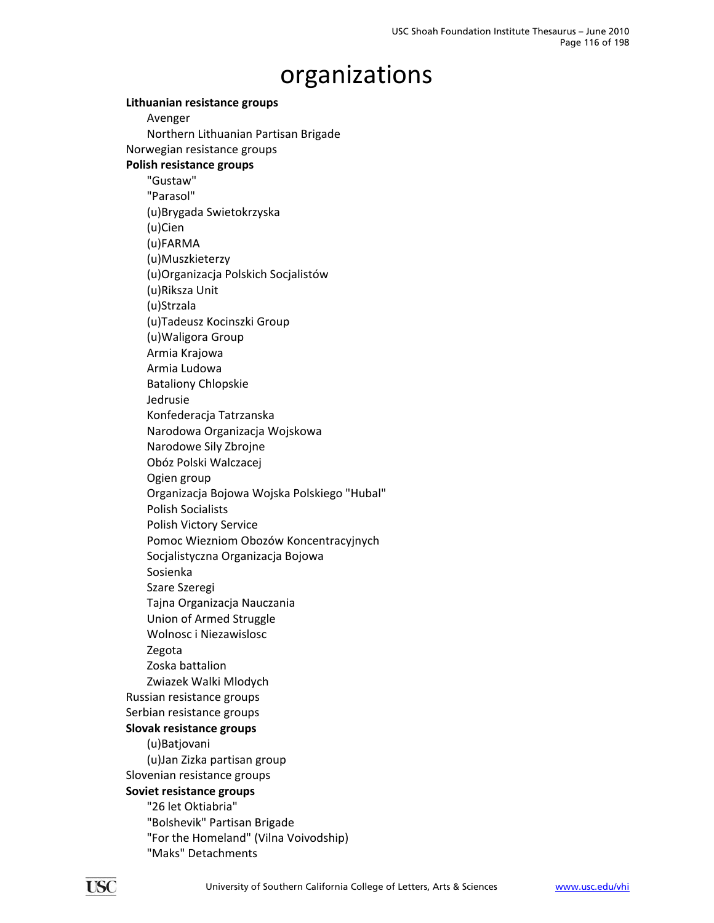**Lithuanian resistance groups** Avenger Northern Lithuanian Partisan Brigade Norwegian resistance groups **Polish resistance groups** "Gustaw" "Parasol" (u)Brygada Swietokrzyska (u)Cien (u)FARMA (u)Muszkieterzy (u)Organizacja Polskich Socjalistów (u)Riksza Unit (u)Strzala (u)Tadeusz Kocinszki Group (u)Waligora Group Armia Krajowa Armia Ludowa Bataliony Chlopskie Jedrusie Konfederacja Tatrzanska Narodowa Organizacja Wojskowa Narodowe Sily Zbrojne Obóz Polski Walczacej Ogien group Organizacja Bojowa Wojska Polskiego "Hubal" Polish Socialists Polish Victory Service Pomoc Wiezniom Obozów Koncentracyjnych Socjalistyczna Organizacja Bojowa Sosienka Szare Szeregi Tajna Organizacja Nauczania Union of Armed Struggle Wolnosc i Niezawislosc Zegota Zoska battalion Zwiazek Walki Mlodych Russian resistance groups Serbian resistance groups **Slovak resistance groups** (u)Batjovani (u)Jan Zizka partisan group Slovenian resistance groups **Soviet resistance groups** "26 let Oktiabria" "Bolshevik" Partisan Brigade "For the Homeland" (Vilna Voivodship) "Maks" Detachments

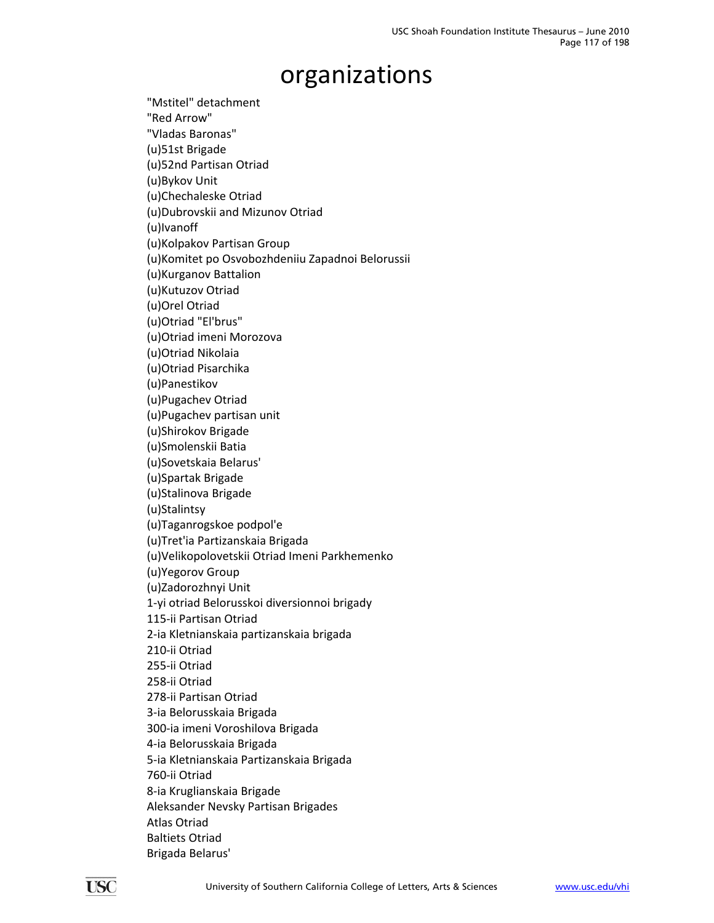"Mstitel" detachment "Red Arrow" "Vladas Baronas" (u)51st Brigade (u)52nd Partisan Otriad (u)Bykov Unit (u)Chechaleske Otriad (u)Dubrovskii and Mizunov Otriad (u)Ivanoff (u)Kolpakov Partisan Group (u)Komitet po Osvobozhdeniiu Zapadnoi Belorussii (u)Kurganov Battalion (u)Kutuzov Otriad (u)Orel Otriad (u)Otriad "El'brus" (u)Otriad imeni Morozova (u)Otriad Nikolaia (u)Otriad Pisarchika (u)Panestikov (u)Pugachev Otriad (u)Pugachev partisan unit (u)Shirokov Brigade (u)Smolenskii Batia (u)Sovetskaia Belarus' (u)Spartak Brigade (u)Stalinova Brigade (u)Stalintsy (u)Taganrogskoe podpol'e (u)Tret'ia Partizanskaia Brigada (u)Velikopolovetskii Otriad Imeni Parkhemenko (u)Yegorov Group (u)Zadorozhnyi Unit 1‐yi otriad Belorusskoi diversionnoi brigady 115‐ii Partisan Otriad 2‐ia Kletnianskaia partizanskaia brigada 210‐ii Otriad 255‐ii Otriad 258‐ii Otriad 278‐ii Partisan Otriad 3‐ia Belorusskaia Brigada 300‐ia imeni Voroshilova Brigada 4‐ia Belorusskaia Brigada 5‐ia Kletnianskaia Partizanskaia Brigada 760‐ii Otriad 8‐ia Kruglianskaia Brigade Aleksander Nevsky Partisan Brigades Atlas Otriad Baltiets Otriad Brigada Belarus'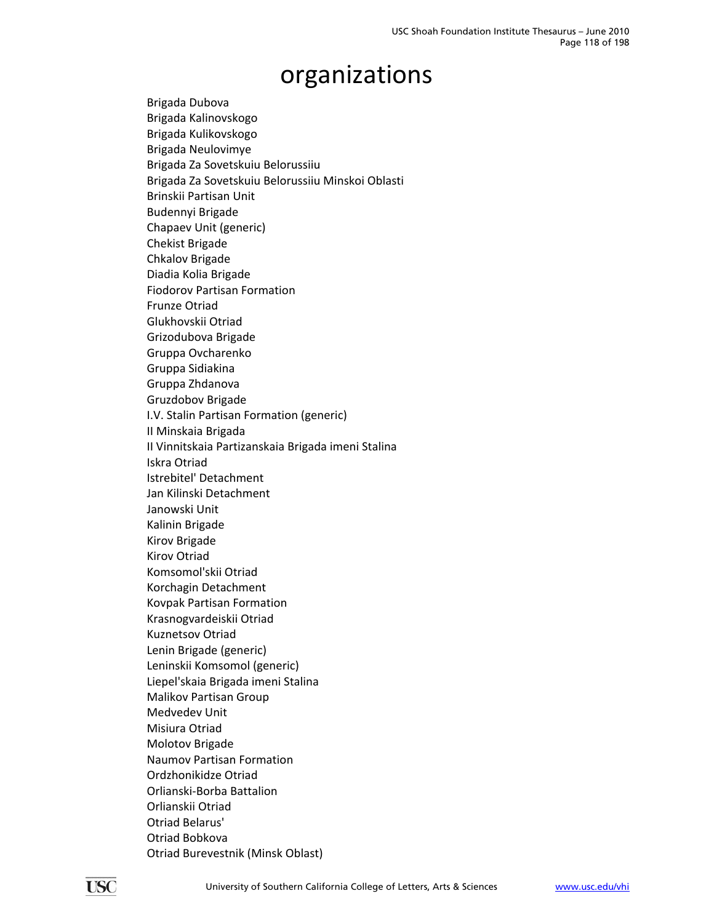Brigada Dubova Brigada Kalinovskogo Brigada Kulikovskogo Brigada Neulovimye Brigada Za Sovetskuiu Belorussiiu Brigada Za Sovetskuiu Belorussiiu Minskoi Oblasti Brinskii Partisan Unit Budennyi Brigade Chapaev Unit (generic) Chekist Brigade Chkalov Brigade Diadia Kolia Brigade Fiodorov Partisan Formation Frunze Otriad Glukhovskii Otriad Grizodubova Brigade Gruppa Ovcharenko Gruppa Sidiakina Gruppa Zhdanova Gruzdobov Brigade I.V. Stalin Partisan Formation (generic) II Minskaia Brigada II Vinnitskaia Partizanskaia Brigada imeni Stalina Iskra Otriad Istrebitel' Detachment Jan Kilinski Detachment Janowski Unit Kalinin Brigade Kirov Brigade Kirov Otriad Komsomol'skii Otriad Korchagin Detachment Kovpak Partisan Formation Krasnogvardeiskii Otriad Kuznetsov Otriad Lenin Brigade (generic) Leninskii Komsomol (generic) Liepel'skaia Brigada imeni Stalina Malikov Partisan Group Medvedev Unit Misiura Otriad Molotov Brigade Naumov Partisan Formation Ordzhonikidze Otriad Orlianski‐Borba Battalion Orlianskii Otriad Otriad Belarus' Otriad Bobkova Otriad Burevestnik (Minsk Oblast)

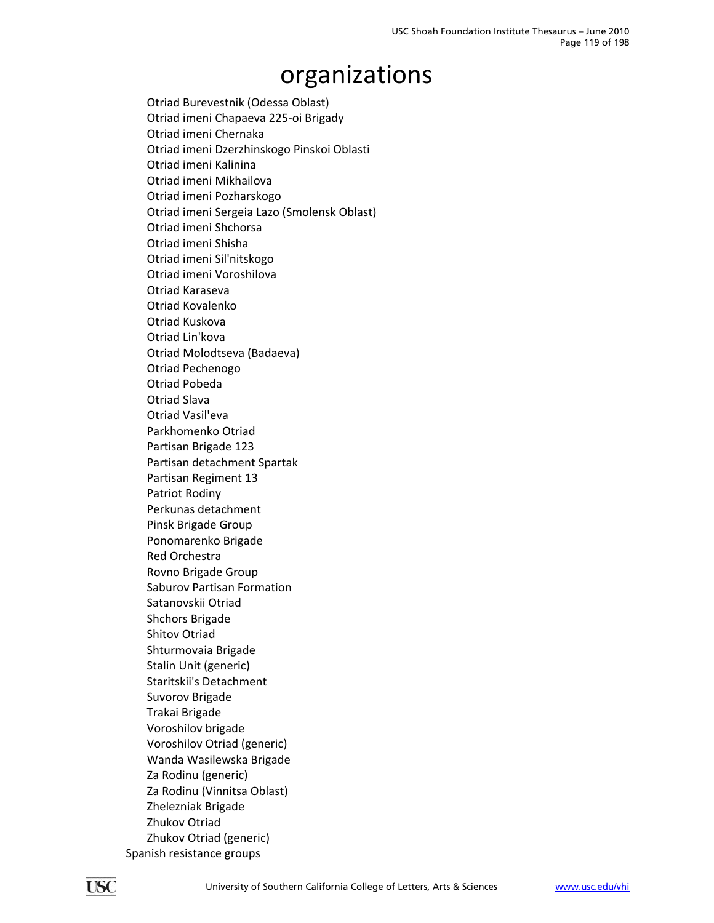Otriad Burevestnik (Odessa Oblast) Otriad imeni Chapaeva 225‐oi Brigady Otriad imeni Chernaka Otriad imeni Dzerzhinskogo Pinskoi Oblasti Otriad imeni Kalinina Otriad imeni Mikhailova Otriad imeni Pozharskogo Otriad imeni Sergeia Lazo (Smolensk Oblast) Otriad imeni Shchorsa Otriad imeni Shisha Otriad imeni Sil'nitskogo Otriad imeni Voroshilova Otriad Karaseva Otriad Kovalenko Otriad Kuskova Otriad Lin'kova Otriad Molodtseva (Badaeva) Otriad Pechenogo Otriad Pobeda Otriad Slava Otriad Vasil'eva Parkhomenko Otriad Partisan Brigade 123 Partisan detachment Spartak Partisan Regiment 13 Patriot Rodiny Perkunas detachment Pinsk Brigade Group Ponomarenko Brigade Red Orchestra Rovno Brigade Group Saburov Partisan Formation Satanovskii Otriad Shchors Brigade Shitov Otriad Shturmovaia Brigade Stalin Unit (generic) Staritskii's Detachment Suvorov Brigade Trakai Brigade Voroshilov brigade Voroshilov Otriad (generic) Wanda Wasilewska Brigade Za Rodinu (generic) Za Rodinu (Vinnitsa Oblast) Zhelezniak Brigade Zhukov Otriad Zhukov Otriad (generic) Spanish resistance groups

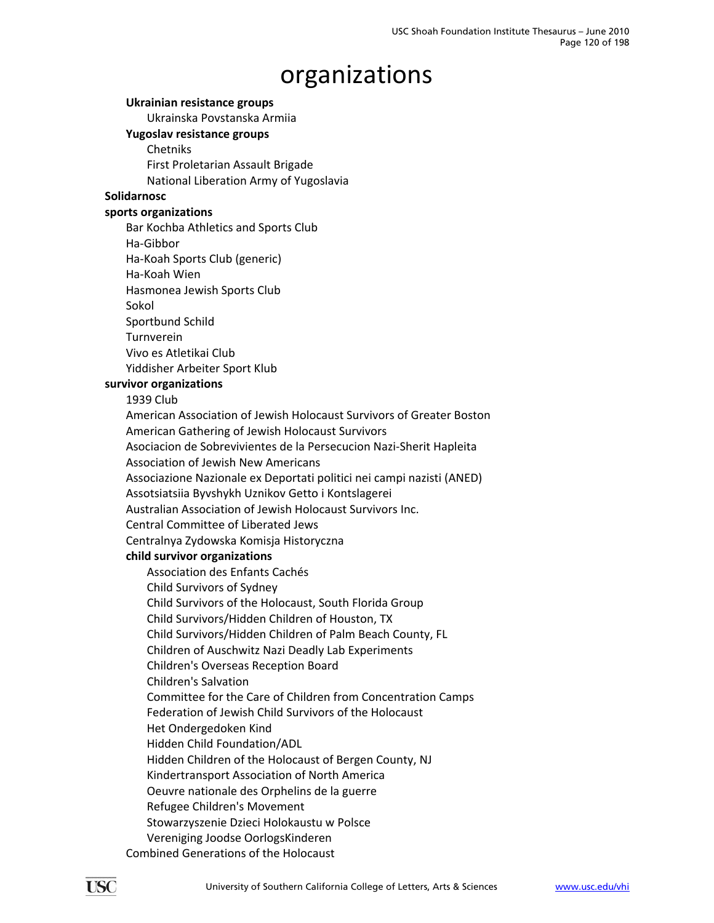#### **Ukrainian resistance groups**

Ukrainska Povstanska Armiia

### **Yugoslav resistance groups**

Chetniks First Proletarian Assault Brigade National Liberation Army of Yugoslavia

#### **Solidarnosc**

#### **sports organizations**

Bar Kochba Athletics and Sports Club

Ha‐Gibbor

Ha‐Koah Sports Club (generic)

Ha‐Koah Wien

Hasmonea Jewish Sports Club

Sokol

Sportbund Schild

Turnverein

Vivo es Atletikai Club

Yiddisher Arbeiter Sport Klub

#### **survivor organizations**

1939 Club

American Association of Jewish Holocaust Survivors of Greater Boston American Gathering of Jewish Holocaust Survivors Asociacion de Sobrevivientes de la Persecucion Nazi‐Sherit Hapleita Association of Jewish New Americans

Associazione Nazionale ex Deportati politici nei campi nazisti (ANED)

Assotsiatsiia Byvshykh Uznikov Getto i Kontslagerei

Australian Association of Jewish Holocaust Survivors Inc.

Central Committee of Liberated Jews

Centralnya Zydowska Komisja Historyczna

#### **child survivor organizations**

Association des Enfants Cachés Child Survivors of Sydney Child Survivors of the Holocaust, South Florida Group Child Survivors/Hidden Children of Houston, TX Child Survivors/Hidden Children of Palm Beach County, FL Children of Auschwitz Nazi Deadly Lab Experiments Children's Overseas Reception Board Children's Salvation Committee for the Care of Children from Concentration Camps Federation of Jewish Child Survivors of the Holocaust Het Ondergedoken Kind Hidden Child Foundation/ADL Hidden Children of the Holocaust of Bergen County, NJ Kindertransport Association of North America Oeuvre nationale des Orphelins de la guerre Refugee Children's Movement Stowarzyszenie Dzieci Holokaustu w Polsce Vereniging Joodse OorlogsKinderen

Combined Generations of the Holocaust

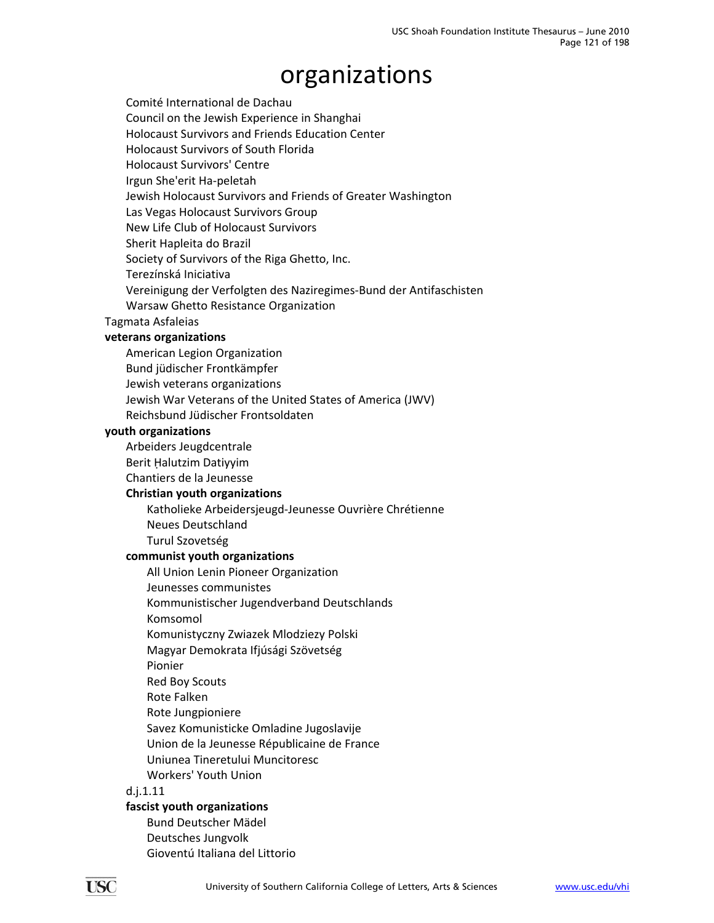Comité International de Dachau Council on the Jewish Experience in Shanghai Holocaust Survivors and Friends Education Center Holocaust Survivors of South Florida Holocaust Survivors' Centre Irgun She'erit Ha‐peletah Jewish Holocaust Survivors and Friends of Greater Washington Las Vegas Holocaust Survivors Group New Life Club of Holocaust Survivors Sherit Hapleita do Brazil Society of Survivors of the Riga Ghetto, Inc. Terezínská Iniciativa Vereinigung der Verfolgten des Naziregimes‐Bund der Antifaschisten Warsaw Ghetto Resistance Organization

#### Tagmata Asfaleias

#### **veterans organizations**

American Legion Organization

Bund jüdischer Frontkämpfer

Jewish veterans organizations

Jewish War Veterans of the United States of America (JWV)

Reichsbund Jüdischer Frontsoldaten

#### **youth organizations**

Arbeiders Jeugdcentrale

Berit Ḥalutzim Datiyyim

Chantiers de la Jeunesse

#### **Christian youth organizations**

Katholieke Arbeidersjeugd‐Jeunesse Ouvrière Chrétienne Neues Deutschland Turul Szovetség

#### **communist youth organizations**

All Union Lenin Pioneer Organization

Jeunesses communistes

Kommunistischer Jugendverband Deutschlands

Komsomol

Komunistyczny Zwiazek Mlodziezy Polski

Magyar Demokrata Ifjúsági Szövetség

Pionier

Red Boy Scouts

Rote Falken

Rote Jungpioniere

Savez Komunisticke Omladine Jugoslavije

Union de la Jeunesse Républicaine de France

Uniunea Tineretului Muncitoresc

Workers' Youth Union

#### d.j.1.11

#### **fascist youth organizations**

Bund Deutscher Mädel Deutsches Jungvolk Gioventú Italiana del Littorio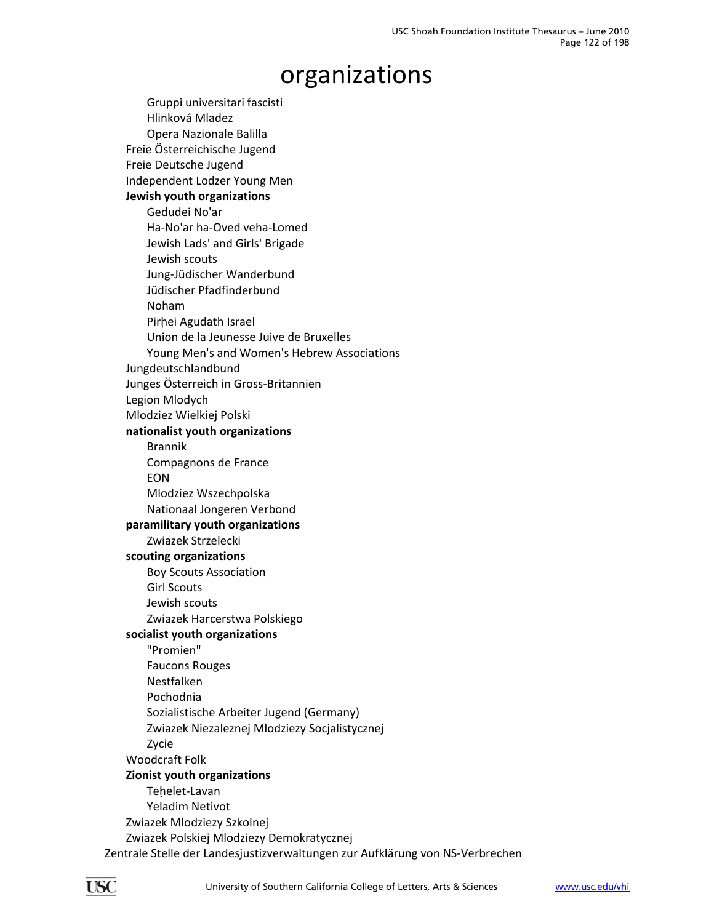Gruppi universitari fascisti Hlinková Mladez Opera Nazionale Balilla Freie Österreichische Jugend Freie Deutsche Jugend Independent Lodzer Young Men **Jewish youth organizations** Gedudei No'ar Ha‐No'ar ha‐Oved veha‐Lomed Jewish Lads' and Girls' Brigade Jewish scouts Jung‐Jüdischer Wanderbund Jüdischer Pfadfinderbund Noham Pirhei Agudath Israel Union de la Jeunesse Juive de Bruxelles Young Men's and Women's Hebrew Associations Jungdeutschlandbund Junges Österreich in Gross‐Britannien Legion Mlodych Mlodziez Wielkiej Polski **nationalist youth organizations** Brannik Compagnons de France EON Mlodziez Wszechpolska Nationaal Jongeren Verbond **paramilitary youth organizations** Zwiazek Strzelecki **scouting organizations** Boy Scouts Association Girl Scouts Jewish scouts Zwiazek Harcerstwa Polskiego **socialist youth organizations** "Promien" Faucons Rouges Nestfalken Pochodnia Sozialistische Arbeiter Jugend (Germany) Zwiazek Niezaleznej Mlodziezy Socjalistycznej Zycie Woodcraft Folk **Zionist youth organizations** Tehelet-Lavan Yeladim Netivot Zwiazek Mlodziezy Szkolnej Zwiazek Polskiej Mlodziezy Demokratycznej Zentrale Stelle der Landesjustizverwaltungen zur Aufklärung von NS‐Verbrechen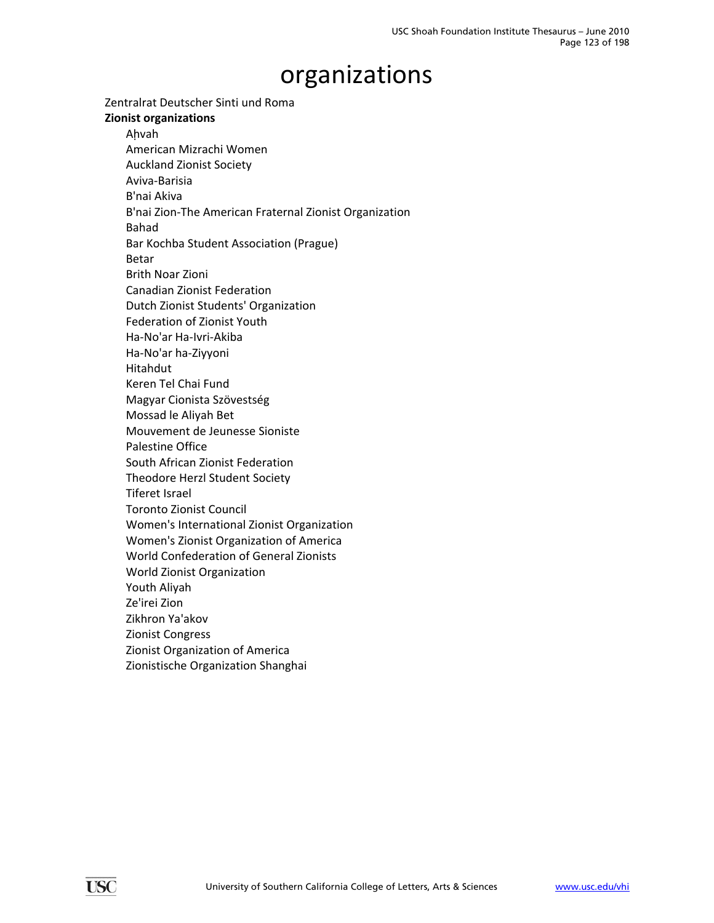Zentralrat Deutscher Sinti und Roma

#### **Zionist organizations**

Ahvah American Mizrachi Women Auckland Zionist Society Aviva‐Barisia B'nai Akiva B'nai Zion‐The American Fraternal Zionist Organization Bahad Bar Kochba Student Association (Prague) Betar Brith Noar Zioni Canadian Zionist Federation Dutch Zionist Students' Organization Federation of Zionist Youth Ha‐No'ar Ha‐Ivri‐Akiba Ha‐No'ar ha‐Ziyyoni Hitahdut Keren Tel Chai Fund Magyar Cionista Szövestség Mossad le Aliyah Bet Mouvement de Jeunesse Sioniste Palestine Office South African Zionist Federation Theodore Herzl Student Society Tiferet Israel Toronto Zionist Council Women's International Zionist Organization Women's Zionist Organization of America World Confederation of General Zionists World Zionist Organization Youth Aliyah Ze'irei Zion Zikhron Ya'akov Zionist Congress Zionist Organization of America Zionistische Organization Shanghai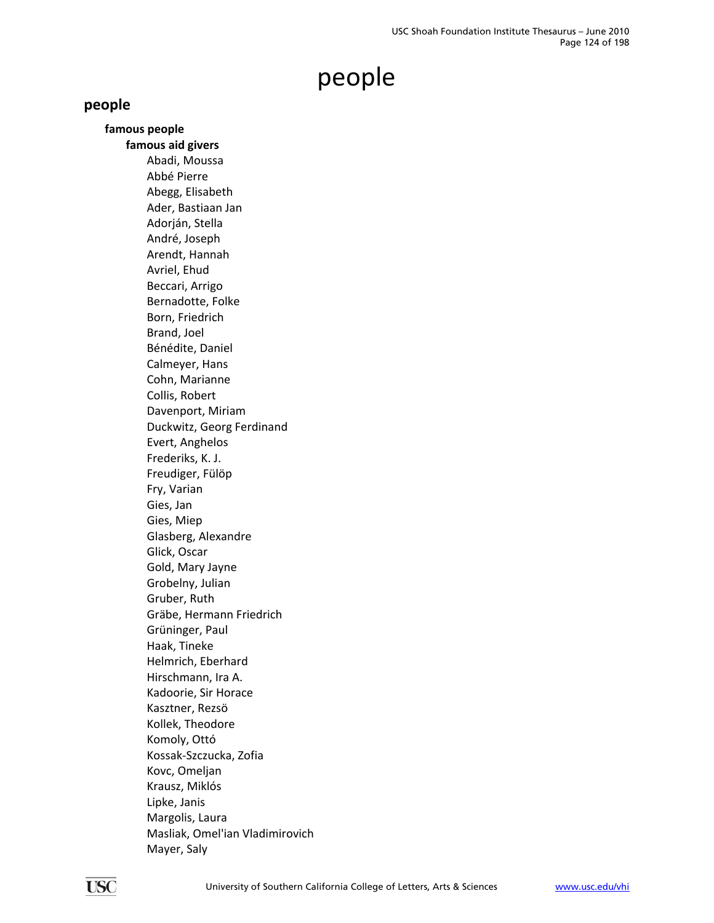### **people**

**famous people famous aid givers** Abadi, Moussa Abbé Pierre Abegg, Elisabeth Ader, Bastiaan Jan Adorján, Stella André, Joseph Arendt, Hannah Avriel, Ehud Beccari, Arrigo Bernadotte, Folke Born, Friedrich Brand, Joel Bénédite, Daniel Calmeyer, Hans Cohn, Marianne Collis, Robert Davenport, Miriam Duckwitz, Georg Ferdinand Evert, Anghelos Frederiks, K. J. Freudiger, Fülöp Fry, Varian Gies, Jan Gies, Miep Glasberg, Alexandre Glick, Oscar Gold, Mary Jayne Grobelny, Julian Gruber, Ruth Gräbe, Hermann Friedrich Grüninger, Paul Haak, Tineke Helmrich, Eberhard Hirschmann, Ira A. Kadoorie, Sir Horace Kasztner, Rezsö Kollek, Theodore Komoly, Ottó Kossak‐Szczucka, Zofia Kovc, Omeljan Krausz, Miklós Lipke, Janis Margolis, Laura Masliak, Omel'ian Vladimirovich Mayer, Saly

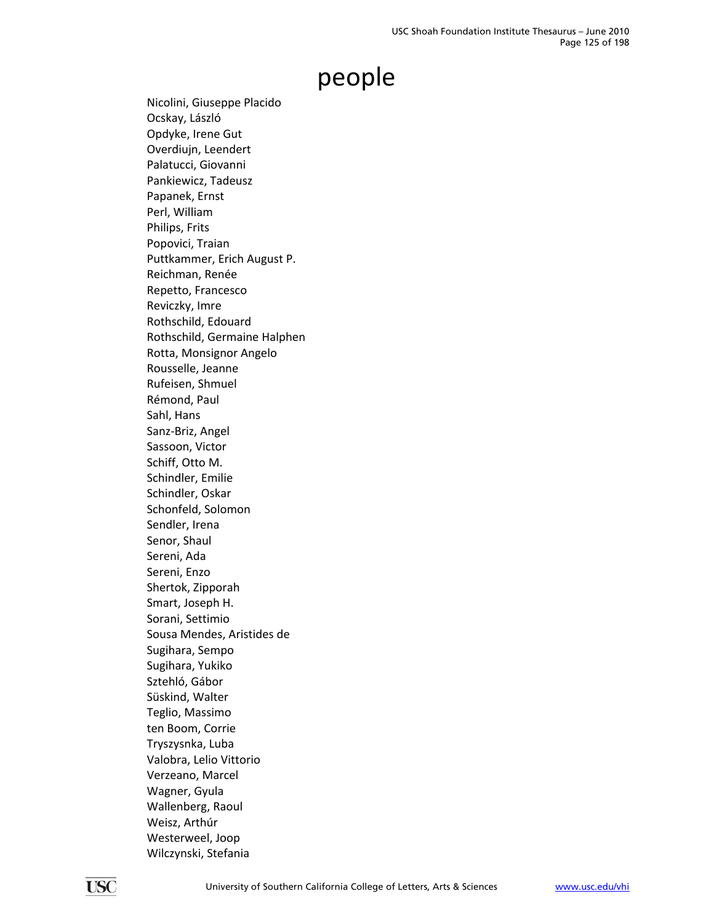Nicolini, Giuseppe Placido Ocskay, László Opdyke, Irene Gut Overdiujn, Leendert Palatucci, Giovanni Pankiewicz, Tadeusz Papanek, Ernst Perl, William Philips, Frits Popovici, Traian Puttkammer, Erich August P. Reichman, Renée Repetto, Francesco Reviczky, Imre Rothschild, Edouard Rothschild, Germaine Halphen Rotta, Monsignor Angelo Rousselle, Jeanne Rufeisen, Shmuel Rémond, Paul Sahl, Hans Sanz‐Briz, Angel Sassoon, Victor Schiff, Otto M. Schindler, Emilie Schindler, Oskar Schonfeld, Solomon Sendler, Irena Senor, Shaul Sereni, Ada Sereni, Enzo Shertok, Zipporah Smart, Joseph H. Sorani, Settimio Sousa Mendes, Aristides de Sugihara, Sempo Sugihara, Yukiko Sztehló, Gábor Süskind, Walter Teglio, Massimo ten Boom, Corrie Tryszysnka, Luba Valobra, Lelio Vittorio Verzeano, Marcel Wagner, Gyula Wallenberg, Raoul Weisz, Arthúr Westerweel, Joop Wilczynski, Stefania

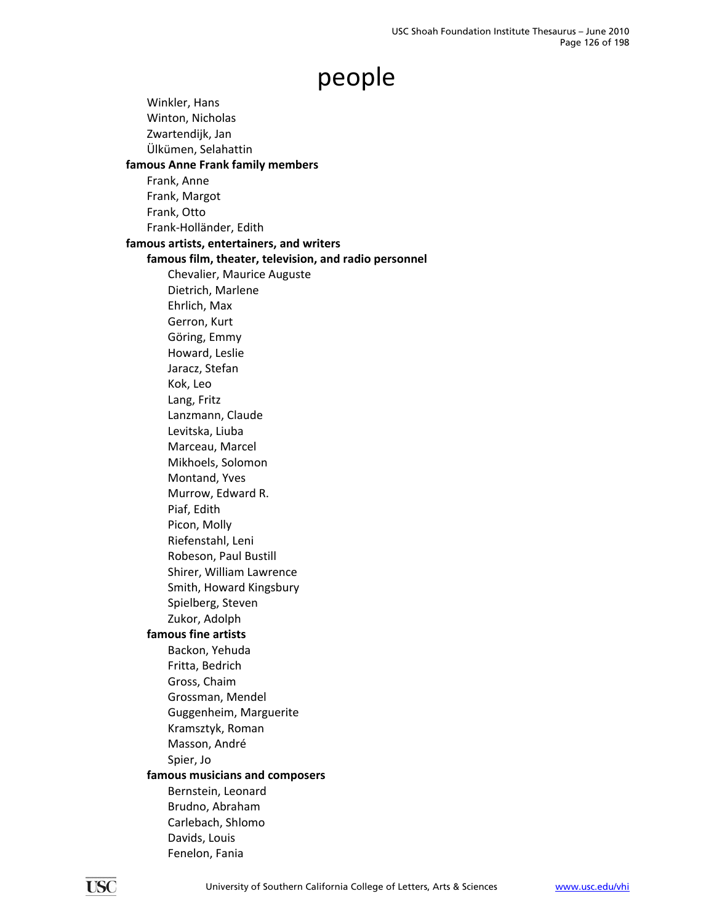Winkler, Hans Winton, Nicholas Zwartendijk, Jan Ülkümen, Selahattin **famous Anne Frank family members** Frank, Anne Frank, Margot Frank, Otto Frank‐Holländer, Edith **famous artists, entertainers, and writers famous film, theater, television, and radio personnel** Chevalier, Maurice Auguste Dietrich, Marlene Ehrlich, Max Gerron, Kurt Göring, Emmy Howard, Leslie Jaracz, Stefan Kok, Leo Lang, Fritz Lanzmann, Claude Levitska, Liuba Marceau, Marcel Mikhoels, Solomon Montand, Yves Murrow, Edward R. Piaf, Edith Picon, Molly Riefenstahl, Leni Robeson, Paul Bustill Shirer, William Lawrence Smith, Howard Kingsbury Spielberg, Steven Zukor, Adolph **famous fine artists** Backon, Yehuda Fritta, Bedrich Gross, Chaim Grossman, Mendel Guggenheim, Marguerite Kramsztyk, Roman Masson, André Spier, Jo **famous musicians and composers** Bernstein, Leonard Brudno, Abraham Carlebach, Shlomo Davids, Louis Fenelon, Fania

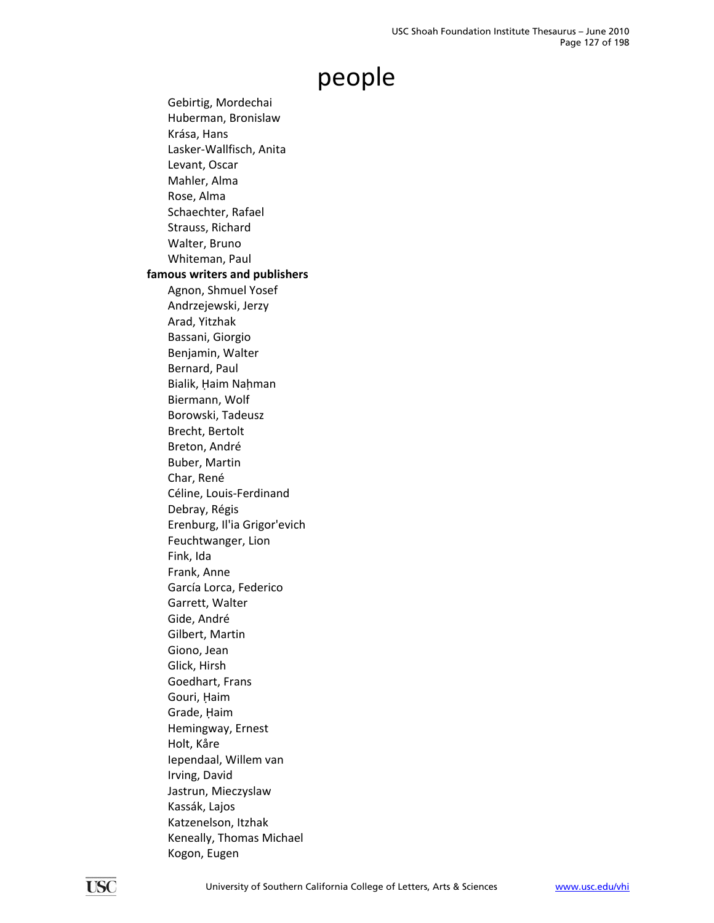Gebirtig, Mordechai Huberman, Bronislaw Krása, Hans Lasker‐Wallfisch, Anita Levant, Oscar Mahler, Alma Rose, Alma Schaechter, Rafael Strauss, Richard Walter, Bruno Whiteman, Paul **famous writers and publishers** Agnon, Shmuel Yosef Andrzejewski, Jerzy Arad, Yitzhak Bassani, Giorgio Benjamin, Walter Bernard, Paul Bialik, Haim Nahman Biermann, Wolf Borowski, Tadeusz Brecht, Bertolt Breton, André Buber, Martin Char, René Céline, Louis‐Ferdinand Debray, Régis Erenburg, Il'ia Grigor'evich Feuchtwanger, Lion Fink, Ida Frank, Anne García Lorca, Federico Garrett, Walter Gide, André Gilbert, Martin Giono, Jean Glick, Hirsh Goedhart, Frans Gouri, Haim Grade, Haim Hemingway, Ernest Holt, Kåre Iependaal, Willem van Irving, David Jastrun, Mieczyslaw Kassák, Lajos Katzenelson, Itzhak Keneally, Thomas Michael Kogon, Eugen

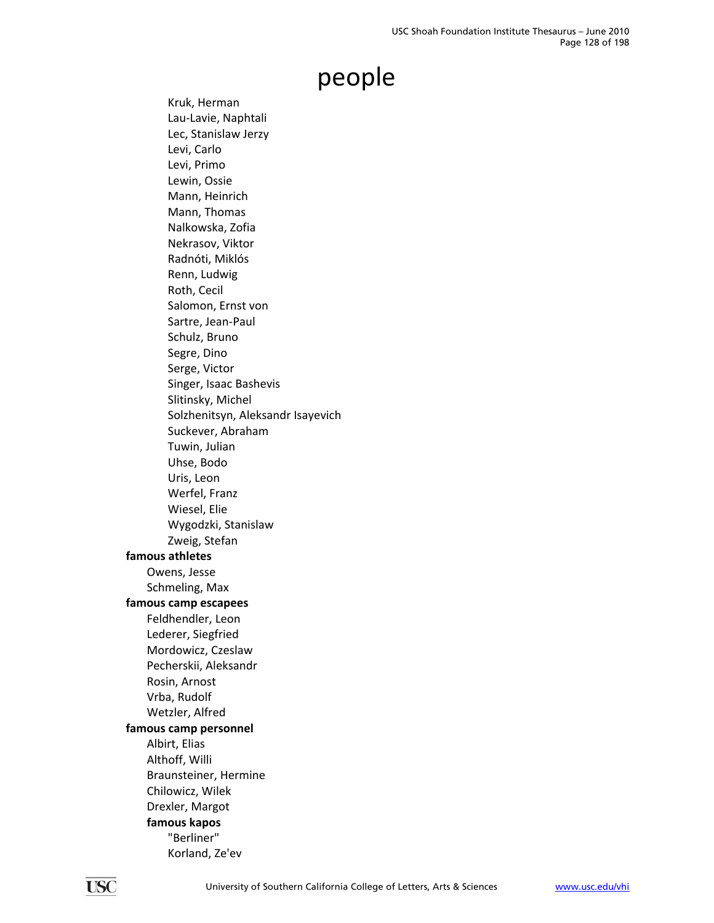Kruk, Herman Lau‐Lavie, Naphtali Lec, Stanislaw Jerzy Levi, Carlo Levi, Primo Lewin, Ossie Mann, Heinrich Mann, Thomas Nalkowska, Zofia Nekrasov, Viktor Radnóti, Miklós Renn, Ludwig Roth, Cecil Salomon, Ernst von Sartre, Jean‐Paul Schulz, Bruno Segre, Dino Serge, Victor Singer, Isaac Bashevis Slitinsky, Michel Solzhenitsyn, Aleksandr Isayevich Suckever, Abraham Tuwin, Julian Uhse, Bodo Uris, Leon Werfel, Franz Wiesel, Elie Wygodzki, Stanislaw Zweig, Stefan **famous athletes** Owens, Jesse Schmeling, Max **famous camp escapees** Feldhendler, Leon Lederer, Siegfried Mordowicz, Czeslaw Pecherskii, Aleksandr Rosin, Arnost Vrba, Rudolf Wetzler, Alfred **famous camp personnel** Albirt, Elias Althoff, Willi Braunsteiner, Hermine Chilowicz, Wilek Drexler, Margot **famous kapos** "Berliner" Korland, Ze'ev

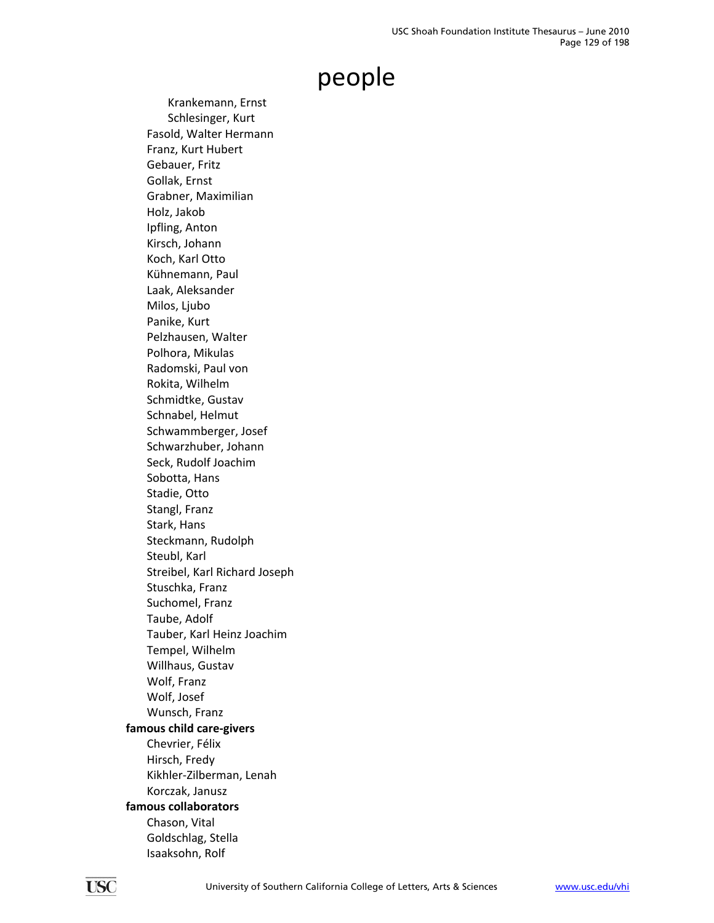Krankemann, Ernst Schlesinger, Kurt Fasold, Walter Hermann Franz, Kurt Hubert Gebauer, Fritz Gollak, Ernst Grabner, Maximilian Holz, Jakob Ipfling, Anton Kirsch, Johann Koch, Karl Otto Kühnemann, Paul Laak, Aleksander Milos, Ljubo Panike, Kurt Pelzhausen, Walter Polhora, Mikulas Radomski, Paul von Rokita, Wilhelm Schmidtke, Gustav Schnabel, Helmut Schwammberger, Josef Schwarzhuber, Johann Seck, Rudolf Joachim Sobotta, Hans Stadie, Otto Stangl, Franz Stark, Hans Steckmann, Rudolph Steubl, Karl Streibel, Karl Richard Joseph Stuschka, Franz Suchomel, Franz Taube, Adolf Tauber, Karl Heinz Joachim Tempel, Wilhelm Willhaus, Gustav Wolf, Franz Wolf, Josef Wunsch, Franz **famous child care‐givers** Chevrier, Félix Hirsch, Fredy Kikhler‐Zilberman, Lenah Korczak, Janusz **famous collaborators** Chason, Vital Goldschlag, Stella Isaaksohn, Rolf

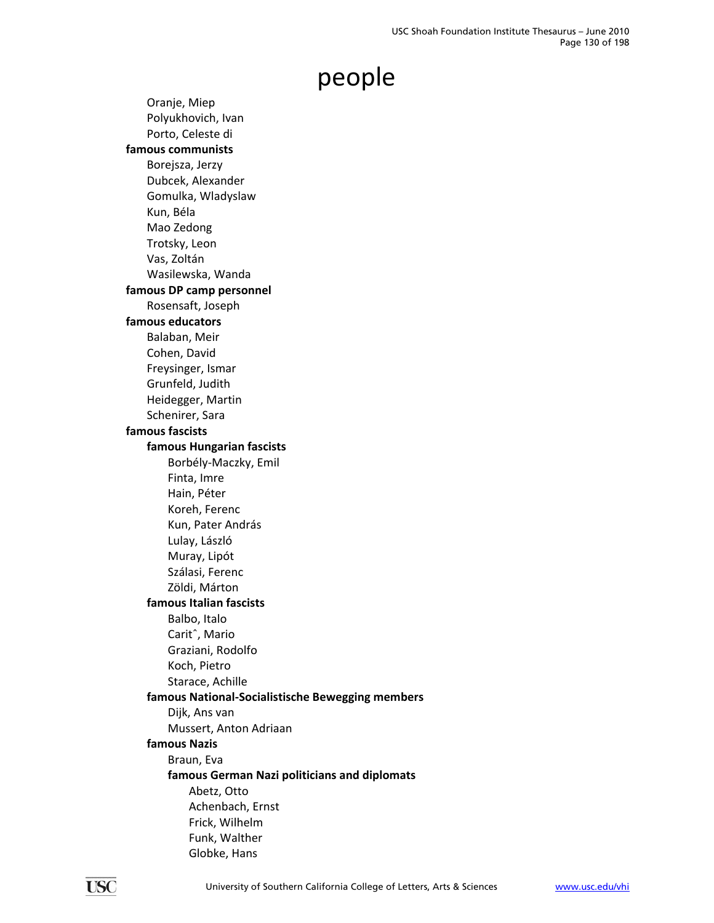Oranje, Miep Polyukhovich, Ivan Porto, Celeste di **famous communists** Borejsza, Jerzy Dubcek, Alexander Gomulka, Wladyslaw Kun, Béla Mao Zedong Trotsky, Leon Vas, Zoltán Wasilewska, Wanda **famous DP camp personnel** Rosensaft, Joseph **famous educators** Balaban, Meir Cohen, David Freysinger, Ismar Grunfeld, Judith Heidegger, Martin Schenirer, Sara **famous fascists famous Hungarian fascists** Borbély‐Maczky, Emil Finta, Imre Hain, Péter Koreh, Ferenc Kun, Pater András Lulay, László Muray, Lipót Szálasi, Ferenc Zöldi, Márton **famous Italian fascists** Balbo, Italo Caritˆ, Mario Graziani, Rodolfo Koch, Pietro Starace, Achille **famous National‐Socialistische Bewegging members** Dijk, Ans van Mussert, Anton Adriaan **famous Nazis** Braun, Eva **famous German Nazi politicians and diplomats** Abetz, Otto Achenbach, Ernst Frick, Wilhelm Funk, Walther Globke, Hans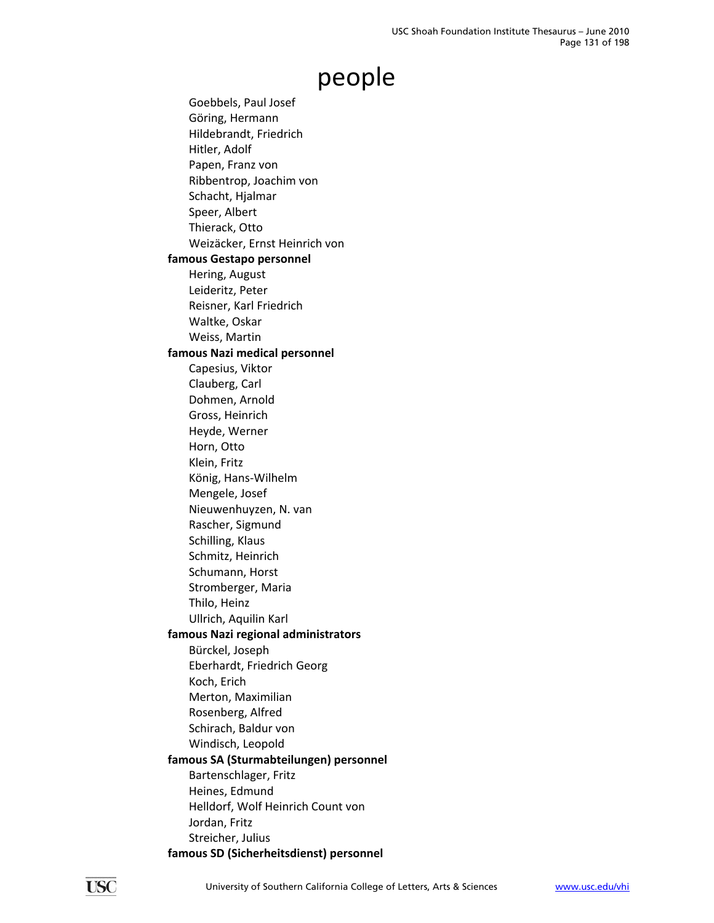Goebbels, Paul Josef Göring, Hermann Hildebrandt, Friedrich Hitler, Adolf Papen, Franz von Ribbentrop, Joachim von Schacht, Hjalmar Speer, Albert Thierack, Otto Weizäcker, Ernst Heinrich von **famous Gestapo personnel** Hering, August Leideritz, Peter Reisner, Karl Friedrich Waltke, Oskar Weiss, Martin **famous Nazi medical personnel** Capesius, Viktor Clauberg, Carl Dohmen, Arnold Gross, Heinrich Heyde, Werner Horn, Otto Klein, Fritz König, Hans‐Wilhelm Mengele, Josef Nieuwenhuyzen, N. van Rascher, Sigmund Schilling, Klaus Schmitz, Heinrich Schumann, Horst Stromberger, Maria Thilo, Heinz Ullrich, Aquilin Karl **famous Nazi regional administrators** Bürckel, Joseph Eberhardt, Friedrich Georg Koch, Erich Merton, Maximilian Rosenberg, Alfred Schirach, Baldur von Windisch, Leopold **famous SA (Sturmabteilungen) personnel** Bartenschlager, Fritz Heines, Edmund Helldorf, Wolf Heinrich Count von Jordan, Fritz Streicher, Julius **famous SD (Sicherheitsdienst) personnel**

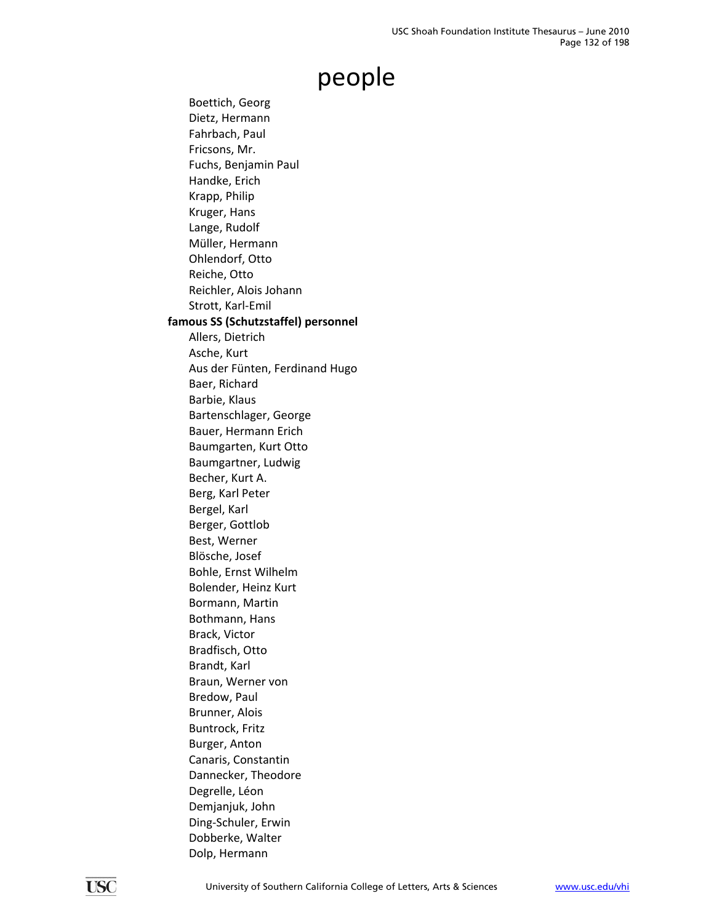Boettich, Georg Dietz, Hermann Fahrbach, Paul Fricsons, Mr. Fuchs, Benjamin Paul Handke, Erich Krapp, Philip Kruger, Hans Lange, Rudolf Müller, Hermann Ohlendorf, Otto Reiche, Otto Reichler, Alois Johann Strott, Karl‐Emil **famous SS (Schutzstaffel) personnel** Allers, Dietrich Asche, Kurt Aus der Fünten, Ferdinand Hugo Baer, Richard Barbie, Klaus Bartenschlager, George Bauer, Hermann Erich Baumgarten, Kurt Otto Baumgartner, Ludwig Becher, Kurt A. Berg, Karl Peter Bergel, Karl Berger, Gottlob Best, Werner Blösche, Josef Bohle, Ernst Wilhelm Bolender, Heinz Kurt Bormann, Martin Bothmann, Hans Brack, Victor Bradfisch, Otto Brandt, Karl Braun, Werner von Bredow, Paul Brunner, Alois Buntrock, Fritz Burger, Anton Canaris, Constantin Dannecker, Theodore Degrelle, Léon Demjanjuk, John Ding‐Schuler, Erwin Dobberke, Walter Dolp, Hermann

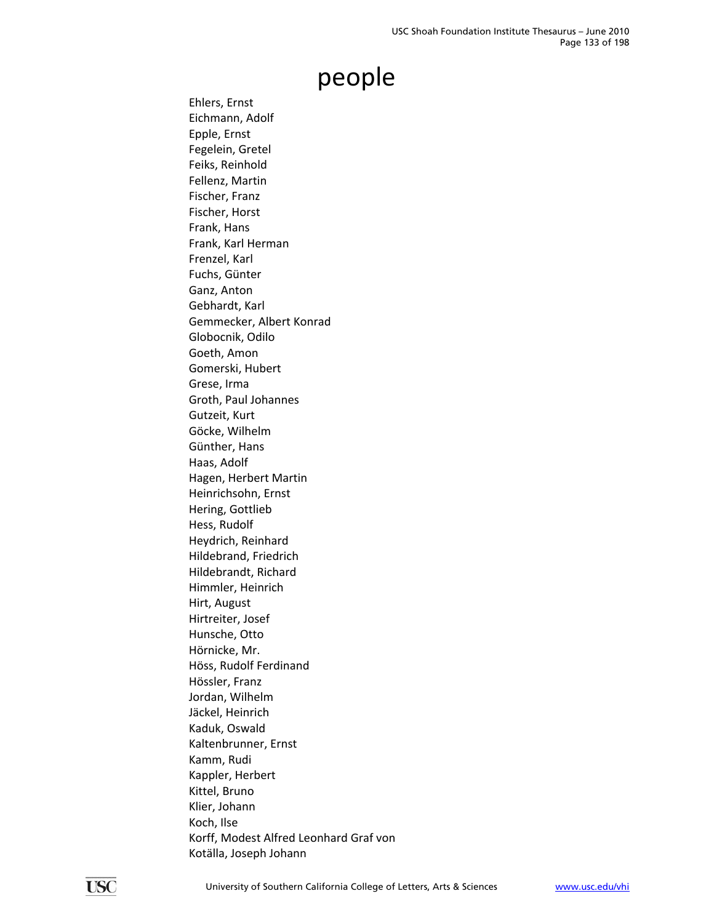Ehlers, Ernst Eichmann, Adolf Epple, Ernst Fegelein, Gretel Feiks, Reinhold Fellenz, Martin Fischer, Franz Fischer, Horst Frank, Hans Frank, Karl Herman Frenzel, Karl Fuchs, Günter Ganz, Anton Gebhardt, Karl Gemmecker, Albert Konrad Globocnik, Odilo Goeth, Amon Gomerski, Hubert Grese, Irma Groth, Paul Johannes Gutzeit, Kurt Göcke, Wilhelm Günther, Hans Haas, Adolf Hagen, Herbert Martin Heinrichsohn, Ernst Hering, Gottlieb Hess, Rudolf Heydrich, Reinhard Hildebrand, Friedrich Hildebrandt, Richard Himmler, Heinrich Hirt, August Hirtreiter, Josef Hunsche, Otto Hörnicke, Mr. Höss, Rudolf Ferdinand Hössler, Franz Jordan, Wilhelm Jäckel, Heinrich Kaduk, Oswald Kaltenbrunner, Ernst Kamm, Rudi Kappler, Herbert Kittel, Bruno Klier, Johann Koch, Ilse Korff, Modest Alfred Leonhard Graf von Kotälla, Joseph Johann

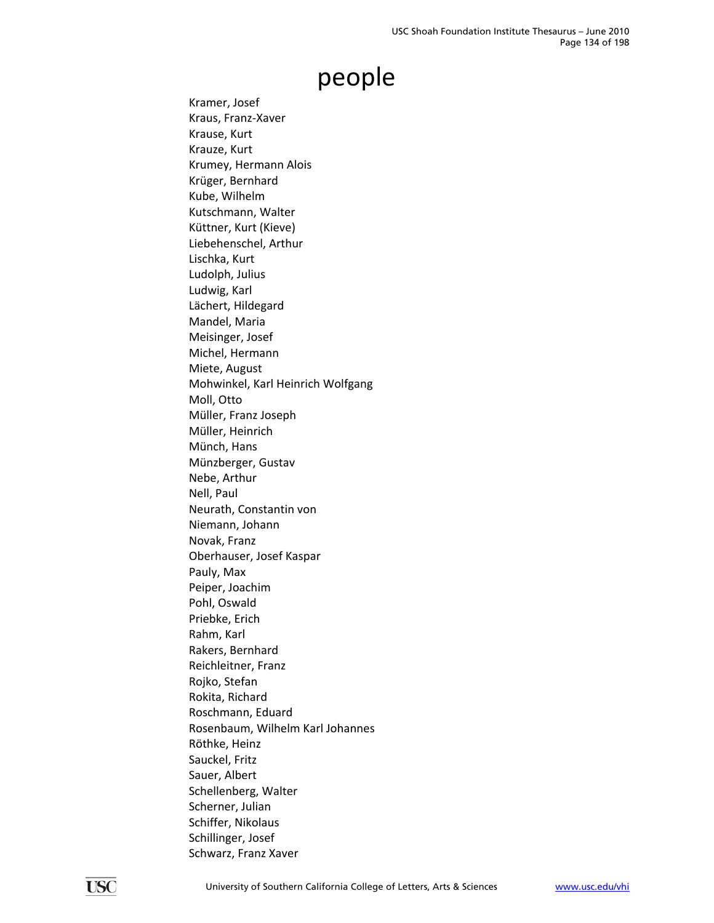Kramer, Josef Kraus, Franz‐Xaver Krause, Kurt Krauze, Kurt Krumey, Hermann Alois Krüger, Bernhard Kube, Wilhelm Kutschmann, Walter Küttner, Kurt (Kieve) Liebehenschel, Arthur Lischka, Kurt Ludolph, Julius Ludwig, Karl Lächert, Hildegard Mandel, Maria Meisinger, Josef Michel, Hermann Miete, August Mohwinkel, Karl Heinrich Wolfgang Moll, Otto Müller, Franz Joseph Müller, Heinrich Münch, Hans Münzberger, Gustav Nebe, Arthur Nell, Paul Neurath, Constantin von Niemann, Johann Novak, Franz Oberhauser, Josef Kaspar Pauly, Max Peiper, Joachim Pohl, Oswald Priebke, Erich Rahm, Karl Rakers, Bernhard Reichleitner, Franz Rojko, Stefan Rokita, Richard Roschmann, Eduard Rosenbaum, Wilhelm Karl Johannes Röthke, Heinz Sauckel, Fritz Sauer, Albert Schellenberg, Walter Scherner, Julian Schiffer, Nikolaus Schillinger, Josef Schwarz, Franz Xaver

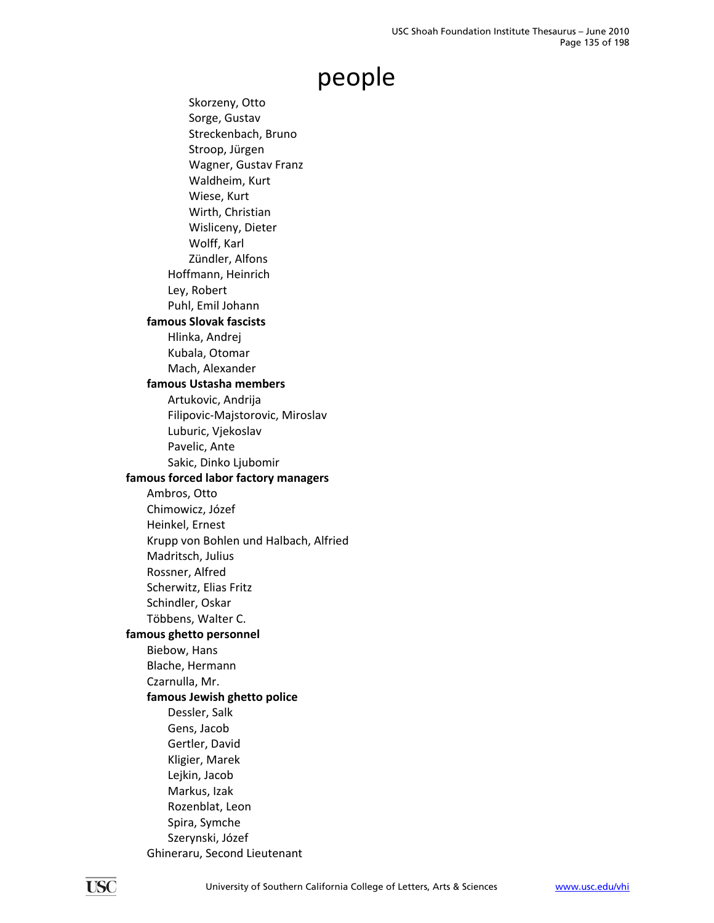Skorzeny, Otto Sorge, Gustav Streckenbach, Bruno Stroop, Jürgen Wagner, Gustav Franz Waldheim, Kurt Wiese, Kurt Wirth, Christian Wisliceny, Dieter Wolff, Karl Zündler, Alfons Hoffmann, Heinrich Ley, Robert Puhl, Emil Johann **famous Slovak fascists** Hlinka, Andrej Kubala, Otomar Mach, Alexander **famous Ustasha members** Artukovic, Andrija Filipovic‐Majstorovic, Miroslav Luburic, Vjekoslav Pavelic, Ante Sakic, Dinko Ljubomir **famous forced labor factory managers** Ambros, Otto Chimowicz, Józef Heinkel, Ernest Krupp von Bohlen und Halbach, Alfried Madritsch, Julius Rossner, Alfred Scherwitz, Elias Fritz Schindler, Oskar Többens, Walter C. **famous ghetto personnel** Biebow, Hans Blache, Hermann Czarnulla, Mr. **famous Jewish ghetto police** Dessler, Salk Gens, Jacob Gertler, David Kligier, Marek Lejkin, Jacob Markus, Izak Rozenblat, Leon Spira, Symche Szerynski, Józef Ghineraru, Second Lieutenant

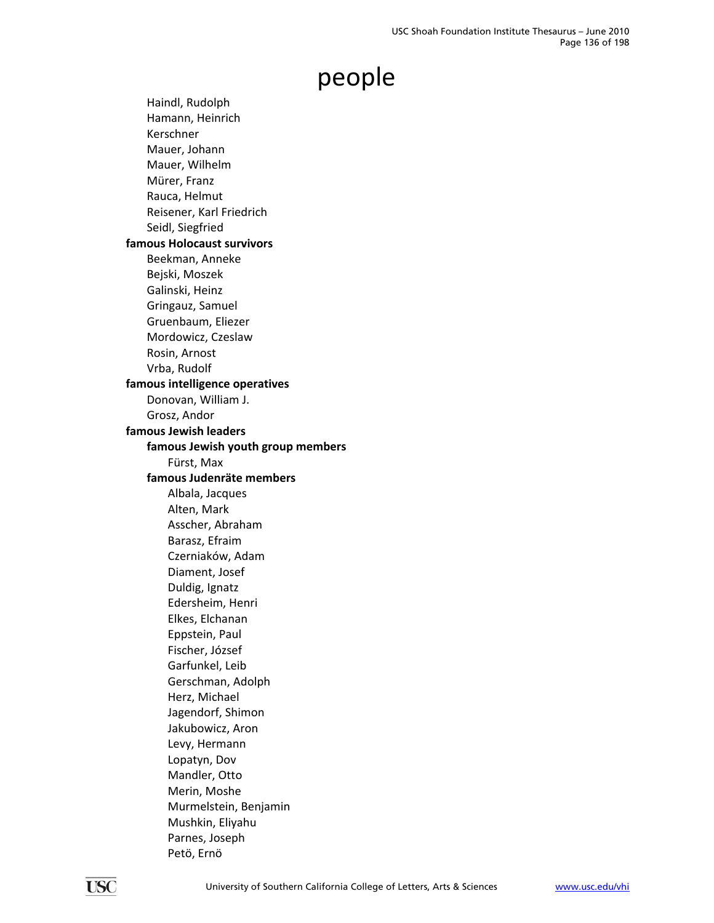Haindl, Rudolph Hamann, Heinrich Kerschner Mauer, Johann Mauer, Wilhelm Mürer, Franz Rauca, Helmut Reisener, Karl Friedrich Seidl, Siegfried **famous Holocaust survivors** Beekman, Anneke Bejski, Moszek Galinski, Heinz Gringauz, Samuel Gruenbaum, Eliezer Mordowicz, Czeslaw Rosin, Arnost Vrba, Rudolf **famous intelligence operatives** Donovan, William J. Grosz, Andor **famous Jewish leaders famous Jewish youth group members** Fürst, Max **famous Judenräte members** Albala, Jacques Alten, Mark Asscher, Abraham Barasz, Efraim Czerniaków, Adam Diament, Josef Duldig, Ignatz Edersheim, Henri Elkes, Elchanan Eppstein, Paul Fischer, József Garfunkel, Leib Gerschman, Adolph Herz, Michael Jagendorf, Shimon Jakubowicz, Aron Levy, Hermann Lopatyn, Dov Mandler, Otto Merin, Moshe Murmelstein, Benjamin Mushkin, Eliyahu Parnes, Joseph Petö, Ernö

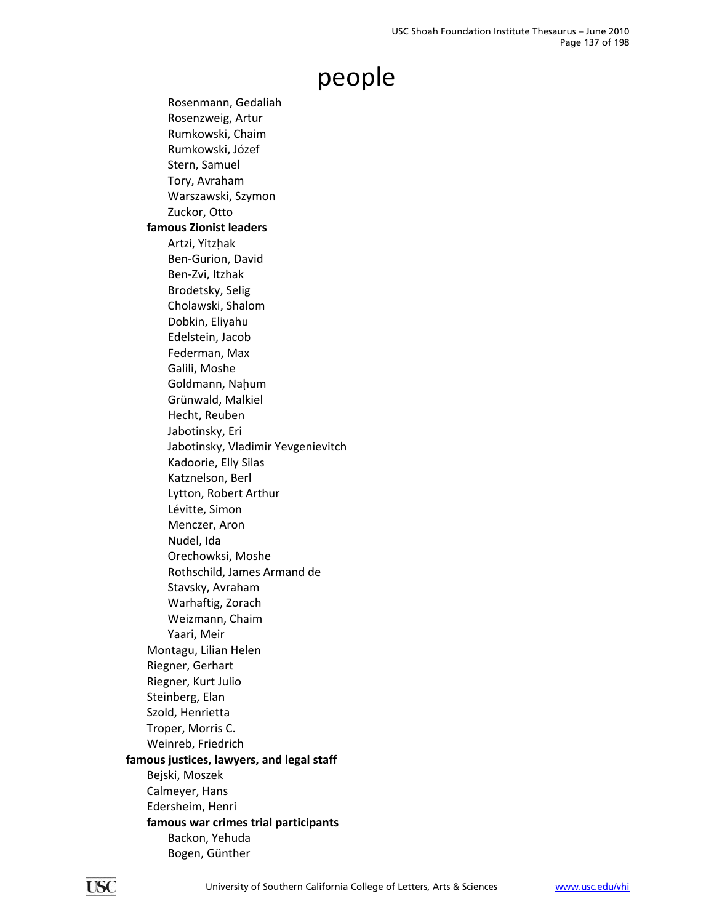Rosenmann, Gedaliah Rosenzweig, Artur Rumkowski, Chaim Rumkowski, Józef Stern, Samuel Tory, Avraham Warszawski, Szymon Zuckor, Otto **famous Zionist leaders** Artzi, Yitzhak Ben‐Gurion, David Ben‐Zvi, Itzhak Brodetsky, Selig Cholawski, Shalom Dobkin, Eliyahu Edelstein, Jacob Federman, Max Galili, Moshe Goldmann, Nahum Grünwald, Malkiel Hecht, Reuben Jabotinsky, Eri Jabotinsky, Vladimir Yevgenievitch Kadoorie, Elly Silas Katznelson, Berl Lytton, Robert Arthur Lévitte, Simon Menczer, Aron Nudel, Ida Orechowksi, Moshe Rothschild, James Armand de Stavsky, Avraham Warhaftig, Zorach Weizmann, Chaim Yaari, Meir Montagu, Lilian Helen Riegner, Gerhart Riegner, Kurt Julio Steinberg, Elan Szold, Henrietta Troper, Morris C. Weinreb, Friedrich **famous justices, lawyers, and legal staff** Bejski, Moszek Calmeyer, Hans Edersheim, Henri **famous war crimes trial participants** Backon, Yehuda Bogen, Günther

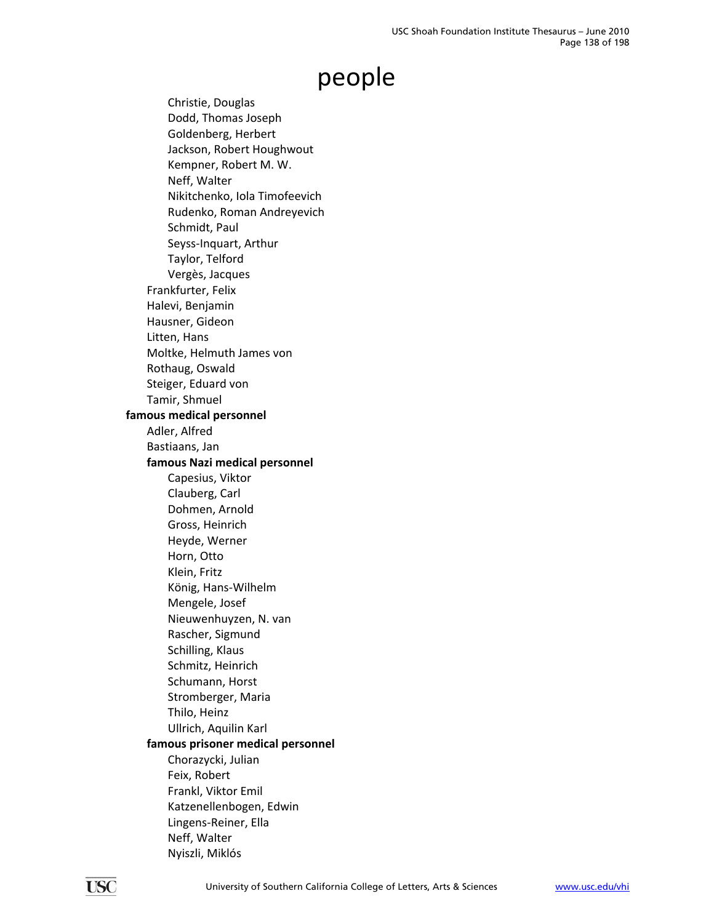Christie, Douglas Dodd, Thomas Joseph Goldenberg, Herbert Jackson, Robert Houghwout Kempner, Robert M. W. Neff, Walter Nikitchenko, Iola Timofeevich Rudenko, Roman Andreyevich Schmidt, Paul Seyss‐Inquart, Arthur Taylor, Telford Vergès, Jacques Frankfurter, Felix Halevi, Benjamin Hausner, Gideon Litten, Hans Moltke, Helmuth James von Rothaug, Oswald Steiger, Eduard von Tamir, Shmuel **famous medical personnel** Adler, Alfred Bastiaans, Jan **famous Nazi medical personnel** Capesius, Viktor Clauberg, Carl Dohmen, Arnold Gross, Heinrich Heyde, Werner Horn, Otto Klein, Fritz König, Hans‐Wilhelm Mengele, Josef Nieuwenhuyzen, N. van Rascher, Sigmund Schilling, Klaus Schmitz, Heinrich Schumann, Horst Stromberger, Maria Thilo, Heinz Ullrich, Aquilin Karl **famous prisoner medical personnel** Chorazycki, Julian Feix, Robert Frankl, Viktor Emil Katzenellenbogen, Edwin Lingens‐Reiner, Ella Neff, Walter Nyiszli, Miklós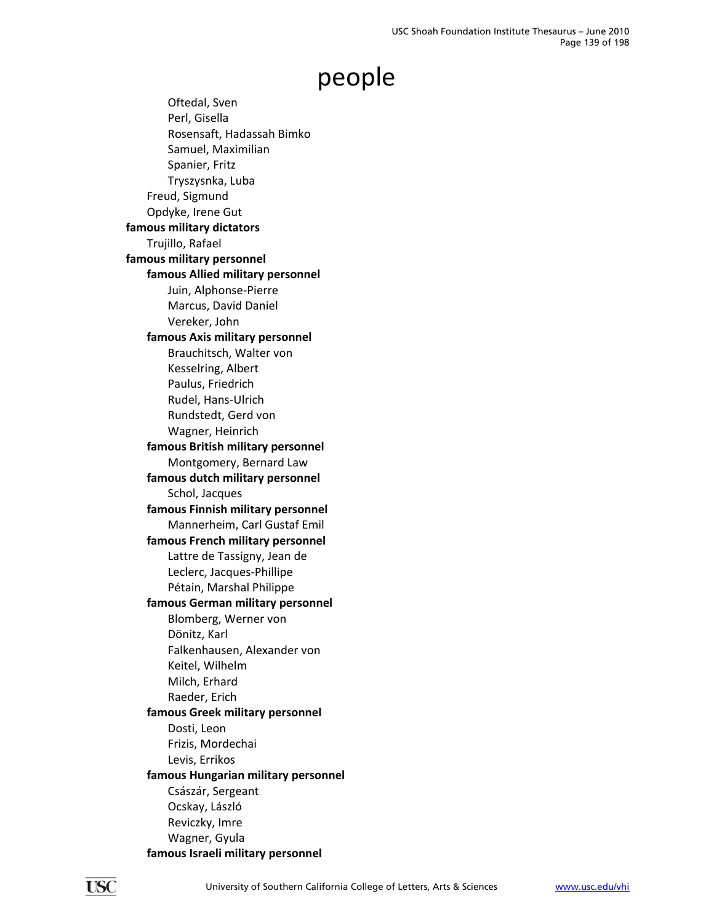Oftedal, Sven Perl, Gisella Rosensaft, Hadassah Bimko Samuel, Maximilian Spanier, Fritz Tryszysnka, Luba Freud, Sigmund Opdyke, Irene Gut **famous military dictators** Trujillo, Rafael **famous military personnel famous Allied military personnel** Juin, Alphonse‐Pierre Marcus, David Daniel Vereker, John **famous Axis military personnel** Brauchitsch, Walter von Kesselring, Albert Paulus, Friedrich Rudel, Hans‐Ulrich Rundstedt, Gerd von Wagner, Heinrich **famous British military personnel** Montgomery, Bernard Law **famous dutch military personnel** Schol, Jacques **famous Finnish military personnel** Mannerheim, Carl Gustaf Emil **famous French military personnel** Lattre de Tassigny, Jean de Leclerc, Jacques‐Phillipe Pétain, Marshal Philippe **famous German military personnel** Blomberg, Werner von Dönitz, Karl Falkenhausen, Alexander von Keitel, Wilhelm Milch, Erhard Raeder, Erich **famous Greek military personnel** Dosti, Leon Frizis, Mordechai Levis, Errikos **famous Hungarian military personnel** Császár, Sergeant Ocskay, László Reviczky, Imre Wagner, Gyula **famous Israeli military personnel**

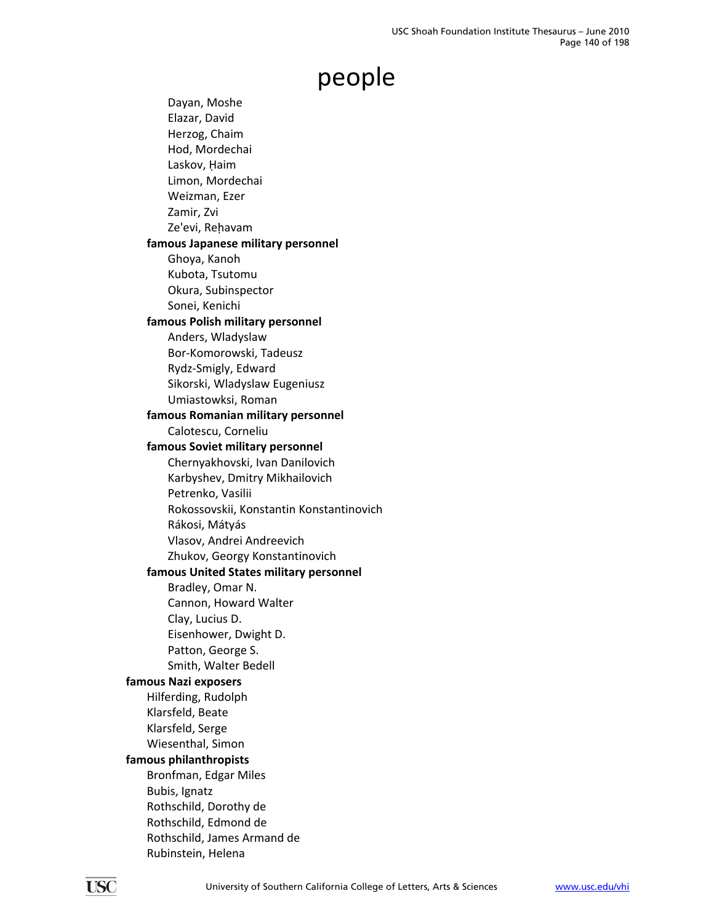Dayan, Moshe Elazar, David Herzog, Chaim Hod, Mordechai Laskov, Haim Limon, Mordechai Weizman, Ezer Zamir, Zvi Ze'evi, Rehavam **famous Japanese military personnel** Ghoya, Kanoh Kubota, Tsutomu Okura, Subinspector Sonei, Kenichi **famous Polish military personnel** Anders, Wladyslaw Bor‐Komorowski, Tadeusz Rydz‐Smigly, Edward Sikorski, Wladyslaw Eugeniusz Umiastowksi, Roman **famous Romanian military personnel** Calotescu, Corneliu **famous Soviet military personnel** Chernyakhovski, Ivan Danilovich Karbyshev, Dmitry Mikhailovich Petrenko, Vasilii Rokossovskii, Konstantin Konstantinovich Rákosi, Mátyás Vlasov, Andrei Andreevich Zhukov, Georgy Konstantinovich **famous United States military personnel** Bradley, Omar N. Cannon, Howard Walter Clay, Lucius D. Eisenhower, Dwight D. Patton, George S. Smith, Walter Bedell **famous Nazi exposers** Hilferding, Rudolph Klarsfeld, Beate Klarsfeld, Serge Wiesenthal, Simon **famous philanthropists** Bronfman, Edgar Miles Bubis, Ignatz Rothschild, Dorothy de Rothschild, Edmond de Rothschild, James Armand de Rubinstein, Helena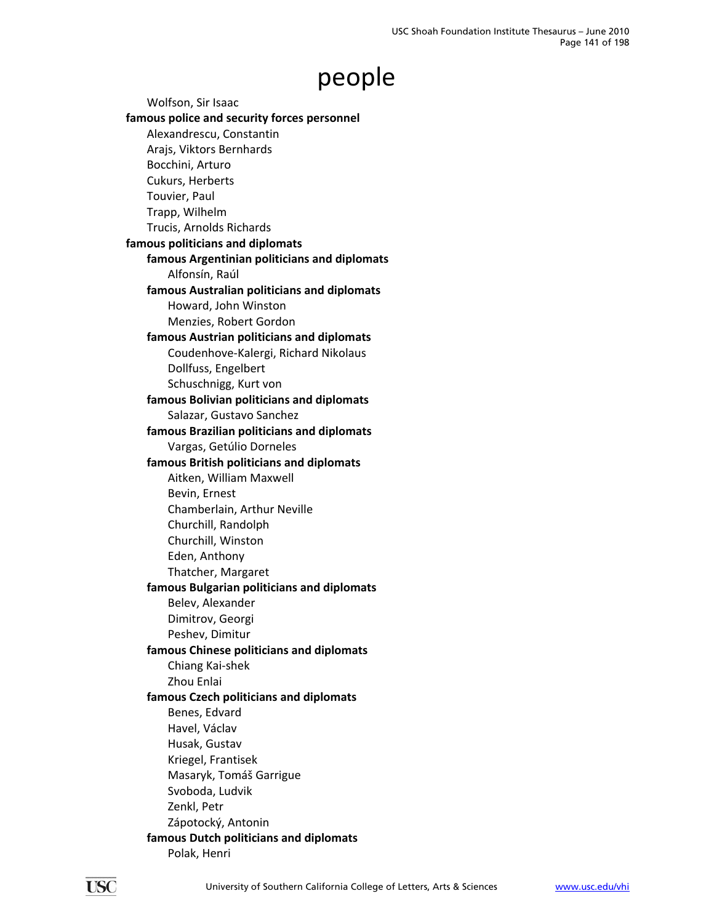Wolfson, Sir Isaac **famous police and security forces personnel** Alexandrescu, Constantin Arajs, Viktors Bernhards Bocchini, Arturo Cukurs, Herberts Touvier, Paul Trapp, Wilhelm Trucis, Arnolds Richards **famous politicians and diplomats famous Argentinian politicians and diplomats** Alfonsín, Raúl **famous Australian politicians and diplomats** Howard, John Winston Menzies, Robert Gordon **famous Austrian politicians and diplomats** Coudenhove‐Kalergi, Richard Nikolaus Dollfuss, Engelbert Schuschnigg, Kurt von **famous Bolivian politicians and diplomats** Salazar, Gustavo Sanchez **famous Brazilian politicians and diplomats** Vargas, Getúlio Dorneles **famous British politicians and diplomats** Aitken, William Maxwell Bevin, Ernest Chamberlain, Arthur Neville Churchill, Randolph Churchill, Winston Eden, Anthony Thatcher, Margaret **famous Bulgarian politicians and diplomats** Belev, Alexander Dimitrov, Georgi Peshev, Dimitur **famous Chinese politicians and diplomats** Chiang Kai‐shek Zhou Enlai **famous Czech politicians and diplomats** Benes, Edvard Havel, Václav Husak, Gustav Kriegel, Frantisek Masaryk, Tomáš Garrigue Svoboda, Ludvik Zenkl, Petr Zápotocký, Antonin **famous Dutch politicians and diplomats** Polak, Henri

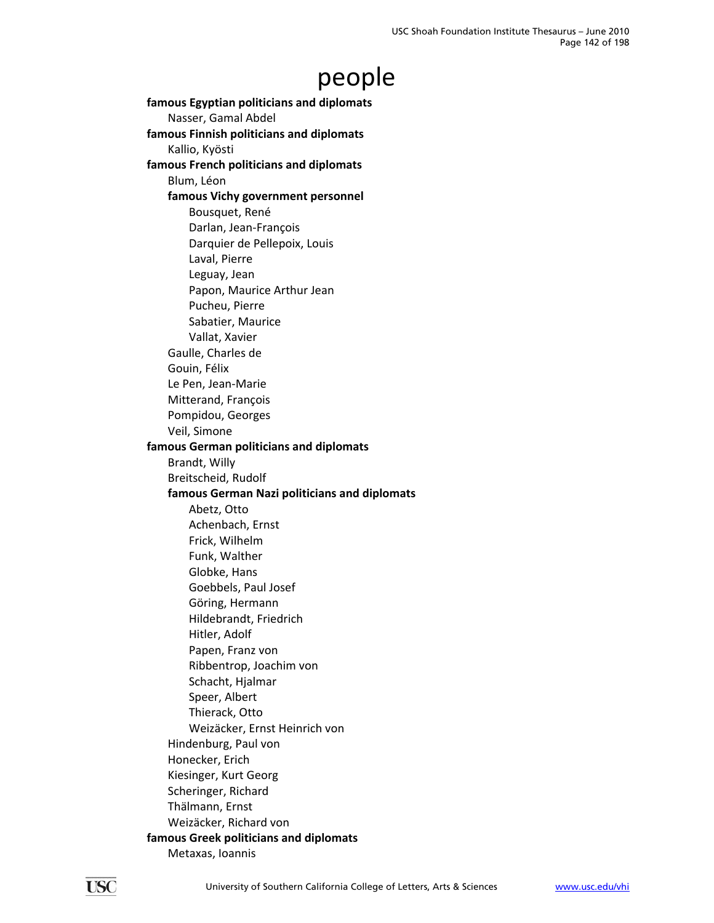**famous Egyptian politicians and diplomats** Nasser, Gamal Abdel **famous Finnish politicians and diplomats** Kallio, Kyösti **famous French politicians and diplomats** Blum, Léon **famous Vichy government personnel** Bousquet, René Darlan, Jean‐François Darquier de Pellepoix, Louis Laval, Pierre Leguay, Jean Papon, Maurice Arthur Jean Pucheu, Pierre Sabatier, Maurice Vallat, Xavier Gaulle, Charles de Gouin, Félix Le Pen, Jean‐Marie Mitterand, François Pompidou, Georges Veil, Simone **famous German politicians and diplomats** Brandt, Willy Breitscheid, Rudolf **famous German Nazi politicians and diplomats** Abetz, Otto Achenbach, Ernst Frick, Wilhelm Funk, Walther Globke, Hans Goebbels, Paul Josef Göring, Hermann Hildebrandt, Friedrich Hitler, Adolf Papen, Franz von Ribbentrop, Joachim von Schacht, Hjalmar Speer, Albert Thierack, Otto Weizäcker, Ernst Heinrich von Hindenburg, Paul von Honecker, Erich Kiesinger, Kurt Georg Scheringer, Richard Thälmann, Ernst Weizäcker, Richard von **famous Greek politicians and diplomats** Metaxas, Ioannis

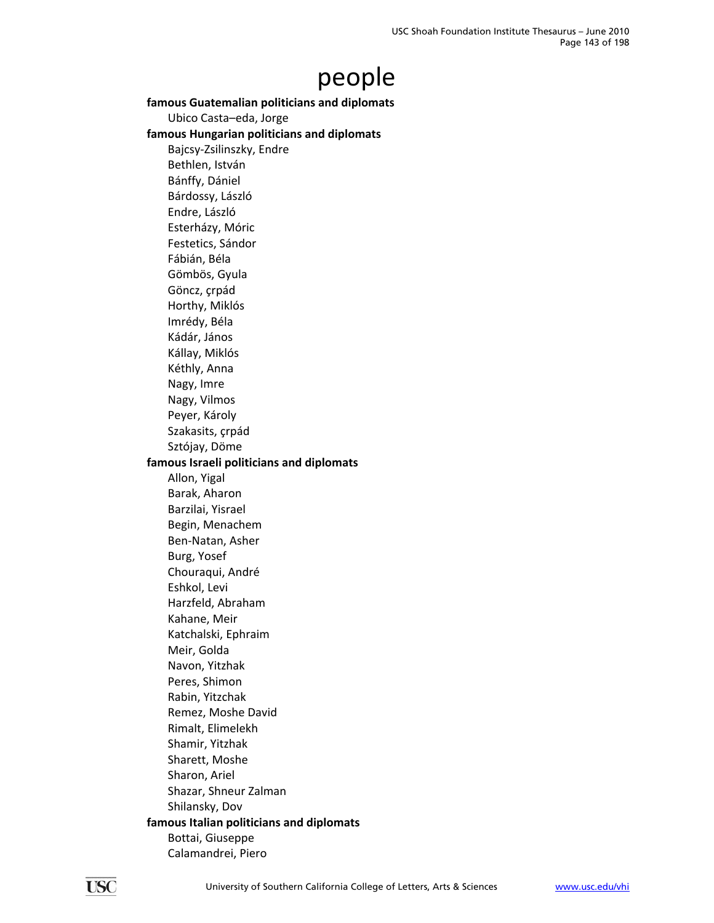### **famous Guatemalian politicians and diplomats**

Ubico Casta–eda, Jorge

#### **famous Hungarian politicians and diplomats**

Bajcsy‐Zsilinszky, Endre Bethlen, István Bánffy, Dániel Bárdossy, László Endre, László Esterházy, Móric Festetics, Sándor Fábián, Béla Gömbös, Gyula Göncz, çrpád Horthy, Miklós Imrédy, Béla Kádár, János Kállay, Miklós Kéthly, Anna Nagy, Imre Nagy, Vilmos Peyer, Károly Szakasits, çrpád Sztójay, Döme **famous Israeli politicians and diplomats** Allon, Yigal Barak, Aharon Barzilai, Yisrael Begin, Menachem Ben‐Natan, Asher Burg, Yosef Chouraqui, André Eshkol, Levi Harzfeld, Abraham Kahane, Meir Katchalski, Ephraim Meir, Golda Navon, Yitzhak Peres, Shimon Rabin, Yitzchak Remez, Moshe David Rimalt, Elimelekh Shamir, Yitzhak Sharett, Moshe Sharon, Ariel Shazar, Shneur Zalman Shilansky, Dov **famous Italian politicians and diplomats** Bottai, Giuseppe Calamandrei, Piero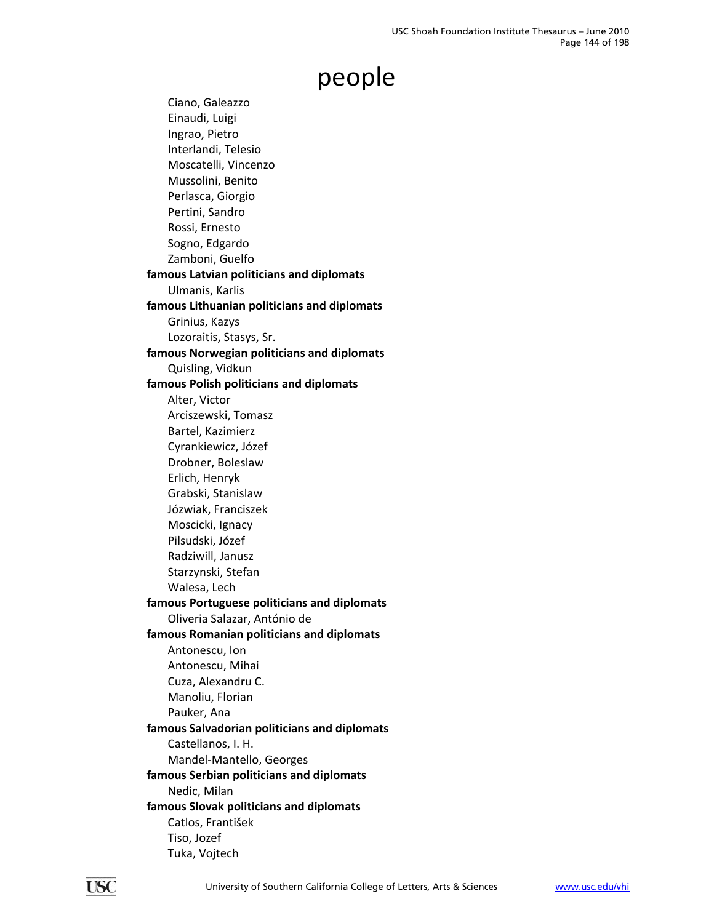Ciano, Galeazzo Einaudi, Luigi Ingrao, Pietro Interlandi, Telesio Moscatelli, Vincenzo Mussolini, Benito Perlasca, Giorgio Pertini, Sandro Rossi, Ernesto Sogno, Edgardo Zamboni, Guelfo **famous Latvian politicians and diplomats** Ulmanis, Karlis **famous Lithuanian politicians and diplomats** Grinius, Kazys Lozoraitis, Stasys, Sr. **famous Norwegian politicians and diplomats** Quisling, Vidkun **famous Polish politicians and diplomats** Alter, Victor Arciszewski, Tomasz Bartel, Kazimierz Cyrankiewicz, Józef Drobner, Boleslaw Erlich, Henryk Grabski, Stanislaw Józwiak, Franciszek Moscicki, Ignacy Pilsudski, Józef Radziwill, Janusz Starzynski, Stefan Walesa, Lech **famous Portuguese politicians and diplomats** Oliveria Salazar, António de **famous Romanian politicians and diplomats** Antonescu, Ion Antonescu, Mihai Cuza, Alexandru C. Manoliu, Florian Pauker, Ana **famous Salvadorian politicians and diplomats** Castellanos, I. H. Mandel‐Mantello, Georges **famous Serbian politicians and diplomats** Nedic, Milan **famous Slovak politicians and diplomats** Catlos, František Tiso, Jozef Tuka, Vojtech

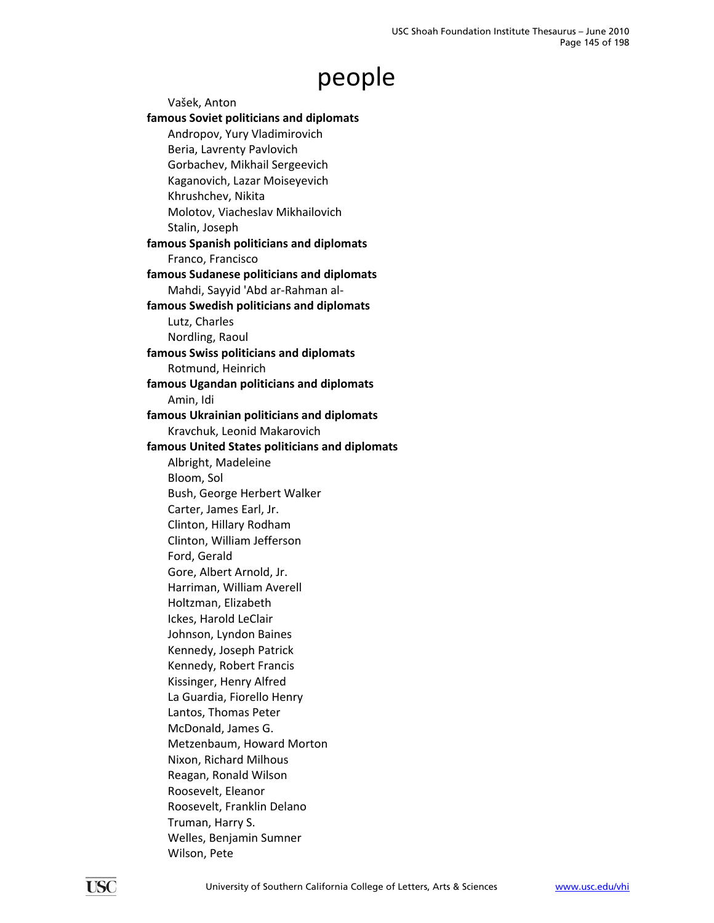Vašek, Anton **famous Soviet politicians and diplomats** Andropov, Yury Vladimirovich Beria, Lavrenty Pavlovich Gorbachev, Mikhail Sergeevich Kaganovich, Lazar Moiseyevich Khrushchev, Nikita Molotov, Viacheslav Mikhailovich Stalin, Joseph **famous Spanish politicians and diplomats** Franco, Francisco **famous Sudanese politicians and diplomats** Mahdi, Sayyid 'Abd ar‐Rahman al‐ **famous Swedish politicians and diplomats** Lutz, Charles Nordling, Raoul **famous Swiss politicians and diplomats** Rotmund, Heinrich **famous Ugandan politicians and diplomats** Amin, Idi **famous Ukrainian politicians and diplomats** Kravchuk, Leonid Makarovich **famous United States politicians and diplomats** Albright, Madeleine Bloom, Sol Bush, George Herbert Walker Carter, James Earl, Jr. Clinton, Hillary Rodham Clinton, William Jefferson Ford, Gerald Gore, Albert Arnold, Jr. Harriman, William Averell Holtzman, Elizabeth Ickes, Harold LeClair Johnson, Lyndon Baines Kennedy, Joseph Patrick Kennedy, Robert Francis Kissinger, Henry Alfred La Guardia, Fiorello Henry Lantos, Thomas Peter McDonald, James G. Metzenbaum, Howard Morton Nixon, Richard Milhous Reagan, Ronald Wilson Roosevelt, Eleanor Roosevelt, Franklin Delano Truman, Harry S. Welles, Benjamin Sumner Wilson, Pete

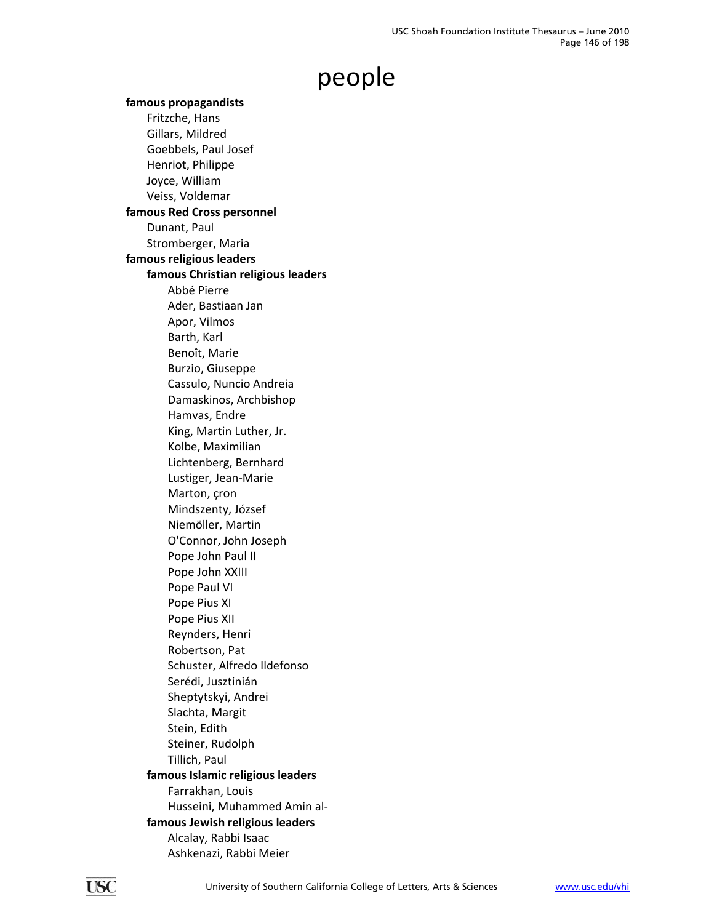**famous propagandists** Fritzche, Hans Gillars, Mildred Goebbels, Paul Josef Henriot, Philippe Joyce, William Veiss, Voldemar **famous Red Cross personnel** Dunant, Paul Stromberger, Maria **famous religious leaders famous Christian religious leaders** Abbé Pierre Ader, Bastiaan Jan Apor, Vilmos Barth, Karl Benoît, Marie Burzio, Giuseppe Cassulo, Nuncio Andreia Damaskinos, Archbishop Hamvas, Endre King, Martin Luther, Jr. Kolbe, Maximilian Lichtenberg, Bernhard Lustiger, Jean‐Marie Marton, çron Mindszenty, József Niemöller, Martin O'Connor, John Joseph Pope John Paul II Pope John XXIII Pope Paul VI Pope Pius XI Pope Pius XII Reynders, Henri Robertson, Pat Schuster, Alfredo Ildefonso Serédi, Jusztinián Sheptytskyi, Andrei Slachta, Margit Stein, Edith Steiner, Rudolph Tillich, Paul **famous Islamic religious leaders** Farrakhan, Louis Husseini, Muhammed Amin al‐ **famous Jewish religious leaders** Alcalay, Rabbi Isaac Ashkenazi, Rabbi Meier

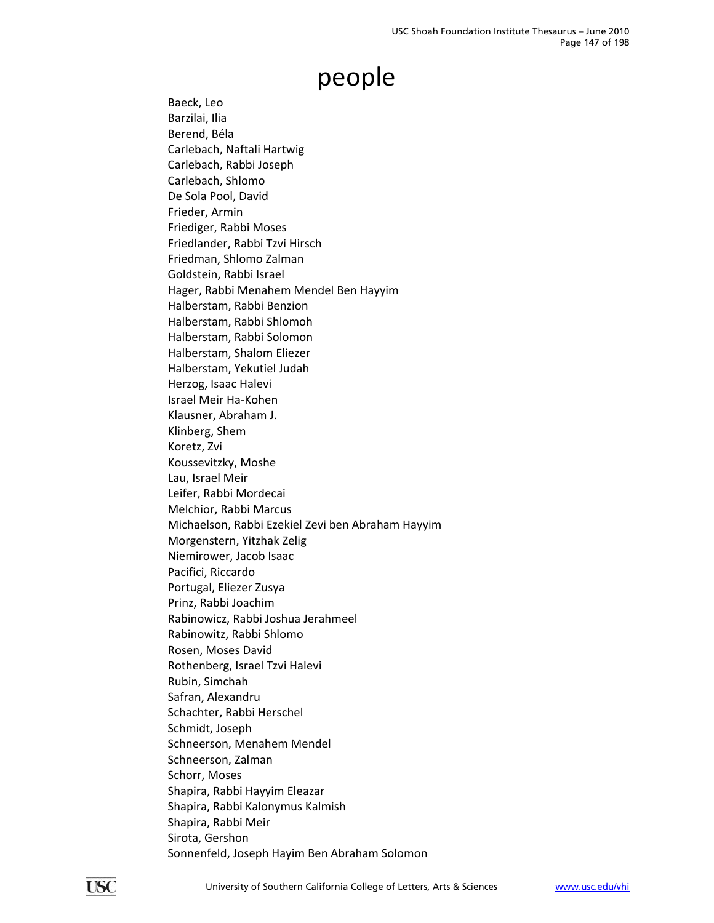Baeck, Leo Barzilai, Ilia Berend, Béla Carlebach, Naftali Hartwig Carlebach, Rabbi Joseph Carlebach, Shlomo De Sola Pool, David Frieder, Armin Friediger, Rabbi Moses Friedlander, Rabbi Tzvi Hirsch Friedman, Shlomo Zalman Goldstein, Rabbi Israel Hager, Rabbi Menahem Mendel Ben Hayyim Halberstam, Rabbi Benzion Halberstam, Rabbi Shlomoh Halberstam, Rabbi Solomon Halberstam, Shalom Eliezer Halberstam, Yekutiel Judah Herzog, Isaac Halevi Israel Meir Ha‐Kohen Klausner, Abraham J. Klinberg, Shem Koretz, Zvi Koussevitzky, Moshe Lau, Israel Meir Leifer, Rabbi Mordecai Melchior, Rabbi Marcus Michaelson, Rabbi Ezekiel Zevi ben Abraham Hayyim Morgenstern, Yitzhak Zelig Niemirower, Jacob Isaac Pacifici, Riccardo Portugal, Eliezer Zusya Prinz, Rabbi Joachim Rabinowicz, Rabbi Joshua Jerahmeel Rabinowitz, Rabbi Shlomo Rosen, Moses David Rothenberg, Israel Tzvi Halevi Rubin, Simchah Safran, Alexandru Schachter, Rabbi Herschel Schmidt, Joseph Schneerson, Menahem Mendel Schneerson, Zalman Schorr, Moses Shapira, Rabbi Hayyim Eleazar Shapira, Rabbi Kalonymus Kalmish Shapira, Rabbi Meir Sirota, Gershon Sonnenfeld, Joseph Hayim Ben Abraham Solomon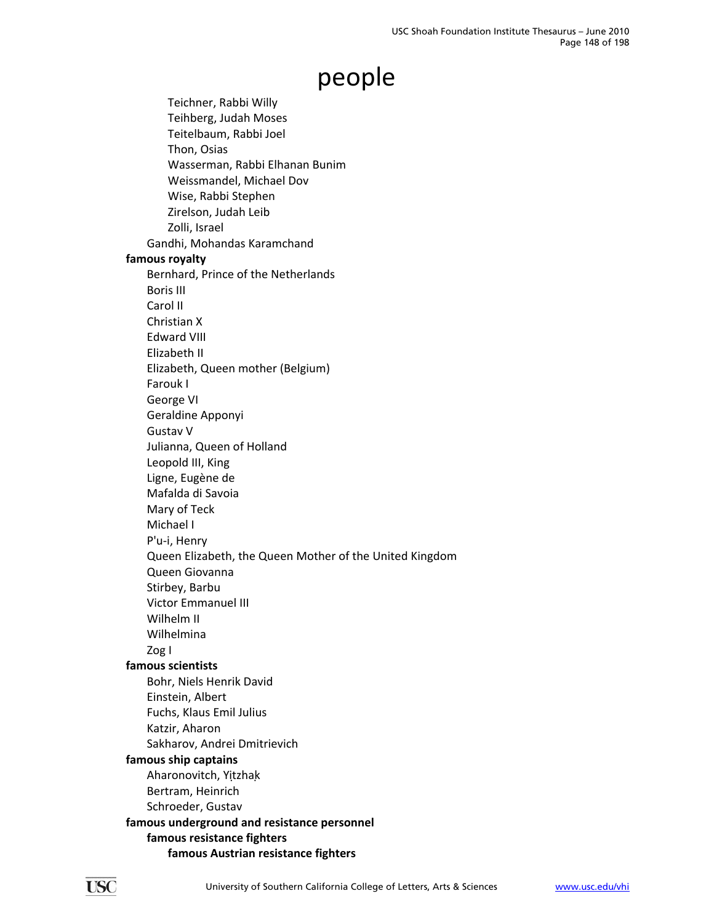Teichner, Rabbi Willy Teihberg, Judah Moses Teitelbaum, Rabbi Joel Thon, Osias Wasserman, Rabbi Elhanan Bunim Weissmandel, Michael Dov Wise, Rabbi Stephen Zirelson, Judah Leib Zolli, Israel Gandhi, Mohandas Karamchand **famous royalty** Bernhard, Prince of the Netherlands Boris III Carol II Christian X Edward VIII Elizabeth II Elizabeth, Queen mother (Belgium) Farouk I George VI Geraldine Apponyi Gustav V Julianna, Queen of Holland Leopold III, King Ligne, Eugène de Mafalda di Savoia Mary of Teck Michael I P'u‐i, Henry Queen Elizabeth, the Queen Mother of the United Kingdom Queen Giovanna Stirbey, Barbu Victor Emmanuel III Wilhelm II Wilhelmina Zog I **famous scientists** Bohr, Niels Henrik David Einstein, Albert Fuchs, Klaus Emil Julius Katzir, Aharon Sakharov, Andrei Dmitrievich **famous ship captains** Aharonovitch, Yitzhak Bertram, Heinrich Schroeder, Gustav **famous underground and resistance personnel famous resistance fighters famous Austrian resistance fighters**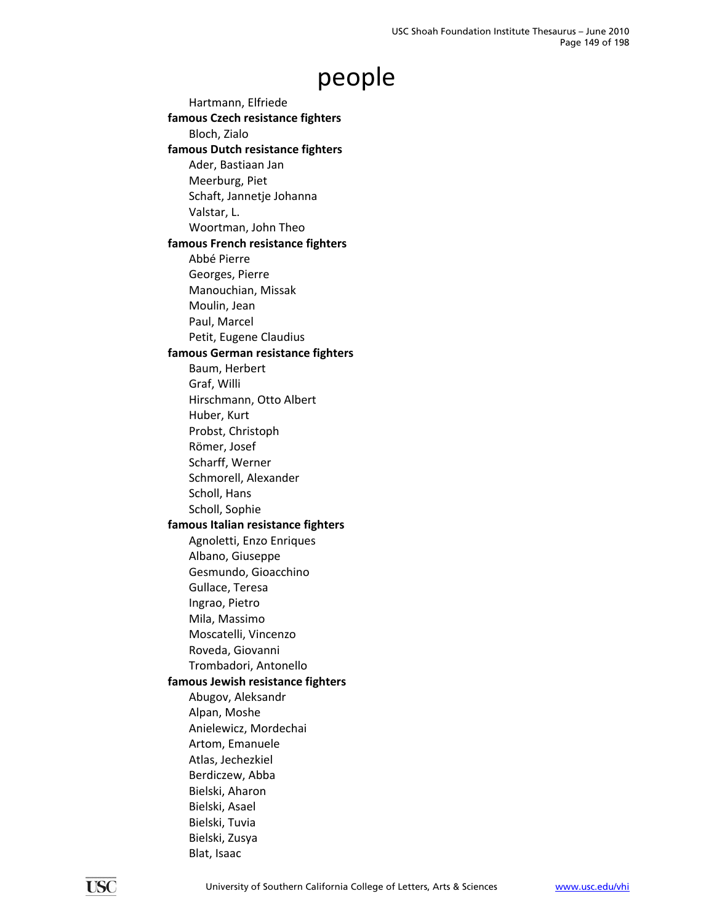Hartmann, Elfriede **famous Czech resistance fighters** Bloch, Zialo **famous Dutch resistance fighters** Ader, Bastiaan Jan Meerburg, Piet Schaft, Jannetje Johanna Valstar, L. Woortman, John Theo **famous French resistance fighters** Abbé Pierre Georges, Pierre Manouchian, Missak Moulin, Jean Paul, Marcel Petit, Eugene Claudius **famous German resistance fighters** Baum, Herbert Graf, Willi Hirschmann, Otto Albert Huber, Kurt Probst, Christoph Römer, Josef Scharff, Werner Schmorell, Alexander Scholl, Hans Scholl, Sophie **famous Italian resistance fighters** Agnoletti, Enzo Enriques Albano, Giuseppe Gesmundo, Gioacchino Gullace, Teresa Ingrao, Pietro Mila, Massimo Moscatelli, Vincenzo Roveda, Giovanni Trombadori, Antonello **famous Jewish resistance fighters** Abugov, Aleksandr Alpan, Moshe Anielewicz, Mordechai Artom, Emanuele Atlas, Jechezkiel Berdiczew, Abba Bielski, Aharon Bielski, Asael Bielski, Tuvia Bielski, Zusya Blat, Isaac

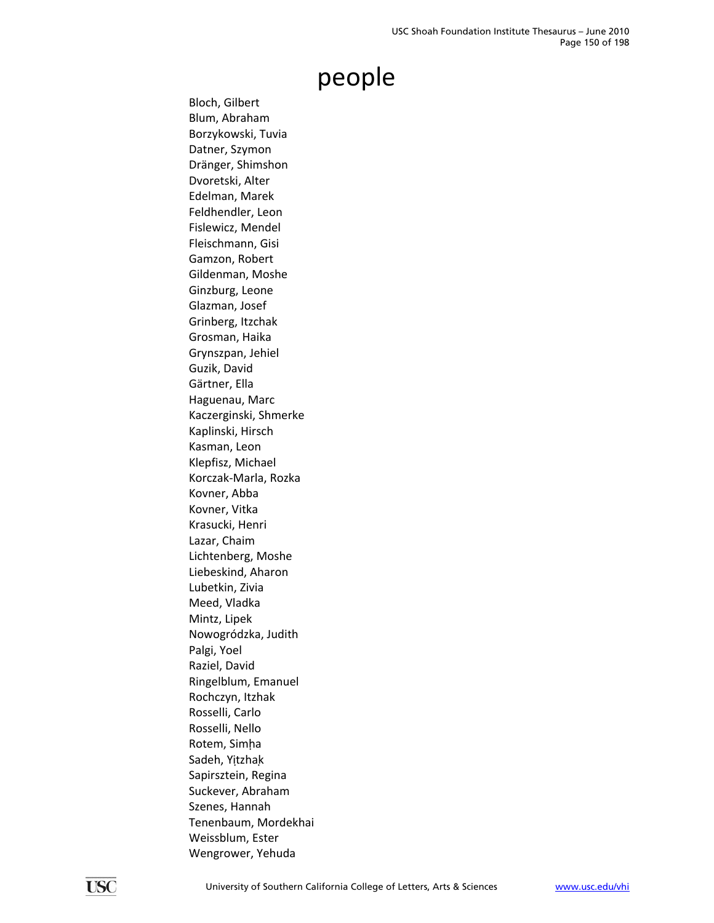Bloch, Gilbert Blum, Abraham Borzykowski, Tuvia Datner, Szymon Dränger, Shimshon Dvoretski, Alter Edelman, Marek Feldhendler, Leon Fislewicz, Mendel Fleischmann, Gisi Gamzon, Robert Gildenman, Moshe Ginzburg, Leone Glazman, Josef Grinberg, Itzchak Grosman, Haika Grynszpan, Jehiel Guzik, David Gärtner, Ella Haguenau, Marc Kaczerginski, Shmerke Kaplinski, Hirsch Kasman, Leon Klepfisz, Michael Korczak‐Marla, Rozka Kovner, Abba Kovner, Vitka Krasucki, Henri Lazar, Chaim Lichtenberg, Moshe Liebeskind, Aharon Lubetkin, Zivia Meed, Vladka Mintz, Lipek Nowogródzka, Judith Palgi, Yoel Raziel, David Ringelblum, Emanuel Rochczyn, Itzhak Rosselli, Carlo Rosselli, Nello Rotem, Simha Sadeh, Yitzhak Sapirsztein, Regina Suckever, Abraham Szenes, Hannah Tenenbaum, Mordekhai Weissblum, Ester Wengrower, Yehuda

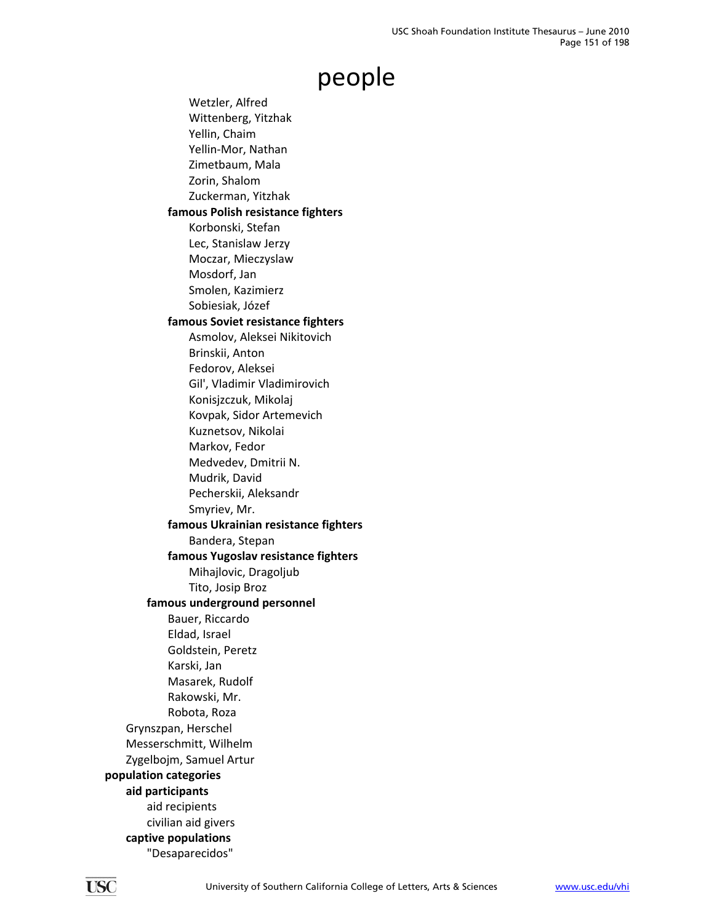Wetzler, Alfred Wittenberg, Yitzhak Yellin, Chaim Yellin‐Mor, Nathan Zimetbaum, Mala Zorin, Shalom Zuckerman, Yitzhak **famous Polish resistance fighters** Korbonski, Stefan Lec, Stanislaw Jerzy Moczar, Mieczyslaw Mosdorf, Jan Smolen, Kazimierz Sobiesiak, Józef **famous Soviet resistance fighters** Asmolov, Aleksei Nikitovich Brinskii, Anton Fedorov, Aleksei Gil', Vladimir Vladimirovich Konisjzczuk, Mikolaj Kovpak, Sidor Artemevich Kuznetsov, Nikolai Markov, Fedor Medvedev, Dmitrii N. Mudrik, David Pecherskii, Aleksandr Smyriev, Mr. **famous Ukrainian resistance fighters** Bandera, Stepan **famous Yugoslav resistance fighters** Mihajlovic, Dragoljub Tito, Josip Broz **famous underground personnel** Bauer, Riccardo Eldad, Israel Goldstein, Peretz Karski, Jan Masarek, Rudolf Rakowski, Mr. Robota, Roza Grynszpan, Herschel Messerschmitt, Wilhelm Zygelbojm, Samuel Artur **population categories aid participants** aid recipients civilian aid givers **captive populations** "Desaparecidos"

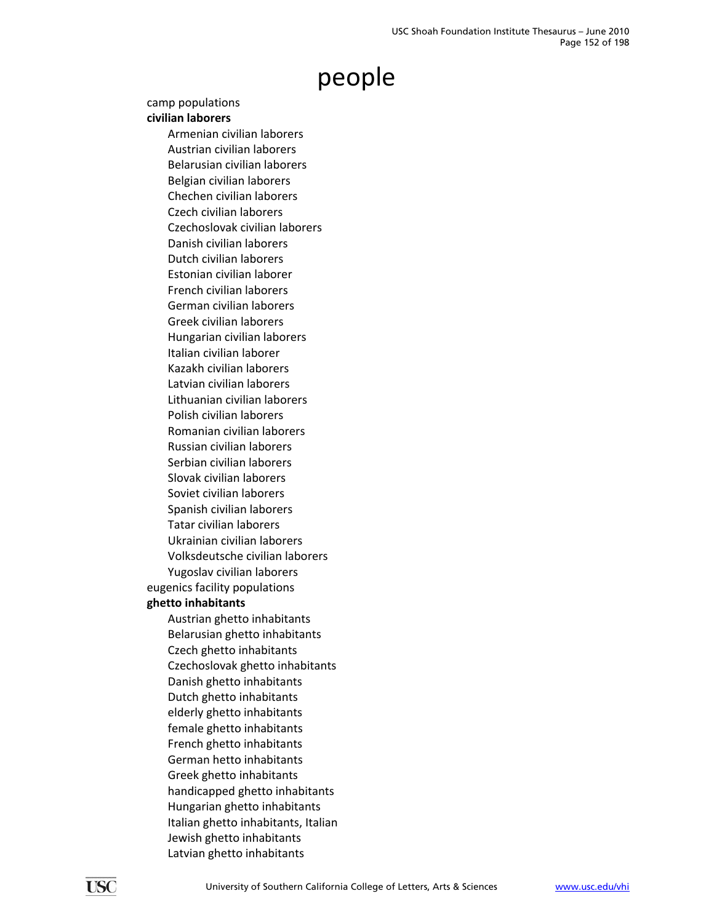#### camp populations

#### **civilian laborers**

Armenian civilian laborers Austrian civilian laborers Belarusian civilian laborers Belgian civilian laborers Chechen civilian laborers Czech civilian laborers Czechoslovak civilian laborers Danish civilian laborers Dutch civilian laborers Estonian civilian laborer French civilian laborers German civilian laborers Greek civilian laborers Hungarian civilian laborers Italian civilian laborer Kazakh civilian laborers Latvian civilian laborers Lithuanian civilian laborers Polish civilian laborers Romanian civilian laborers Russian civilian laborers Serbian civilian laborers Slovak civilian laborers Soviet civilian laborers Spanish civilian laborers Tatar civilian laborers Ukrainian civilian laborers Volksdeutsche civilian laborers Yugoslav civilian laborers eugenics facility populations **ghetto inhabitants** Austrian ghetto inhabitants Belarusian ghetto inhabitants Czech ghetto inhabitants Czechoslovak ghetto inhabitants Danish ghetto inhabitants Dutch ghetto inhabitants elderly ghetto inhabitants female ghetto inhabitants French ghetto inhabitants German hetto inhabitants Greek ghetto inhabitants handicapped ghetto inhabitants Hungarian ghetto inhabitants Italian ghetto inhabitants, Italian

> Jewish ghetto inhabitants Latvian ghetto inhabitants

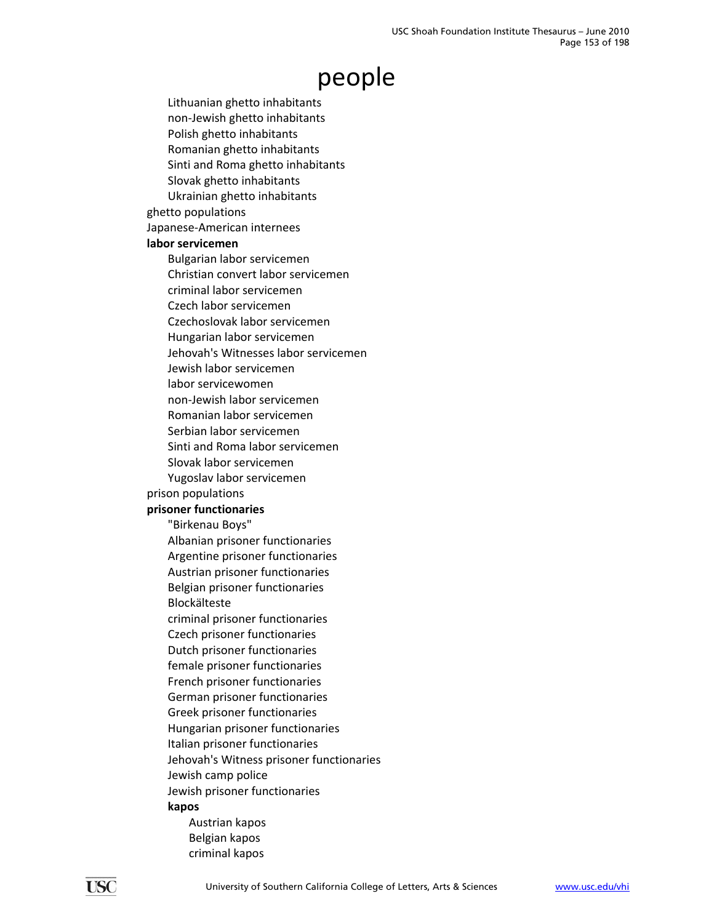Lithuanian ghetto inhabitants non‐Jewish ghetto inhabitants Polish ghetto inhabitants Romanian ghetto inhabitants Sinti and Roma ghetto inhabitants Slovak ghetto inhabitants Ukrainian ghetto inhabitants ghetto populations Japanese‐American internees **labor servicemen** Bulgarian labor servicemen Christian convert labor servicemen criminal labor servicemen Czech labor servicemen Czechoslovak labor servicemen Hungarian labor servicemen Jehovah's Witnesses labor servicemen Jewish labor servicemen labor servicewomen non‐Jewish labor servicemen Romanian labor servicemen Serbian labor servicemen Sinti and Roma labor servicemen Slovak labor servicemen Yugoslav labor servicemen prison populations **prisoner functionaries** "Birkenau Boys" Albanian prisoner functionaries Argentine prisoner functionaries Austrian prisoner functionaries Belgian prisoner functionaries Blockälteste criminal prisoner functionaries Czech prisoner functionaries Dutch prisoner functionaries female prisoner functionaries French prisoner functionaries German prisoner functionaries Greek prisoner functionaries Hungarian prisoner functionaries Italian prisoner functionaries Jehovah's Witness prisoner functionaries Jewish camp police Jewish prisoner functionaries **kapos** Austrian kapos Belgian kapos

criminal kapos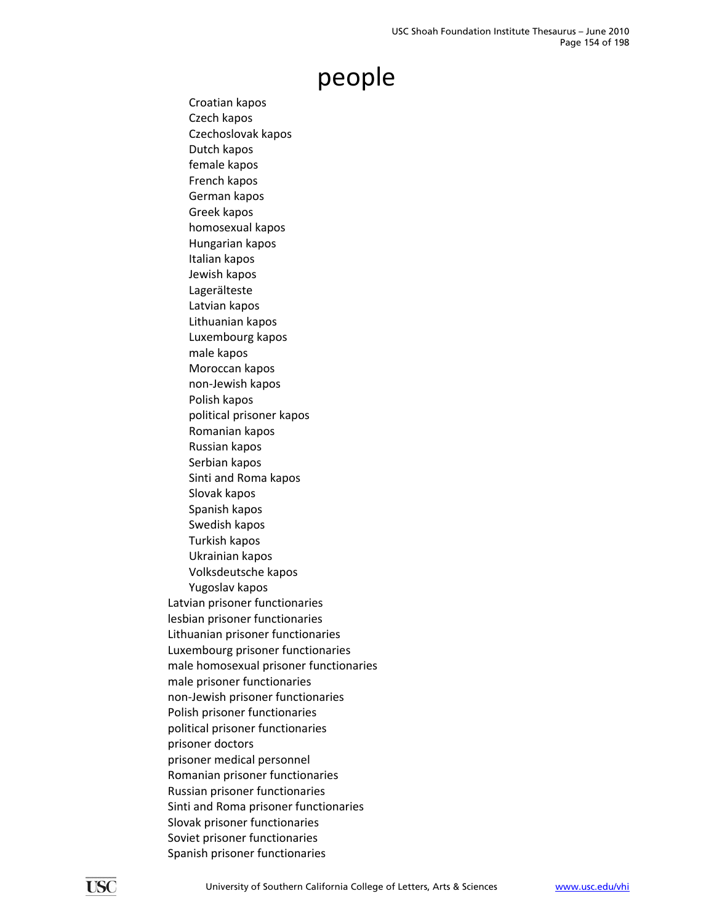Croatian kapos Czech kapos Czechoslovak kapos Dutch kapos female kapos French kapos German kapos Greek kapos homosexual kapos Hungarian kapos Italian kapos Jewish kapos Lagerälteste Latvian kapos Lithuanian kapos Luxembourg kapos male kapos Moroccan kapos non‐Jewish kapos Polish kapos political prisoner kapos Romanian kapos Russian kapos Serbian kapos Sinti and Roma kapos Slovak kapos Spanish kapos Swedish kapos Turkish kapos Ukrainian kapos Volksdeutsche kapos Yugoslav kapos Latvian prisoner functionaries lesbian prisoner functionaries Lithuanian prisoner functionaries Luxembourg prisoner functionaries male homosexual prisoner functionaries male prisoner functionaries non‐Jewish prisoner functionaries Polish prisoner functionaries political prisoner functionaries prisoner doctors prisoner medical personnel Romanian prisoner functionaries Russian prisoner functionaries Sinti and Roma prisoner functionaries Slovak prisoner functionaries Soviet prisoner functionaries Spanish prisoner functionaries

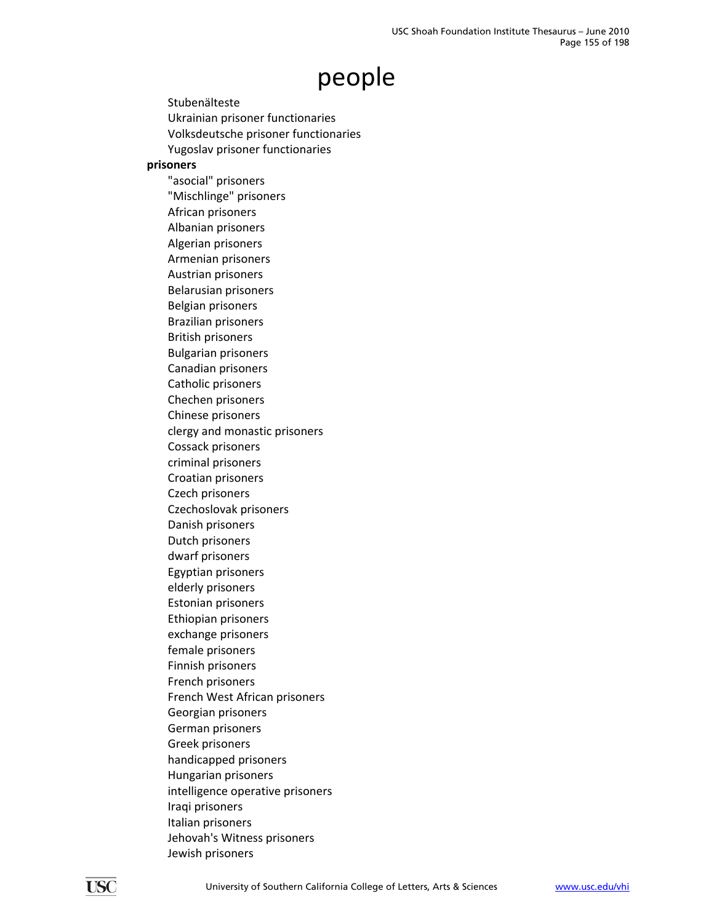Stubenälteste Ukrainian prisoner functionaries Volksdeutsche prisoner functionaries Yugoslav prisoner functionaries **prisoners**

"asocial" prisoners "Mischlinge" prisoners African prisoners Albanian prisoners Algerian prisoners Armenian prisoners Austrian prisoners Belarusian prisoners Belgian prisoners Brazilian prisoners British prisoners Bulgarian prisoners Canadian prisoners Catholic prisoners Chechen prisoners Chinese prisoners clergy and monastic prisoners Cossack prisoners criminal prisoners Croatian prisoners Czech prisoners Czechoslovak prisoners Danish prisoners Dutch prisoners dwarf prisoners Egyptian prisoners elderly prisoners Estonian prisoners Ethiopian prisoners exchange prisoners female prisoners Finnish prisoners French prisoners French West African prisoners Georgian prisoners German prisoners Greek prisoners handicapped prisoners Hungarian prisoners intelligence operative prisoners Iraqi prisoners Italian prisoners Jehovah's Witness prisoners Jewish prisoners

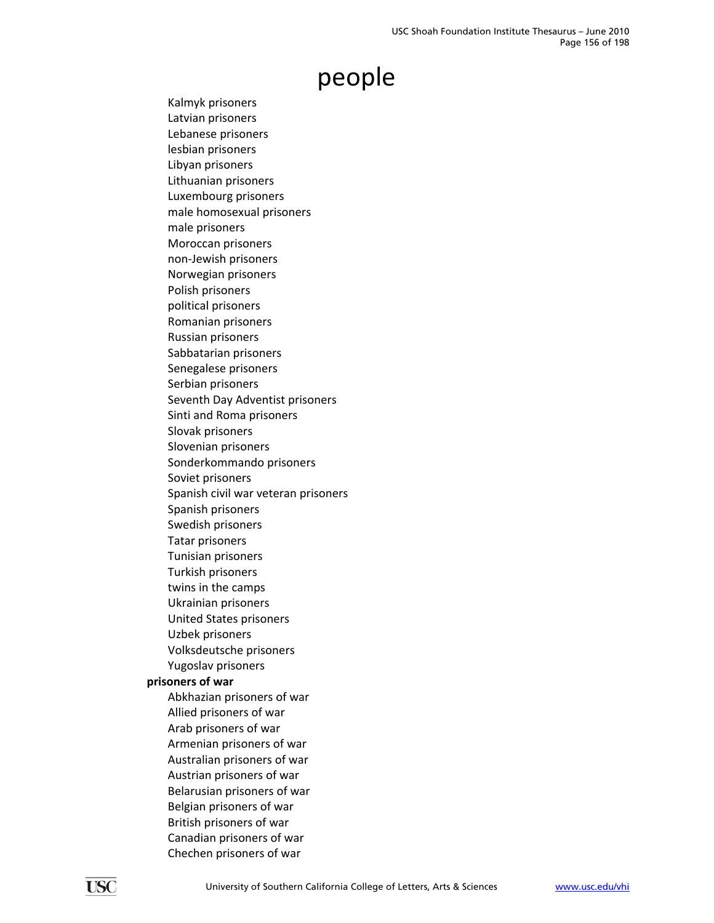Kalmyk prisoners Latvian prisoners Lebanese prisoners lesbian prisoners Libyan prisoners Lithuanian prisoners Luxembourg prisoners male homosexual prisoners male prisoners Moroccan prisoners non‐Jewish prisoners Norwegian prisoners Polish prisoners political prisoners Romanian prisoners Russian prisoners Sabbatarian prisoners Senegalese prisoners Serbian prisoners Seventh Day Adventist prisoners Sinti and Roma prisoners Slovak prisoners Slovenian prisoners Sonderkommando prisoners Soviet prisoners Spanish civil war veteran prisoners Spanish prisoners Swedish prisoners Tatar prisoners Tunisian prisoners Turkish prisoners twins in the camps Ukrainian prisoners United States prisoners Uzbek prisoners Volksdeutsche prisoners Yugoslav prisoners **prisoners of war** Abkhazian prisoners of war Allied prisoners of war Arab prisoners of war Armenian prisoners of war Australian prisoners of war Austrian prisoners of war Belarusian prisoners of war Belgian prisoners of war British prisoners of war Canadian prisoners of war Chechen prisoners of war

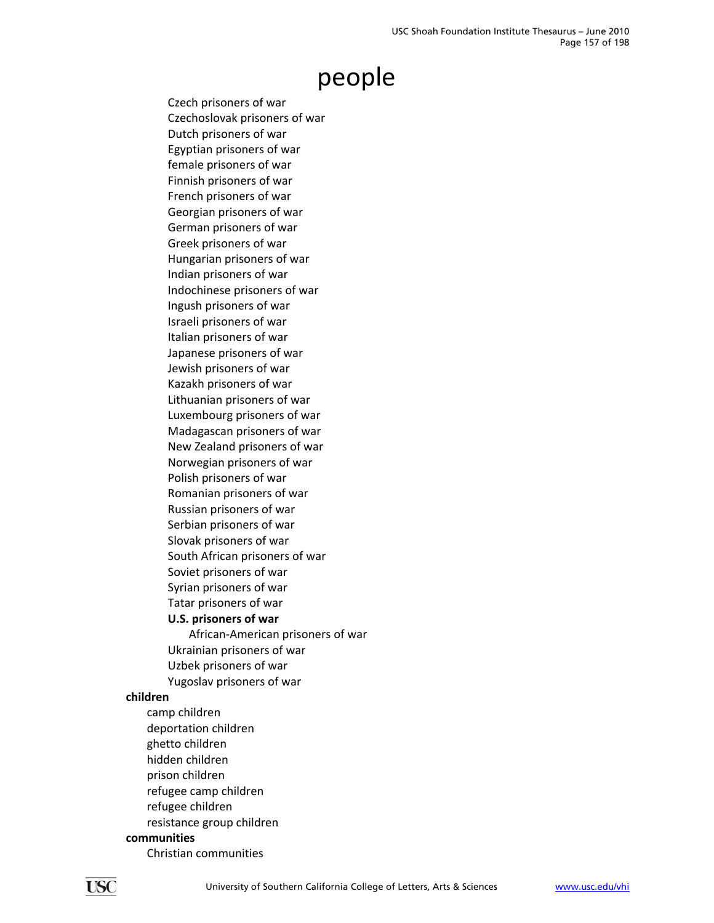Czech prisoners of war Czechoslovak prisoners of war Dutch prisoners of war Egyptian prisoners of war female prisoners of war Finnish prisoners of war French prisoners of war Georgian prisoners of war German prisoners of war Greek prisoners of war Hungarian prisoners of war Indian prisoners of war Indochinese prisoners of war Ingush prisoners of war Israeli prisoners of war Italian prisoners of war Japanese prisoners of war Jewish prisoners of war Kazakh prisoners of war Lithuanian prisoners of war Luxembourg prisoners of war Madagascan prisoners of war New Zealand prisoners of war Norwegian prisoners of war Polish prisoners of war Romanian prisoners of war Russian prisoners of war Serbian prisoners of war Slovak prisoners of war South African prisoners of war Soviet prisoners of war Syrian prisoners of war Tatar prisoners of war

#### **U.S. prisoners of war**

African‐American prisoners of war Ukrainian prisoners of war Uzbek prisoners of war Yugoslav prisoners of war

#### **children**

camp children deportation children ghetto children hidden children prison children refugee camp children refugee children resistance group children **communities**

Christian communities

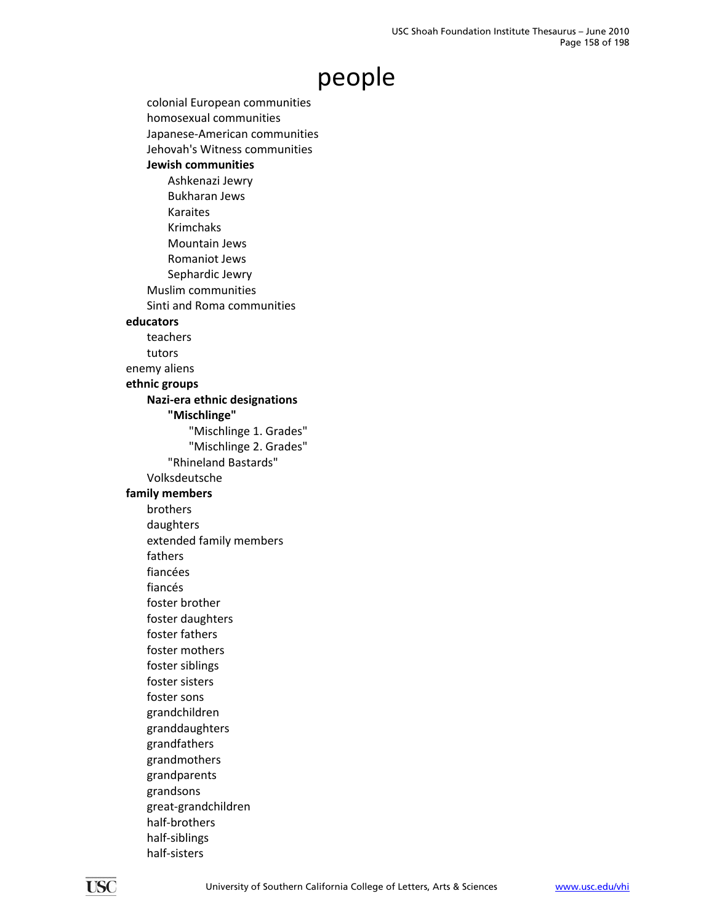colonial European communities homosexual communities Japanese‐American communities Jehovah's Witness communities **Jewish communities** Ashkenazi Jewry Bukharan Jews Karaites Krimchaks Mountain Jews Romaniot Jews Sephardic Jewry Muslim communities Sinti and Roma communities **educators** teachers tutors enemy aliens **ethnic groups Nazi‐era ethnic designations "Mischlinge"** "Mischlinge 1. Grades" "Mischlinge 2. Grades" "Rhineland Bastards" Volksdeutsche **family members** brothers daughters extended family members fathers fiancées fiancés foster brother foster daughters foster fathers foster mothers foster siblings foster sisters foster sons grandchildren granddaughters grandfathers grandmothers grandparents grandsons great‐grandchildren half‐brothers half‐siblings half‐sisters

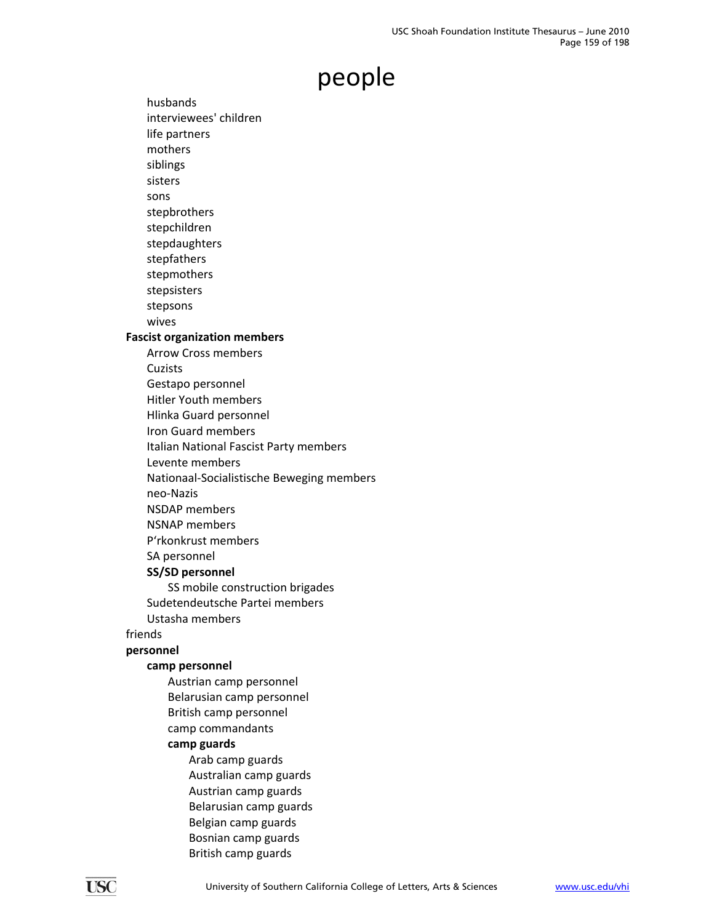husbands interviewees' children life partners mothers siblings sisters sons stepbrothers stepchildren stepdaughters stepfathers stepmothers stepsisters stepsons wives **Fascist organization members** Arrow Cross members Cuzists Gestapo personnel Hitler Youth members Hlinka Guard personnel Iron Guard members Italian National Fascist Party members Levente members Nationaal‐Socialistische Beweging members neo‐Nazis NSDAP members NSNAP members P'rkonkrust members SA personnel **SS/SD personnel** SS mobile construction brigades Sudetendeutsche Partei members Ustasha members friends **personnel camp personnel** Austrian camp personnel Belarusian camp personnel British camp personnel camp commandants **camp guards** Arab camp guards Australian camp guards Austrian camp guards

Belarusian camp guards Belgian camp guards Bosnian camp guards British camp guards

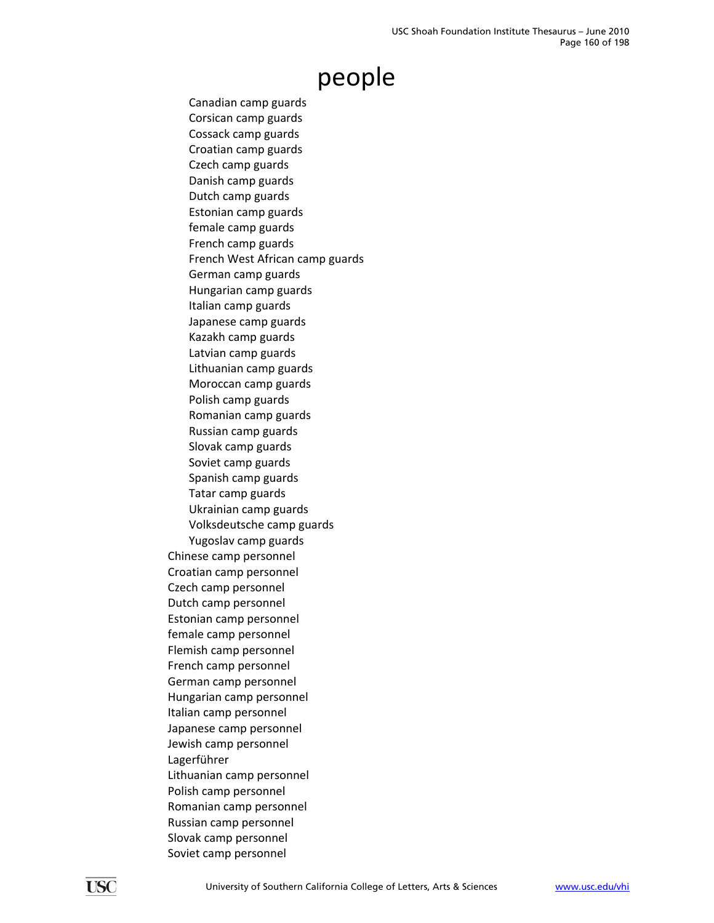Canadian camp guards Corsican camp guards Cossack camp guards Croatian camp guards Czech camp guards Danish camp guards Dutch camp guards Estonian camp guards female camp guards French camp guards French West African camp guards German camp guards Hungarian camp guards Italian camp guards Japanese camp guards Kazakh camp guards Latvian camp guards Lithuanian camp guards Moroccan camp guards Polish camp guards Romanian camp guards Russian camp guards Slovak camp guards Soviet camp guards Spanish camp guards Tatar camp guards Ukrainian camp guards Volksdeutsche camp guards Yugoslav camp guards Chinese camp personnel Croatian camp personnel Czech camp personnel Dutch camp personnel Estonian camp personnel female camp personnel Flemish camp personnel French camp personnel German camp personnel Hungarian camp personnel Italian camp personnel Japanese camp personnel Jewish camp personnel Lagerführer Lithuanian camp personnel Polish camp personnel Romanian camp personnel Russian camp personnel Slovak camp personnel Soviet camp personnel

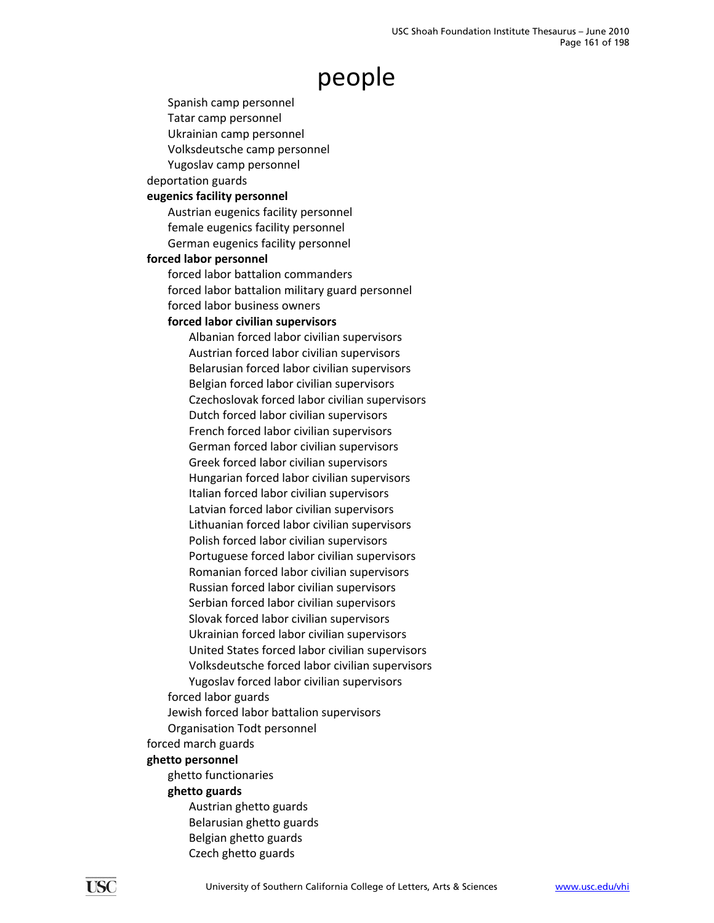Spanish camp personnel

Tatar camp personnel Ukrainian camp personnel

Volksdeutsche camp personnel

Yugoslav camp personnel

deportation guards

#### **eugenics facility personnel**

Austrian eugenics facility personnel female eugenics facility personnel German eugenics facility personnel

#### **forced labor personnel**

forced labor battalion commanders forced labor battalion military guard personnel forced labor business owners

#### **forced labor civilian supervisors**

Albanian forced labor civilian supervisors Austrian forced labor civilian supervisors Belarusian forced labor civilian supervisors Belgian forced labor civilian supervisors Czechoslovak forced labor civilian supervisors Dutch forced labor civilian supervisors French forced labor civilian supervisors German forced labor civilian supervisors Greek forced labor civilian supervisors Hungarian forced labor civilian supervisors Italian forced labor civilian supervisors Latvian forced labor civilian supervisors Lithuanian forced labor civilian supervisors Polish forced labor civilian supervisors Portuguese forced labor civilian supervisors Romanian forced labor civilian supervisors Russian forced labor civilian supervisors Serbian forced labor civilian supervisors Slovak forced labor civilian supervisors Ukrainian forced labor civilian supervisors United States forced labor civilian supervisors Volksdeutsche forced labor civilian supervisors Yugoslav forced labor civilian supervisors

forced labor guards

Jewish forced labor battalion supervisors

Organisation Todt personnel

forced march guards

#### **ghetto personnel**

ghetto functionaries

#### **ghetto guards**

Austrian ghetto guards Belarusian ghetto guards Belgian ghetto guards Czech ghetto guards

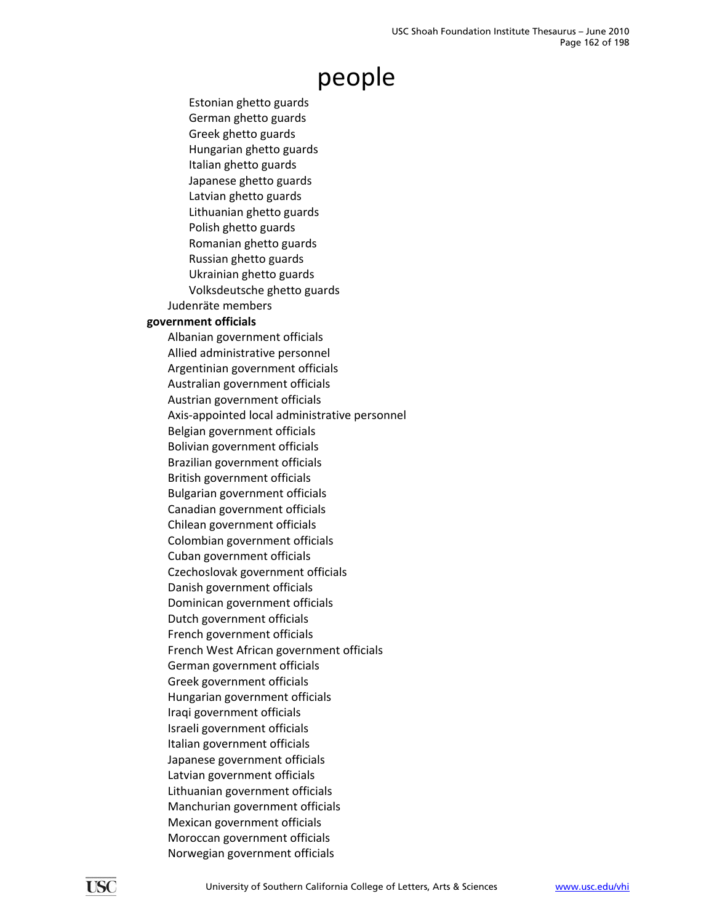Estonian ghetto guards German ghetto guards Greek ghetto guards Hungarian ghetto guards Italian ghetto guards Japanese ghetto guards Latvian ghetto guards Lithuanian ghetto guards Polish ghetto guards Romanian ghetto guards Russian ghetto guards Ukrainian ghetto guards Volksdeutsche ghetto guards Judenräte members **government officials**

Albanian government officials Allied administrative personnel Argentinian government officials Australian government officials Austrian government officials Axis‐appointed local administrative personnel Belgian government officials Bolivian government officials Brazilian government officials British government officials Bulgarian government officials Canadian government officials Chilean government officials Colombian government officials Cuban government officials Czechoslovak government officials Danish government officials Dominican government officials Dutch government officials French government officials French West African government officials German government officials Greek government officials Hungarian government officials Iraqi government officials Israeli government officials Italian government officials Japanese government officials Latvian government officials Lithuanian government officials Manchurian government officials Mexican government officials Moroccan government officials Norwegian government officials

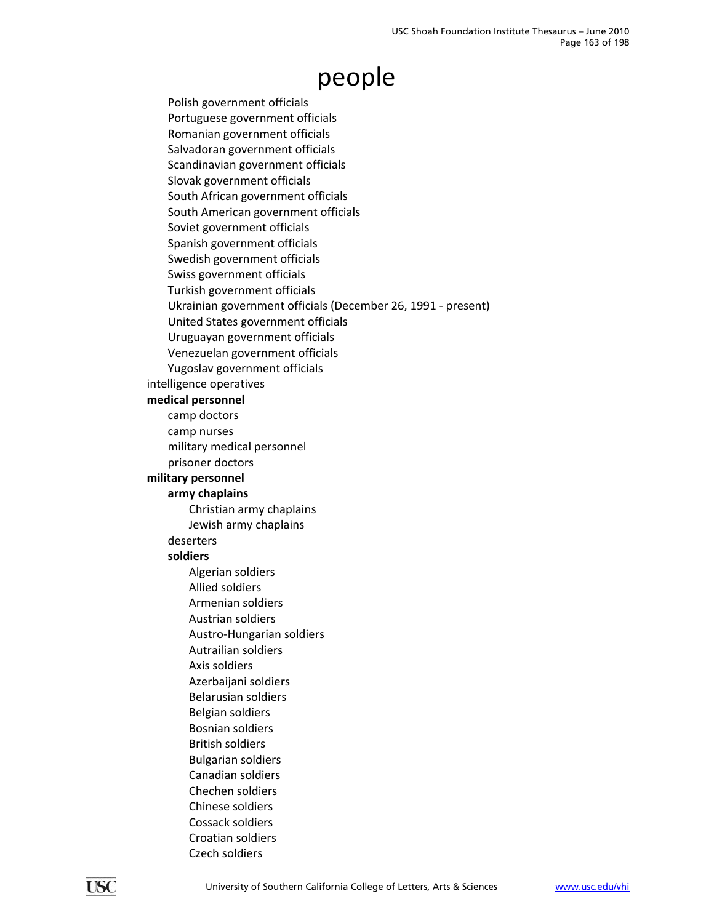Polish government officials Portuguese government officials Romanian government officials Salvadoran government officials Scandinavian government officials Slovak government officials South African government officials South American government officials Soviet government officials Spanish government officials Swedish government officials Swiss government officials Turkish government officials Ukrainian government officials (December 26, 1991 ‐ present) United States government officials Uruguayan government officials Venezuelan government officials Yugoslav government officials intelligence operatives **medical personnel** camp doctors camp nurses military medical personnel prisoner doctors **military personnel army chaplains** Christian army chaplains Jewish army chaplains deserters **soldiers** Algerian soldiers Allied soldiers Armenian soldiers Austrian soldiers Austro‐Hungarian soldiers Autrailian soldiers Axis soldiers Azerbaijani soldiers Belarusian soldiers Belgian soldiers Bosnian soldiers British soldiers Bulgarian soldiers Canadian soldiers Chechen soldiers Chinese soldiers Cossack soldiers Croatian soldiers

Czech soldiers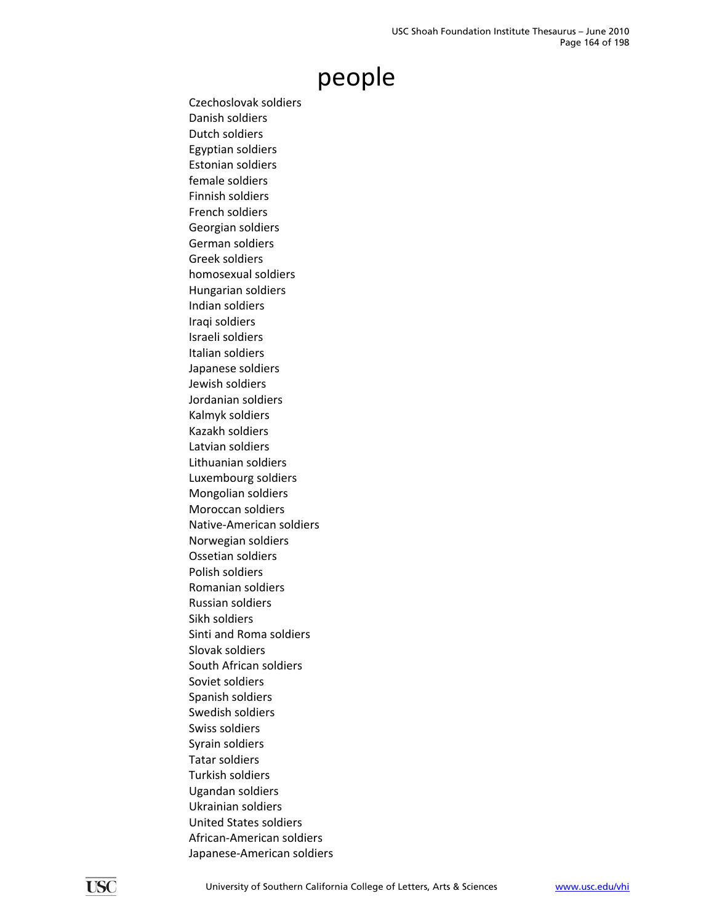Czechoslovak soldiers Danish soldiers Dutch soldiers Egyptian soldiers Estonian soldiers female soldiers Finnish soldiers French soldiers Georgian soldiers German soldiers Greek soldiers homosexual soldiers Hungarian soldiers Indian soldiers Iraqi soldiers Israeli soldiers Italian soldiers Japanese soldiers Jewish soldiers Jordanian soldiers Kalmyk soldiers Kazakh soldiers Latvian soldiers Lithuanian soldiers Luxembourg soldiers Mongolian soldiers Moroccan soldiers Native‐American soldiers Norwegian soldiers Ossetian soldiers Polish soldiers Romanian soldiers Russian soldiers Sikh soldiers Sinti and Roma soldiers Slovak soldiers South African soldiers Soviet soldiers Spanish soldiers Swedish soldiers Swiss soldiers Syrain soldiers Tatar soldiers Turkish soldiers Ugandan soldiers Ukrainian soldiers United States soldiers African‐American soldiers Japanese‐American soldiers

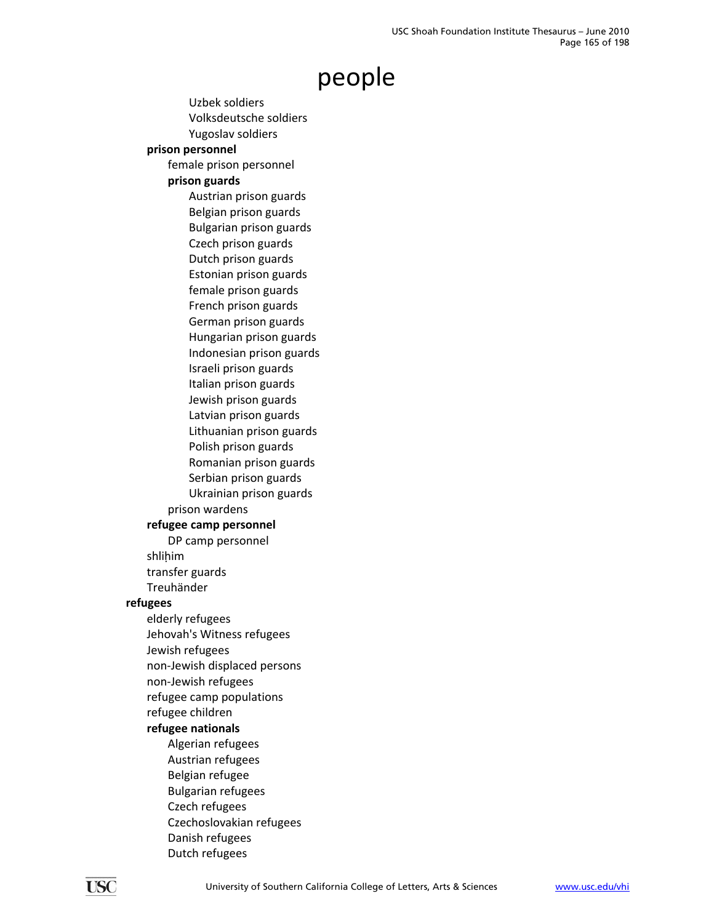Uzbek soldiers Volksdeutsche soldiers Yugoslav soldiers **prison personnel** female prison personnel **prison guards** Austrian prison guards Belgian prison guards Bulgarian prison guards Czech prison guards Dutch prison guards Estonian prison guards female prison guards French prison guards German prison guards Hungarian prison guards Indonesian prison guards Israeli prison guards Italian prison guards Jewish prison guards Latvian prison guards Lithuanian prison guards Polish prison guards Romanian prison guards Serbian prison guards Ukrainian prison guards prison wardens **refugee camp personnel** DP camp personnel shliḥim transfer guards Treuhänder **refugees** elderly refugees Jehovah's Witness refugees Jewish refugees non‐Jewish displaced persons non‐Jewish refugees refugee camp populations refugee children **refugee nationals** Algerian refugees Austrian refugees Belgian refugee Bulgarian refugees Czech refugees Czechoslovakian refugees Danish refugees Dutch refugees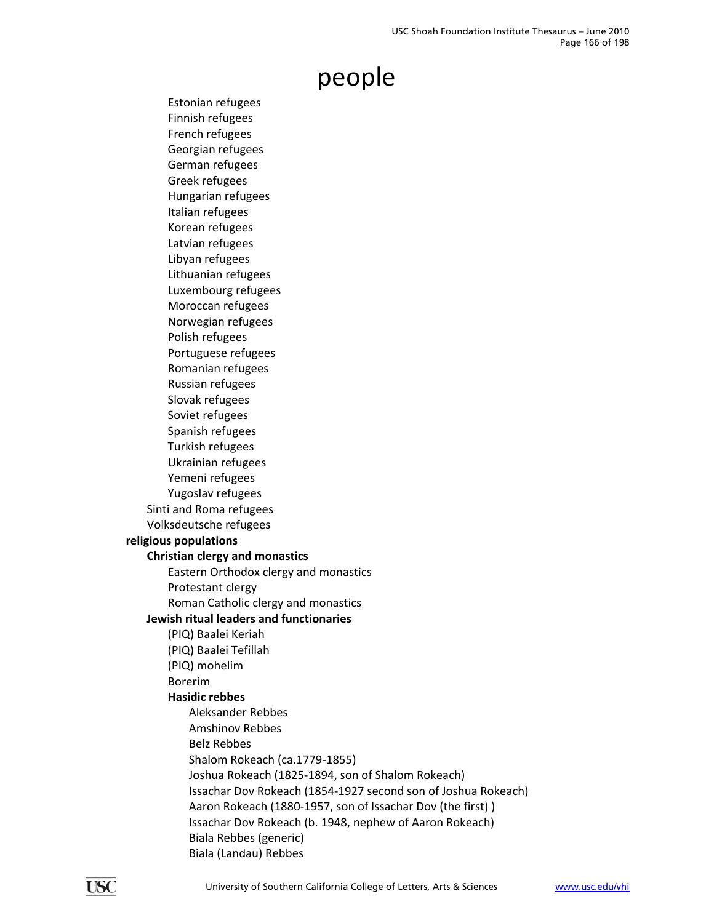Estonian refugees Finnish refugees French refugees Georgian refugees German refugees Greek refugees Hungarian refugees Italian refugees Korean refugees Latvian refugees Libyan refugees Lithuanian refugees Luxembourg refugees Moroccan refugees Norwegian refugees Polish refugees Portuguese refugees Romanian refugees Russian refugees Slovak refugees Soviet refugees Spanish refugees Turkish refugees Ukrainian refugees Yemeni refugees Yugoslav refugees Sinti and Roma refugees Volksdeutsche refugees **religious populations Christian clergy and monastics** Eastern Orthodox clergy and monastics Protestant clergy Roman Catholic clergy and monastics **Jewish ritual leaders and functionaries** (PIQ) Baalei Keriah (PIQ) Baalei Tefillah (PIQ) mohelim Borerim **Hasidic rebbes** Aleksander Rebbes Amshinov Rebbes Belz Rebbes Shalom Rokeach (ca.1779‐1855) Joshua Rokeach (1825‐1894, son of Shalom Rokeach) Issachar Dov Rokeach (1854‐1927 second son of Joshua Rokeach) Aaron Rokeach (1880‐1957, son of Issachar Dov (the first) ) Issachar Dov Rokeach (b. 1948, nephew of Aaron Rokeach) Biala Rebbes (generic) Biala (Landau) Rebbes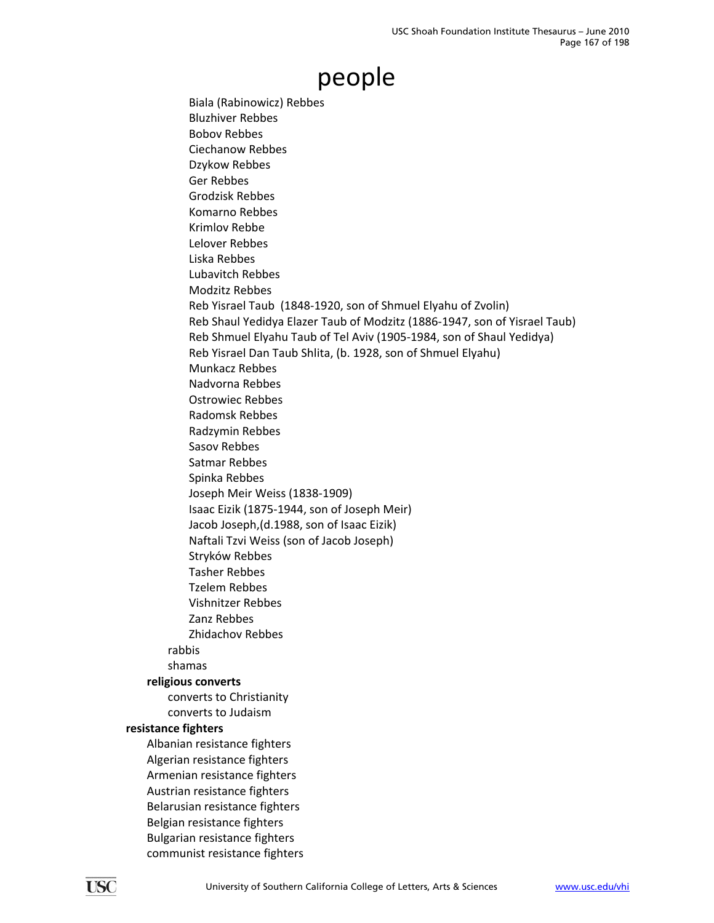Biala (Rabinowicz) Rebbes Bluzhiver Rebbes Bobov Rebbes Ciechanow Rebbes Dzykow Rebbes Ger Rebbes Grodzisk Rebbes Komarno Rebbes Krimlov Rebbe Lelover Rebbes Liska Rebbes Lubavitch Rebbes Modzitz Rebbes Reb Yisrael Taub (1848‐1920, son of Shmuel Elyahu of Zvolin) Reb Shaul Yedidya Elazer Taub of Modzitz (1886‐1947, son of Yisrael Taub) Reb Shmuel Elyahu Taub of Tel Aviv (1905‐1984, son of Shaul Yedidya) Reb Yisrael Dan Taub Shlita, (b. 1928, son of Shmuel Elyahu) Munkacz Rebbes Nadvorna Rebbes Ostrowiec Rebbes Radomsk Rebbes Radzymin Rebbes Sasov Rebbes Satmar Rebbes Spinka Rebbes Joseph Meir Weiss (1838‐1909) Isaac Eizik (1875‐1944, son of Joseph Meir) Jacob Joseph,(d.1988, son of Isaac Eizik) Naftali Tzvi Weiss (son of Jacob Joseph) Stryków Rebbes Tasher Rebbes Tzelem Rebbes Vishnitzer Rebbes Zanz Rebbes Zhidachov Rebbes rabbis shamas **religious converts** converts to Christianity converts to Judaism **resistance fighters** Albanian resistance fighters Algerian resistance fighters Armenian resistance fighters Austrian resistance fighters Belarusian resistance fighters Belgian resistance fighters Bulgarian resistance fighters

communist resistance fighters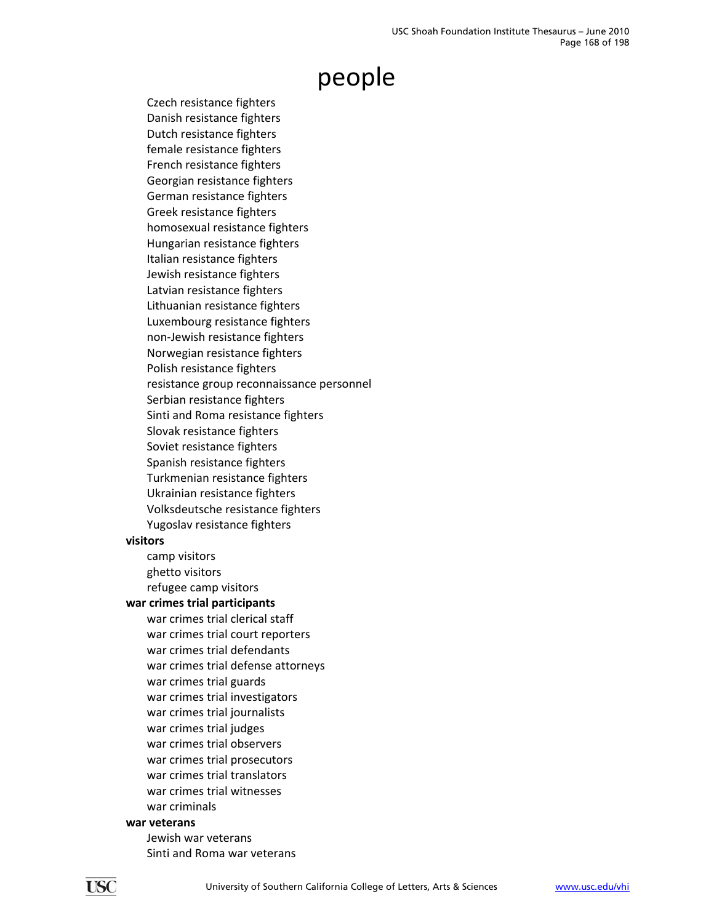Czech resistance fighters Danish resistance fighters Dutch resistance fighters female resistance fighters French resistance fighters Georgian resistance fighters German resistance fighters Greek resistance fighters homosexual resistance fighters Hungarian resistance fighters Italian resistance fighters Jewish resistance fighters Latvian resistance fighters Lithuanian resistance fighters Luxembourg resistance fighters non‐Jewish resistance fighters Norwegian resistance fighters Polish resistance fighters resistance group reconnaissance personnel Serbian resistance fighters Sinti and Roma resistance fighters Slovak resistance fighters Soviet resistance fighters Spanish resistance fighters Turkmenian resistance fighters Ukrainian resistance fighters Volksdeutsche resistance fighters Yugoslav resistance fighters

#### **visitors**

camp visitors ghetto visitors refugee camp visitors

#### **war crimes trial participants**

war crimes trial clerical staff war crimes trial court reporters war crimes trial defendants war crimes trial defense attorneys war crimes trial guards war crimes trial investigators war crimes trial journalists war crimes trial judges war crimes trial observers war crimes trial prosecutors war crimes trial translators war crimes trial witnesses war criminals

#### **war veterans**

Jewish war veterans Sinti and Roma war veterans

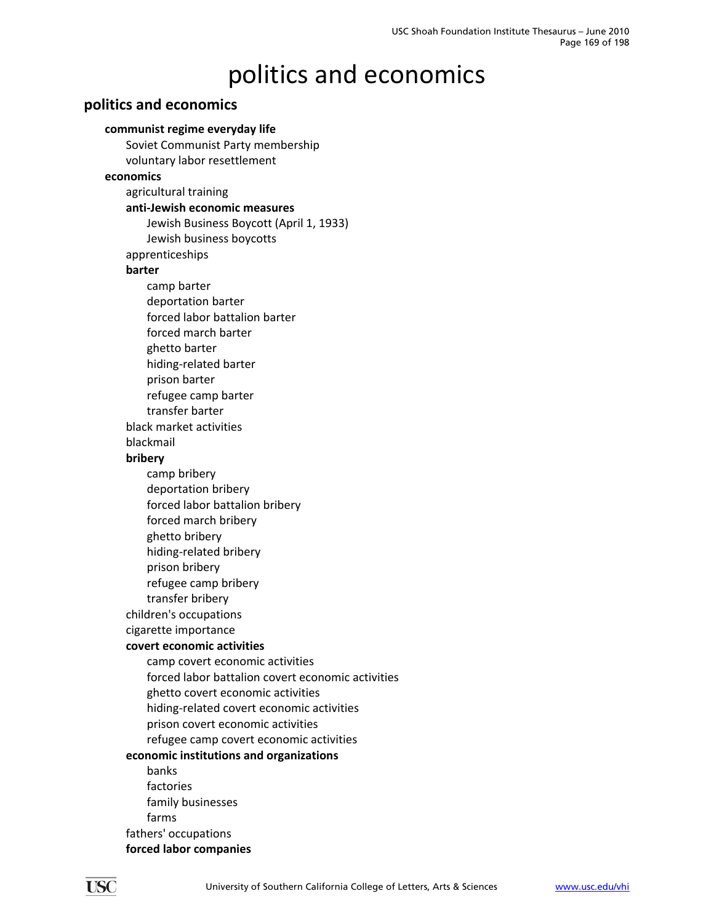#### **politics and economics**

#### **communist regime everyday life**

Soviet Communist Party membership voluntary labor resettlement **economics** agricultural training **anti‐Jewish economic measures** Jewish Business Boycott (April 1, 1933) Jewish business boycotts apprenticeships **barter** camp barter deportation barter forced labor battalion barter forced march barter ghetto barter hiding‐related barter prison barter refugee camp barter transfer barter black market activities blackmail **bribery** camp bribery deportation bribery forced labor battalion bribery forced march bribery ghetto bribery hiding‐related bribery prison bribery refugee camp bribery transfer bribery children's occupations cigarette importance **covert economic activities** camp covert economic activities forced labor battalion covert economic activities ghetto covert economic activities hiding‐related covert economic activities prison covert economic activities refugee camp covert economic activities **economic institutions and organizations** banks factories family businesses farms fathers' occupations **forced labor companies**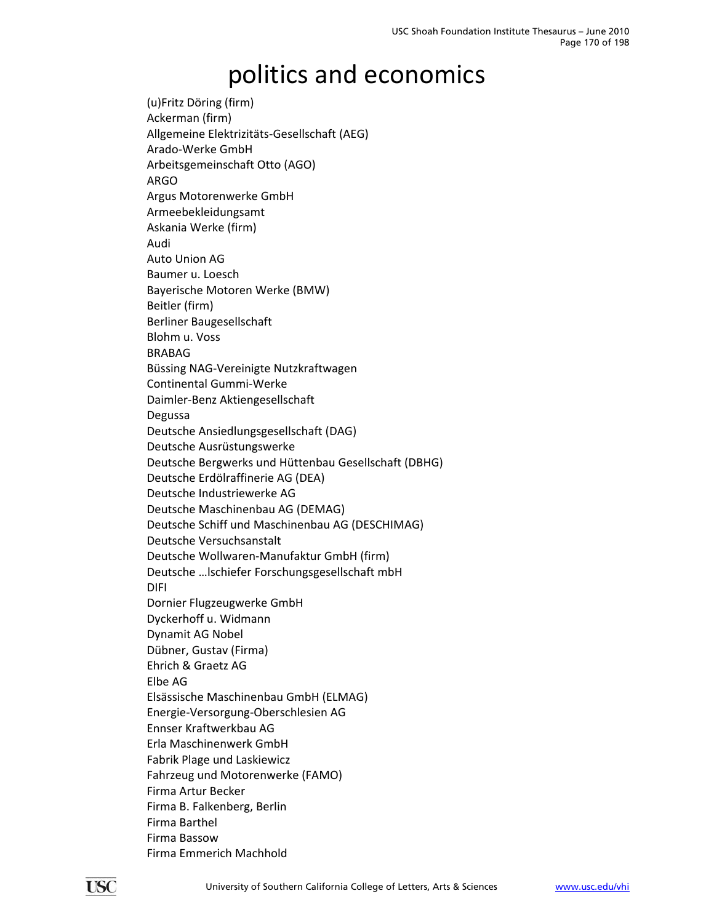(u)Fritz Döring (firm) Ackerman (firm) Allgemeine Elektrizitäts‐Gesellschaft (AEG) Arado‐Werke GmbH Arbeitsgemeinschaft Otto (AGO) ARGO Argus Motorenwerke GmbH Armeebekleidungsamt Askania Werke (firm) Audi Auto Union AG Baumer u. Loesch Bayerische Motoren Werke (BMW) Beitler (firm) Berliner Baugesellschaft Blohm u. Voss BRABAG Büssing NAG‐Vereinigte Nutzkraftwagen Continental Gummi‐Werke Daimler‐Benz Aktiengesellschaft Degussa Deutsche Ansiedlungsgesellschaft (DAG) Deutsche Ausrüstungswerke Deutsche Bergwerks und Hüttenbau Gesellschaft (DBHG) Deutsche Erdölraffinerie AG (DEA) Deutsche Industriewerke AG Deutsche Maschinenbau AG (DEMAG) Deutsche Schiff und Maschinenbau AG (DESCHIMAG) Deutsche Versuchsanstalt Deutsche Wollwaren‐Manufaktur GmbH (firm) Deutsche …lschiefer Forschungsgesellschaft mbH DIFI Dornier Flugzeugwerke GmbH Dyckerhoff u. Widmann Dynamit AG Nobel Dübner, Gustav (Firma) Ehrich & Graetz AG Elbe AG Elsässische Maschinenbau GmbH (ELMAG) Energie‐Versorgung‐Oberschlesien AG Ennser Kraftwerkbau AG Erla Maschinenwerk GmbH Fabrik Plage und Laskiewicz Fahrzeug und Motorenwerke (FAMO) Firma Artur Becker Firma B. Falkenberg, Berlin Firma Barthel Firma Bassow Firma Emmerich Machhold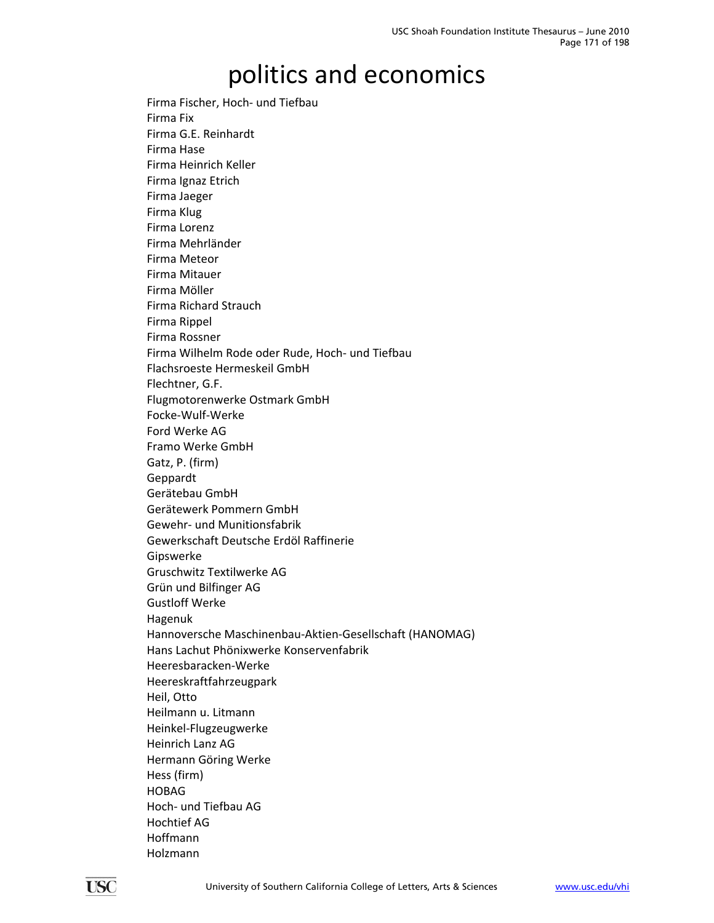Firma Fischer, Hoch‐ und Tiefbau Firma Fix Firma G.E. Reinhardt Firma Hase Firma Heinrich Keller Firma Ignaz Etrich Firma Jaeger Firma Klug Firma Lorenz Firma Mehrländer Firma Meteor Firma Mitauer Firma Möller Firma Richard Strauch Firma Rippel Firma Rossner Firma Wilhelm Rode oder Rude, Hoch‐ und Tiefbau Flachsroeste Hermeskeil GmbH Flechtner, G.F. Flugmotorenwerke Ostmark GmbH Focke‐Wulf‐Werke Ford Werke AG Framo Werke GmbH Gatz, P. (firm) Geppardt Gerätebau GmbH Gerätewerk Pommern GmbH Gewehr‐ und Munitionsfabrik Gewerkschaft Deutsche Erdöl Raffinerie Gipswerke Gruschwitz Textilwerke AG Grün und Bilfinger AG Gustloff Werke Hagenuk Hannoversche Maschinenbau‐Aktien‐Gesellschaft (HANOMAG) Hans Lachut Phönixwerke Konservenfabrik Heeresbaracken‐Werke Heereskraftfahrzeugpark Heil, Otto Heilmann u. Litmann Heinkel‐Flugzeugwerke Heinrich Lanz AG Hermann Göring Werke Hess (firm) HOBAG Hoch‐ und Tiefbau AG Hochtief AG Hoffmann Holzmann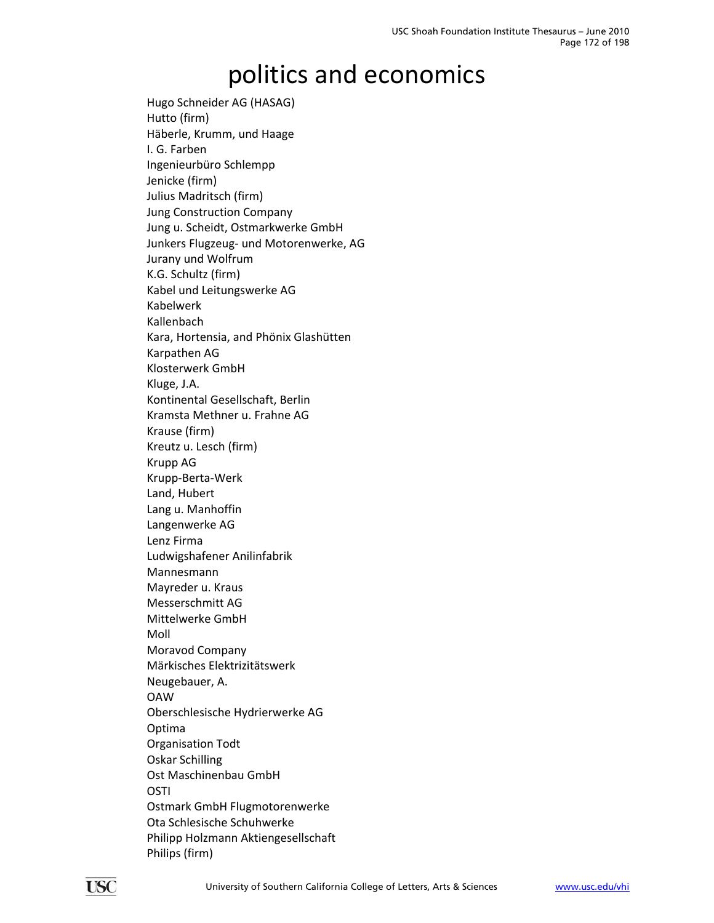Hugo Schneider AG (HASAG) Hutto (firm) Häberle, Krumm, und Haage I. G. Farben Ingenieurbüro Schlempp Jenicke (firm) Julius Madritsch (firm) Jung Construction Company Jung u. Scheidt, Ostmarkwerke GmbH Junkers Flugzeug‐ und Motorenwerke, AG Jurany und Wolfrum K.G. Schultz (firm) Kabel und Leitungswerke AG Kabelwerk Kallenbach Kara, Hortensia, and Phönix Glashütten Karpathen AG Klosterwerk GmbH Kluge, J.A. Kontinental Gesellschaft, Berlin Kramsta Methner u. Frahne AG Krause (firm) Kreutz u. Lesch (firm) Krupp AG Krupp‐Berta‐Werk Land, Hubert Lang u. Manhoffin Langenwerke AG Lenz Firma Ludwigshafener Anilinfabrik Mannesmann Mayreder u. Kraus Messerschmitt AG Mittelwerke GmbH Moll Moravod Company Märkisches Elektrizitätswerk Neugebauer, A. OAW Oberschlesische Hydrierwerke AG Optima Organisation Todt Oskar Schilling Ost Maschinenbau GmbH OSTI Ostmark GmbH Flugmotorenwerke Ota Schlesische Schuhwerke Philipp Holzmann Aktiengesellschaft Philips (firm)

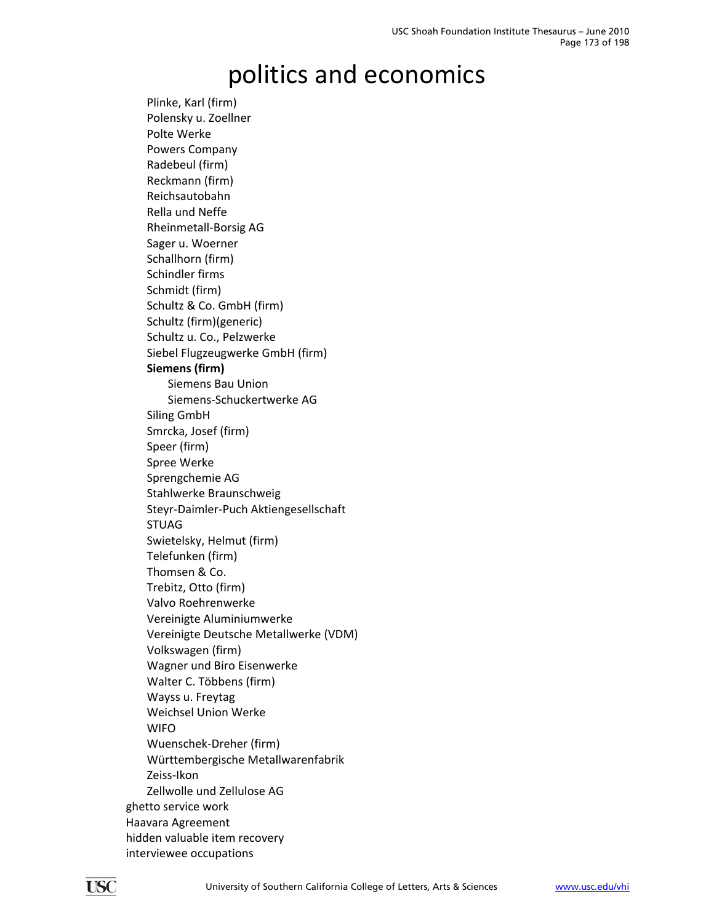Plinke, Karl (firm) Polensky u. Zoellner Polte Werke Powers Company Radebeul (firm) Reckmann (firm) Reichsautobahn Rella und Neffe Rheinmetall‐Borsig AG Sager u. Woerner Schallhorn (firm) Schindler firms Schmidt (firm) Schultz & Co. GmbH (firm) Schultz (firm)(generic) Schultz u. Co., Pelzwerke Siebel Flugzeugwerke GmbH (firm) **Siemens (firm)** Siemens Bau Union Siemens‐Schuckertwerke AG Siling GmbH Smrcka, Josef (firm) Speer (firm) Spree Werke Sprengchemie AG Stahlwerke Braunschweig Steyr‐Daimler‐Puch Aktiengesellschaft STUAG Swietelsky, Helmut (firm) Telefunken (firm) Thomsen & Co. Trebitz, Otto (firm) Valvo Roehrenwerke Vereinigte Aluminiumwerke Vereinigte Deutsche Metallwerke (VDM) Volkswagen (firm) Wagner und Biro Eisenwerke Walter C. Többens (firm) Wayss u. Freytag Weichsel Union Werke WIFO Wuenschek‐Dreher (firm) Württembergische Metallwarenfabrik Zeiss‐Ikon Zellwolle und Zellulose AG ghetto service work Haavara Agreement hidden valuable item recovery interviewee occupations

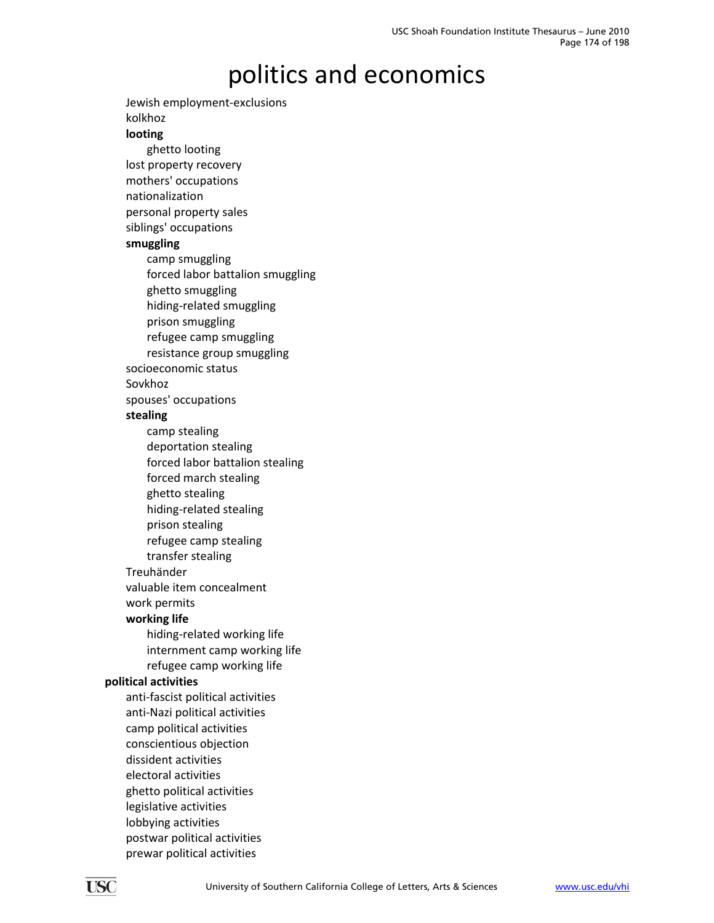Jewish employment‐exclusions kolkhoz **looting** ghetto looting lost property recovery mothers' occupations nationalization personal property sales siblings' occupations **smuggling** camp smuggling forced labor battalion smuggling ghetto smuggling hiding‐related smuggling prison smuggling refugee camp smuggling resistance group smuggling socioeconomic status Sovkhoz spouses' occupations **stealing** camp stealing deportation stealing forced labor battalion stealing forced march stealing ghetto stealing hiding‐related stealing prison stealing refugee camp stealing transfer stealing Treuhänder valuable item concealment work permits **working life** hiding‐related working life internment camp working life refugee camp working life **political activities** anti‐fascist political activities anti‐Nazi political activities camp political activities conscientious objection dissident activities electoral activities ghetto political activities legislative activities lobbying activities postwar political activities prewar political activities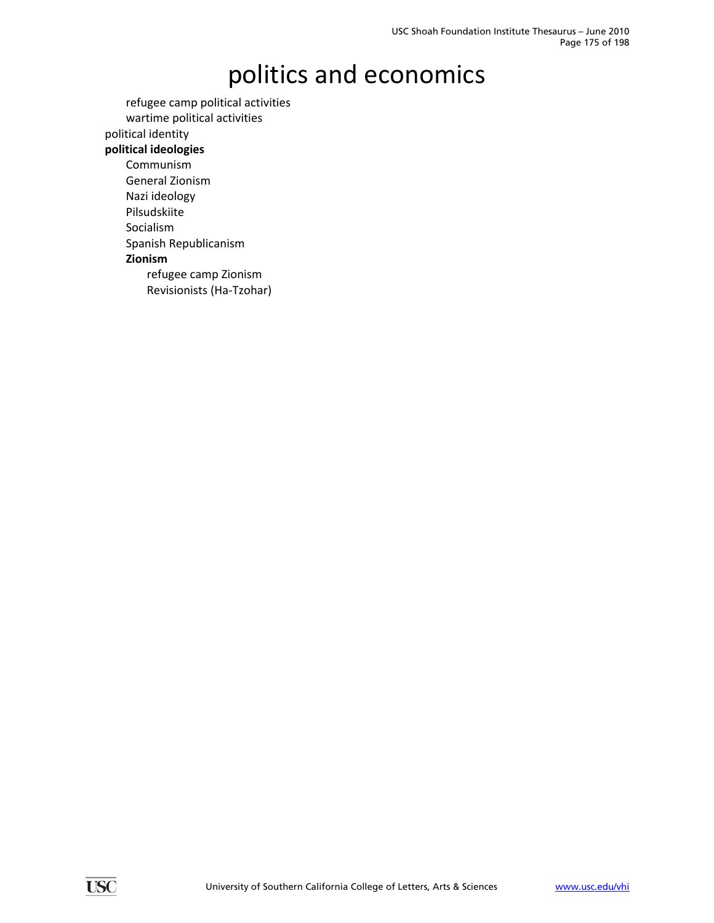refugee camp political activities wartime political activities

political identity

#### **political ideologies**

- Communism General Zionism Nazi ideology Pilsudskiite Socialism
- Spanish Republicanism

#### **Zionism**

refugee camp Zionism Revisionists (Ha‐Tzohar)

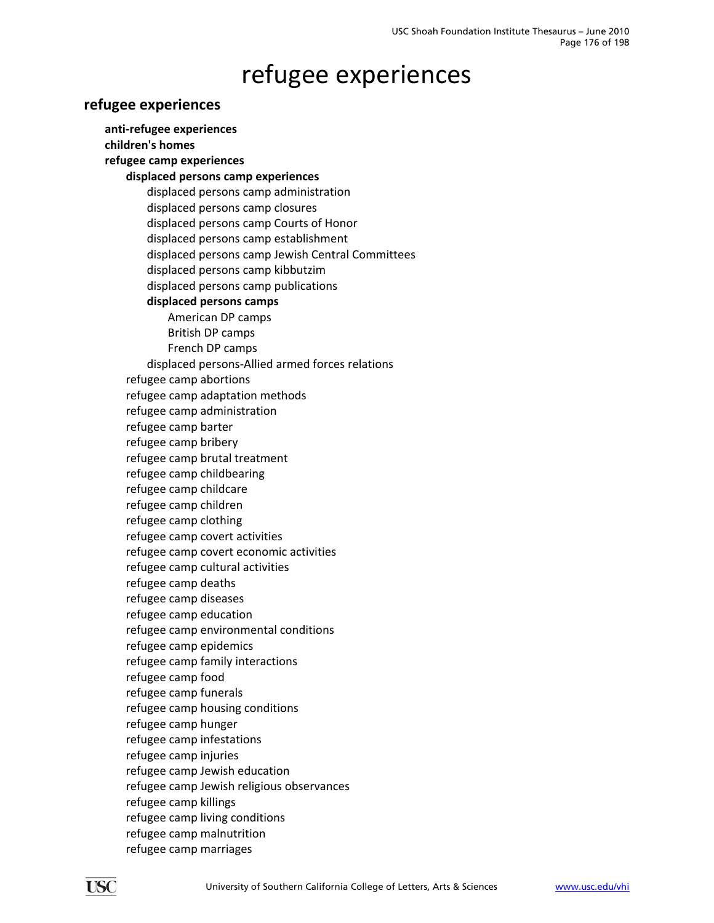#### refugee experiences

#### **refugee experiences**

**anti‐refugee experiences children's homes refugee camp experiences displaced persons camp experiences** displaced persons camp administration displaced persons camp closures displaced persons camp Courts of Honor displaced persons camp establishment displaced persons camp Jewish Central Committees displaced persons camp kibbutzim displaced persons camp publications **displaced persons camps** American DP camps British DP camps French DP camps displaced persons‐Allied armed forces relations refugee camp abortions refugee camp adaptation methods refugee camp administration refugee camp barter refugee camp bribery refugee camp brutal treatment refugee camp childbearing refugee camp childcare refugee camp children refugee camp clothing refugee camp covert activities refugee camp covert economic activities refugee camp cultural activities refugee camp deaths refugee camp diseases refugee camp education refugee camp environmental conditions refugee camp epidemics refugee camp family interactions refugee camp food refugee camp funerals refugee camp housing conditions refugee camp hunger refugee camp infestations refugee camp injuries refugee camp Jewish education refugee camp Jewish religious observances refugee camp killings refugee camp living conditions refugee camp malnutrition refugee camp marriages

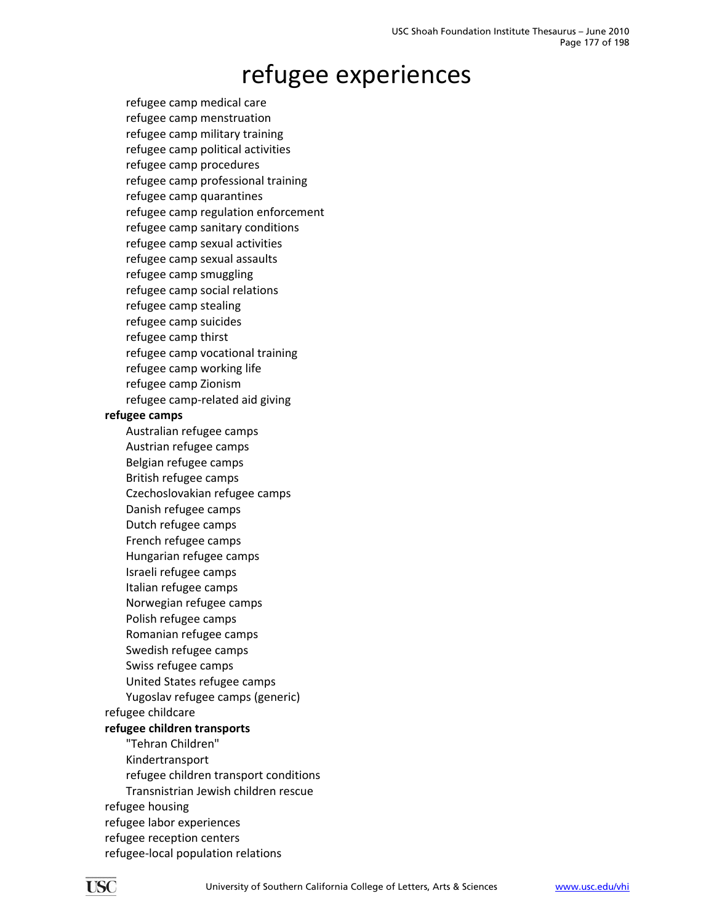#### refugee experiences

refugee camp medical care refugee camp menstruation refugee camp military training refugee camp political activities refugee camp procedures refugee camp professional training refugee camp quarantines refugee camp regulation enforcement refugee camp sanitary conditions refugee camp sexual activities refugee camp sexual assaults refugee camp smuggling refugee camp social relations refugee camp stealing refugee camp suicides refugee camp thirst refugee camp vocational training refugee camp working life refugee camp Zionism refugee camp‐related aid giving **refugee camps** Australian refugee camps Austrian refugee camps Belgian refugee camps British refugee camps Czechoslovakian refugee camps Danish refugee camps Dutch refugee camps French refugee camps Hungarian refugee camps Israeli refugee camps Italian refugee camps Norwegian refugee camps Polish refugee camps Romanian refugee camps Swedish refugee camps Swiss refugee camps United States refugee camps Yugoslav refugee camps (generic) refugee childcare **refugee children transports** "Tehran Children" Kindertransport refugee children transport conditions Transnistrian Jewish children rescue refugee housing refugee labor experiences refugee reception centers

refugee‐local population relations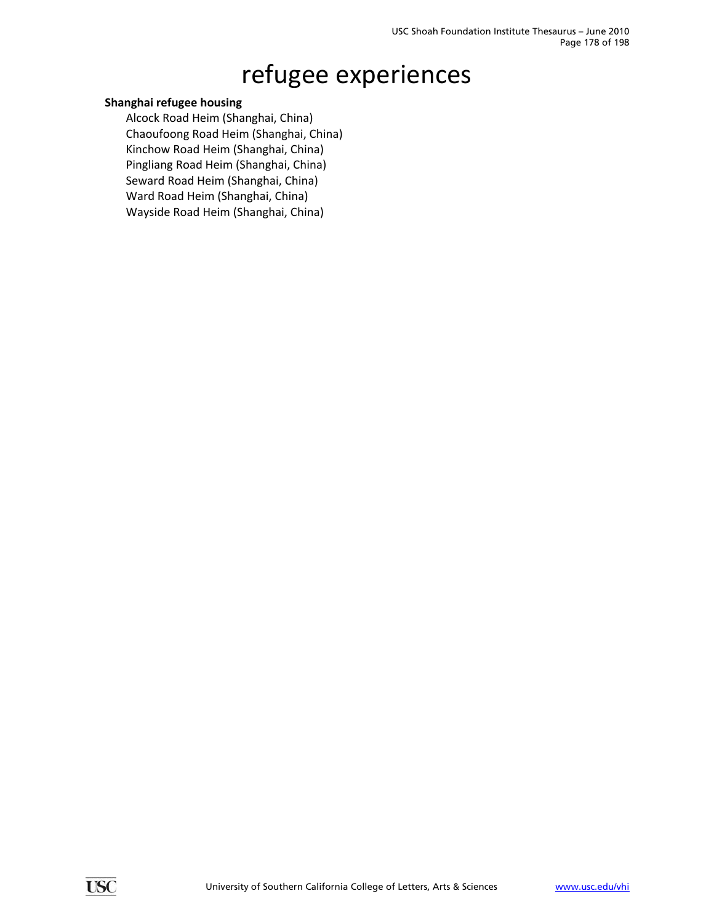### refugee experiences

#### **Shanghai refugee housing**

Alcock Road Heim (Shanghai, China) Chaoufoong Road Heim (Shanghai, China) Kinchow Road Heim (Shanghai, China) Pingliang Road Heim (Shanghai, China) Seward Road Heim (Shanghai, China) Ward Road Heim (Shanghai, China) Wayside Road Heim (Shanghai, China)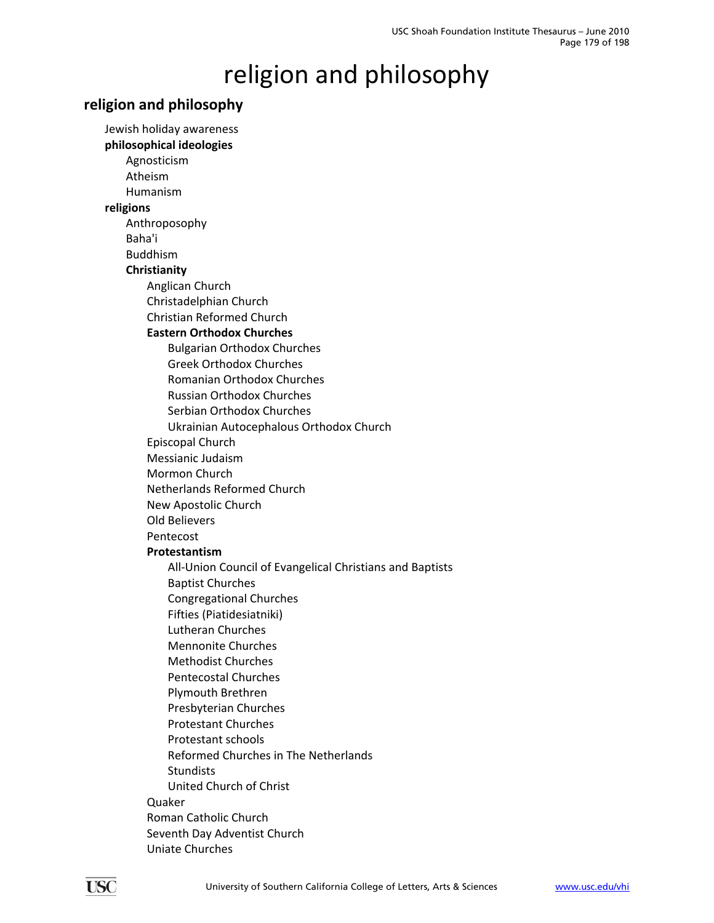# religion and philosophy

#### **religion and philosophy**

Jewish holiday awareness **philosophical ideologies** Agnosticism Atheism Humanism **religions** Anthroposophy Baha'i Buddhism **Christianity** Anglican Church Christadelphian Church Christian Reformed Church **Eastern Orthodox Churches** Bulgarian Orthodox Churches Greek Orthodox Churches Romanian Orthodox Churches Russian Orthodox Churches Serbian Orthodox Churches Ukrainian Autocephalous Orthodox Church Episcopal Church Messianic Judaism Mormon Church Netherlands Reformed Church New Apostolic Church Old Believers Pentecost **Protestantism** All‐Union Council of Evangelical Christians and Baptists Baptist Churches Congregational Churches Fifties (Piatidesiatniki) Lutheran Churches Mennonite Churches Methodist Churches Pentecostal Churches Plymouth Brethren Presbyterian Churches Protestant Churches Protestant schools Reformed Churches in The Netherlands Stundists United Church of Christ Quaker Roman Catholic Church Seventh Day Adventist Church Uniate Churches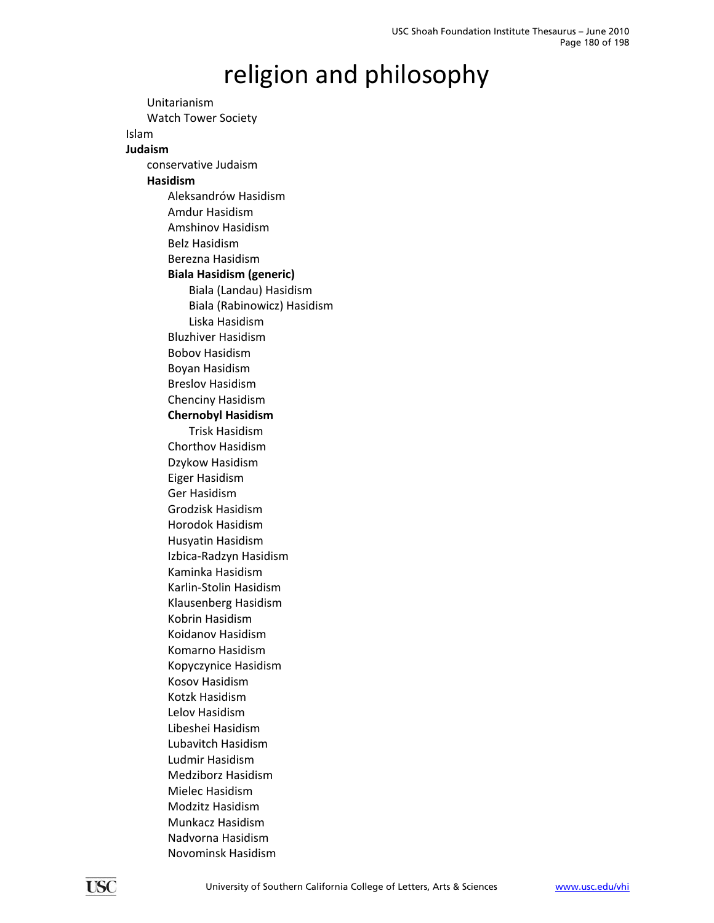#### religion and philosophy

Unitarianism Watch Tower Society Islam **Judaism** conservative Judaism **Hasidism** Aleksandrów Hasidism Amdur Hasidism Amshinov Hasidism Belz Hasidism Berezna Hasidism **Biala Hasidism (generic)** Biala (Landau) Hasidism Biala (Rabinowicz) Hasidism Liska Hasidism Bluzhiver Hasidism Bobov Hasidism Boyan Hasidism Breslov Hasidism Chenciny Hasidism **Chernobyl Hasidism** Trisk Hasidism Chorthov Hasidism Dzykow Hasidism Eiger Hasidism Ger Hasidism Grodzisk Hasidism Horodok Hasidism Husyatin Hasidism Izbica‐Radzyn Hasidism Kaminka Hasidism Karlin‐Stolin Hasidism Klausenberg Hasidism Kobrin Hasidism Koidanov Hasidism Komarno Hasidism Kopyczynice Hasidism Kosov Hasidism Kotzk Hasidism Lelov Hasidism Libeshei Hasidism Lubavitch Hasidism Ludmir Hasidism Medziborz Hasidism Mielec Hasidism Modzitz Hasidism Munkacz Hasidism Nadvorna Hasidism Novominsk Hasidism

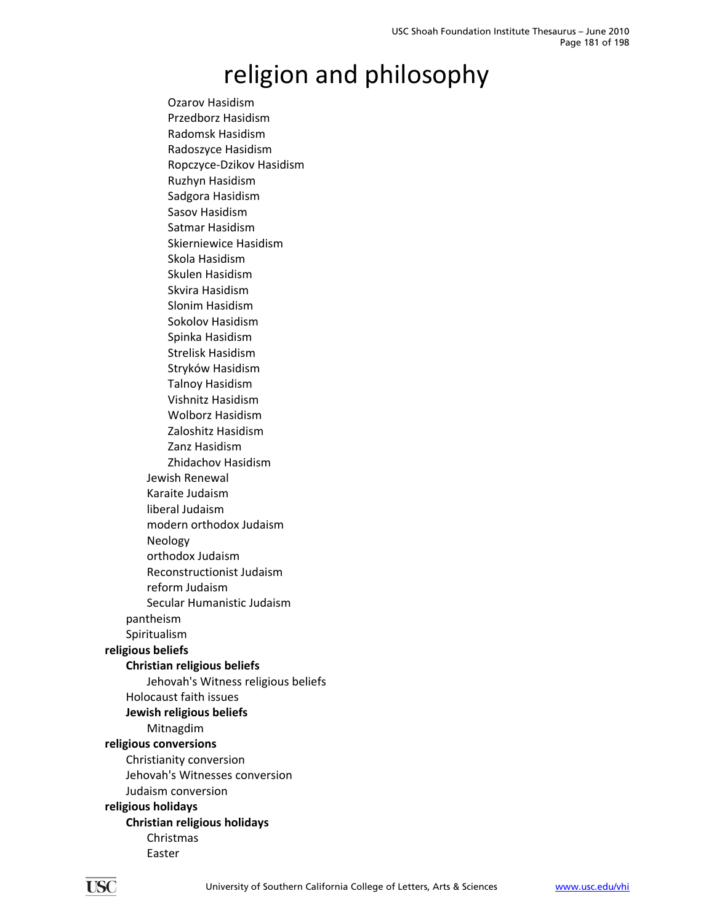Ozarov Hasidism Przedborz Hasidism Radomsk Hasidism Radoszyce Hasidism Ropczyce‐Dzikov Hasidism Ruzhyn Hasidism Sadgora Hasidism Sasov Hasidism Satmar Hasidism Skierniewice Hasidism Skola Hasidism Skulen Hasidism Skvira Hasidism Slonim Hasidism Sokolov Hasidism Spinka Hasidism Strelisk Hasidism Stryków Hasidism Talnoy Hasidism Vishnitz Hasidism Wolborz Hasidism Zaloshitz Hasidism Zanz Hasidism Zhidachov Hasidism Jewish Renewal Karaite Judaism liberal Judaism modern orthodox Judaism Neology orthodox Judaism Reconstructionist Judaism reform Judaism Secular Humanistic Judaism pantheism Spiritualism **religious beliefs Christian religious beliefs** Jehovah's Witness religious beliefs Holocaust faith issues **Jewish religious beliefs** Mitnagdim **religious conversions** Christianity conversion Jehovah's Witnesses conversion Judaism conversion **religious holidays Christian religious holidays** Christmas Easter

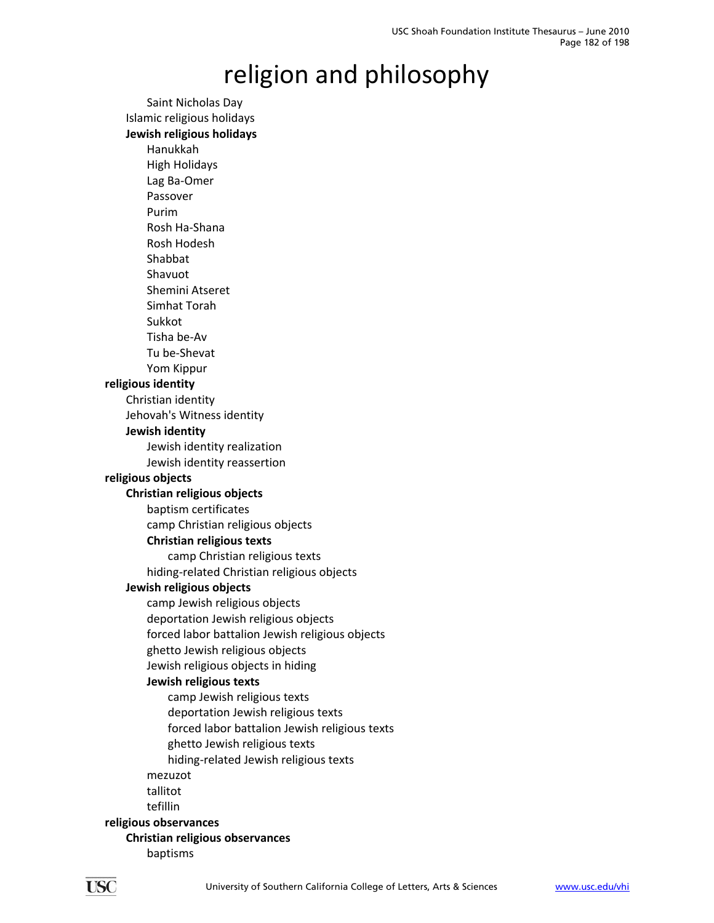Saint Nicholas Day Islamic religious holidays **Jewish religious holidays** Hanukkah High Holidays Lag Ba‐Omer Passover Purim Rosh Ha‐Shana Rosh Hodesh Shabbat Shavuot Shemini Atseret Simhat Torah Sukkot Tisha be‐Av Tu be‐Shevat Yom Kippur **religious identity** Christian identity Jehovah's Witness identity **Jewish identity** Jewish identity realization Jewish identity reassertion **religious objects Christian religious objects** baptism certificates camp Christian religious objects **Christian religious texts** camp Christian religious texts hiding‐related Christian religious objects **Jewish religious objects** camp Jewish religious objects deportation Jewish religious objects forced labor battalion Jewish religious objects ghetto Jewish religious objects Jewish religious objects in hiding **Jewish religious texts** camp Jewish religious texts deportation Jewish religious texts forced labor battalion Jewish religious texts ghetto Jewish religious texts hiding‐related Jewish religious texts mezuzot tallitot tefillin **religious observances Christian religious observances**

baptisms

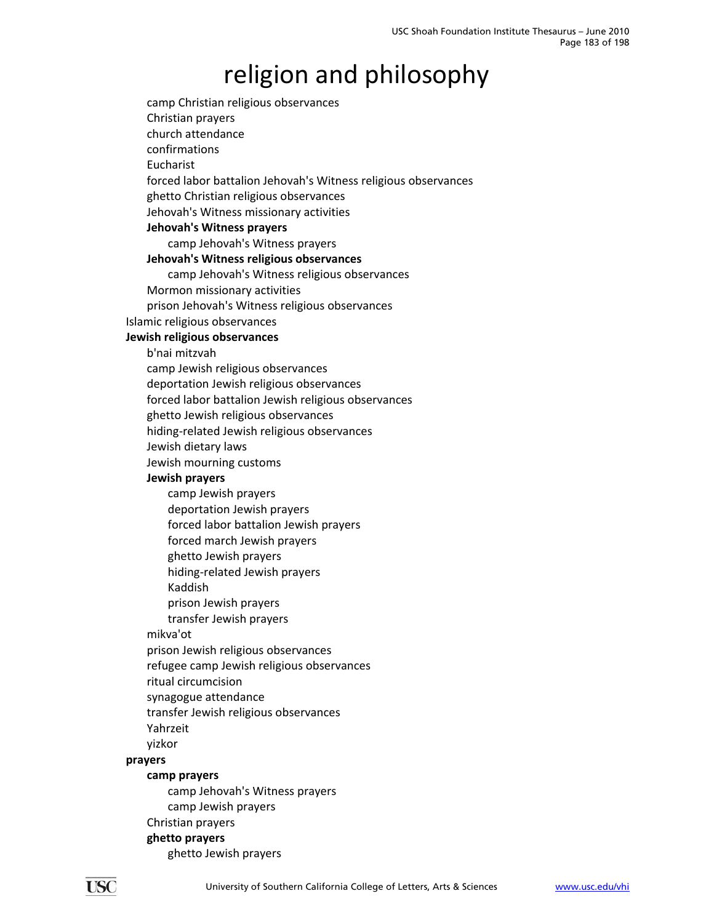camp Christian religious observances Christian prayers church attendance confirmations Eucharist forced labor battalion Jehovah's Witness religious observances ghetto Christian religious observances Jehovah's Witness missionary activities **Jehovah's Witness prayers** camp Jehovah's Witness prayers **Jehovah's Witness religious observances** camp Jehovah's Witness religious observances Mormon missionary activities prison Jehovah's Witness religious observances Islamic religious observances **Jewish religious observances** b'nai mitzvah camp Jewish religious observances deportation Jewish religious observances forced labor battalion Jewish religious observances ghetto Jewish religious observances hiding‐related Jewish religious observances Jewish dietary laws Jewish mourning customs **Jewish prayers** camp Jewish prayers deportation Jewish prayers forced labor battalion Jewish prayers forced march Jewish prayers ghetto Jewish prayers hiding‐related Jewish prayers Kaddish prison Jewish prayers transfer Jewish prayers mikva'ot prison Jewish religious observances refugee camp Jewish religious observances ritual circumcision synagogue attendance transfer Jewish religious observances Yahrzeit yizkor **prayers camp prayers** camp Jehovah's Witness prayers camp Jewish prayers Christian prayers **ghetto prayers** ghetto Jewish prayers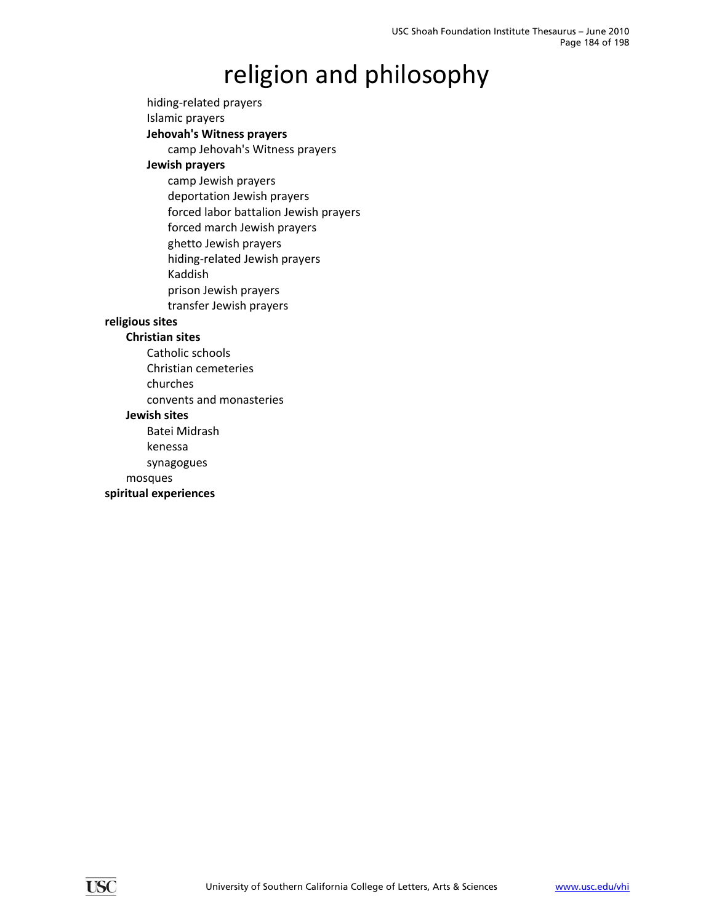hiding‐related prayers

Islamic prayers

**Jehovah's Witness prayers**

camp Jehovah's Witness prayers

#### **Jewish prayers**

camp Jewish prayers deportation Jewish prayers forced labor battalion Jewish prayers forced march Jewish prayers

ghetto Jewish prayers

hiding‐related Jewish prayers

Kaddish

prison Jewish prayers

transfer Jewish prayers

#### **religious sites**

#### **Christian sites**

Catholic schools

Christian cemeteries

churches

convents and monasteries

#### **Jewish sites**

Batei Midrash

kenessa

synagogues

mosques

#### **spiritual experiences**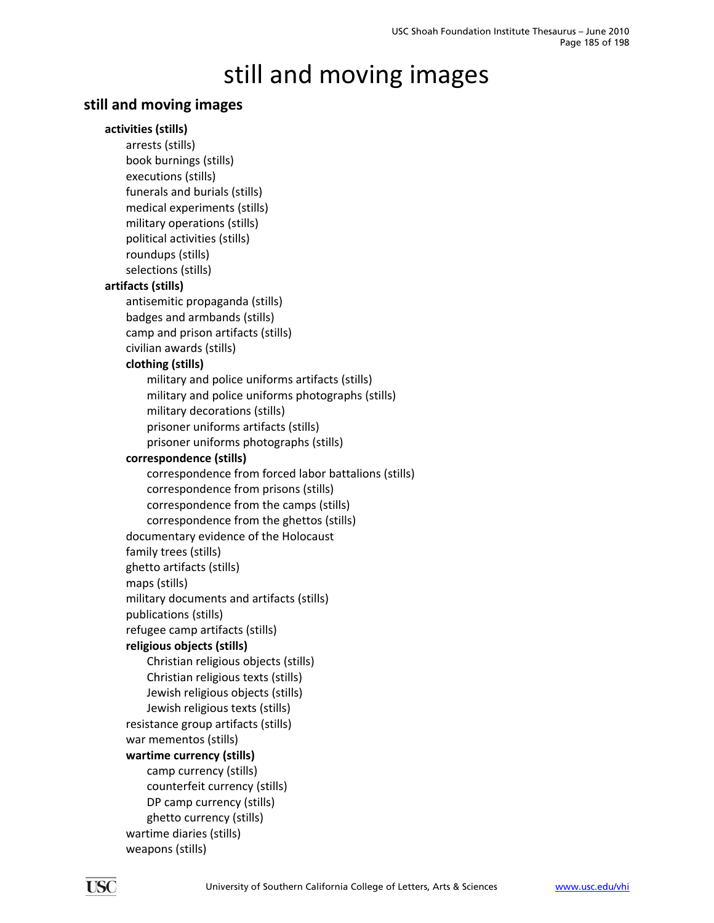### **still and moving images**

#### **activities (stills)**

arrests (stills) book burnings (stills) executions (stills) funerals and burials (stills) medical experiments (stills) military operations (stills) political activities (stills) roundups (stills) selections (stills) **artifacts (stills)** antisemitic propaganda (stills) badges and armbands (stills) camp and prison artifacts (stills) civilian awards (stills) **clothing (stills)** military and police uniforms artifacts (stills) military and police uniforms photographs (stills) military decorations (stills) prisoner uniforms artifacts (stills) prisoner uniforms photographs (stills) **correspondence (stills)** correspondence from forced labor battalions (stills) correspondence from prisons (stills) correspondence from the camps (stills) correspondence from the ghettos (stills) documentary evidence of the Holocaust family trees (stills) ghetto artifacts (stills) maps (stills) military documents and artifacts (stills) publications (stills) refugee camp artifacts (stills) **religious objects (stills)** Christian religious objects (stills) Christian religious texts (stills) Jewish religious objects (stills) Jewish religious texts (stills) resistance group artifacts (stills) war mementos (stills) **wartime currency (stills)** camp currency (stills) counterfeit currency (stills) DP camp currency (stills) ghetto currency (stills) wartime diaries (stills) weapons (stills)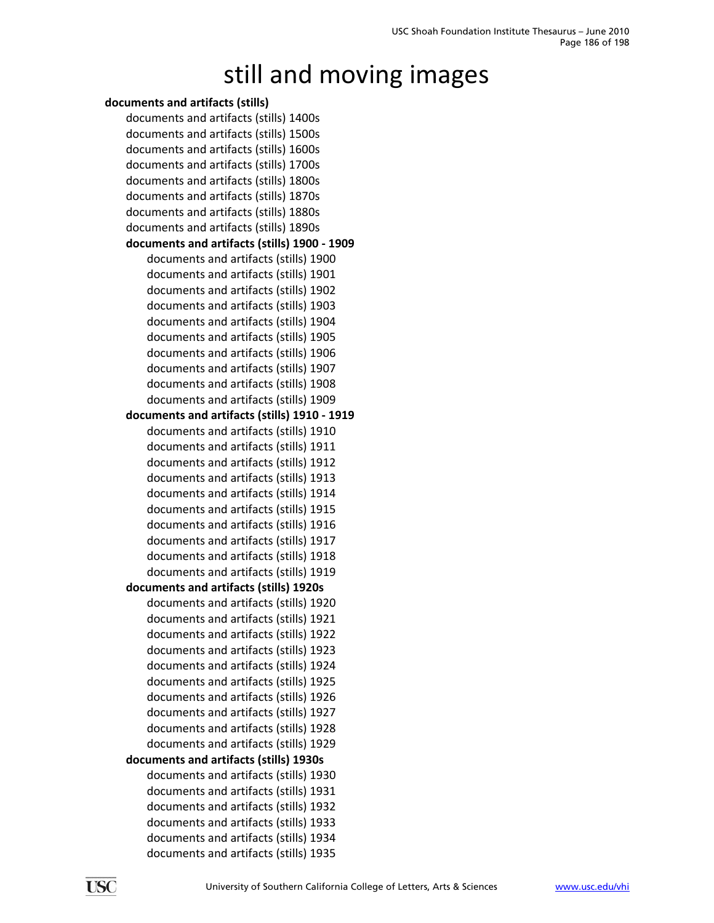#### **documents and artifacts (stills)** documents and artifacts (stills) 1400s documents and artifacts (stills) 1500s documents and artifacts (stills) 1600s documents and artifacts (stills) 1700s documents and artifacts (stills) 1800s documents and artifacts (stills) 1870s documents and artifacts (stills) 1880s documents and artifacts (stills) 1890s **documents and artifacts (stills) 1900 ‐ 1909** documents and artifacts (stills) 1900 documents and artifacts (stills) 1901 documents and artifacts (stills) 1902 documents and artifacts (stills) 1903 documents and artifacts (stills) 1904 documents and artifacts (stills) 1905 documents and artifacts (stills) 1906 documents and artifacts (stills) 1907 documents and artifacts (stills) 1908 documents and artifacts (stills) 1909 **documents and artifacts (stills) 1910 ‐ 1919** documents and artifacts (stills) 1910 documents and artifacts (stills) 1911 documents and artifacts (stills) 1912 documents and artifacts (stills) 1913 documents and artifacts (stills) 1914 documents and artifacts (stills) 1915 documents and artifacts (stills) 1916 documents and artifacts (stills) 1917 documents and artifacts (stills) 1918 documents and artifacts (stills) 1919 **documents and artifacts (stills) 1920s** documents and artifacts (stills) 1920 documents and artifacts (stills) 1921 documents and artifacts (stills) 1922 documents and artifacts (stills) 1923 documents and artifacts (stills) 1924 documents and artifacts (stills) 1925 documents and artifacts (stills) 1926 documents and artifacts (stills) 1927 documents and artifacts (stills) 1928 documents and artifacts (stills) 1929 **documents and artifacts (stills) 1930s** documents and artifacts (stills) 1930 documents and artifacts (stills) 1931 documents and artifacts (stills) 1932 documents and artifacts (stills) 1933 documents and artifacts (stills) 1934

documents and artifacts (stills) 1935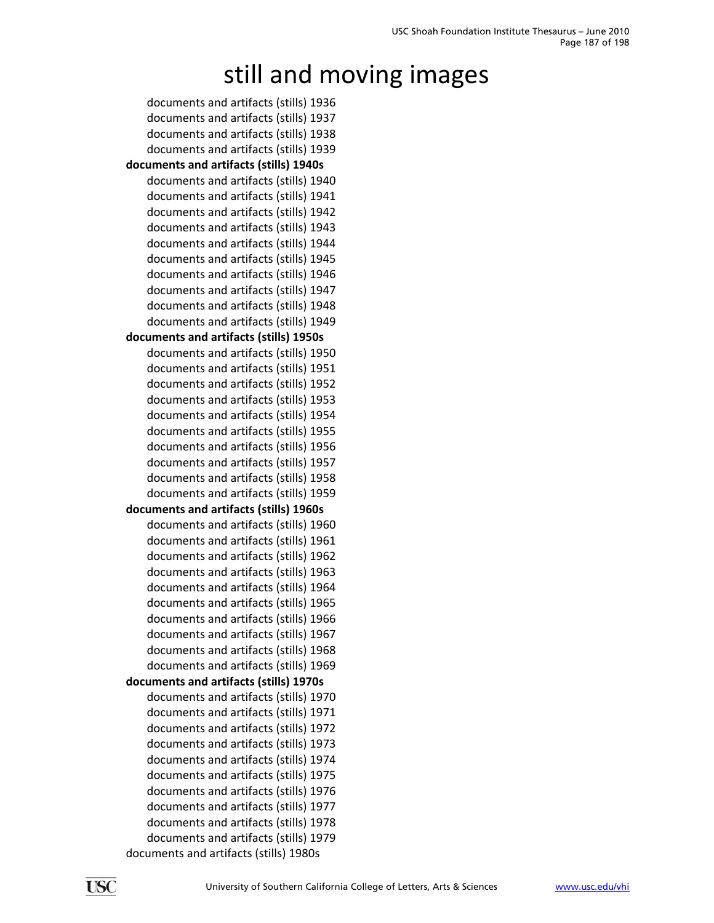documents and artifacts (stills) 1936 documents and artifacts (stills) 1937 documents and artifacts (stills) 1938 documents and artifacts (stills) 1939 **documents and artifacts (stills) 1940s** documents and artifacts (stills) 1940 documents and artifacts (stills) 1941 documents and artifacts (stills) 1942 documents and artifacts (stills) 1943 documents and artifacts (stills) 1944 documents and artifacts (stills) 1945 documents and artifacts (stills) 1946 documents and artifacts (stills) 1947 documents and artifacts (stills) 1948 documents and artifacts (stills) 1949 **documents and artifacts (stills) 1950s** documents and artifacts (stills) 1950 documents and artifacts (stills) 1951 documents and artifacts (stills) 1952 documents and artifacts (stills) 1953 documents and artifacts (stills) 1954 documents and artifacts (stills) 1955 documents and artifacts (stills) 1956 documents and artifacts (stills) 1957 documents and artifacts (stills) 1958 documents and artifacts (stills) 1959 **documents and artifacts (stills) 1960s** documents and artifacts (stills) 1960 documents and artifacts (stills) 1961 documents and artifacts (stills) 1962 documents and artifacts (stills) 1963 documents and artifacts (stills) 1964 documents and artifacts (stills) 1965 documents and artifacts (stills) 1966 documents and artifacts (stills) 1967 documents and artifacts (stills) 1968 documents and artifacts (stills) 1969 **documents and artifacts (stills) 1970s** documents and artifacts (stills) 1970 documents and artifacts (stills) 1971 documents and artifacts (stills) 1972 documents and artifacts (stills) 1973 documents and artifacts (stills) 1974 documents and artifacts (stills) 1975 documents and artifacts (stills) 1976 documents and artifacts (stills) 1977 documents and artifacts (stills) 1978 documents and artifacts (stills) 1979 documents and artifacts (stills) 1980s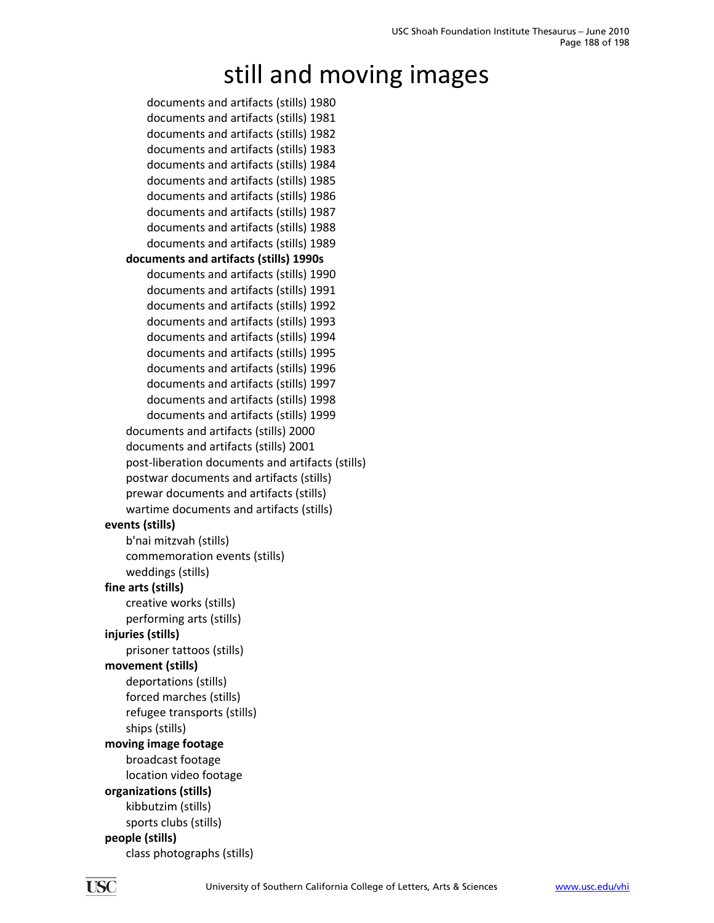documents and artifacts (stills) 1980 documents and artifacts (stills) 1981 documents and artifacts (stills) 1982 documents and artifacts (stills) 1983 documents and artifacts (stills) 1984 documents and artifacts (stills) 1985 documents and artifacts (stills) 1986 documents and artifacts (stills) 1987 documents and artifacts (stills) 1988 documents and artifacts (stills) 1989 **documents and artifacts (stills) 1990s** documents and artifacts (stills) 1990 documents and artifacts (stills) 1991 documents and artifacts (stills) 1992 documents and artifacts (stills) 1993 documents and artifacts (stills) 1994 documents and artifacts (stills) 1995 documents and artifacts (stills) 1996 documents and artifacts (stills) 1997 documents and artifacts (stills) 1998 documents and artifacts (stills) 1999 documents and artifacts (stills) 2000 documents and artifacts (stills) 2001 post‐liberation documents and artifacts (stills) postwar documents and artifacts (stills) prewar documents and artifacts (stills) wartime documents and artifacts (stills) **events (stills)** b'nai mitzvah (stills) commemoration events (stills) weddings (stills) **fine arts (stills)** creative works (stills) performing arts (stills) **injuries (stills)** prisoner tattoos (stills) **movement (stills)** deportations (stills) forced marches (stills) refugee transports (stills) ships (stills) **moving image footage** broadcast footage location video footage **organizations (stills)** kibbutzim (stills) sports clubs (stills) **people (stills)** class photographs (stills)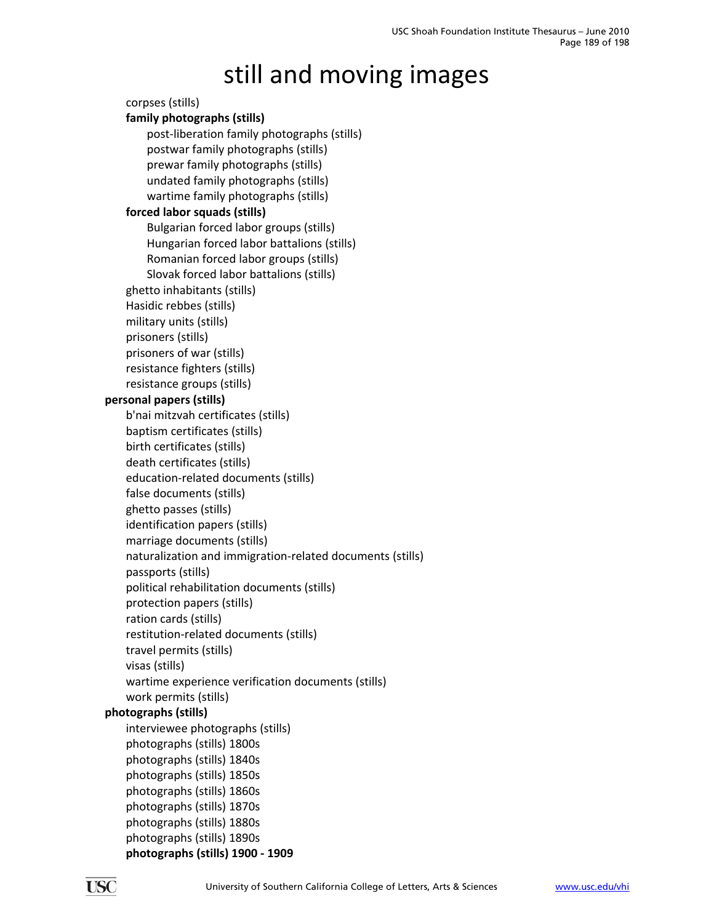#### corpses (stills) **family photographs (stills)** post‐liberation family photographs (stills) postwar family photographs (stills) prewar family photographs (stills) undated family photographs (stills) wartime family photographs (stills) **forced labor squads (stills)** Bulgarian forced labor groups (stills) Hungarian forced labor battalions (stills) Romanian forced labor groups (stills) Slovak forced labor battalions (stills) ghetto inhabitants (stills) Hasidic rebbes (stills) military units (stills) prisoners (stills) prisoners of war (stills) resistance fighters (stills) resistance groups (stills) **personal papers (stills)** b'nai mitzvah certificates (stills) baptism certificates (stills) birth certificates (stills) death certificates (stills) education‐related documents (stills) false documents (stills) ghetto passes (stills) identification papers (stills) marriage documents (stills) naturalization and immigration‐related documents (stills) passports (stills) political rehabilitation documents (stills) protection papers (stills) ration cards (stills) restitution‐related documents (stills) travel permits (stills) visas (stills) wartime experience verification documents (stills) work permits (stills) **photographs (stills)** interviewee photographs (stills) photographs (stills) 1800s photographs (stills) 1840s photographs (stills) 1850s photographs (stills) 1860s photographs (stills) 1870s photographs (stills) 1880s photographs (stills) 1890s **photographs (stills) 1900 ‐ 1909**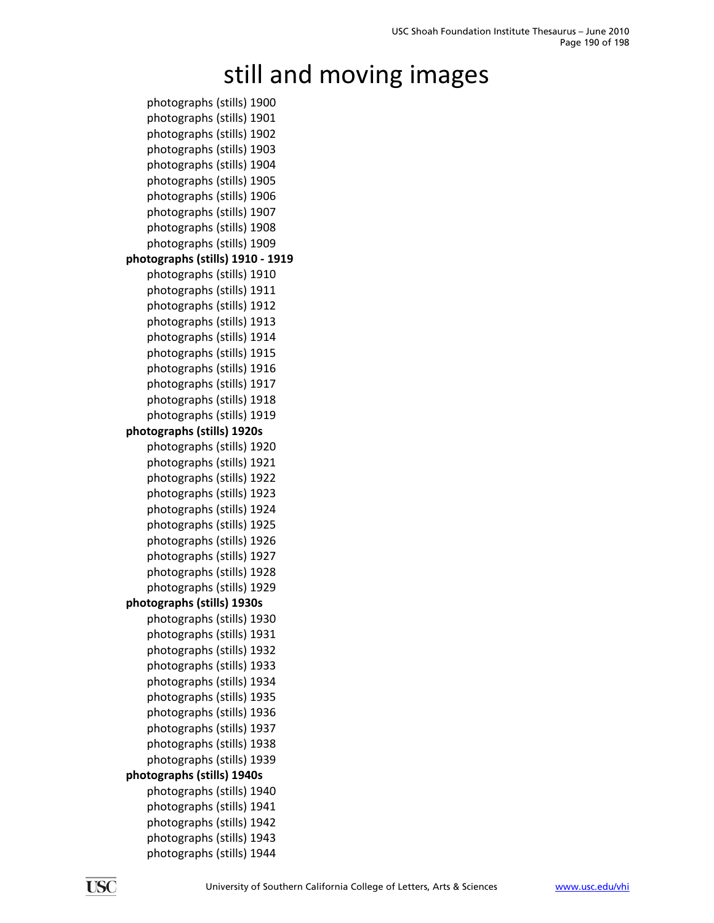photographs (stills) 1900 photographs (stills) 1901 photographs (stills) 1902 photographs (stills) 1903 photographs (stills) 1904 photographs (stills) 1905 photographs (stills) 1906 photographs (stills) 1907 photographs (stills) 1908 photographs (stills) 1909 **photographs (stills) 1910 ‐ 1919** photographs (stills) 1910 photographs (stills) 1911 photographs (stills) 1912 photographs (stills) 1913 photographs (stills) 1914 photographs (stills) 1915 photographs (stills) 1916 photographs (stills) 1917 photographs (stills) 1918 photographs (stills) 1919 **photographs (stills) 1920s** photographs (stills) 1920 photographs (stills) 1921 photographs (stills) 1922 photographs (stills) 1923 photographs (stills) 1924 photographs (stills) 1925 photographs (stills) 1926 photographs (stills) 1927 photographs (stills) 1928 photographs (stills) 1929 **photographs (stills) 1930s** photographs (stills) 1930 photographs (stills) 1931 photographs (stills) 1932 photographs (stills) 1933 photographs (stills) 1934 photographs (stills) 1935 photographs (stills) 1936 photographs (stills) 1937 photographs (stills) 1938 photographs (stills) 1939 **photographs (stills) 1940s** photographs (stills) 1940 photographs (stills) 1941 photographs (stills) 1942 photographs (stills) 1943 photographs (stills) 1944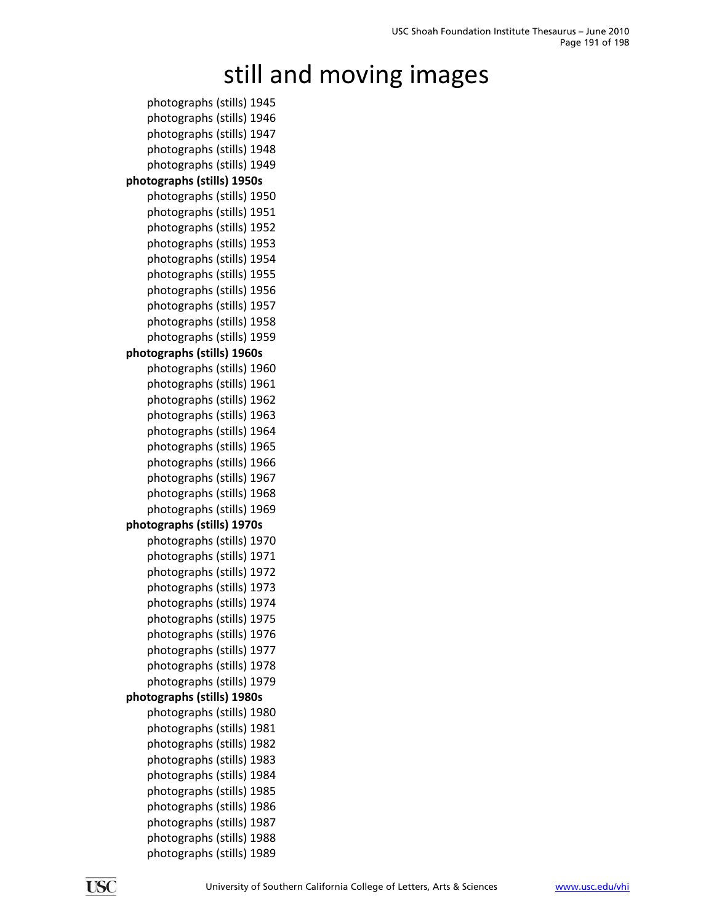photographs (stills) 1945 photographs (stills) 1946 photographs (stills) 1947 photographs (stills) 1948 photographs (stills) 1949 **photographs (stills) 1950s** photographs (stills) 1950 photographs (stills) 1951 photographs (stills) 1952 photographs (stills) 1953 photographs (stills) 1954 photographs (stills) 1955 photographs (stills) 1956 photographs (stills) 1957 photographs (stills) 1958 photographs (stills) 1959 **photographs (stills) 1960s** photographs (stills) 1960 photographs (stills) 1961 photographs (stills) 1962 photographs (stills) 1963 photographs (stills) 1964 photographs (stills) 1965 photographs (stills) 1966 photographs (stills) 1967 photographs (stills) 1968 photographs (stills) 1969 **photographs (stills) 1970s** photographs (stills) 1970 photographs (stills) 1971 photographs (stills) 1972 photographs (stills) 1973 photographs (stills) 1974 photographs (stills) 1975 photographs (stills) 1976 photographs (stills) 1977 photographs (stills) 1978 photographs (stills) 1979 **photographs (stills) 1980s** photographs (stills) 1980 photographs (stills) 1981 photographs (stills) 1982 photographs (stills) 1983 photographs (stills) 1984 photographs (stills) 1985 photographs (stills) 1986 photographs (stills) 1987 photographs (stills) 1988 photographs (stills) 1989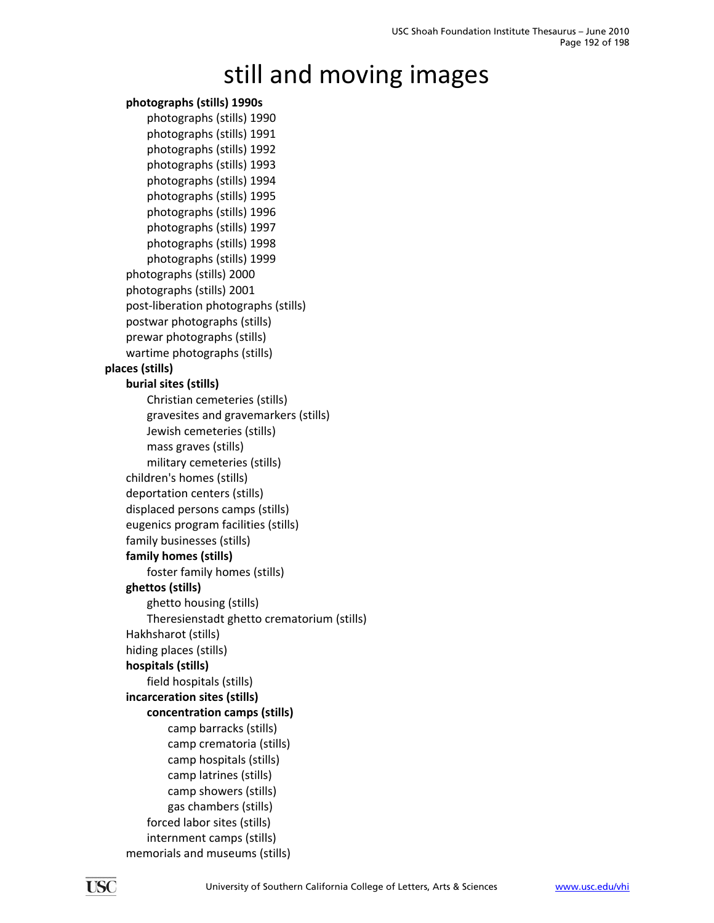#### **photographs (stills) 1990s**

photographs (stills) 1990 photographs (stills) 1991 photographs (stills) 1992 photographs (stills) 1993 photographs (stills) 1994 photographs (stills) 1995 photographs (stills) 1996 photographs (stills) 1997 photographs (stills) 1998 photographs (stills) 1999 photographs (stills) 2000 photographs (stills) 2001 post‐liberation photographs (stills) postwar photographs (stills) prewar photographs (stills) wartime photographs (stills) **places (stills) burial sites (stills)** Christian cemeteries (stills) gravesites and gravemarkers (stills) Jewish cemeteries (stills) mass graves (stills) military cemeteries (stills) children's homes (stills) deportation centers (stills) displaced persons camps (stills) eugenics program facilities (stills) family businesses (stills) **family homes (stills)** foster family homes (stills) **ghettos (stills)** ghetto housing (stills) Theresienstadt ghetto crematorium (stills) Hakhsharot (stills) hiding places (stills) **hospitals (stills)** field hospitals (stills) **incarceration sites (stills) concentration camps (stills)** camp barracks (stills) camp crematoria (stills) camp hospitals (stills) camp latrines (stills) camp showers (stills) gas chambers (stills) forced labor sites (stills) internment camps (stills) memorials and museums (stills)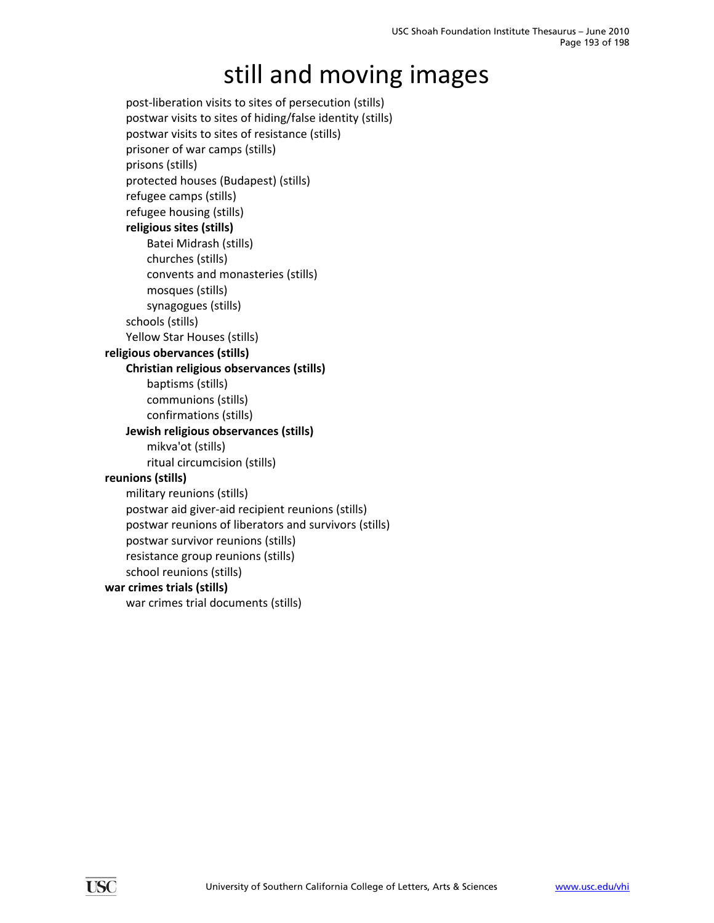post‐liberation visits to sites of persecution (stills) postwar visits to sites of hiding/false identity (stills) postwar visits to sites of resistance (stills) prisoner of war camps (stills) prisons (stills) protected houses (Budapest) (stills) refugee camps (stills) refugee housing (stills) **religious sites (stills)** Batei Midrash (stills) churches (stills) convents and monasteries (stills) mosques (stills) synagogues (stills) schools (stills) Yellow Star Houses (stills) **religious obervances (stills) Christian religious observances (stills)** baptisms (stills) communions (stills) confirmations (stills) **Jewish religious observances (stills)** mikva'ot (stills) ritual circumcision (stills) **reunions (stills)** military reunions (stills) postwar aid giver‐aid recipient reunions (stills) postwar reunions of liberators and survivors (stills) postwar survivor reunions (stills) resistance group reunions (stills) school reunions (stills) **war crimes trials (stills)** war crimes trial documents (stills)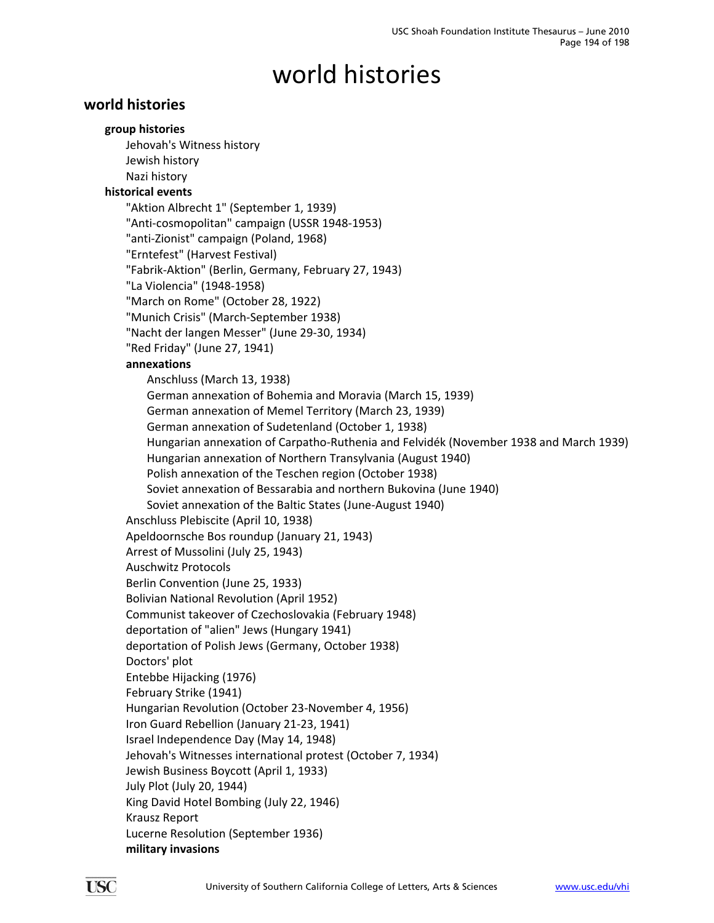### **world histories**

#### **group histories**

Jehovah's Witness history Jewish history Nazi history **historical events** "Aktion Albrecht 1" (September 1, 1939) "Anti‐cosmopolitan" campaign (USSR 1948‐1953) "anti‐Zionist" campaign (Poland, 1968) "Erntefest" (Harvest Festival) "Fabrik‐Aktion" (Berlin, Germany, February 27, 1943) "La Violencia" (1948‐1958) "March on Rome" (October 28, 1922) "Munich Crisis" (March‐September 1938) "Nacht der langen Messer" (June 29‐30, 1934) "Red Friday" (June 27, 1941) **annexations** Anschluss (March 13, 1938) German annexation of Bohemia and Moravia (March 15, 1939) German annexation of Memel Territory (March 23, 1939) German annexation of Sudetenland (October 1, 1938) Hungarian annexation of Carpatho‐Ruthenia and Felvidék (November 1938 and March 1939) Hungarian annexation of Northern Transylvania (August 1940) Polish annexation of the Teschen region (October 1938) Soviet annexation of Bessarabia and northern Bukovina (June 1940) Soviet annexation of the Baltic States (June‐August 1940) Anschluss Plebiscite (April 10, 1938) Apeldoornsche Bos roundup (January 21, 1943) Arrest of Mussolini (July 25, 1943) Auschwitz Protocols Berlin Convention (June 25, 1933) Bolivian National Revolution (April 1952) Communist takeover of Czechoslovakia (February 1948) deportation of "alien" Jews (Hungary 1941) deportation of Polish Jews (Germany, October 1938) Doctors' plot Entebbe Hijacking (1976) February Strike (1941) Hungarian Revolution (October 23‐November 4, 1956) Iron Guard Rebellion (January 21‐23, 1941) Israel Independence Day (May 14, 1948) Jehovah's Witnesses international protest (October 7, 1934) Jewish Business Boycott (April 1, 1933) July Plot (July 20, 1944) King David Hotel Bombing (July 22, 1946) Krausz Report Lucerne Resolution (September 1936)

**military invasions**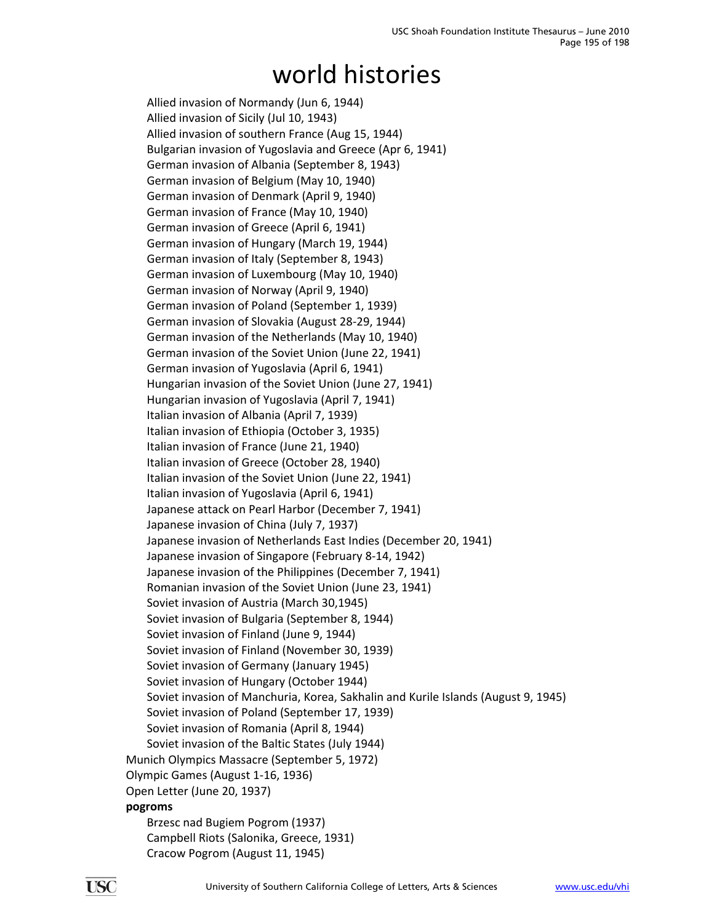Allied invasion of Normandy (Jun 6, 1944) Allied invasion of Sicily (Jul 10, 1943) Allied invasion of southern France (Aug 15, 1944) Bulgarian invasion of Yugoslavia and Greece (Apr 6, 1941) German invasion of Albania (September 8, 1943) German invasion of Belgium (May 10, 1940) German invasion of Denmark (April 9, 1940) German invasion of France (May 10, 1940) German invasion of Greece (April 6, 1941) German invasion of Hungary (March 19, 1944) German invasion of Italy (September 8, 1943) German invasion of Luxembourg (May 10, 1940) German invasion of Norway (April 9, 1940) German invasion of Poland (September 1, 1939) German invasion of Slovakia (August 28‐29, 1944) German invasion of the Netherlands (May 10, 1940) German invasion of the Soviet Union (June 22, 1941) German invasion of Yugoslavia (April 6, 1941) Hungarian invasion of the Soviet Union (June 27, 1941) Hungarian invasion of Yugoslavia (April 7, 1941) Italian invasion of Albania (April 7, 1939) Italian invasion of Ethiopia (October 3, 1935) Italian invasion of France (June 21, 1940) Italian invasion of Greece (October 28, 1940) Italian invasion of the Soviet Union (June 22, 1941) Italian invasion of Yugoslavia (April 6, 1941) Japanese attack on Pearl Harbor (December 7, 1941) Japanese invasion of China (July 7, 1937) Japanese invasion of Netherlands East Indies (December 20, 1941) Japanese invasion of Singapore (February 8‐14, 1942) Japanese invasion of the Philippines (December 7, 1941) Romanian invasion of the Soviet Union (June 23, 1941) Soviet invasion of Austria (March 30,1945) Soviet invasion of Bulgaria (September 8, 1944) Soviet invasion of Finland (June 9, 1944) Soviet invasion of Finland (November 30, 1939) Soviet invasion of Germany (January 1945) Soviet invasion of Hungary (October 1944) Soviet invasion of Manchuria, Korea, Sakhalin and Kurile Islands (August 9, 1945) Soviet invasion of Poland (September 17, 1939) Soviet invasion of Romania (April 8, 1944) Soviet invasion of the Baltic States (July 1944) Munich Olympics Massacre (September 5, 1972) Olympic Games (August 1‐16, 1936) Open Letter (June 20, 1937) **pogroms** Brzesc nad Bugiem Pogrom (1937) Campbell Riots (Salonika, Greece, 1931) Cracow Pogrom (August 11, 1945)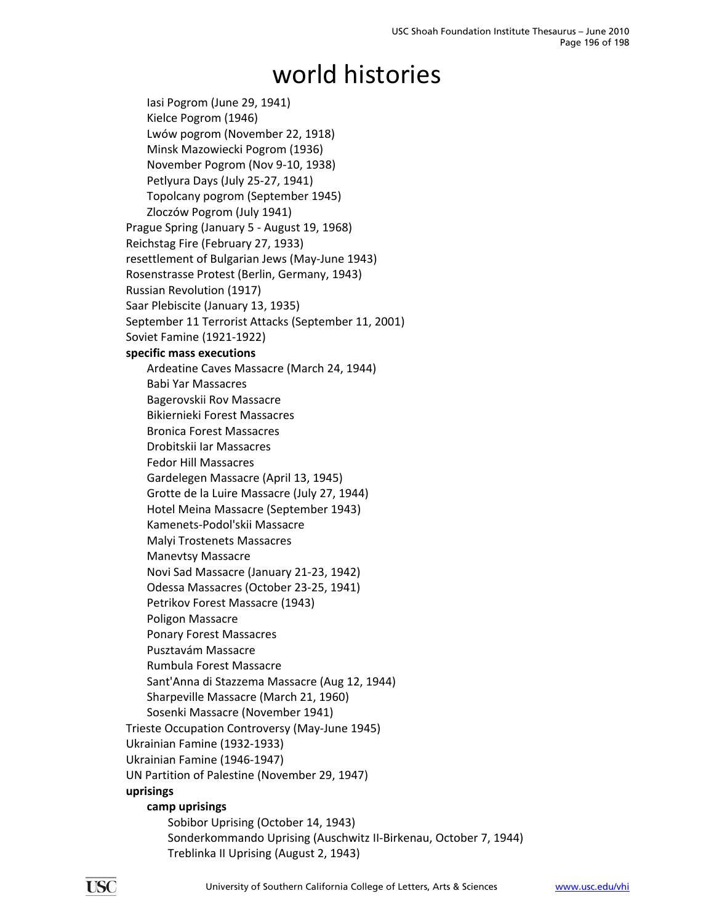Iasi Pogrom (June 29, 1941) Kielce Pogrom (1946) Lwów pogrom (November 22, 1918) Minsk Mazowiecki Pogrom (1936) November Pogrom (Nov 9‐10, 1938) Petlyura Days (July 25‐27, 1941) Topolcany pogrom (September 1945) Zloczów Pogrom (July 1941) Prague Spring (January 5 ‐ August 19, 1968) Reichstag Fire (February 27, 1933) resettlement of Bulgarian Jews (May‐June 1943) Rosenstrasse Protest (Berlin, Germany, 1943) Russian Revolution (1917) Saar Plebiscite (January 13, 1935) September 11 Terrorist Attacks (September 11, 2001) Soviet Famine (1921‐1922) **specific mass executions** Ardeatine Caves Massacre (March 24, 1944) Babi Yar Massacres Bagerovskii Rov Massacre Bikiernieki Forest Massacres Bronica Forest Massacres Drobitskii Iar Massacres Fedor Hill Massacres Gardelegen Massacre (April 13, 1945) Grotte de la Luire Massacre (July 27, 1944) Hotel Meina Massacre (September 1943) Kamenets‐Podol'skii Massacre Malyi Trostenets Massacres Manevtsy Massacre Novi Sad Massacre (January 21‐23, 1942) Odessa Massacres (October 23‐25, 1941) Petrikov Forest Massacre (1943) Poligon Massacre Ponary Forest Massacres Pusztavám Massacre Rumbula Forest Massacre Sant'Anna di Stazzema Massacre (Aug 12, 1944) Sharpeville Massacre (March 21, 1960) Sosenki Massacre (November 1941) Trieste Occupation Controversy (May‐June 1945) Ukrainian Famine (1932‐1933) Ukrainian Famine (1946‐1947) UN Partition of Palestine (November 29, 1947) **uprisings camp uprisings** Sobibor Uprising (October 14, 1943) Sonderkommando Uprising (Auschwitz II‐Birkenau, October 7, 1944)

Treblinka II Uprising (August 2, 1943)

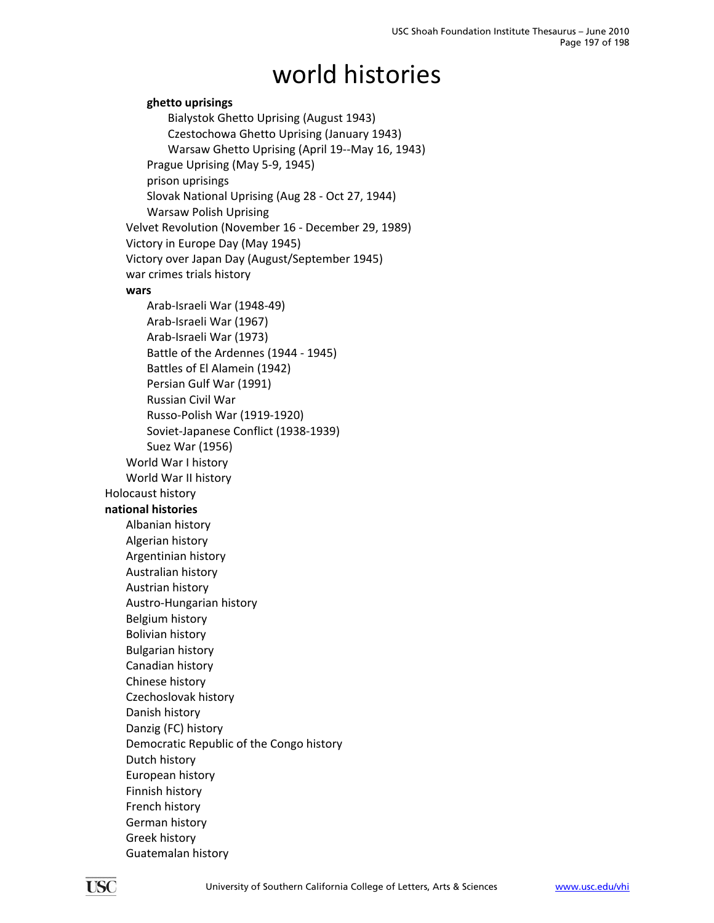**ghetto uprisings** Bialystok Ghetto Uprising (August 1943) Czestochowa Ghetto Uprising (January 1943) Warsaw Ghetto Uprising (April 19‐‐May 16, 1943) Prague Uprising (May 5‐9, 1945) prison uprisings Slovak National Uprising (Aug 28 ‐ Oct 27, 1944) Warsaw Polish Uprising Velvet Revolution (November 16 ‐ December 29, 1989) Victory in Europe Day (May 1945) Victory over Japan Day (August/September 1945) war crimes trials history **wars** Arab‐Israeli War (1948‐49) Arab‐Israeli War (1967) Arab‐Israeli War (1973) Battle of the Ardennes (1944 ‐ 1945) Battles of El Alamein (1942) Persian Gulf War (1991) Russian Civil War Russo‐Polish War (1919‐1920) Soviet‐Japanese Conflict (1938‐1939) Suez War (1956) World War I history World War II history Holocaust history **national histories** Albanian history Algerian history Argentinian history Australian history Austrian history Austro‐Hungarian history Belgium history Bolivian history Bulgarian history Canadian history Chinese history Czechoslovak history Danish history Danzig (FC) history Democratic Republic of the Congo history Dutch history European history Finnish history French history German history Greek history Guatemalan history